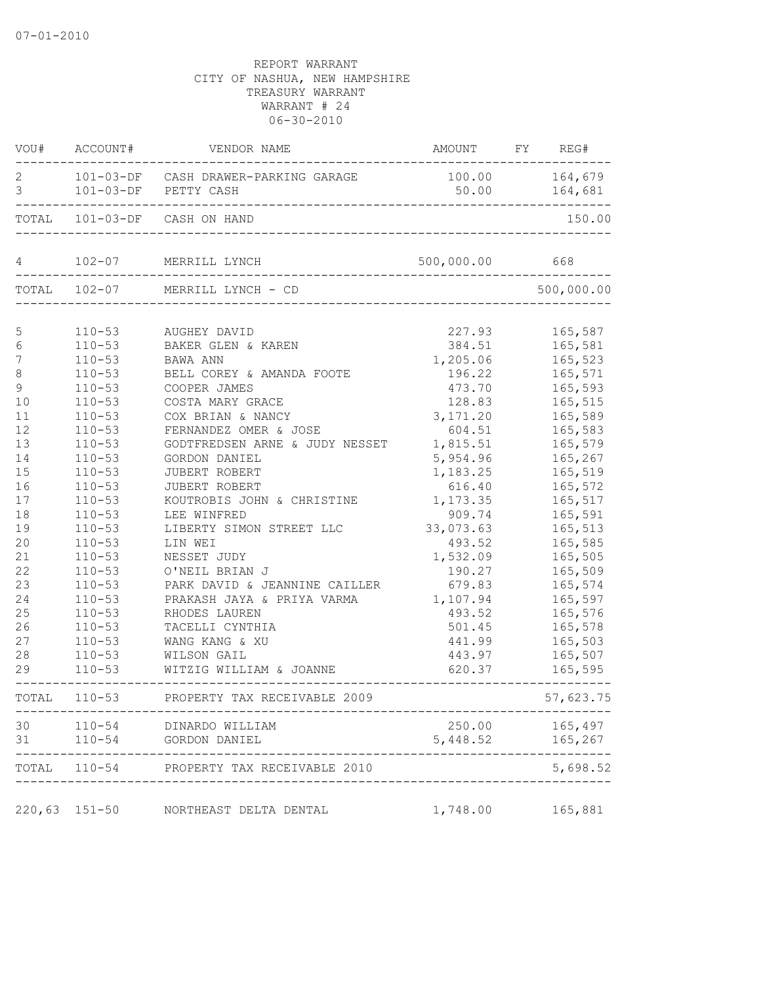|                    |                    | VOU# ACCOUNT# VENDOR NAME                                                                        | AMOUNT FY REG# |                  |
|--------------------|--------------------|--------------------------------------------------------------------------------------------------|----------------|------------------|
| 2<br>$\mathcal{E}$ |                    | 101-03-DF CASH DRAWER-PARKING GARAGE<br>101-03-DF PETTY CASH<br>________________________________ | 100.00 164,679 | 50.00    164,681 |
|                    | ------------------ | TOTAL 101-03-DF CASH ON HAND                                                                     |                | 150.00           |
|                    |                    | 4 102-07 MERRILL LYNCH 500,000.0                                                                 | 500,000.00 668 |                  |
|                    |                    | TOTAL 102-07 MERRILL LYNCH - CD                                                                  |                | 500,000.00       |
| 5                  | $110 - 53$         | AUGHEY DAVID                                                                                     | 227.93         | 165,587          |
| $\epsilon$         |                    | 110-53 BAKER GLEN & KAREN                                                                        | 384.51         | 165,581          |
| 7                  | $110 - 53$         | BAWA ANN                                                                                         | 1,205.06       | 165,523          |
| $\,8\,$            | $110 - 53$         | BELL COREY & AMANDA FOOTE                                                                        | 196.22         | 165,571          |
| $\overline{9}$     | $110 - 53$         | COOPER JAMES                                                                                     | 473.70         | 165,593          |
| 10                 | $110 - 53$         | COSTA MARY GRACE                                                                                 | 128.83         | 165,515          |
| 11                 | $110 - 53$         | COX BRIAN & NANCY                                                                                | 3,171.20       | 165,589          |
| 12                 | $110 - 53$         | FERNANDEZ OMER & JOSE                                                                            | 604.51         | 165,583          |
| 13                 | $110 - 53$         | GODTFREDSEN ARNE & JUDY NESSET                                                                   | 1,815.51       | 165,579          |
| 14                 | $110 - 53$         | GORDON DANIEL                                                                                    | 5,954.96       | 165,267          |
| 15                 | $110 - 53$         | JUBERT ROBERT                                                                                    | 1,183.25       | 165,519          |
| 16                 | $110 - 53$         | JUBERT ROBERT                                                                                    | 616.40         | 165,572          |
| 17                 | $110 - 53$         | KOUTROBIS JOHN & CHRISTINE                                                                       | 1,173.35       | 165,517          |
| 18                 | $110 - 53$         | LEE WINFRED                                                                                      | 909.74         | 165,591          |
| 19                 | $110 - 53$         | LIBERTY SIMON STREET LLC                                                                         | 33,073.63      | 165,513          |
| 20                 | $110 - 53$         | LIN WEI                                                                                          | 493.52         | 165,585          |
| 21                 | $110 - 53$         | NESSET JUDY                                                                                      | 1,532.09       | 165,505          |
| 22                 | $110 - 53$         | O'NEIL BRIAN J                                                                                   | 190.27         | 165,509          |
| 23                 | $110 - 53$         | PARK DAVID & JEANNINE CAILLER                                                                    | 679.83         | 165,574          |
| 24                 | $110 - 53$         | PRAKASH JAYA & PRIYA VARMA                                                                       | 1,107.94       | 165,597          |
| 25                 | $110 - 53$         | RHODES LAUREN                                                                                    | 493.52         | 165,576          |
| 26                 | $110 - 53$         | TACELLI CYNTHIA                                                                                  | 501.45         | 165,578          |
| 27                 | $110 - 53$         | WANG KANG & XU                                                                                   | 441.99         | 165,503          |
| 28                 | $110 - 53$         | WILSON GAIL                                                                                      | 443.97         | 165,507          |
| 29                 | $110 - 53$         | WITZIG WILLIAM & JOANNE                                                                          | 620.37         | 165,595          |
|                    |                    | TOTAL 110-53 PROPERTY TAX RECEIVABLE 2009                                                        |                | 57,623.75        |
| 30                 |                    | 110-54 DINARDO WILLIAM                                                                           | 250.00         | 165,497          |
| 31                 | $110 - 54$         | GORDON DANIEL                                                                                    | 5,448.52       | 165,267          |
|                    |                    | TOTAL 110-54 PROPERTY TAX RECEIVABLE 2010                                                        |                | 5,698.52         |
|                    | $220, 63$ 151-50   | NORTHEAST DELTA DENTAL                                                                           | 1,748.00       | 165,881          |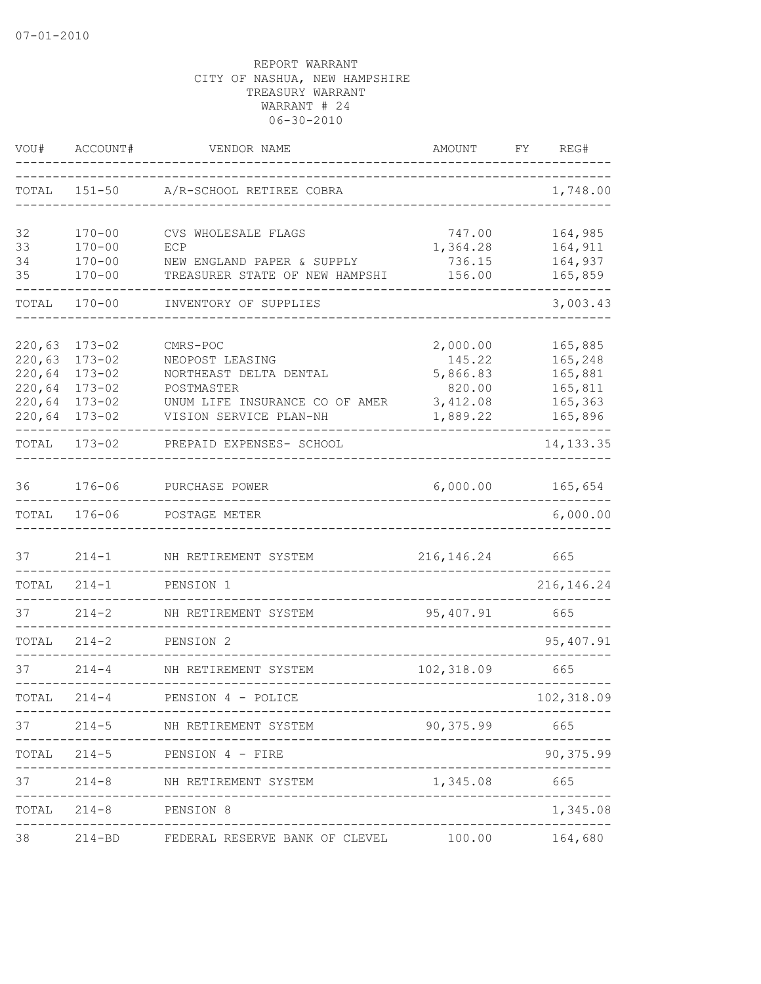| VOU#   | ACCOUNT#   | VENDOR NAME                                          | AMOUNT        | REG#<br>FY  |
|--------|------------|------------------------------------------------------|---------------|-------------|
| TOTAL  | $151 - 50$ | A/R-SCHOOL RETIREE COBRA                             |               | 1,748.00    |
| 32     | $170 - 00$ | CVS WHOLESALE FLAGS                                  | 747.00        | 164,985     |
| 33     | $170 - 00$ | ECP                                                  | 1,364.28      | 164,911     |
| 34     | $170 - 00$ | NEW ENGLAND PAPER & SUPPLY                           | 736.15        | 164,937     |
| 35     | $170 - 00$ | TREASURER STATE OF NEW HAMPSHI                       | 156.00        | 165,859     |
| TOTAL  | $170 - 00$ | INVENTORY OF SUPPLIES                                |               | 3,003.43    |
| 220,63 | $173 - 02$ | CMRS-POC                                             | 2,000.00      | 165,885     |
| 220,63 | $173 - 02$ | NEOPOST LEASING                                      | 145.22        | 165,248     |
| 220,64 | $173 - 02$ | NORTHEAST DELTA DENTAL                               | 5,866.83      | 165,881     |
| 220,64 | $173 - 02$ | POSTMASTER                                           | 820.00        | 165,811     |
| 220,64 | $173 - 02$ | UNUM LIFE INSURANCE CO OF AMER                       | 3,412.08      | 165,363     |
| 220,64 | $173 - 02$ | VISION SERVICE PLAN-NH                               | 1,889.22      | 165,896     |
| TOTAL  | $173 - 02$ | PREPAID EXPENSES- SCHOOL                             |               | 14, 133.35  |
| 36     | $176 - 06$ | PURCHASE POWER                                       | 6,000.00      | 165,654     |
| TOTAL  | $176 - 06$ | POSTAGE METER                                        |               | 6,000.00    |
| 37     | $214 - 1$  | NH RETIREMENT SYSTEM                                 | 216, 146.24   | 665         |
| TOTAL  | $214 - 1$  | PENSION 1                                            |               | 216, 146.24 |
| 37     | $214 - 2$  | NH RETIREMENT SYSTEM                                 | 95,407.91     | 665         |
| TOTAL  | $214 - 2$  | PENSION 2<br>____________.                           |               | 95,407.91   |
| 37     | $214 - 4$  | NH RETIREMENT SYSTEM                                 | 102,318.09    | 665         |
| TOTAL  | $214 - 4$  | PENSION 4 - POLICE                                   |               | 102,318.09  |
| 37     |            | 214-5 NH RETIREMENT SYSTEM                           | 90,375.99 665 |             |
|        |            | TOTAL 214-5 PENSION 4 - FIRE                         |               | 90,375.99   |
| 37     |            | 214-8 NH RETIREMENT SYSTEM                           | 1,345.08 665  |             |
|        |            | TOTAL 214-8 PENSION 8                                |               | 1,345.08    |
| 38     |            | 214-BD FEDERAL RESERVE BANK OF CLEVEL 100.00 164,680 |               |             |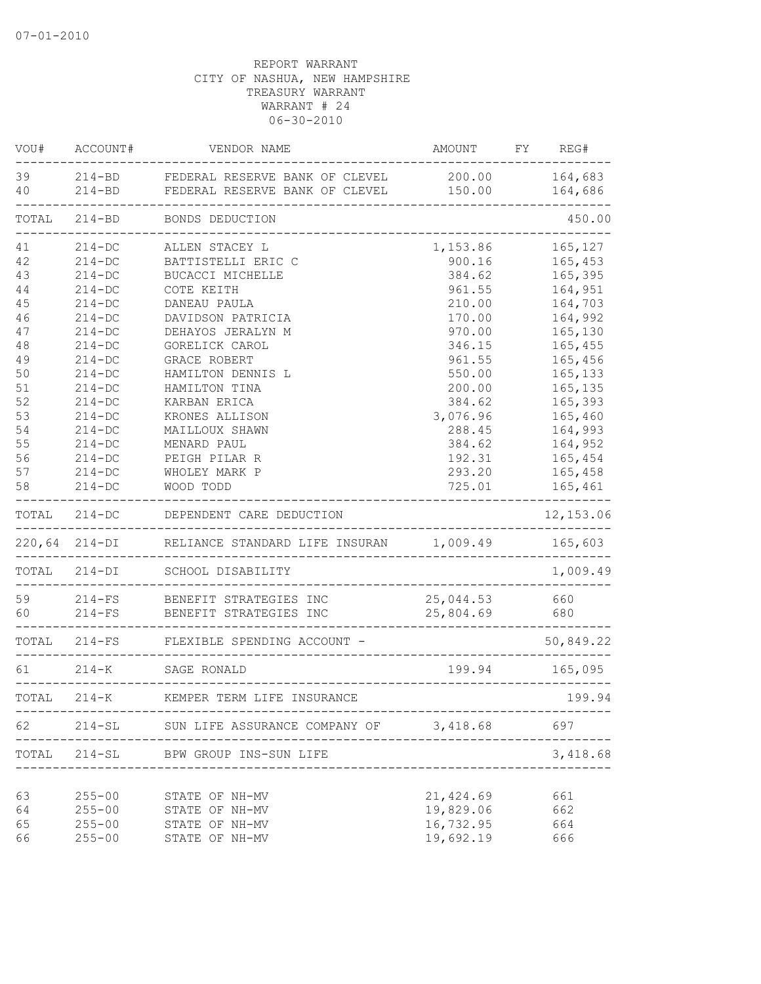| VOU#     | ACCOUNT#      | VENDOR NAME                                                             | <b>AMOUNT</b>          | FY | REG#               |
|----------|---------------|-------------------------------------------------------------------------|------------------------|----|--------------------|
| 39<br>40 | $214 - BD$    | 214-BD FEDERAL RESERVE BANK OF CLEVEL<br>FEDERAL RESERVE BANK OF CLEVEL | 200.00<br>150.00       |    | 164,683<br>164,686 |
| TOTAL    | $214 - BD$    | _______________________<br>BONDS DEDUCTION                              |                        |    | 450.00             |
| 41       | $214 - DC$    | ALLEN STACEY L                                                          | 1,153.86               |    | 165,127            |
| 42       | $214 - DC$    | BATTISTELLI ERIC C                                                      | 900.16                 |    | 165,453            |
| 43       | $214 - DC$    | BUCACCI MICHELLE                                                        | 384.62                 |    | 165,395            |
| 44       | $214 - DC$    | COTE KEITH                                                              | 961.55                 |    | 164,951            |
| 45       | $214 - DC$    | DANEAU PAULA                                                            | 210.00                 |    | 164,703            |
| 46       | $214-DC$      | DAVIDSON PATRICIA                                                       | 170.00                 |    | 164,992            |
| 47       | $214-DC$      | DEHAYOS JERALYN M                                                       | 970.00                 |    | 165,130            |
| 48       | $214-DC$      | GORELICK CAROL                                                          | 346.15                 |    | 165,455            |
| 49       | $214-DC$      | GRACE ROBERT                                                            | 961.55                 |    | 165,456            |
| 50       | $214 - DC$    | HAMILTON DENNIS L                                                       | 550.00                 |    | 165,133            |
| 51       | $214-DC$      | HAMILTON TINA                                                           | 200.00                 |    | 165,135            |
| 52       | $214 - DC$    | KARBAN ERICA                                                            | 384.62                 |    | 165,393            |
| 53       | $214 - DC$    | KRONES ALLISON                                                          | 3,076.96               |    | 165,460            |
| 54       | $214-DC$      | MAILLOUX SHAWN                                                          | 288.45                 |    | 164,993            |
| 55       | $214-DC$      | MENARD PAUL                                                             | 384.62                 |    | 164,952            |
| 56       | $214 - DC$    | PEIGH PILAR R                                                           | 192.31                 |    | 165,454            |
| 57       | $214-DC$      | WHOLEY MARK P                                                           | 293.20                 |    | 165,458            |
| 58       | $214 - DC$    | WOOD TODD                                                               | 725.01                 |    | 165,461            |
| TOTAL    | $214 - DC$    | DEPENDENT CARE DEDUCTION                                                |                        |    | 12, 153.06         |
|          | 220,64 214-DI | RELIANCE STANDARD LIFE INSURAN 1,009.49                                 |                        |    | 165,603            |
| TOTAL    | $214 - DI$    | SCHOOL DISABILITY                                                       |                        |    | 1,009.49           |
| 59       | $214-FS$      | BENEFIT STRATEGIES INC                                                  | 25,044.53              |    | 660                |
| 60       | $214-FS$      | BENEFIT STRATEGIES INC                                                  | 25,804.69              |    | 680                |
|          |               | TOTAL 214-FS FLEXIBLE SPENDING ACCOUNT -                                |                        |    | 50,849.22          |
| 61       |               | 214-K SAGE RONALD                                                       | 199.94                 |    | 165,095            |
| TOTAL    | $214 - K$     | KEMPER TERM LIFE INSURANCE                                              |                        |    | 199.94             |
| 62       |               | 214-SL SUN LIFE ASSURANCE COMPANY OF 3,418.68                           |                        |    | 697                |
| TOTAL    |               | 214-SL BPW GROUP INS-SUN LIFE<br>___________________                    |                        |    | 3,418.68           |
|          |               |                                                                         |                        |    |                    |
| 63       | $255 - 00$    | STATE OF NH-MV                                                          | 21,424.69<br>19,829.06 |    | 661                |
| 64       | $255 - 00$    | STATE OF NH-MV                                                          |                        |    | 662                |
| 65       | $255 - 00$    | STATE OF NH-MV                                                          | 16,732.95              |    | 664                |
| 66       | $255 - 00$    | STATE OF NH-MV                                                          | 19,692.19              |    | 666                |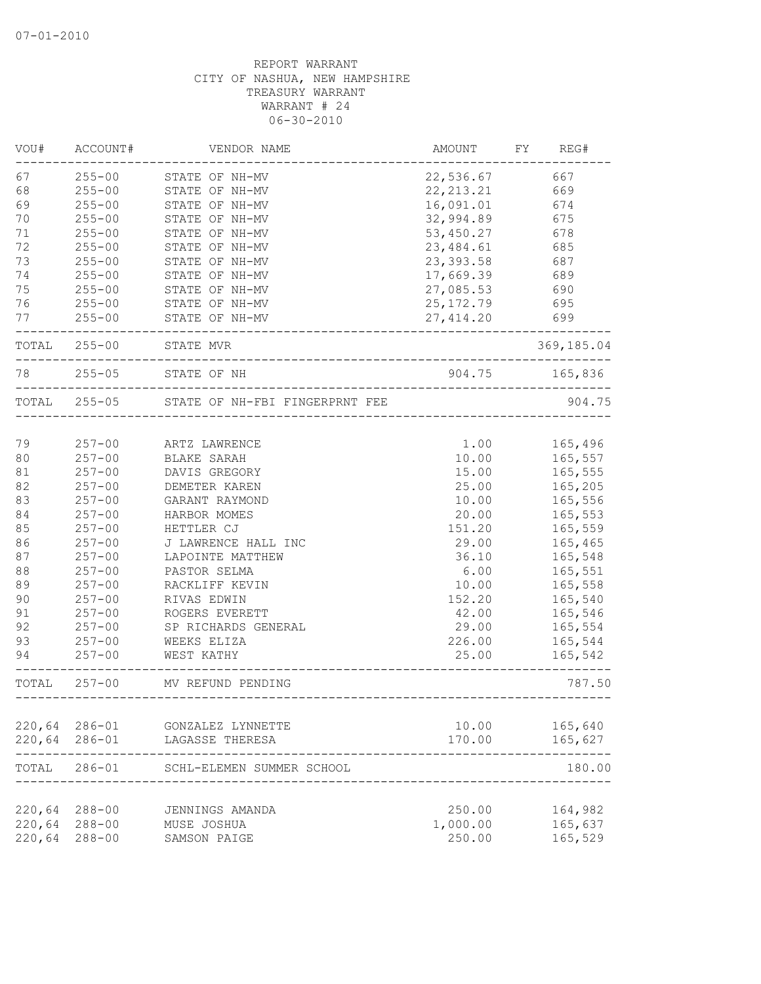| VOU#   | ACCOUNT#      | VENDOR NAME                          | AMOUNT      | FY<br>REG#     |
|--------|---------------|--------------------------------------|-------------|----------------|
| 67     | $255 - 00$    | STATE OF NH-MV                       | 22,536.67   | 667            |
| 68     | $255 - 00$    | STATE OF NH-MV                       | 22, 213. 21 | 669            |
| 69     | $255 - 00$    | STATE OF NH-MV                       | 16,091.01   | 674            |
| 70     | $255 - 00$    | STATE OF NH-MV                       | 32,994.89   | 675            |
| 71     | $255 - 00$    | STATE OF NH-MV                       | 53,450.27   | 678            |
| 72     | $255 - 00$    | STATE OF NH-MV                       | 23, 484.61  | 685            |
| 73     | $255 - 00$    | STATE OF NH-MV                       | 23, 393.58  | 687            |
| 74     | $255 - 00$    | STATE OF NH-MV                       | 17,669.39   | 689            |
| 75     | $255 - 00$    | STATE OF NH-MV                       | 27,085.53   | 690            |
| 76     | $255 - 00$    | STATE OF NH-MV                       | 25, 172.79  | 695            |
| 77     | $255 - 00$    | STATE OF NH-MV                       | 27, 414.20  | 699            |
|        | TOTAL 255-00  | STATE MVR<br>_______________________ |             | 369,185.04     |
| 78     | $255 - 05$    | STATE OF NH                          |             | 904.75 165,836 |
|        | TOTAL 255-05  | STATE OF NH-FBI FINGERPRNT FEE       |             | 904.75         |
|        |               |                                      |             |                |
| 79     | $257 - 00$    | ARTZ LAWRENCE                        | 1.00        | 165,496        |
| 80     | $257 - 00$    | BLAKE SARAH                          | 10.00       | 165,557        |
| 81     | $257 - 00$    | DAVIS GREGORY                        | 15.00       | 165,555        |
| 82     | $257 - 00$    | DEMETER KAREN                        | 25.00       | 165,205        |
| 83     | $257 - 00$    | GARANT RAYMOND                       | 10.00       | 165,556        |
| 84     | $257 - 00$    | HARBOR MOMES                         | 20.00       | 165,553        |
| 85     | $257 - 00$    | HETTLER CJ                           | 151.20      | 165,559        |
| 86     | $257 - 00$    | J LAWRENCE HALL INC                  | 29.00       | 165,465        |
| 87     | $257 - 00$    | LAPOINTE MATTHEW                     | 36.10       | 165,548        |
| 88     | $257 - 00$    | PASTOR SELMA                         | 6.00        | 165,551        |
| 89     | $257 - 00$    | RACKLIFF KEVIN                       | 10.00       | 165,558        |
| 90     | $257 - 00$    | RIVAS EDWIN                          | 152.20      | 165,540        |
| 91     | $257 - 00$    | ROGERS EVERETT                       | 42.00       | 165,546        |
| 92     | $257 - 00$    | SP RICHARDS GENERAL                  | 29.00       | 165,554        |
| 93     | $257 - 00$    | WEEKS ELIZA                          | 226.00      | 165,544        |
| 94     | $257 - 00$    | WEST KATHY                           | 25.00       | 165,542        |
| TOTAL  | $257 - 00$    | MV REFUND PENDING                    |             | 787.50         |
| 220,64 | 286-01        | GONZALEZ LYNNETTE                    | 10.00       | 165,640        |
|        | 220,64 286-01 | LAGASSE THERESA                      | 170.00      | 165,627        |
| TOTAL  |               | 286-01 SCHL-ELEMEN SUMMER SCHOOL     |             | 180.00         |
| 220,64 | $288 - 00$    | JENNINGS AMANDA                      | 250.00      | 164,982        |
| 220,64 | $288 - 00$    | MUSE JOSHUA                          | 1,000.00    | 165,637        |
| 220,64 | $288 - 00$    | SAMSON PAIGE                         | 250.00      | 165,529        |
|        |               |                                      |             |                |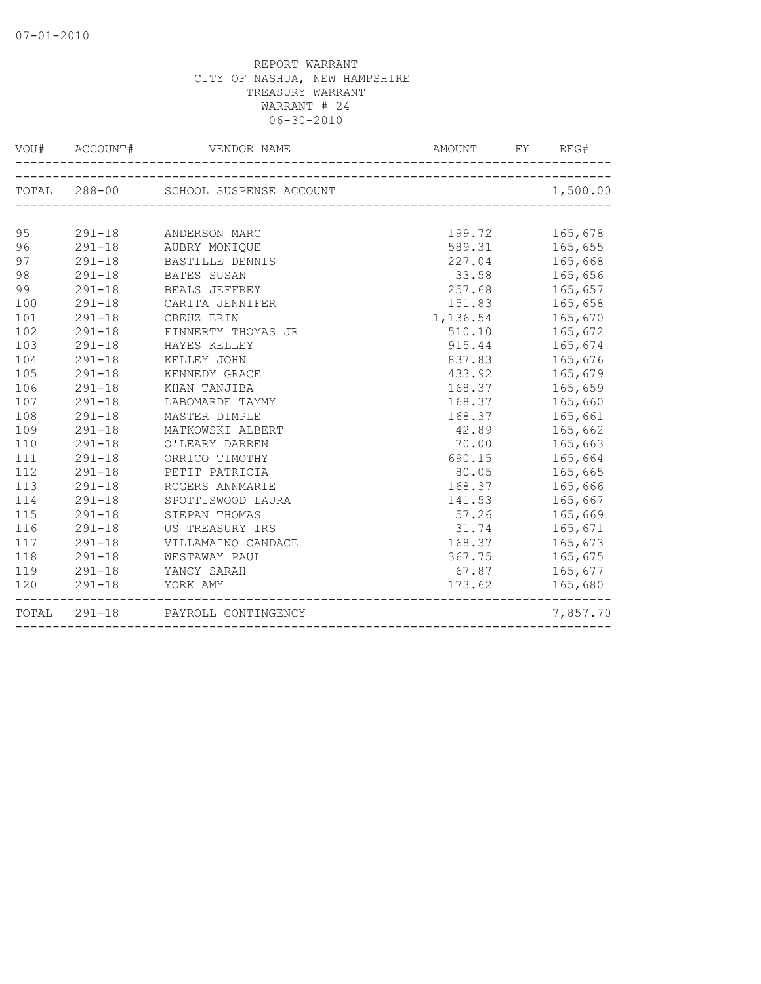|     |            | TOTAL 288-00 SCHOOL SUSPENSE ACCOUNT 1,500.00                      |                    |          |
|-----|------------|--------------------------------------------------------------------|--------------------|----------|
| 95  |            | 291-18 ANDERSON MARC                                               | 199.72 165,678     |          |
| 96  |            | 291-18 AUBRY MONIQUE                                               | 589.31 165,655     |          |
| 97  |            | 291-18 BASTILLE DENNIS                                             | 227.04 165,668     |          |
| 98  |            | 291-18 BATES SUSAN                                                 | 33.58 165,656      |          |
| 99  |            | 291-18 BEALS JEFFREY                                               | 257.68 165,657     |          |
| 100 | $291 - 18$ | CARITA JENNIFER                                                    | 151.83 165,658     |          |
| 101 | $291 - 18$ | CREUZ ERIN                                                         | 1, 136.54 165, 670 |          |
| 102 | $291 - 18$ | FINNERTY THOMAS JR                                                 | 510.10 165,672     |          |
| 103 |            | 291-18 HAYES KELLEY                                                | 915.44 165,674     |          |
| 104 |            | 291-18 KELLEY JOHN                                                 | 837.83 165,676     |          |
| 105 |            | 291-18 KENNEDY GRACE                                               | 433.92 165,679     |          |
| 106 |            | 291-18 KHAN TANJIBA                                                | 168.37 165,659     |          |
| 107 |            | 291-18 LABOMARDE TAMMY<br>291-18 LABOMARDE TAMMY                   | 168.37             | 165,660  |
| 108 |            |                                                                    | 168.37 165,661     |          |
| 109 |            | 291-18 MATKOWSKI ALBERT                                            | 42.89 165,662      |          |
| 110 |            | 291-18 O'LEARY DARREN                                              | 70.00 165,663      |          |
| 111 |            | 291-18 ORRICO TIMOTHY                                              | 690.15 165,664     |          |
| 112 |            | 291-18 PETIT PATRICIA                                              | 80.05 165,665      |          |
| 113 |            | 291-18 ROGERS ANNMARIE                                             | 168.37 165,666     |          |
| 114 |            | SPOTTISWOOD LAURA<br>291-18 SPOTTISWOOD LI<br>291-18 STEPAN THOMAS | 141.53             | 165,667  |
| 115 |            |                                                                    | 57.26 165,669      |          |
| 116 | $291 - 18$ | US TREASURY IRS                                                    | 31.74 165,671      |          |
| 117 |            | 291-18 VILLAMAINO CANDACE                                          | 168.37 165,673     |          |
| 118 |            | 291-18 WESTAWAY PAUL                                               | 367.75 165,675     |          |
|     |            | 119 291-18 YANCY SARAH                                             | 67.87 165,677      |          |
|     |            | 120 291-18 YORK AMY                                                | 173.62 165,680     |          |
|     |            | TOTAL 291-18 PAYROLL CONTINGENCY                                   |                    | 7,857.70 |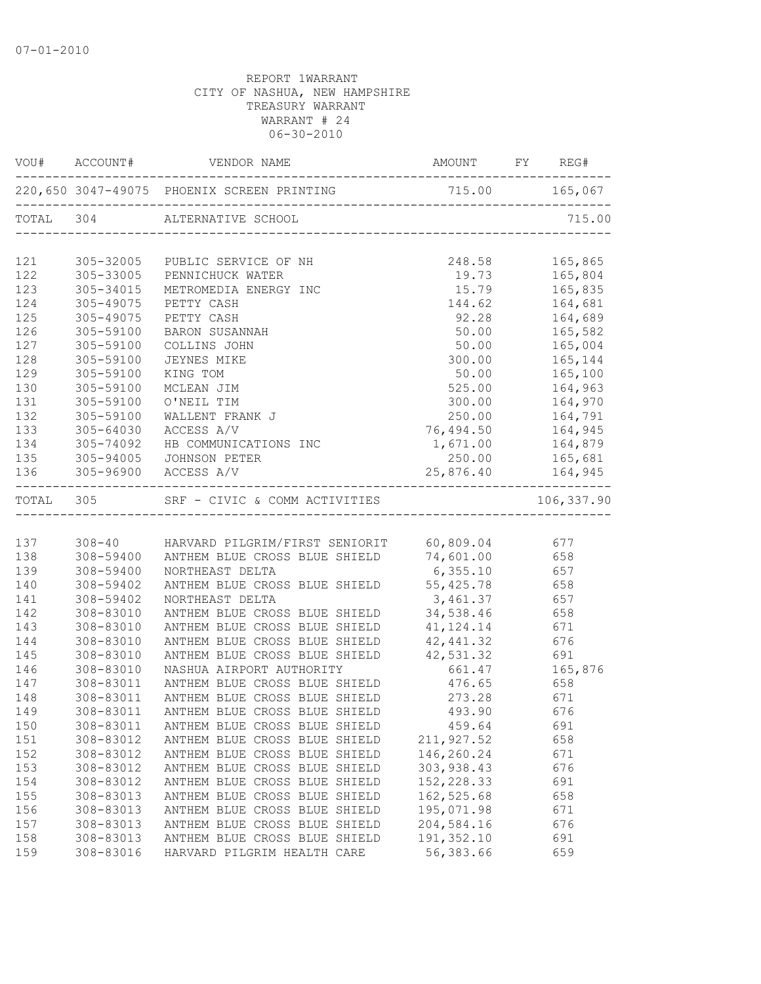|           |               | VOU# ACCOUNT# VENDOR NAME                                            | AMOUNT FY REG#                                   |                                 |                               |
|-----------|---------------|----------------------------------------------------------------------|--------------------------------------------------|---------------------------------|-------------------------------|
|           |               |                                                                      |                                                  |                                 |                               |
|           |               | TOTAL 304 ALTERNATIVE SCHOOL<br>------------------------------------ |                                                  |                                 | 715.00                        |
|           |               | 121 305-32005 PUBLIC SERVICE OF NH                                   |                                                  |                                 |                               |
| 122       | $305 - 33005$ | PENNICHUCK WATER                                                     | 248.58 165,865<br>19.73 165,804<br>15.79 165,835 |                                 |                               |
| 123       | $305 - 34015$ | METROMEDIA ENERGY INC                                                |                                                  |                                 |                               |
| 124       | 305-49075     | PETTY CASH                                                           | $144.62$ $164,681$                               |                                 |                               |
| 125       | 305-49075     | PETTY CASH                                                           | 92.28 164,689                                    |                                 |                               |
| 126       | 305-59100     | BARON SUSANNAH                                                       | 50.00 165,582                                    |                                 |                               |
| 127       | 305-59100     | COLLINS JOHN                                                         |                                                  |                                 |                               |
| 128       | 305-59100     | JEYNES MIKE                                                          | 300.00    165,144                                |                                 |                               |
| 129       | 305-59100     | KING TOM                                                             |                                                  |                                 |                               |
| 130       | 305-59100     | MCLEAN JIM                                                           | 525.00                                           |                                 | 164,963<br>164,970<br>164,791 |
| 131       | 305-59100     | O'NEIL TIM                                                           | 300.00                                           |                                 |                               |
| 132       | 305-59100     | WALLENT FRANK J                                                      | 250.00                                           |                                 |                               |
| 133       | $305 - 64030$ | ACCESS A/V                                                           | 76,494.50 164,945                                |                                 |                               |
|           | 134 305-74092 | HB COMMUNICATIONS INC                                                | 1,671.00 164,879                                 |                                 |                               |
|           |               | 135 305-94005 JOHNSON PETER                                          | 250.00 165,681                                   |                                 |                               |
|           |               | 136 305-96900 ACCESS A/V                                             | 25,876.40    164,945                             | . _ _ _ _ _ _ _ _ _ _ _ _ _ _ _ |                               |
| TOTAL 305 |               | SRF - CIVIC & COMM ACTIVITIES                                        |                                                  |                                 | 106,337.90                    |
|           |               |                                                                      |                                                  |                                 |                               |
|           |               | 137 308-40 HARVARD PILGRIM/FIRST SENIORIT 60,809.04 677              |                                                  |                                 |                               |
| 138       |               | 308-59400 ANTHEM BLUE CROSS BLUE SHIELD 74,601.00 658                |                                                  |                                 |                               |
| 139       | 308-59400     | NORTHEAST DELTA                                                      | 6,355.10 657                                     |                                 |                               |
| 140       | 308-59402     | ANTHEM BLUE CROSS BLUE SHIELD 55,425.78 658                          |                                                  |                                 |                               |
| 141       | 308-59402     | NORTHEAST DELTA                                                      | 3,461.37 657                                     |                                 |                               |
| 142       | 308-83010     | ANTHEM BLUE CROSS BLUE SHIELD 34,538.46 658                          |                                                  |                                 |                               |
| 143       | 308-83010     | ANTHEM BLUE CROSS BLUE SHIELD                                        | 41, 124. 14 671                                  |                                 |                               |
| 144       | 308-83010     | ANTHEM BLUE CROSS BLUE SHIELD                                        | 42, 441.32                                       | 676<br>691                      |                               |
| 145       | 308-83010     | ANTHEM BLUE CROSS BLUE SHIELD                                        | 42,531.32 691<br>661.47 165,876                  |                                 |                               |
| 146       | 308-83010     | NASHUA AIRPORT AUTHORITY                                             |                                                  |                                 |                               |
| 147       | 308-83011     | ANTHEM BLUE CROSS BLUE SHIELD 476.65 658                             |                                                  |                                 |                               |
| 148       | 308-83011     | ANTHEM BLUE CROSS BLUE SHIELD 273.28 671                             |                                                  |                                 |                               |
| 149       | 308-83011     | ANTHEM BLUE CROSS BLUE SHIELD                                        | 493.90 676                                       |                                 |                               |
| 150       | 308-83011     | ANTHEM BLUE CROSS BLUE SHIELD                                        | 459.64                                           |                                 | 691                           |
| 151       | 308-83012     | ANTHEM BLUE CROSS BLUE SHIELD                                        | 211,927.52                                       |                                 | 658                           |
| 152       | 308-83012     | ANTHEM BLUE CROSS BLUE SHIELD                                        | 146,260.24                                       |                                 | 671                           |
| 153       | 308-83012     | ANTHEM BLUE CROSS BLUE SHIELD                                        | 303,938.43                                       |                                 | 676                           |
| 154       | 308-83012     | ANTHEM BLUE CROSS BLUE SHIELD                                        | 152, 228.33                                      |                                 | 691                           |
| 155       | 308-83013     | ANTHEM BLUE CROSS BLUE SHIELD                                        | 162,525.68                                       |                                 | 658                           |
| 156       | 308-83013     | ANTHEM BLUE CROSS BLUE SHIELD                                        | 195,071.98                                       |                                 | 671                           |
| 157       | 308-83013     | ANTHEM BLUE CROSS BLUE SHIELD                                        | 204,584.16                                       |                                 | 676                           |
| 158       | 308-83013     | ANTHEM BLUE CROSS BLUE SHIELD                                        | 191,352.10                                       |                                 | 691                           |
| 159       | 308-83016     | HARVARD PILGRIM HEALTH CARE                                          | 56,383.66                                        |                                 | 659                           |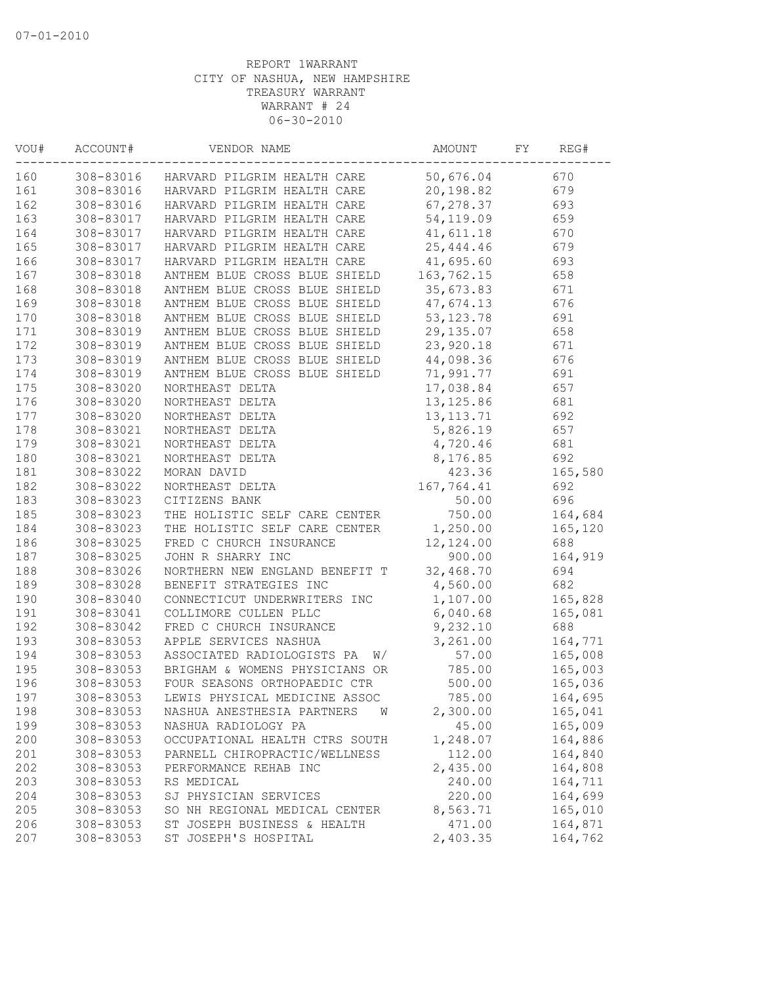| VOU# | ACCOUNT#  | VENDOR NAME                      | AMOUNT      | FY | REG#    |
|------|-----------|----------------------------------|-------------|----|---------|
| 160  | 308-83016 | HARVARD PILGRIM HEALTH CARE      | 50,676.04   |    | 670     |
| 161  | 308-83016 | HARVARD PILGRIM HEALTH CARE      | 20,198.82   |    | 679     |
| 162  | 308-83016 | HARVARD PILGRIM HEALTH CARE      | 67,278.37   |    | 693     |
| 163  | 308-83017 | HARVARD PILGRIM HEALTH CARE      | 54, 119.09  |    | 659     |
| 164  | 308-83017 | HARVARD PILGRIM HEALTH CARE      | 41,611.18   |    | 670     |
| 165  | 308-83017 | HARVARD PILGRIM HEALTH CARE      | 25, 444.46  |    | 679     |
| 166  | 308-83017 | HARVARD PILGRIM HEALTH CARE      | 41,695.60   |    | 693     |
| 167  | 308-83018 | ANTHEM BLUE CROSS BLUE SHIELD    | 163,762.15  |    | 658     |
| 168  | 308-83018 | ANTHEM BLUE CROSS BLUE SHIELD    | 35,673.83   |    | 671     |
| 169  | 308-83018 | ANTHEM BLUE CROSS BLUE SHIELD    | 47,674.13   |    | 676     |
| 170  | 308-83018 | ANTHEM BLUE CROSS BLUE SHIELD    | 53, 123. 78 |    | 691     |
| 171  | 308-83019 | ANTHEM BLUE CROSS BLUE SHIELD    | 29, 135.07  |    | 658     |
| 172  | 308-83019 | ANTHEM BLUE CROSS BLUE SHIELD    | 23,920.18   |    | 671     |
| 173  | 308-83019 | ANTHEM BLUE CROSS BLUE SHIELD    | 44,098.36   |    | 676     |
| 174  | 308-83019 | ANTHEM BLUE CROSS BLUE SHIELD    | 71,991.77   |    | 691     |
| 175  | 308-83020 | NORTHEAST DELTA                  | 17,038.84   |    | 657     |
| 176  | 308-83020 | NORTHEAST DELTA                  | 13, 125.86  |    | 681     |
| 177  | 308-83020 | NORTHEAST DELTA                  | 13, 113. 71 |    | 692     |
| 178  | 308-83021 | NORTHEAST DELTA                  | 5,826.19    |    | 657     |
| 179  | 308-83021 | NORTHEAST DELTA                  | 4,720.46    |    | 681     |
| 180  | 308-83021 | NORTHEAST DELTA                  | 8,176.85    |    | 692     |
| 181  | 308-83022 | MORAN DAVID                      | 423.36      |    | 165,580 |
| 182  | 308-83022 | NORTHEAST DELTA                  | 167,764.41  |    | 692     |
| 183  | 308-83023 | CITIZENS BANK                    | 50.00       |    | 696     |
| 185  | 308-83023 | THE HOLISTIC SELF CARE CENTER    | 750.00      |    | 164,684 |
| 184  | 308-83023 | THE HOLISTIC SELF CARE CENTER    | 1,250.00    |    | 165,120 |
| 186  | 308-83025 | FRED C CHURCH INSURANCE          | 12,124.00   |    | 688     |
| 187  | 308-83025 | JOHN R SHARRY INC                | 900.00      |    | 164,919 |
| 188  | 308-83026 | NORTHERN NEW ENGLAND BENEFIT T   | 32,468.70   |    | 694     |
| 189  | 308-83028 | BENEFIT STRATEGIES INC           | 4,560.00    |    | 682     |
| 190  | 308-83040 | CONNECTICUT UNDERWRITERS INC     | 1,107.00    |    | 165,828 |
| 191  | 308-83041 | COLLIMORE CULLEN PLLC            | 6,040.68    |    | 165,081 |
| 192  | 308-83042 | FRED C CHURCH INSURANCE          | 9,232.10    |    | 688     |
| 193  | 308-83053 | APPLE SERVICES NASHUA            | 3,261.00    |    | 164,771 |
| 194  | 308-83053 | ASSOCIATED RADIOLOGISTS PA<br>W/ | 57.00       |    | 165,008 |
| 195  | 308-83053 | BRIGHAM & WOMENS PHYSICIANS OR   | 785.00      |    | 165,003 |
| 196  | 308-83053 | FOUR SEASONS ORTHOPAEDIC CTR     | 500.00      |    | 165,036 |
| 197  | 308-83053 | LEWIS PHYSICAL MEDICINE ASSOC    | 785.00      |    | 164,695 |
| 198  | 308-83053 | NASHUA ANESTHESIA PARTNERS<br>W  | 2,300.00    |    | 165,041 |
| 199  | 308-83053 | NASHUA RADIOLOGY PA              | 45.00       |    | 165,009 |
| 200  | 308-83053 | OCCUPATIONAL HEALTH CTRS SOUTH   | 1,248.07    |    | 164,886 |
| 201  | 308-83053 | PARNELL CHIROPRACTIC/WELLNESS    | 112.00      |    | 164,840 |
| 202  | 308-83053 | PERFORMANCE REHAB INC            | 2,435.00    |    | 164,808 |
| 203  | 308-83053 | RS MEDICAL                       | 240.00      |    | 164,711 |
| 204  | 308-83053 | SJ PHYSICIAN SERVICES            | 220.00      |    | 164,699 |
| 205  | 308-83053 | SO NH REGIONAL MEDICAL CENTER    | 8,563.71    |    | 165,010 |
| 206  | 308-83053 | ST JOSEPH BUSINESS & HEALTH      | 471.00      |    | 164,871 |
| 207  | 308-83053 | ST JOSEPH'S HOSPITAL             | 2,403.35    |    | 164,762 |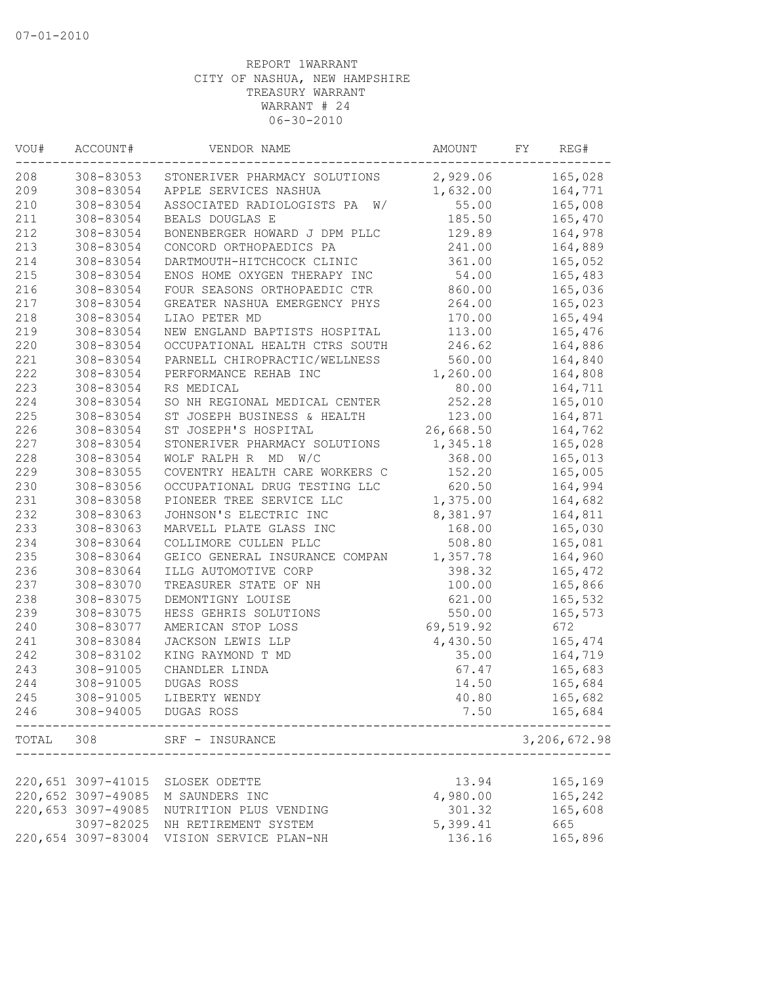| VOU#  | ACCOUNT#           | VENDOR NAME                      | AMOUNT    | FY | REG#         |
|-------|--------------------|----------------------------------|-----------|----|--------------|
| 208   | 308-83053          | STONERIVER PHARMACY SOLUTIONS    | 2,929.06  |    | 165,028      |
| 209   | 308-83054          | APPLE SERVICES NASHUA            | 1,632.00  |    | 164,771      |
| 210   | 308-83054          | ASSOCIATED RADIOLOGISTS PA<br>W/ | 55.00     |    | 165,008      |
| 211   | 308-83054          | BEALS DOUGLAS E                  | 185.50    |    | 165,470      |
| 212   | 308-83054          | BONENBERGER HOWARD J DPM PLLC    | 129.89    |    | 164,978      |
| 213   | 308-83054          | CONCORD ORTHOPAEDICS PA          | 241.00    |    | 164,889      |
| 214   | 308-83054          | DARTMOUTH-HITCHCOCK CLINIC       | 361.00    |    | 165,052      |
| 215   | 308-83054          | ENOS HOME OXYGEN THERAPY INC     | 54.00     |    | 165,483      |
| 216   | 308-83054          | FOUR SEASONS ORTHOPAEDIC CTR     | 860.00    |    | 165,036      |
| 217   | 308-83054          | GREATER NASHUA EMERGENCY PHYS    | 264.00    |    | 165,023      |
| 218   | 308-83054          | LIAO PETER MD                    | 170.00    |    | 165,494      |
| 219   | 308-83054          | NEW ENGLAND BAPTISTS HOSPITAL    | 113.00    |    | 165,476      |
| 220   | 308-83054          | OCCUPATIONAL HEALTH CTRS SOUTH   | 246.62    |    | 164,886      |
| 221   | 308-83054          | PARNELL CHIROPRACTIC/WELLNESS    | 560.00    |    | 164,840      |
| 222   | 308-83054          | PERFORMANCE REHAB INC            | 1,260.00  |    | 164,808      |
| 223   | 308-83054          | RS MEDICAL                       | 80.00     |    | 164,711      |
| 224   | 308-83054          | SO NH REGIONAL MEDICAL CENTER    | 252.28    |    | 165,010      |
| 225   | 308-83054          | ST JOSEPH BUSINESS & HEALTH      | 123.00    |    | 164,871      |
| 226   | 308-83054          | ST JOSEPH'S HOSPITAL             | 26,668.50 |    | 164,762      |
| 227   | 308-83054          | STONERIVER PHARMACY SOLUTIONS    | 1,345.18  |    | 165,028      |
| 228   | 308-83054          | WOLF RALPH R MD W/C              | 368.00    |    | 165,013      |
| 229   | 308-83055          | COVENTRY HEALTH CARE WORKERS C   | 152.20    |    | 165,005      |
| 230   | 308-83056          | OCCUPATIONAL DRUG TESTING LLC    | 620.50    |    | 164,994      |
| 231   | 308-83058          | PIONEER TREE SERVICE LLC         | 1,375.00  |    | 164,682      |
| 232   | 308-83063          | JOHNSON'S ELECTRIC INC           | 8,381.97  |    | 164,811      |
|       |                    |                                  |           |    |              |
| 233   | 308-83063          | MARVELL PLATE GLASS INC          | 168.00    |    | 165,030      |
| 234   | 308-83064          | COLLIMORE CULLEN PLLC            | 508.80    |    | 165,081      |
| 235   | 308-83064          | GEICO GENERAL INSURANCE COMPAN   | 1,357.78  |    | 164,960      |
| 236   | 308-83064          | ILLG AUTOMOTIVE CORP             | 398.32    |    | 165,472      |
| 237   | 308-83070          | TREASURER STATE OF NH            | 100.00    |    | 165,866      |
| 238   | 308-83075          | DEMONTIGNY LOUISE                | 621.00    |    | 165,532      |
| 239   | 308-83075          | HESS GEHRIS SOLUTIONS            | 550.00    |    | 165,573      |
| 240   | 308-83077          | AMERICAN STOP LOSS               | 69,519.92 |    | 672          |
| 241   | 308-83084          | JACKSON LEWIS LLP                | 4,430.50  |    | 165,474      |
| 242   | 308-83102          | KING RAYMOND T MD                | 35.00     |    | 164,719      |
| 243   | 308-91005          | CHANDLER LINDA                   | 67.47     |    | 165,683      |
| 244   | 308-91005          | DUGAS ROSS                       | 14.50     |    | 165,684      |
| 245   | 308-91005          | LIBERTY WENDY                    | 40.80     |    | 165,682      |
| 246   | 308-94005          | DUGAS ROSS                       | 7.50      |    | 165,684      |
| TOTAL | 308                | SRF - INSURANCE                  |           |    | 3,206,672.98 |
|       |                    |                                  |           |    |              |
|       | 220,651 3097-41015 | SLOSEK ODETTE                    | 13.94     |    | 165,169      |
|       | 220,652 3097-49085 | M SAUNDERS INC                   | 4,980.00  |    | 165,242      |
|       | 220,653 3097-49085 | NUTRITION PLUS VENDING           | 301.32    |    | 165,608      |
|       | 3097-82025         | NH RETIREMENT SYSTEM             | 5,399.41  |    | 665          |
|       | 220,654 3097-83004 | VISION SERVICE PLAN-NH           | 136.16    |    | 165,896      |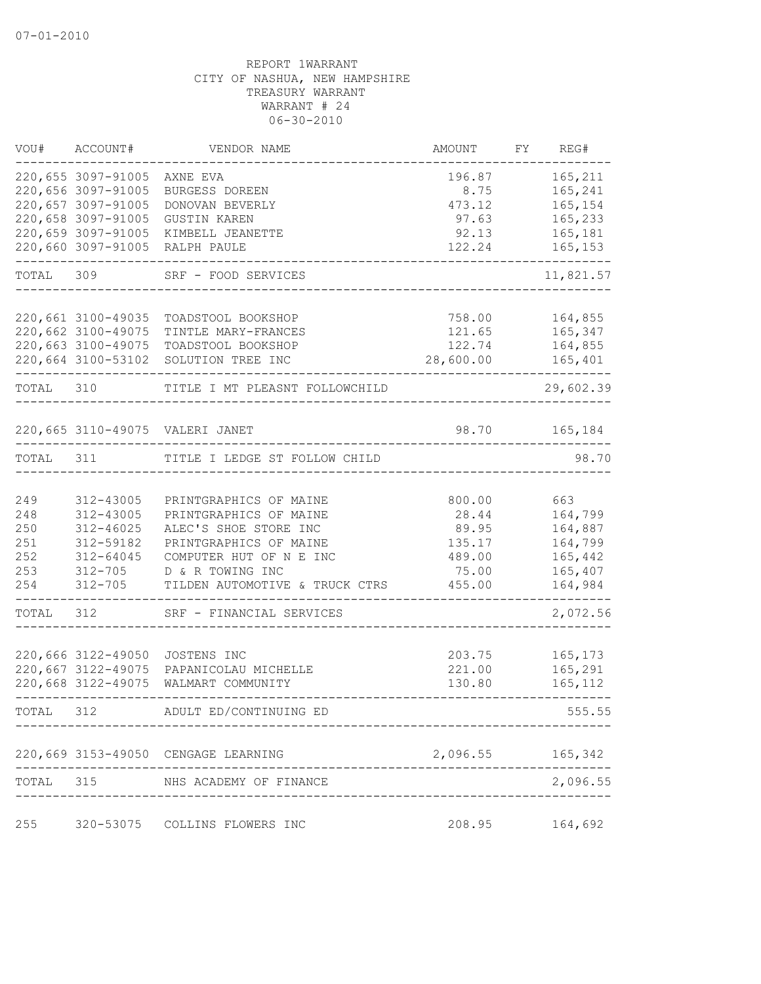| VOU#      | ACCOUNT#                                 | VENDOR NAME                         | AMOUNT           | FY REG#            |
|-----------|------------------------------------------|-------------------------------------|------------------|--------------------|
|           | 220,655 3097-91005<br>220,656 3097-91005 | AXNE EVA<br>BURGESS DOREEN          | 196.87<br>8.75   | 165,211<br>165,241 |
|           | 220,657 3097-91005                       | DONOVAN BEVERLY                     | 473.12           | 165,154            |
|           | 220,658 3097-91005                       | <b>GUSTIN KAREN</b>                 | 97.63            | 165,233            |
|           | 220,659 3097-91005                       | KIMBELL JEANETTE                    | 92.13            | 165,181            |
|           | 220,660 3097-91005                       | RALPH PAULE                         | 122.24           | 165,153            |
| TOTAL     | 309                                      | SRF - FOOD SERVICES                 |                  | 11,821.57          |
|           |                                          |                                     |                  |                    |
|           | 220,661 3100-49035                       | TOADSTOOL BOOKSHOP                  | 758.00           | 164,855            |
|           | 220,662 3100-49075                       | TINTLE MARY-FRANCES                 | 121.65           | 165,347            |
|           | 220,663 3100-49075                       | TOADSTOOL BOOKSHOP                  | 122.74           | 164,855            |
|           | 220,664 3100-53102                       | SOLUTION TREE INC                   | 28,600.00        | 165,401            |
| TOTAL     | 310                                      | TITLE I MT PLEASNT FOLLOWCHILD      |                  | 29,602.39          |
|           |                                          |                                     |                  |                    |
|           |                                          | 220,665 3110-49075 VALERI JANET     | 98.70            | 165,184            |
| TOTAL     | 311                                      | TITLE I LEDGE ST FOLLOW CHILD       |                  | 98.70              |
|           |                                          |                                     |                  |                    |
| 249       | 312-43005                                | PRINTGRAPHICS OF MAINE              | 800.00           | 663                |
| 248       | 312-43005                                | PRINTGRAPHICS OF MAINE              | 28.44            | 164,799            |
| 250       | $312 - 46025$                            | ALEC'S SHOE STORE INC               | 89.95            | 164,887            |
| 251       | 312-59182                                | PRINTGRAPHICS OF MAINE              | 135.17           | 164,799            |
| 252       | 312-64045                                | COMPUTER HUT OF N E INC             | 489.00           | 165,442            |
| 253       | $312 - 705$                              | D & R TOWING INC                    | 75.00            | 165,407            |
| 254       | $312 - 705$                              | TILDEN AUTOMOTIVE & TRUCK CTRS      | 455.00           | 164,984            |
| TOTAL     | 312                                      | SRF - FINANCIAL SERVICES            |                  | 2,072.56           |
|           |                                          |                                     |                  |                    |
|           | 220,666 3122-49050<br>220,667 3122-49075 | JOSTENS INC<br>PAPANICOLAU MICHELLE | 203.75<br>221.00 | 165,173            |
|           | 220,668 3122-49075                       |                                     |                  | 165,291            |
|           |                                          | WALMART COMMUNITY                   | 130.80           | 165, 112           |
| TOTAL 312 |                                          | ADULT ED/CONTINUING ED              |                  | 555.55             |
|           |                                          | 220,669 3153-49050 CENGAGE LEARNING | 2,096.55 165,342 |                    |
| TOTAL     |                                          | 315 NHS ACADEMY OF FINANCE          |                  | 2,096.55           |
|           |                                          |                                     |                  |                    |
| 255       |                                          | 320-53075 COLLINS FLOWERS INC       | 208.95           | 164,692            |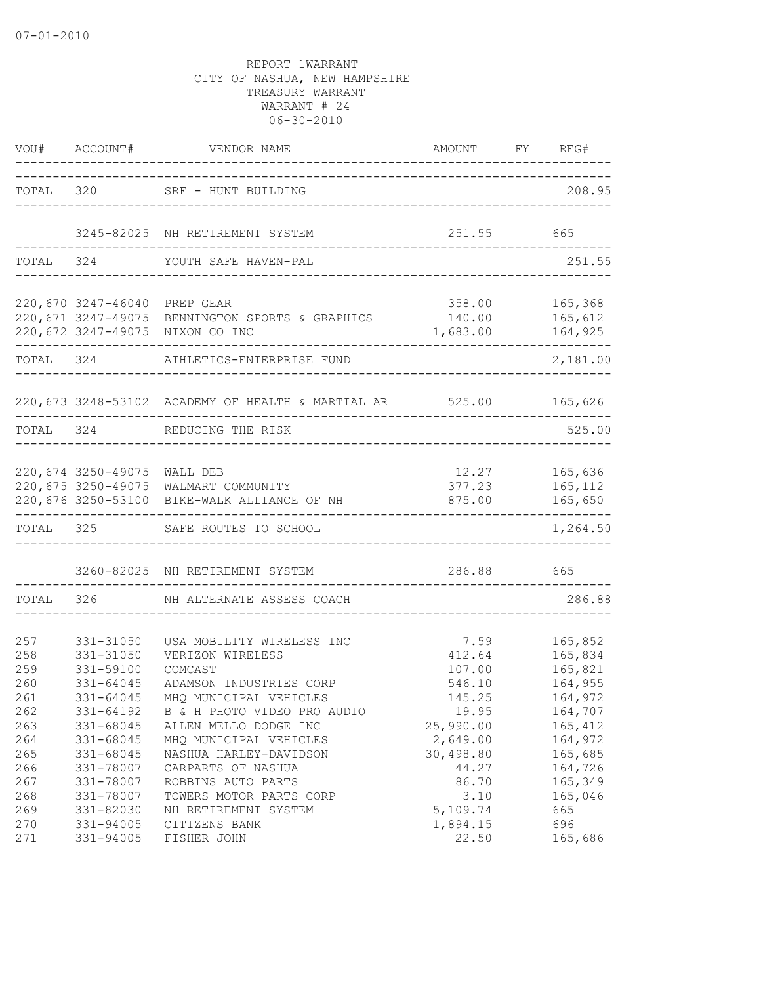|                                 |                                                               | VOU# ACCOUNT# VENDOR NAME                                                                                                      | AMOUNT                                               | FY REG#                                             |
|---------------------------------|---------------------------------------------------------------|--------------------------------------------------------------------------------------------------------------------------------|------------------------------------------------------|-----------------------------------------------------|
|                                 |                                                               | TOTAL 320 SRF - HUNT BUILDING                                                                                                  |                                                      | 208.95                                              |
|                                 |                                                               | 3245-82025 NH RETIREMENT SYSTEM                                                                                                | 251.55 665                                           |                                                     |
|                                 |                                                               | TOTAL 324 YOUTH SAFE HAVEN-PAL                                                                                                 |                                                      | 251.55                                              |
|                                 | 220,670 3247-46040 PREP GEAR                                  | 220,671 3247-49075 BENNINGTON SPORTS & GRAPHICS<br>220,672 3247-49075 NIXON CO INC                                             | 358.00<br>1,683.00 164,925                           | 165,368                                             |
|                                 |                                                               | TOTAL 324 ATHLETICS-ENTERPRISE FUND                                                                                            |                                                      | 2,181.00                                            |
|                                 |                                                               | 220,673 3248-53102 ACADEMY OF HEALTH & MARTIAL AR 525.00 165,626                                                               |                                                      |                                                     |
|                                 |                                                               | TOTAL 324 REDUCING THE RISK                                                                                                    |                                                      | 525.00                                              |
|                                 | 220,674 3250-49075 WALL DEB                                   | 220,675 3250-49075 WALMART COMMUNITY<br>220,676 3250-53100 BIKE-WALK ALLIANCE OF NH                                            | 12.27 165,636                                        | 377.23 165,112<br>875.00 165,650                    |
|                                 |                                                               | --------------------------------<br>TOTAL 325 SAFE ROUTES TO SCHOOL                                                            | ----------------------------                         | 1,264.50                                            |
|                                 |                                                               | 3260-82025 NH RETIREMENT SYSTEM                                                                                                | 286.88 665                                           |                                                     |
| TOTAL                           |                                                               | 326 NH ALTERNATE ASSESS COACH                                                                                                  |                                                      | 286.88                                              |
| 257<br>258<br>259<br>260<br>261 | 331-31050<br>331-31050<br>331-59100<br>331-64045<br>331-64045 | USA MOBILITY WIRELESS INC<br>VERIZON WIRELESS<br>COMCAST<br>ADAMSON INDUSTRIES CORP<br>MHQ MUNICIPAL VEHICLES                  | 7.59<br>412.64<br>107.00<br>546.10<br>145.25         | 165,852<br>165,834<br>165,821<br>164,955<br>164,972 |
| 262<br>263<br>264<br>265<br>266 | 331-64192<br>331-68045<br>331-68045<br>331-68045<br>331-78007 | B & H PHOTO VIDEO PRO AUDIO<br>ALLEN MELLO DODGE INC<br>MHO MUNICIPAL VEHICLES<br>NASHUA HARLEY-DAVIDSON<br>CARPARTS OF NASHUA | 19.95<br>25,990.00<br>2,649.00<br>30,498.80<br>44.27 | 164,707<br>165,412<br>164,972<br>165,685<br>164,726 |
| 267<br>268<br>269<br>270<br>271 | 331-78007<br>331-78007<br>331-82030<br>331-94005<br>331-94005 | ROBBINS AUTO PARTS<br>TOWERS MOTOR PARTS CORP<br>NH RETIREMENT SYSTEM<br>CITIZENS BANK<br>FISHER JOHN                          | 86.70<br>3.10<br>5,109.74<br>1,894.15<br>22.50       | 165,349<br>165,046<br>665<br>696<br>165,686         |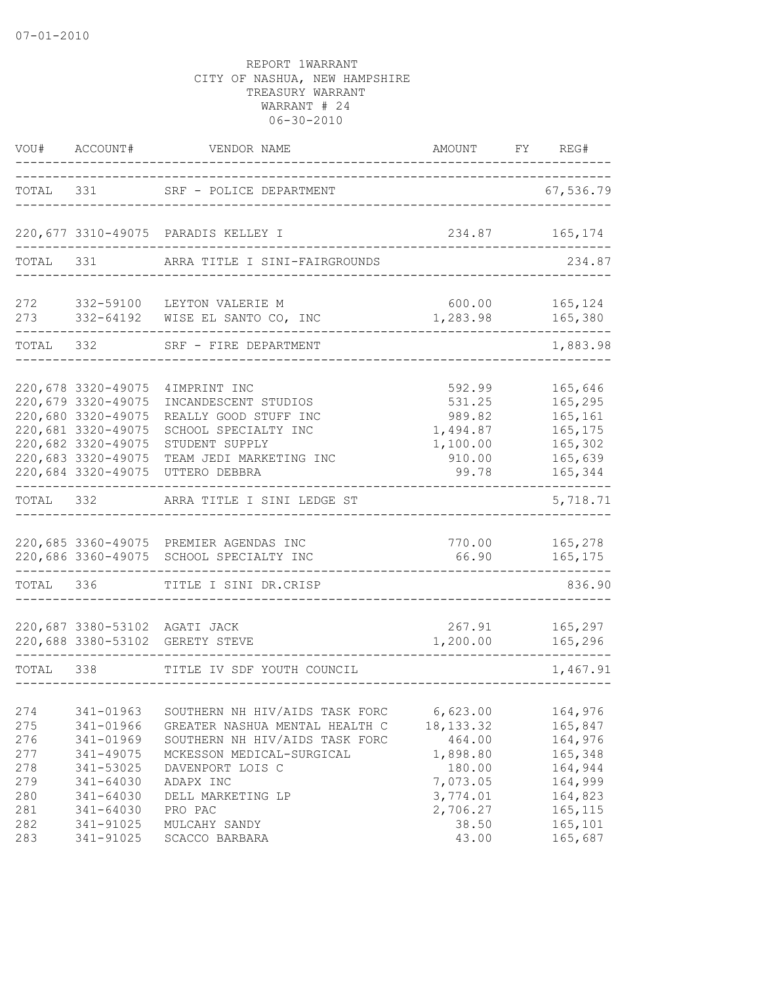| VOU#                                                 | ACCOUNT#                                                                                                                                               | VENDOR NAME                                                                                                                                                                                      | AMOUNT                                                                                      | FY | REG#                                                                                  |
|------------------------------------------------------|--------------------------------------------------------------------------------------------------------------------------------------------------------|--------------------------------------------------------------------------------------------------------------------------------------------------------------------------------------------------|---------------------------------------------------------------------------------------------|----|---------------------------------------------------------------------------------------|
| TOTAL                                                |                                                                                                                                                        | 331 SRF - POLICE DEPARTMENT                                                                                                                                                                      |                                                                                             |    | 67,536.79                                                                             |
|                                                      |                                                                                                                                                        | 220,677 3310-49075 PARADIS KELLEY I                                                                                                                                                              |                                                                                             |    | 234.87 165,174                                                                        |
| TOTAL                                                | 331                                                                                                                                                    | ARRA TITLE I SINI-FAIRGROUNDS                                                                                                                                                                    |                                                                                             |    | 234.87                                                                                |
|                                                      | 272 332-59100                                                                                                                                          | LEYTON VALERIE M<br>273 332-64192 WISE EL SANTO CO, INC                                                                                                                                          | 600.00<br>1,283.98                                                                          |    | 165,124<br>165,380                                                                    |
|                                                      | TOTAL 332                                                                                                                                              | SRF - FIRE DEPARTMENT                                                                                                                                                                            |                                                                                             |    | 1,883.98                                                                              |
|                                                      | 220,678 3320-49075<br>220,679 3320-49075<br>220,680 3320-49075<br>220,681 3320-49075<br>220,682 3320-49075<br>220,683 3320-49075<br>220,684 3320-49075 | 4 IMPRINT INC<br>INCANDESCENT STUDIOS<br>REALLY GOOD STUFF INC<br>SCHOOL SPECIALTY INC<br>STUDENT SUPPLY<br>TEAM JEDI MARKETING INC<br>UTTERO DEBBRA                                             | 592.99<br>531.25<br>989.82<br>1,494.87<br>1,100.00<br>910.00<br>99.78                       |    | 165,646<br>165,295<br>165,161<br>165,175<br>165,302<br>165,639<br>165,344             |
| TOTAL                                                | 332                                                                                                                                                    | ARRA TITLE I SINI LEDGE ST                                                                                                                                                                       |                                                                                             |    | 5,718.71                                                                              |
|                                                      |                                                                                                                                                        | 220,685 3360-49075 PREMIER AGENDAS INC<br>220,686 3360-49075 SCHOOL SPECIALTY INC                                                                                                                | 770.00<br>66.90                                                                             |    | 165,278<br>165,175                                                                    |
| TOTAL 336                                            |                                                                                                                                                        | TITLE I SINI DR.CRISP                                                                                                                                                                            |                                                                                             |    | 836.90                                                                                |
|                                                      |                                                                                                                                                        | 220,687 3380-53102 AGATI JACK<br>220,688 3380-53102 GERETY STEVE                                                                                                                                 | 267.91<br>1,200.00                                                                          |    | 165,297<br>165,296                                                                    |
| TOTAL 338                                            |                                                                                                                                                        | TITLE IV SDF YOUTH COUNCIL                                                                                                                                                                       |                                                                                             |    | 1,467.91                                                                              |
| 274<br>275<br>276<br>277<br>278<br>279<br>280<br>281 | 341-01963<br>341-01966<br>341-01969<br>341-49075<br>341-53025<br>341-64030<br>341-64030<br>341-64030                                                   | SOUTHERN NH HIV/AIDS TASK FORC<br>GREATER NASHUA MENTAL HEALTH C<br>SOUTHERN NH HIV/AIDS TASK FORC<br>MCKESSON MEDICAL-SURGICAL<br>DAVENPORT LOIS C<br>ADAPX INC<br>DELL MARKETING LP<br>PRO PAC | 6,623.00<br>18, 133. 32<br>464.00<br>1,898.80<br>180.00<br>7,073.05<br>3,774.01<br>2,706.27 |    | 164,976<br>165,847<br>164,976<br>165,348<br>164,944<br>164,999<br>164,823<br>165, 115 |
| 282<br>283                                           | 341-91025<br>341-91025                                                                                                                                 | MULCAHY SANDY<br>SCACCO BARBARA                                                                                                                                                                  | 38.50<br>43.00                                                                              |    | 165,101<br>165,687                                                                    |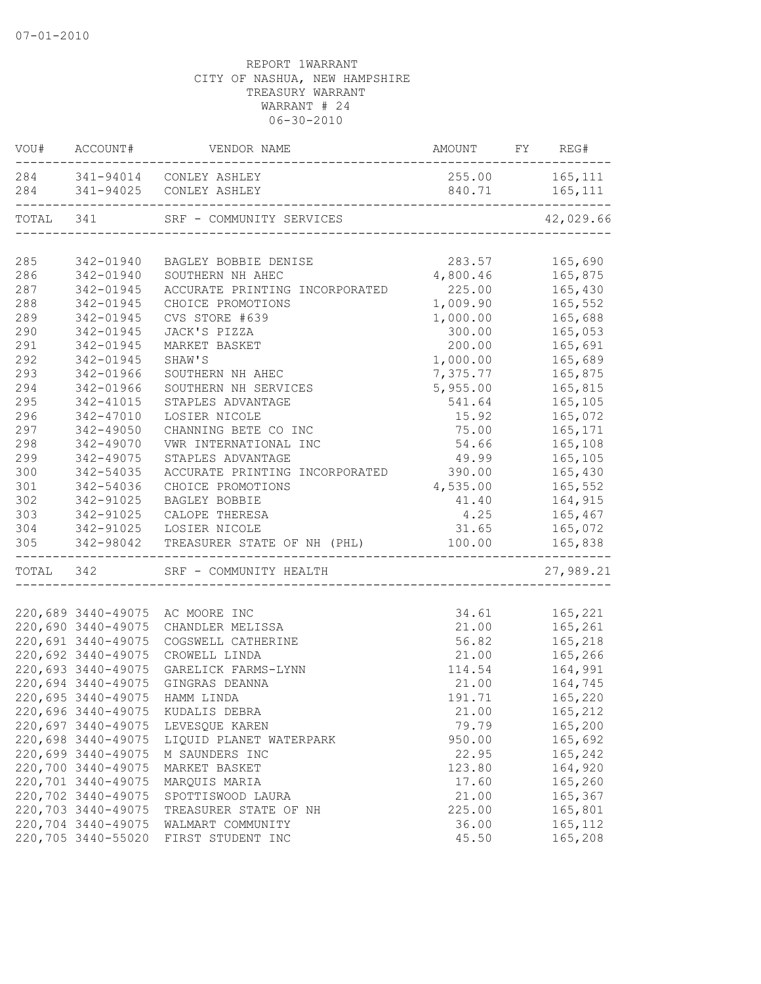|           | VOU# ACCOUNT#      |                                                                                |                  |                    |
|-----------|--------------------|--------------------------------------------------------------------------------|------------------|--------------------|
|           |                    | 284 341-94014 CONLEY ASHLEY                                                    | 255.00 165,111   |                    |
|           |                    | 284 341-94025 CONLEY ASHLEY                                                    | 840.71 165,111   |                    |
| TOTAL 341 |                    |                                                                                |                  | 42,029.66          |
|           |                    |                                                                                |                  |                    |
| 285       | 342-01940          | BAGLEY BOBBIE DENISE                                                           | 283.57           | 165,690            |
| 286       | 342-01940          | SOUTHERN NH AHEC                                                               | 4,800.46         | 165,875            |
| 287       | 342-01945          | ACCURATE PRINTING INCORPORATED                                                 | $225.00$ 165,430 |                    |
| 288       | 342-01945          | CHOICE PROMOTIONS                                                              | 1,009.90         | 165,552            |
| 289       | 342-01945          | CVS STORE #639                                                                 | 1,000.00         | 165,688            |
| 290       | 342-01945          | JACK'S PIZZA                                                                   | 300.00           | 165,053            |
| 291       | 342-01945          | MARKET BASKET                                                                  | 200.00           | 165,691            |
| 292       | 342-01945          | SHAW'S                                                                         | 1,000.00         | 165,689            |
| 293       | 342-01966          | SOUTHERN NH AHEC                                                               | 7,375.77         | 165,875            |
| 294       | 342-01966          | SOUTHERN NH SERVICES                                                           | 5,955.00         | 165,815            |
| 295       | 342-41015          | STAPLES ADVANTAGE                                                              | 541.64           | 165,105            |
| 296       | 342-47010          | LOSIER NICOLE                                                                  | 15.92            | 165,072            |
| 297       | 342-49050          | CHANNING BETE CO INC                                                           | 75.00            | 165,171            |
| 298       | 342-49070          | VWR INTERNATIONAL INC                                                          | 54.66            | 165,108            |
| 299       | 342-49075          | STAPLES ADVANTAGE                                                              | 49.99            | 165,105            |
| 300       | 342-54035          | ACCURATE PRINTING INCORPORATED 390.00                                          |                  | 165,430            |
| 301       | 342-54036          | CHOICE PROMOTIONS                                                              | 4,535.00         | 165,552            |
| 302       |                    | 342-91025 BAGLEY BOBBIE<br>342-91025 CALOPE THERESA<br>342-91025 LOSIER NICOLE | 41.40            | 164,915            |
| 303       |                    | CALOPE THERESA                                                                 | $4.25$<br>31.65  | 165,467<br>165.072 |
| 304       |                    |                                                                                |                  | 165,072            |
| 305       |                    | 342-98042 TREASURER STATE OF NH (PHL) 100.00 165,838<br>___________.           |                  |                    |
| TOTAL 342 |                    | SRF - COMMUNITY HEALTH                                                         |                  | 27,989.21          |
|           |                    |                                                                                |                  |                    |
|           |                    | 220,689 3440-49075 AC MOORE INC                                                |                  | 34.61 165,221      |
|           | 220,690 3440-49075 | CHANDLER MELISSA                                                               | 21.00            | 165,261            |
|           | 220,691 3440-49075 | COGSWELL CATHERINE                                                             | 56.82            | 165,218<br>165,266 |
|           | 220,692 3440-49075 | CROWELL LINDA                                                                  | 21.00            |                    |
|           | 220,693 3440-49075 | GARELICK FARMS-LYNN                                                            |                  | 114.54 164,991     |
|           | 220,694 3440-49075 | GINGRAS DEANNA                                                                 |                  | 21.00 164,745      |
|           |                    | 220,695 3440-49075 HAMM LINDA                                                  | 191.71           | 165,220            |
|           | 220,696 3440-49075 | KUDALIS DEBRA                                                                  | 21.00            | 165,212            |
|           | 220,697 3440-49075 | LEVESQUE KAREN                                                                 | 79.79            | 165,200            |
|           | 220,698 3440-49075 | LIQUID PLANET WATERPARK                                                        | 950.00           | 165,692            |
|           | 220,699 3440-49075 | M SAUNDERS INC                                                                 | 22.95            | 165,242            |
|           | 220,700 3440-49075 | MARKET BASKET                                                                  | 123.80           | 164,920            |
|           | 220,701 3440-49075 | MARQUIS MARIA                                                                  | 17.60            | 165,260            |
|           | 220,702 3440-49075 | SPOTTISWOOD LAURA                                                              | 21.00            | 165,367            |
|           | 220,703 3440-49075 | TREASURER STATE OF NH                                                          | 225.00           | 165,801            |
|           | 220,704 3440-49075 | WALMART COMMUNITY                                                              | 36.00            | 165, 112           |
|           | 220,705 3440-55020 | FIRST STUDENT INC                                                              | 45.50            | 165,208            |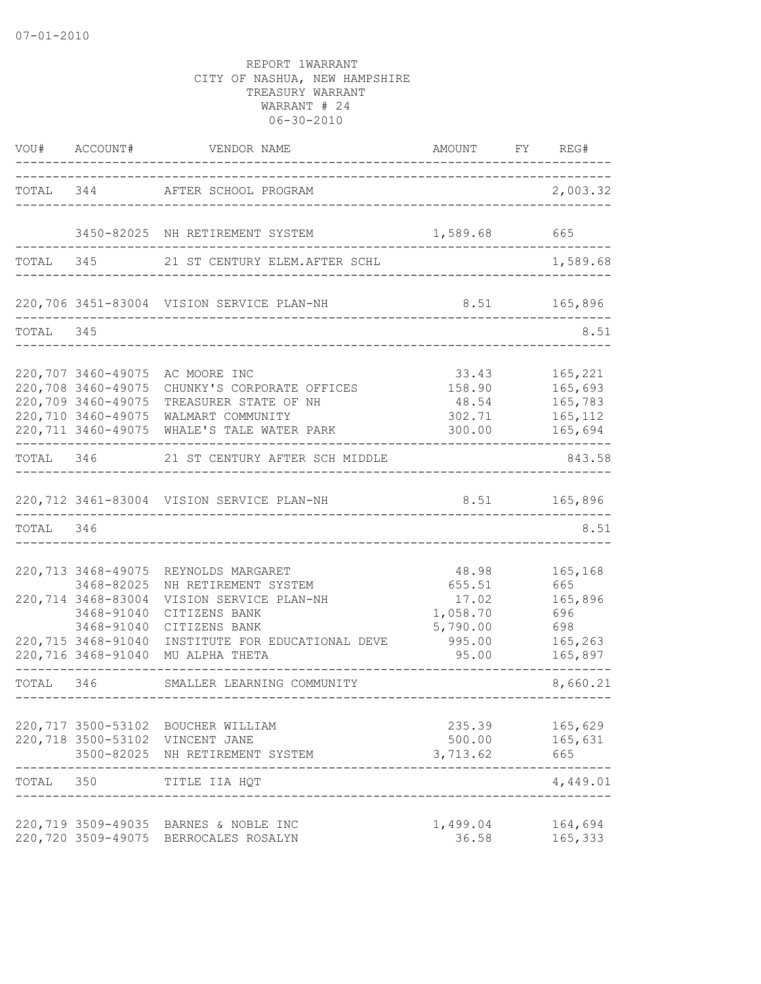|           | VOU# ACCOUNT#                                                                                            | VENDOR NAME                                                                                                                                                                  | AMOUNT FY REG#                                                      |                                                               |
|-----------|----------------------------------------------------------------------------------------------------------|------------------------------------------------------------------------------------------------------------------------------------------------------------------------------|---------------------------------------------------------------------|---------------------------------------------------------------|
|           |                                                                                                          | TOTAL 344 AFTER SCHOOL PROGRAM                                                                                                                                               | ---------------------------------                                   | 2,003.32                                                      |
|           |                                                                                                          | 3450-82025 NH RETIREMENT SYSTEM 1,589.68                                                                                                                                     |                                                                     | 665                                                           |
| TOTAL 345 |                                                                                                          | 21 ST CENTURY ELEM.AFTER SCHL                                                                                                                                                |                                                                     | 1,589.68                                                      |
|           |                                                                                                          | 220,706 3451-83004 VISION SERVICE PLAN-NH<br>--------------------------------------                                                                                          | 8.51 165,896                                                        |                                                               |
| TOTAL 345 |                                                                                                          |                                                                                                                                                                              |                                                                     | 8.51                                                          |
|           | 220,709 3460-49075<br>220,710 3460-49075                                                                 | 220,707 3460-49075 AC MOORE INC<br>220,708 3460-49075 CHUNKY'S CORPORATE OFFICES<br>TREASURER STATE OF NH<br>WALMART COMMUNITY<br>220,711 3460-49075 WHALE'S TALE WATER PARK | 33.43<br>158.90<br>48.54<br>302.71<br>300.00                        | 165,221<br>165,693<br>165,783<br>165,112<br>165,694           |
|           |                                                                                                          | TOTAL 346 21 ST CENTURY AFTER SCH MIDDLE                                                                                                                                     |                                                                     | 843.58                                                        |
|           |                                                                                                          | 220,712 3461-83004 VISION SERVICE PLAN-NH                                                                                                                                    | 8.51 165,896                                                        |                                                               |
| TOTAL 346 |                                                                                                          |                                                                                                                                                                              |                                                                     | 8.51                                                          |
|           | 220,713 3468-49075<br>3468-82025<br>220,714 3468-83004<br>3468-91040<br>3468-91040<br>220,715 3468-91040 | REYNOLDS MARGARET<br>NH RETIREMENT SYSTEM<br>VISION SERVICE PLAN-NH<br>CITIZENS BANK<br>CITIZENS BANK<br>INSTITUTE FOR EDUCATIONAL DEVE<br>220,716 3468-91040 MU ALPHA THETA | 48.98<br>655.51<br>17.02<br>1,058.70<br>5,790.00<br>995.00<br>95.00 | 165,168<br>665<br>165,896<br>696<br>698<br>165,263<br>165,897 |
|           | -----------------------                                                                                  | TOTAL 346 SMALLER LEARNING COMMUNITY                                                                                                                                         | ----------------------------------                                  | 8,660.21                                                      |
|           | 220,717 3500-53102                                                                                       | BOUCHER WILLIAM<br>220,718 3500-53102 VINCENT JANE<br>3500-82025 NH RETIREMENT SYSTEM                                                                                        | 235.39<br>500.00<br>3,713.62                                        | 165,629<br>165,631<br>665                                     |
| TOTAL 350 |                                                                                                          | TITLE IIA HQT                                                                                                                                                                |                                                                     | 4,449.01                                                      |
|           | 220,720 3509-49075                                                                                       | 220,719 3509-49035 BARNES & NOBLE INC<br>BERROCALES ROSALYN                                                                                                                  | 1,499.04<br>36.58                                                   | 164,694<br>165,333                                            |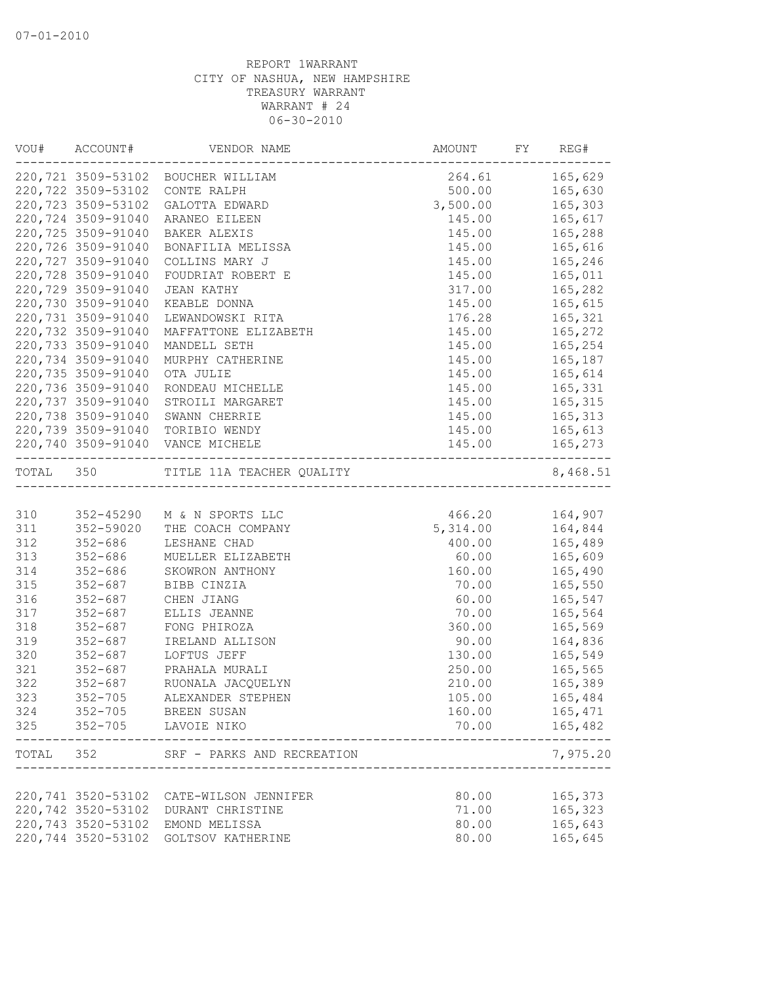|           | VOU# ACCOUNT#      | VENDOR NAME                        | AMOUNT FY                   | REG#             |
|-----------|--------------------|------------------------------------|-----------------------------|------------------|
|           |                    | 220,721 3509-53102 BOUCHER WILLIAM | 264.61 165,629              |                  |
|           |                    | 220,722 3509-53102 CONTE RALPH     | 500.00 165,630              |                  |
|           | 220,723 3509-53102 | GALOTTA EDWARD                     | 3,500.00                    | 165,303          |
|           | 220,724 3509-91040 | ARANEO EILEEN                      | 145.00                      | 165,617          |
|           | 220,725 3509-91040 | BAKER ALEXIS                       | 145.00                      | 165,288          |
|           | 220,726 3509-91040 | BONAFILIA MELISSA                  | 145.00                      | 165,616          |
|           | 220,727 3509-91040 | COLLINS MARY J                     | 145.00                      | 165,246          |
|           | 220,728 3509-91040 | FOUDRIAT ROBERT E                  | 145.00                      | 165,011          |
|           | 220,729 3509-91040 | JEAN KATHY                         | 317.00                      | 165,282          |
|           | 220,730 3509-91040 | KEABLE DONNA                       | 145.00                      | 165,615          |
|           | 220,731 3509-91040 | LEWANDOWSKI RITA                   | 176.28                      | 165,321          |
|           | 220,732 3509-91040 | MAFFATTONE ELIZABETH               | 145.00                      | 165,272          |
|           | 220,733 3509-91040 | MANDELL SETH                       | 145.00                      | 165,254          |
|           | 220,734 3509-91040 | MURPHY CATHERINE                   | 145.00                      | 165,187          |
|           | 220,735 3509-91040 | OTA JULIE                          | 145.00                      | 165,614          |
|           | 220,736 3509-91040 | RONDEAU MICHELLE                   | 145.00                      | 165,331          |
|           | 220,737 3509-91040 | STROILI MARGARET                   | 145.00                      | 165,315          |
|           |                    | 220,738 3509-91040 SWANN CHERRIE   | 145.00                      | 165, 313         |
|           |                    | 220,739 3509-91040 TORIBIO WENDY   | 145.00                      | 165,613          |
|           |                    | 220,740 3509-91040 VANCE MICHELE   | 145.00                      | 165,273          |
| TOTAL 350 |                    | TITLE 11A TEACHER QUALITY          | 'Y<br>--------------------- | 8,468.51         |
|           |                    |                                    |                             |                  |
| 310       |                    | 352-45290 M & N SPORTS LLC         | 466.20    164,907           |                  |
| 311       |                    | 352-59020 THE COACH COMPANY        | 5,314.00                    | 164,844          |
| 312       | 352-686            | LESHANE CHAD                       | 400.00 165,489              |                  |
| 313       | 352-686            | MUELLER ELIZABETH                  | 60.00                       | 165,609          |
| 314       |                    | 352-686 SKOWRON ANTHONY            | 160.00                      | 165,490          |
| 315       | $352 - 687$        | BIBB CINZIA                        | 70.00                       | 165,550          |
| 316       | 352-687            | CHEN JIANG                         | 60.00                       | 165,547          |
| 317       | $352 - 687$        | ELLIS JEANNE                       | 70.00                       | 165,564          |
| 318       | $352 - 687$        | FONG PHIROZA                       | 360.00                      | 165,569          |
| 319       | $352 - 687$        | IRELAND ALLISON                    | 90.00                       | 164,836          |
| 320       | $352 - 687$        | LOFTUS JEFF                        | 130.00                      | 165,549          |
| 321       | $352 - 687$        | PRAHALA MURALI                     | 250.00                      | 165,565          |
| 322       | $352 - 687$        | RUONALA JACQUELYN                  | 210.00                      | 165,389          |
| 323       | $352 - 705$        | ALEXANDER STEPHEN                  | 105.00                      | 165,484          |
| 324       |                    | 352-705 BREEN SUSAN                | 160.00                      | 165,471          |
| 325       |                    | 352-705 LAVOIE NIKO                | 70.00                       | 165,482<br>----- |
| TOTAL     | 352                | SRF - PARKS AND RECREATION         |                             | 7,975.20         |
|           |                    |                                    |                             |                  |
|           | 220,741 3520-53102 | CATE-WILSON JENNIFER               | 80.00                       | 165,373          |
|           | 220,742 3520-53102 | DURANT CHRISTINE                   | 71.00                       | 165,323          |
|           | 220,743 3520-53102 | EMOND MELISSA                      | 80.00                       | 165,643          |
|           | 220,744 3520-53102 | <b>GOLTSOV KATHERINE</b>           | 80.00                       | 165,645          |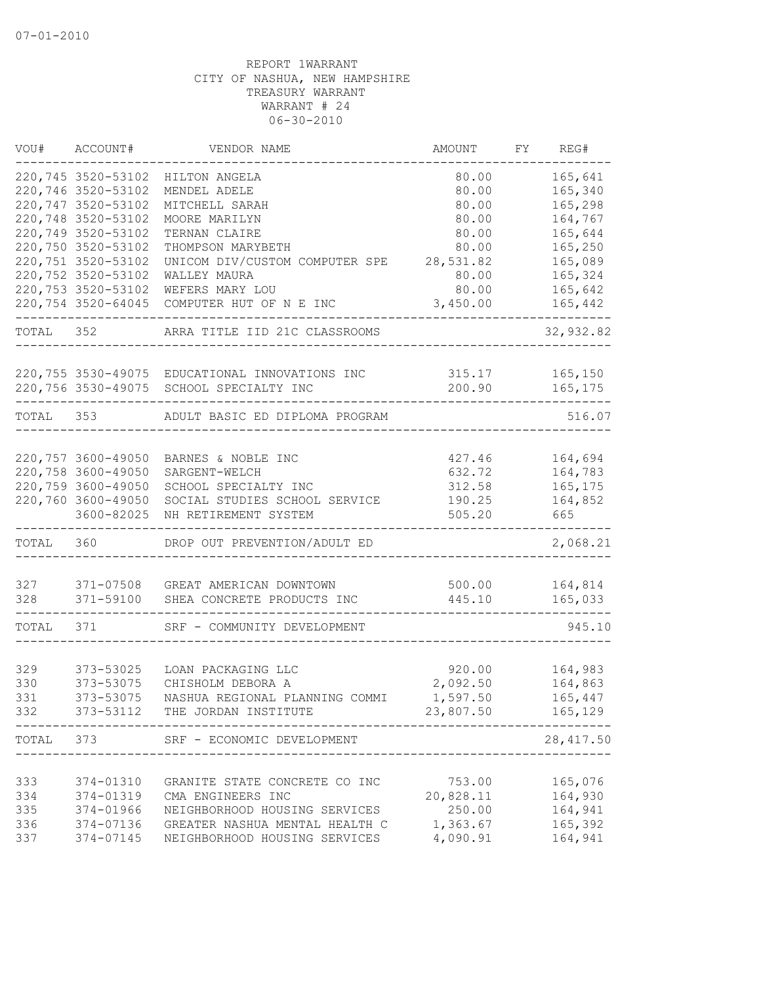| VOU#      | ACCOUNT#           | VENDOR NAME                                    | AMOUNT    | FY | REG#       |
|-----------|--------------------|------------------------------------------------|-----------|----|------------|
|           | 220,745 3520-53102 | HILTON ANGELA                                  | 80.00     |    | 165,641    |
|           | 220,746 3520-53102 | MENDEL ADELE                                   | 80.00     |    | 165,340    |
|           | 220,747 3520-53102 | MITCHELL SARAH                                 | 80.00     |    | 165,298    |
|           | 220,748 3520-53102 | MOORE MARILYN                                  | 80.00     |    | 164,767    |
|           | 220,749 3520-53102 | TERNAN CLAIRE                                  | 80.00     |    | 165,644    |
|           | 220,750 3520-53102 | THOMPSON MARYBETH                              | 80.00     |    | 165,250    |
|           | 220,751 3520-53102 | UNICOM DIV/CUSTOM COMPUTER SPE                 | 28,531.82 |    | 165,089    |
|           | 220,752 3520-53102 | WALLEY MAURA                                   | 80.00     |    | 165,324    |
|           | 220,753 3520-53102 | WEFERS MARY LOU                                | 80.00     |    | 165,642    |
|           | 220,754 3520-64045 | COMPUTER HUT OF N E INC                        | 3,450.00  |    | 165,442    |
| TOTAL     | 352                | ARRA TITLE IID 21C CLASSROOMS                  |           |    | 32,932.82  |
|           |                    | 220,755 3530-49075 EDUCATIONAL INNOVATIONS INC | 315.17    |    | 165, 150   |
|           |                    | 220,756 3530-49075 SCHOOL SPECIALTY INC        | 200.90    |    | 165,175    |
| TOTAL 353 |                    | ADULT BASIC ED DIPLOMA PROGRAM                 |           |    | 516.07     |
|           |                    |                                                |           |    |            |
|           | 220,757 3600-49050 | BARNES & NOBLE INC                             | 427.46    |    | 164,694    |
|           | 220,758 3600-49050 | SARGENT-WELCH                                  | 632.72    |    | 164,783    |
|           | 220,759 3600-49050 | SCHOOL SPECIALTY INC                           | 312.58    |    | 165, 175   |
|           | 220,760 3600-49050 | SOCIAL STUDIES SCHOOL SERVICE                  | 190.25    |    | 164,852    |
|           | 3600-82025         | NH RETIREMENT SYSTEM                           | 505.20    |    | 665        |
| TOTAL 360 |                    | DROP OUT PREVENTION/ADULT ED                   |           |    | 2,068.21   |
| 327       | 371-07508          | GREAT AMERICAN DOWNTOWN                        | 500.00    |    | 164,814    |
| 328       | 371-59100          | SHEA CONCRETE PRODUCTS INC                     | 445.10    |    | 165,033    |
|           |                    |                                                |           |    |            |
| TOTAL     | 371                | SRF - COMMUNITY DEVELOPMENT                    |           |    | 945.10     |
| 329       | 373-53025          | LOAN PACKAGING LLC                             | 920.00    |    | 164,983    |
| 330       | 373-53075          | CHISHOLM DEBORA A                              | 2,092.50  |    | 164,863    |
| 331       | 373-53075          | NASHUA REGIONAL PLANNING COMMI                 | 1,597.50  |    | 165,447    |
| 332       |                    | 373-53112 THE JORDAN INSTITUTE                 | 23,807.50 |    | 165,129    |
| TOTAL     | 373                | SRF - ECONOMIC DEVELOPMENT                     |           |    | 28, 417.50 |
|           |                    |                                                |           |    |            |
| 333       | 374-01310          | GRANITE STATE CONCRETE CO INC                  | 753.00    |    | 165,076    |
| 334       | 374-01319          | CMA ENGINEERS INC                              | 20,828.11 |    | 164,930    |
| 335       | 374-01966          | NEIGHBORHOOD HOUSING SERVICES                  | 250.00    |    | 164,941    |
| 336       | 374-07136          | GREATER NASHUA MENTAL HEALTH C                 | 1,363.67  |    | 165,392    |
| 337       | 374-07145          | NEIGHBORHOOD HOUSING SERVICES                  | 4,090.91  |    | 164,941    |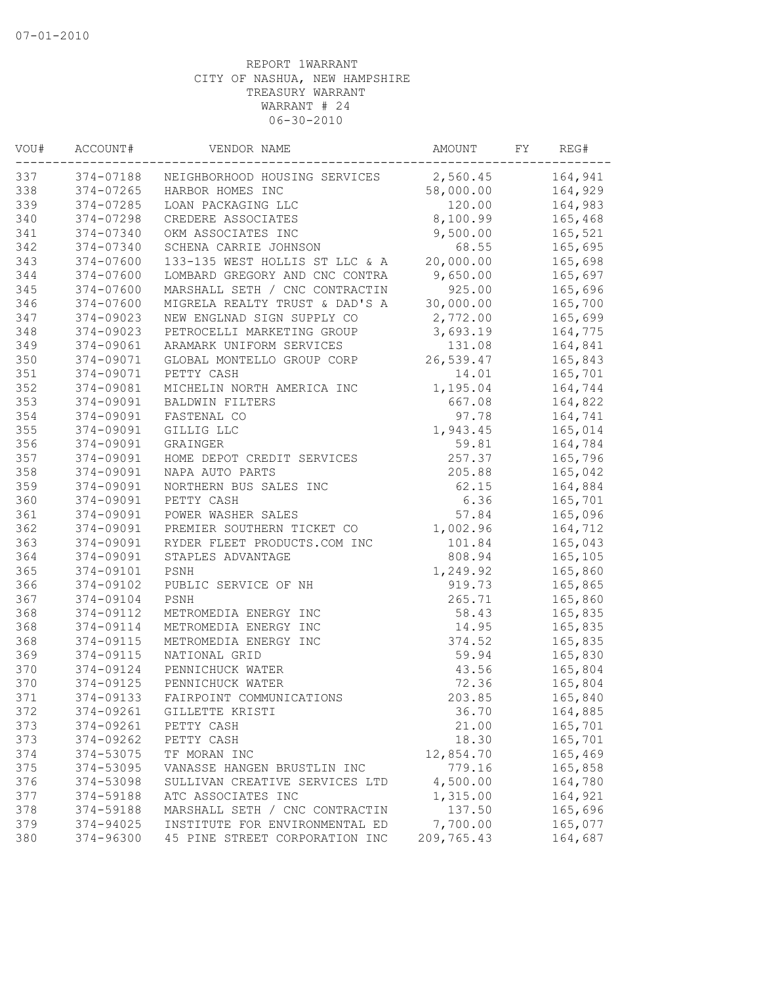| VOU# | ACCOUNT#  | VENDOR NAME                    | AMOUNT     | FY | REG#    |
|------|-----------|--------------------------------|------------|----|---------|
| 337  | 374-07188 | NEIGHBORHOOD HOUSING SERVICES  | 2,560.45   |    | 164,941 |
| 338  | 374-07265 | HARBOR HOMES INC               | 58,000.00  |    | 164,929 |
| 339  | 374-07285 | LOAN PACKAGING LLC             | 120.00     |    | 164,983 |
| 340  | 374-07298 | CREDERE ASSOCIATES             | 8,100.99   |    | 165,468 |
| 341  | 374-07340 | OKM ASSOCIATES INC             | 9,500.00   |    | 165,521 |
| 342  | 374-07340 | SCHENA CARRIE JOHNSON          | 68.55      |    | 165,695 |
| 343  | 374-07600 | 133-135 WEST HOLLIS ST LLC & A | 20,000.00  |    | 165,698 |
| 344  | 374-07600 | LOMBARD GREGORY AND CNC CONTRA | 9,650.00   |    | 165,697 |
| 345  | 374-07600 | MARSHALL SETH / CNC CONTRACTIN | 925.00     |    | 165,696 |
| 346  | 374-07600 | MIGRELA REALTY TRUST & DAD'S A | 30,000.00  |    | 165,700 |
| 347  | 374-09023 | NEW ENGLNAD SIGN SUPPLY CO     | 2,772.00   |    | 165,699 |
| 348  | 374-09023 | PETROCELLI MARKETING GROUP     | 3,693.19   |    | 164,775 |
| 349  | 374-09061 | ARAMARK UNIFORM SERVICES       | 131.08     |    | 164,841 |
| 350  | 374-09071 | GLOBAL MONTELLO GROUP CORP     | 26,539.47  |    | 165,843 |
| 351  | 374-09071 | PETTY CASH                     | 14.01      |    | 165,701 |
| 352  | 374-09081 | MICHELIN NORTH AMERICA INC     | 1,195.04   |    | 164,744 |
| 353  | 374-09091 | BALDWIN FILTERS                | 667.08     |    | 164,822 |
| 354  | 374-09091 | FASTENAL CO                    | 97.78      |    | 164,741 |
| 355  | 374-09091 | GILLIG LLC                     | 1,943.45   |    | 165,014 |
| 356  | 374-09091 | GRAINGER                       | 59.81      |    | 164,784 |
| 357  | 374-09091 | HOME DEPOT CREDIT SERVICES     | 257.37     |    | 165,796 |
| 358  | 374-09091 | NAPA AUTO PARTS                | 205.88     |    | 165,042 |
| 359  | 374-09091 | NORTHERN BUS SALES INC         | 62.15      |    | 164,884 |
| 360  | 374-09091 | PETTY CASH                     | 6.36       |    | 165,701 |
| 361  | 374-09091 | POWER WASHER SALES             | 57.84      |    | 165,096 |
| 362  | 374-09091 | PREMIER SOUTHERN TICKET CO     | 1,002.96   |    | 164,712 |
| 363  | 374-09091 | RYDER FLEET PRODUCTS.COM INC   | 101.84     |    | 165,043 |
| 364  | 374-09091 | STAPLES ADVANTAGE              | 808.94     |    | 165,105 |
| 365  | 374-09101 | PSNH                           | 1,249.92   |    | 165,860 |
| 366  | 374-09102 | PUBLIC SERVICE OF NH           | 919.73     |    | 165,865 |
| 367  | 374-09104 | PSNH                           | 265.71     |    | 165,860 |
| 368  | 374-09112 | METROMEDIA ENERGY INC          | 58.43      |    | 165,835 |
| 368  | 374-09114 | METROMEDIA ENERGY INC          | 14.95      |    | 165,835 |
| 368  | 374-09115 | METROMEDIA ENERGY INC          | 374.52     |    | 165,835 |
| 369  | 374-09115 | NATIONAL GRID                  | 59.94      |    | 165,830 |
| 370  | 374-09124 | PENNICHUCK WATER               | 43.56      |    | 165,804 |
| 370  | 374-09125 | PENNICHUCK WATER               | 72.36      |    | 165,804 |
| 371  | 374-09133 | FAIRPOINT COMMUNICATIONS       | 203.85     |    | 165,840 |
| 372  | 374-09261 | GILLETTE KRISTI                | 36.70      |    | 164,885 |
| 373  | 374-09261 | PETTY CASH                     | 21.00      |    | 165,701 |
| 373  | 374-09262 | PETTY CASH                     | 18.30      |    | 165,701 |
| 374  | 374-53075 | TF MORAN INC                   | 12,854.70  |    | 165,469 |
| 375  | 374-53095 | VANASSE HANGEN BRUSTLIN INC    | 779.16     |    | 165,858 |
| 376  | 374-53098 | SULLIVAN CREATIVE SERVICES LTD | 4,500.00   |    | 164,780 |
| 377  | 374-59188 | ATC ASSOCIATES INC             | 1,315.00   |    | 164,921 |
| 378  | 374-59188 | MARSHALL SETH / CNC CONTRACTIN | 137.50     |    | 165,696 |
| 379  | 374-94025 | INSTITUTE FOR ENVIRONMENTAL ED | 7,700.00   |    | 165,077 |
| 380  | 374-96300 | 45 PINE STREET CORPORATION INC | 209,765.43 |    | 164,687 |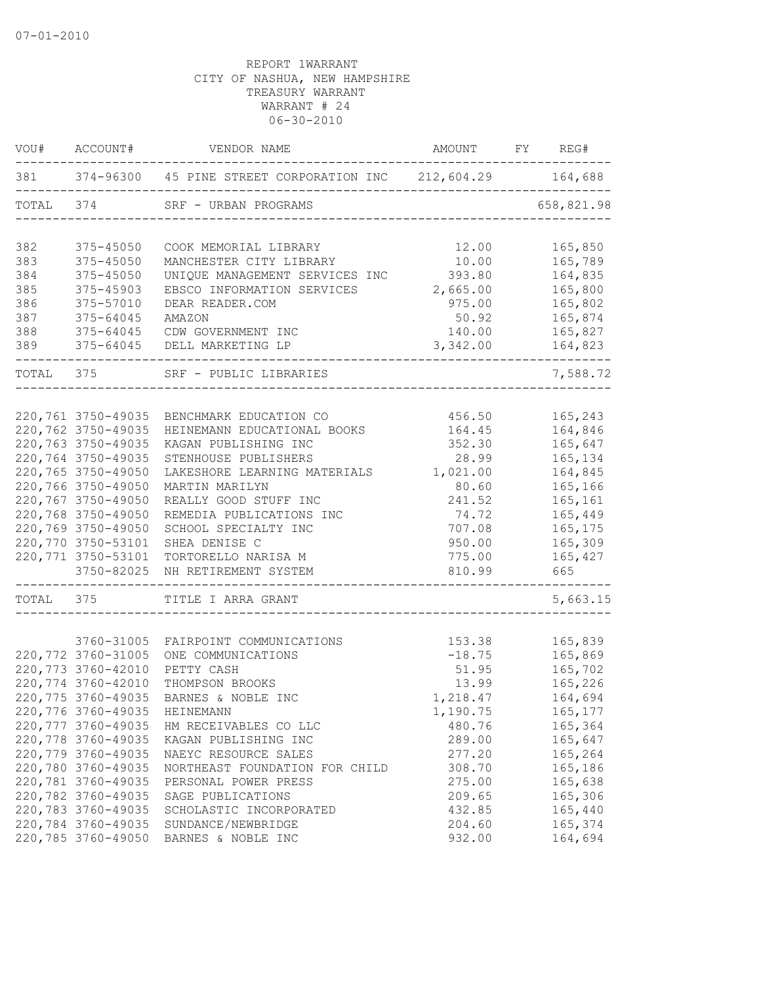|           | VOU# ACCOUNT#                    | VENDOR NAME                                                     | AMOUNT FY REG#                   |                |
|-----------|----------------------------------|-----------------------------------------------------------------|----------------------------------|----------------|
|           |                                  | 381 374-96300 45 PINE STREET CORPORATION INC 212,604.29 164,688 |                                  |                |
| TOTAL     | 374                              | SRF - URBAN PROGRAMS                                            | -------------------------------- | 658,821.98     |
| 382       | 375-45050                        | COOK MEMORIAL LIBRARY                                           | 12.00                            | 165,850        |
| 383       | $375 - 45050$                    | MANCHESTER CITY LIBRARY                                         | 10.00                            | 165,789        |
| 384       | 375-45050                        | UNIQUE MANAGEMENT SERVICES INC                                  | 393.80                           | 164,835        |
| 385       | 375-45903                        | EBSCO INFORMATION SERVICES                                      | 2,665.00                         | 165,800        |
| 386       | 375-57010                        | DEAR READER.COM                                                 | 975.00                           | 165,802        |
| 387       | $375 - 64045$                    | AMAZON                                                          | 50.92                            | 165,874        |
| 388       | 375-64045                        | CDW GOVERNMENT INC                                              | 140.00                           | 165,827        |
| 389       |                                  | 375-64045 DELL MARKETING LP                                     | 3,342.00                         | 164,823        |
| TOTAL 375 |                                  | SRF - PUBLIC LIBRARIES                                          |                                  | 7,588.72       |
|           |                                  |                                                                 |                                  |                |
|           | 220,761 3750-49035               | BENCHMARK EDUCATION CO                                          | 456.50                           | 165,243        |
|           | 220,762 3750-49035               | HEINEMANN EDUCATIONAL BOOKS                                     | 164.45                           | 164,846        |
|           | 220,763 3750-49035               | KAGAN PUBLISHING INC                                            | 352.30                           | 165,647        |
|           | 220,764 3750-49035               | STENHOUSE PUBLISHERS                                            | 28.99                            | 165,134        |
|           | 220,765 3750-49050               | LAKESHORE LEARNING MATERIALS                                    | 1,021.00                         | 164,845        |
|           | 220,766 3750-49050               | MARTIN MARILYN                                                  | 80.60                            | 165,166        |
|           | 220,767 3750-49050               | REALLY GOOD STUFF INC                                           | 241.52                           | 165,161        |
|           | 220,768 3750-49050               | REMEDIA PUBLICATIONS INC                                        | 74.72                            | 165,449        |
|           | 220,769 3750-49050               | SCHOOL SPECIALTY INC                                            | 707.08                           | 165,175        |
|           | 220,770 3750-53101               | SHEA DENISE C                                                   | 950.00                           | 165,309        |
|           | 220,771 3750-53101<br>3750-82025 | TORTORELLO NARISA M<br>NH RETIREMENT SYSTEM                     | 775.00<br>810.99                 | 165,427<br>665 |
| TOTAL 375 |                                  | TITLE I ARRA GRANT                                              |                                  | 5,663.15       |
|           |                                  |                                                                 |                                  |                |
|           | 3760-31005                       | FAIRPOINT COMMUNICATIONS                                        | 153.38                           | 165,839        |
|           | 220,772 3760-31005               | ONE COMMUNICATIONS                                              | $-18.75$                         | 165,869        |
|           | 220,773 3760-42010               | PETTY CASH                                                      | 51.95                            | 165,702        |
|           | 220,774 3760-42010               | THOMPSON BROOKS                                                 | 13.99                            | 165,226        |
|           | 220,775 3760-49035               | BARNES & NOBLE INC                                              | 1,218.47                         | 164,694        |
|           | 220,776 3760-49035               | HEINEMANN                                                       | 1,190.75                         | 165,177        |
|           | 220,777 3760-49035               | HM RECEIVABLES CO LLC                                           | 480.76                           | 165,364        |
|           | 220,778 3760-49035               | KAGAN PUBLISHING INC                                            | 289.00                           | 165,647        |
|           | 220,779 3760-49035               | NAEYC RESOURCE SALES                                            | 277.20                           | 165,264        |
|           | 220,780 3760-49035               | NORTHEAST FOUNDATION FOR CHILD                                  | 308.70                           | 165,186        |
|           | 220,781 3760-49035               | PERSONAL POWER PRESS                                            | 275.00                           | 165,638        |
|           | 220,782 3760-49035               | SAGE PUBLICATIONS                                               | 209.65                           | 165,306        |
|           | 220,783 3760-49035               | SCHOLASTIC INCORPORATED                                         | 432.85                           | 165,440        |
|           | 220,784 3760-49035               | SUNDANCE/NEWBRIDGE                                              | 204.60                           | 165,374        |
|           | 220,785 3760-49050               | BARNES & NOBLE INC                                              | 932.00                           | 164,694        |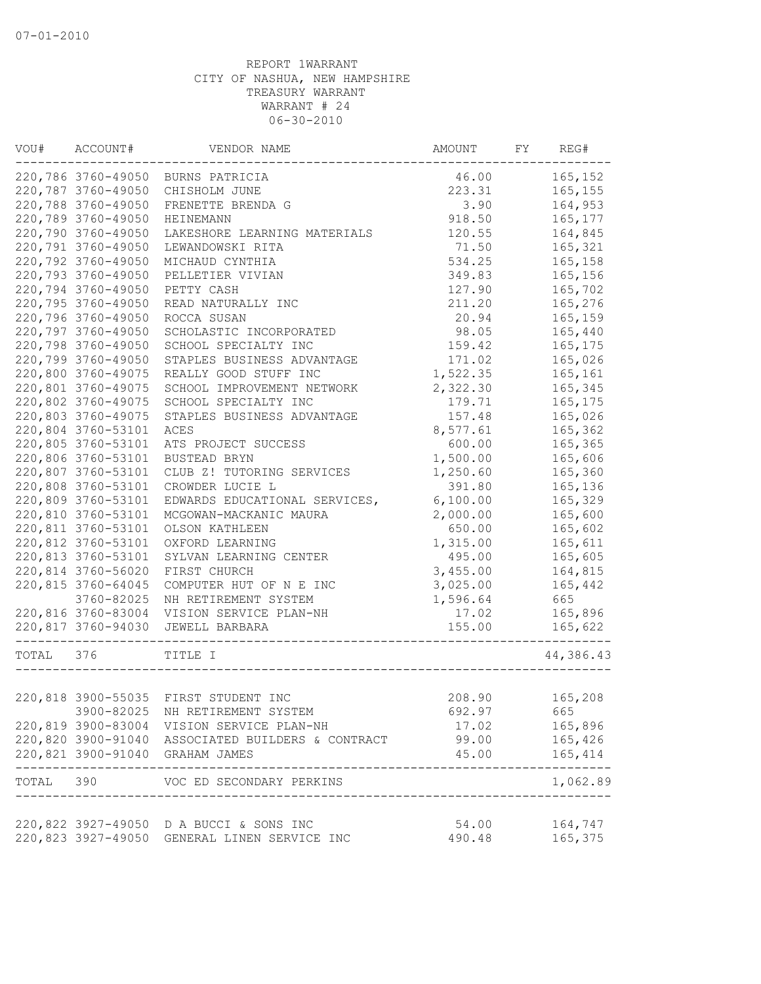| VOU#      | ACCOUNT#           | VENDOR NAME                                             | AMOUNT   | FY | REG#                   |
|-----------|--------------------|---------------------------------------------------------|----------|----|------------------------|
|           |                    | 220,786 3760-49050 BURNS PATRICIA                       | 46.00    |    | 165,152                |
|           | 220,787 3760-49050 | CHISHOLM JUNE                                           | 223.31   |    | 165,155                |
|           | 220,788 3760-49050 | FRENETTE BRENDA G                                       | 3.90     |    | 164,953                |
|           | 220,789 3760-49050 | HEINEMANN                                               | 918.50   |    | 165,177                |
|           | 220,790 3760-49050 | LAKESHORE LEARNING MATERIALS                            | 120.55   |    | 164,845                |
|           | 220,791 3760-49050 | LEWANDOWSKI RITA                                        | 71.50    |    | 165,321                |
|           | 220,792 3760-49050 | MICHAUD CYNTHIA                                         | 534.25   |    | 165,158                |
|           | 220,793 3760-49050 | PELLETIER VIVIAN                                        | 349.83   |    | 165,156                |
|           | 220,794 3760-49050 | PETTY CASH                                              | 127.90   |    | 165,702                |
|           | 220,795 3760-49050 | READ NATURALLY INC                                      | 211.20   |    | 165,276                |
|           | 220,796 3760-49050 | ROCCA SUSAN                                             | 20.94    |    | 165,159                |
|           | 220,797 3760-49050 | SCHOLASTIC INCORPORATED                                 | 98.05    |    | 165,440                |
|           | 220,798 3760-49050 | SCHOOL SPECIALTY INC                                    | 159.42   |    | 165,175                |
|           | 220,799 3760-49050 | STAPLES BUSINESS ADVANTAGE                              | 171.02   |    | 165,026                |
|           | 220,800 3760-49075 | REALLY GOOD STUFF INC                                   | 1,522.35 |    | 165,161                |
|           | 220,801 3760-49075 | SCHOOL IMPROVEMENT NETWORK                              | 2,322.30 |    | 165,345                |
|           | 220,802 3760-49075 | SCHOOL SPECIALTY INC                                    | 179.71   |    | 165,175                |
|           | 220,803 3760-49075 | STAPLES BUSINESS ADVANTAGE                              | 157.48   |    | 165,026                |
|           | 220,804 3760-53101 | ACES                                                    | 8,577.61 |    | 165,362                |
|           | 220,805 3760-53101 | ATS PROJECT SUCCESS                                     | 600.00   |    | 165,365                |
|           | 220,806 3760-53101 | BUSTEAD BRYN                                            | 1,500.00 |    | 165,606                |
|           | 220,807 3760-53101 | CLUB Z! TUTORING SERVICES                               | 1,250.60 |    | 165,360                |
|           | 220,808 3760-53101 | CROWDER LUCIE L                                         | 391.80   |    | 165,136                |
|           | 220,809 3760-53101 | EDWARDS EDUCATIONAL SERVICES,                           | 6,100.00 |    |                        |
|           |                    |                                                         |          |    | 165,329                |
|           | 220,810 3760-53101 | MCGOWAN-MACKANIC MAURA                                  | 2,000.00 |    | 165,600                |
|           | 220,811 3760-53101 | OLSON KATHLEEN                                          | 650.00   |    | 165,602                |
|           | 220,812 3760-53101 | OXFORD LEARNING                                         | 1,315.00 |    | 165,611                |
|           | 220,813 3760-53101 | SYLVAN LEARNING CENTER                                  | 495.00   |    | 165,605                |
|           | 220,814 3760-56020 | FIRST CHURCH                                            | 3,455.00 |    | 164,815                |
|           | 220,815 3760-64045 | COMPUTER HUT OF N E INC                                 | 3,025.00 |    | 165,442                |
|           | 3760-82025         | NH RETIREMENT SYSTEM                                    | 1,596.64 |    | 665                    |
|           | 220,816 3760-83004 | VISION SERVICE PLAN-NH                                  | 17.02    |    | 165,896                |
|           | 220,817 3760-94030 | JEWELL BARBARA<br>------------------------------------- | 155.00   |    | 165,622                |
| TOTAL 376 |                    | TITLE I<br>----------------------------                 |          |    | 44,386.43              |
|           |                    |                                                         |          |    |                        |
|           |                    | 220,818 3900-55035 FIRST STUDENT INC                    | 208.90   |    | 165,208                |
|           |                    | 3900-82025 NH RETIREMENT SYSTEM                         | 692.97   |    | 665                    |
|           |                    | 220,819 3900-83004 VISION SERVICE PLAN-NH               | 17.02    |    | 165,896                |
|           |                    | 220,820 3900-91040 ASSOCIATED BUILDERS & CONTRACT       | 99.00    |    | 165,426                |
|           |                    | 220,821 3900-91040 GRAHAM JAMES                         | 45.00    |    | 165, 414<br>---------- |
|           |                    | TOTAL 390 VOC ED SECONDARY PERKINS                      |          |    | 1,062.89               |
|           |                    |                                                         |          |    |                        |
|           |                    | 220,822 3927-49050 D A BUCCI & SONS INC                 | 54.00    |    | 164,747                |
|           |                    | 220,823 3927-49050 GENERAL LINEN SERVICE INC            | 490.48   |    | 165,375                |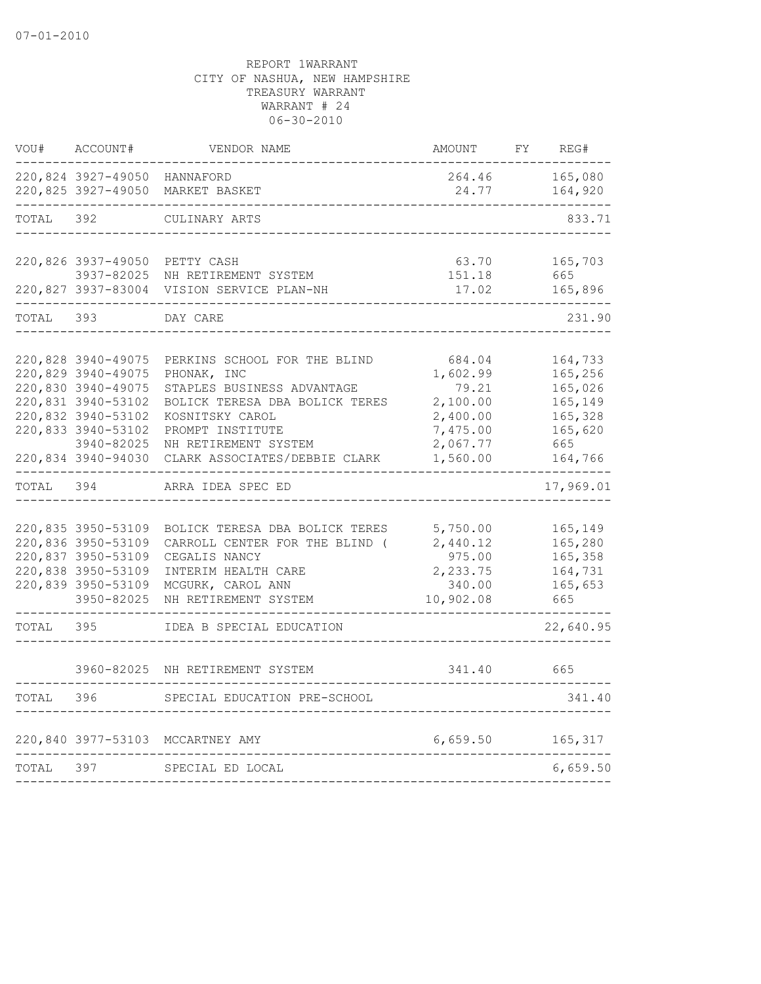| VOU#  | ACCOUNT#                     | VENDOR NAME                                                                  | AMOUNT          | FY | REG#               |
|-------|------------------------------|------------------------------------------------------------------------------|-----------------|----|--------------------|
|       | 220,824 3927-49050 HANNAFORD | 220,825 3927-49050 MARKET BASKET                                             | 264.46<br>24.77 |    | 165,080<br>164,920 |
| TOTAL | 392                          | CULINARY ARTS                                                                |                 |    | 833.71             |
|       |                              |                                                                              |                 |    |                    |
|       |                              | 220,826 3937-49050 PETTY CASH                                                | 63.70           |    | 165,703            |
|       |                              | 3937-82025 NH RETIREMENT SYSTEM<br>220,827 3937-83004 VISION SERVICE PLAN-NH | 151.18<br>17.02 |    | 665<br>165,896     |
| TOTAL | 393                          | DAY CARE                                                                     |                 |    | 231.90             |
|       |                              |                                                                              |                 |    |                    |
|       | 220,828 3940-49075           | PERKINS SCHOOL FOR THE BLIND                                                 | 684.04          |    | 164,733            |
|       | 220,829 3940-49075           | PHONAK, INC                                                                  | 1,602.99        |    | 165,256            |
|       | 220,830 3940-49075           | STAPLES BUSINESS ADVANTAGE                                                   | 79.21           |    | 165,026            |
|       | 220,831 3940-53102           | BOLICK TERESA DBA BOLICK TERES                                               | 2,100.00        |    | 165,149            |
|       | 220,832 3940-53102           | KOSNITSKY CAROL                                                              | 2,400.00        |    | 165,328            |
|       | 220,833 3940-53102           | PROMPT INSTITUTE                                                             | 7,475.00        |    | 165,620            |
|       | 3940-82025                   | NH RETIREMENT SYSTEM                                                         | 2,067.77        |    | 665                |
|       | 220,834 3940-94030           | CLARK ASSOCIATES/DEBBIE CLARK                                                | 1,560.00        |    | 164,766            |
| TOTAL | 394                          | ARRA IDEA SPEC ED                                                            |                 |    | 17,969.01          |
|       |                              |                                                                              |                 |    |                    |
|       | 220,835 3950-53109           | BOLICK TERESA DBA BOLICK TERES                                               | 5,750.00        |    | 165,149            |
|       | 220,836 3950-53109           | CARROLL CENTER FOR THE BLIND (                                               | 2,440.12        |    | 165,280            |
|       | 220,837 3950-53109           | CEGALIS NANCY                                                                | 975.00          |    | 165,358            |
|       | 220,838 3950-53109           | INTERIM HEALTH CARE                                                          | 2,233.75        |    | 164,731            |
|       | 220,839 3950-53109           | MCGURK, CAROL ANN                                                            | 340.00          |    | 165,653            |
|       | 3950-82025                   | NH RETIREMENT SYSTEM                                                         | 10,902.08       |    | 665                |
| TOTAL | 395                          | IDEA B SPECIAL EDUCATION                                                     |                 |    | 22,640.95          |
|       | 3960-82025                   | NH RETIREMENT SYSTEM                                                         | 341.40          |    | 665                |
| TOTAL | 396                          | SPECIAL EDUCATION PRE-SCHOOL                                                 |                 |    | 341.40             |
|       |                              |                                                                              |                 |    |                    |
|       |                              | 220,840 3977-53103 MCCARTNEY AMY                                             | 6,659.50        |    | 165,317            |
| TOTAL | 397                          | SPECIAL ED LOCAL                                                             |                 |    | 6,659.50           |
|       |                              |                                                                              |                 |    |                    |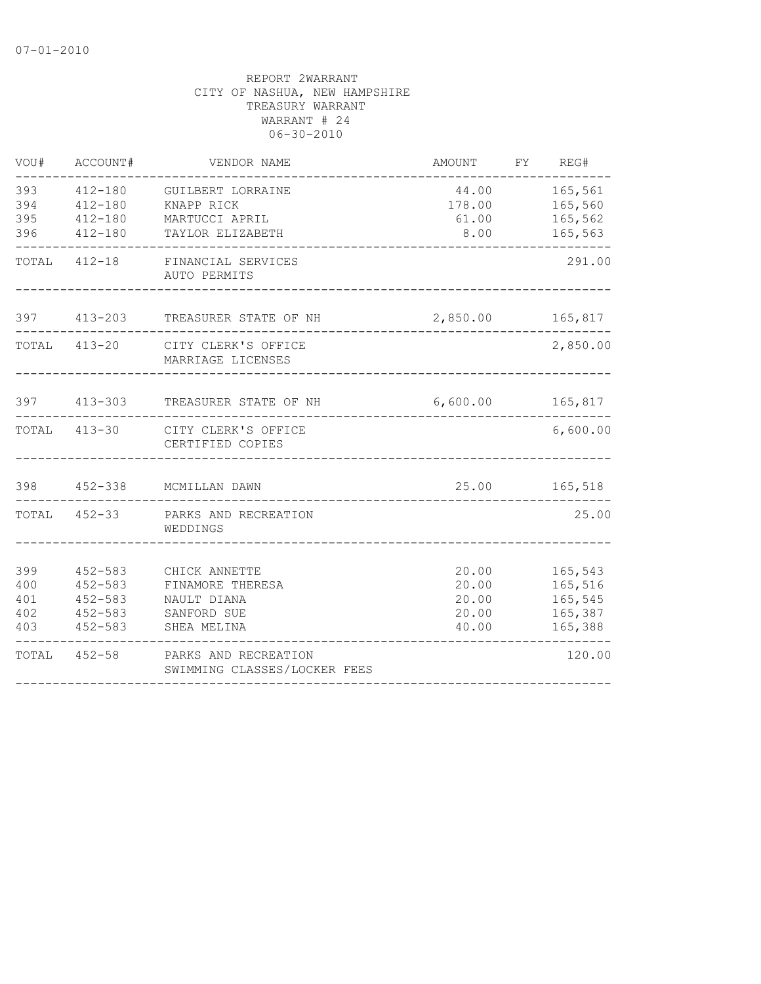| VOU#                            | ACCOUNT#                                                                | VENDOR NAME                                                                    | AMOUNT                                    | FY REG#                                             |
|---------------------------------|-------------------------------------------------------------------------|--------------------------------------------------------------------------------|-------------------------------------------|-----------------------------------------------------|
| 393<br>394<br>395<br>396        | 412-180<br>$412 - 180$<br>$412 - 180$<br>$412 - 180$                    | GUILBERT LORRAINE<br>KNAPP RICK<br>MARTUCCI APRIL<br>TAYLOR ELIZABETH          | 178.00<br>61.00<br>8.00                   | 44.00 165,561<br>165,560<br>165,562<br>165,563      |
|                                 |                                                                         | TOTAL 412-18 FINANCIAL SERVICES<br>AUTO PERMITS                                |                                           | 291.00                                              |
| 397                             |                                                                         | 413-203 TREASURER STATE OF NH                                                  | 2,850.00                                  | 165,817<br>-----                                    |
|                                 |                                                                         | TOTAL 413-20 CITY CLERK'S OFFICE<br>MARRIAGE LICENSES                          |                                           | 2,850.00                                            |
| 397                             | $413 - 303$                                                             | TREASURER STATE OF NH                                                          | 6,600.00                                  | 165,817                                             |
|                                 |                                                                         | TOTAL 413-30 CITY CLERK'S OFFICE<br>CERTIFIED COPIES                           |                                           | 6,600.00                                            |
| 398                             | $452 - 338$                                                             | MCMILLAN DAWN                                                                  | 25.00                                     | 165,518                                             |
| TOTAL                           |                                                                         | 452-33 PARKS AND RECREATION<br>WEDDINGS                                        |                                           | 25.00                                               |
| 399<br>400<br>401<br>402<br>403 | $452 - 583$<br>$452 - 583$<br>$452 - 583$<br>$452 - 583$<br>$452 - 583$ | CHICK ANNETTE<br>FINAMORE THERESA<br>NAULT DIANA<br>SANFORD SUE<br>SHEA MELINA | 20.00<br>20.00<br>20.00<br>20.00<br>40.00 | 165,543<br>165,516<br>165,545<br>165,387<br>165,388 |
|                                 | TOTAL 452-58                                                            | PARKS AND RECREATION<br>SWIMMING CLASSES/LOCKER FEES                           |                                           | 120.00                                              |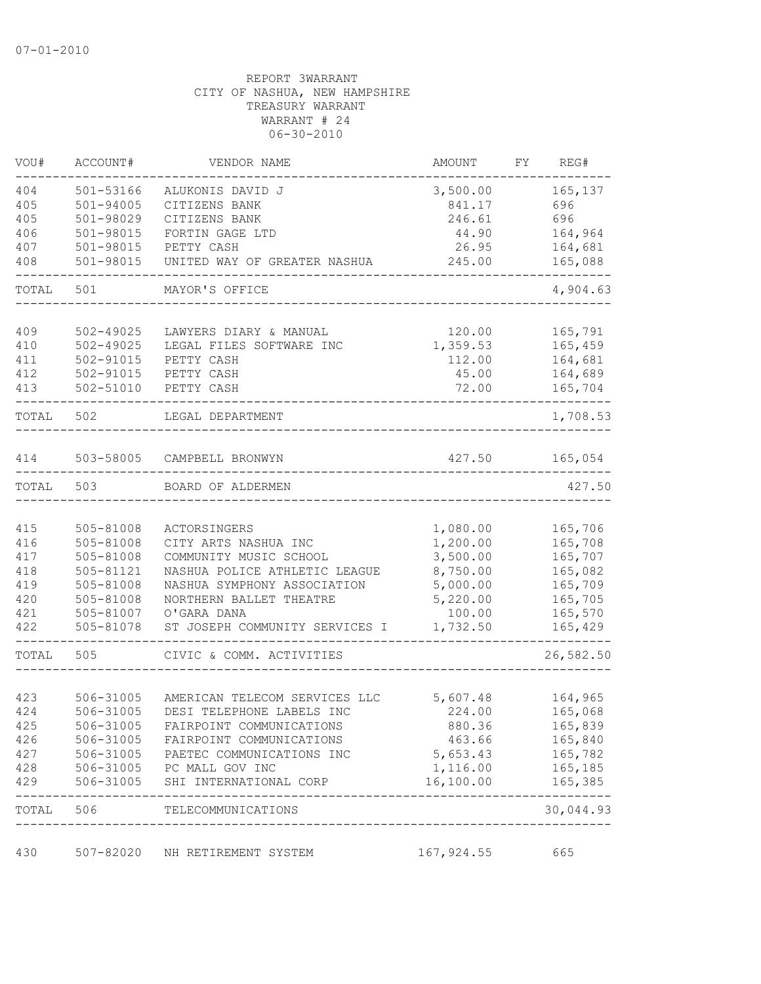| VOU#  | ACCOUNT#      | VENDOR NAME                         | AMOUNT                               | REG#<br>FY.            |
|-------|---------------|-------------------------------------|--------------------------------------|------------------------|
| 404   | $501 - 53166$ | ALUKONIS DAVID J                    | 3,500.00                             | 165,137                |
| 405   | $501 - 94005$ | CITIZENS BANK                       | 841.17                               | 696                    |
| 405   | 501-98029     | CITIZENS BANK                       | 246.61                               | 696                    |
| 406   | 501-98015     | FORTIN GAGE LTD                     | 44.90                                | 164,964                |
| 407   | 501-98015     | PETTY CASH                          | 26.95                                | 164,681                |
| 408   | 501-98015     | UNITED WAY OF GREATER NASHUA        | 245.00                               | 165,088                |
| TOTAL | 501           | MAYOR'S OFFICE                      |                                      | 4,904.63               |
|       |               |                                     |                                      |                        |
| 409   | $502 - 49025$ | LAWYERS DIARY & MANUAL              | 120.00                               | 165,791                |
| 410   | $502 - 49025$ | LEGAL FILES SOFTWARE INC            | 1,359.53                             | 165,459                |
| 411   | 502-91015     | PETTY CASH                          | 112.00                               | 164,681                |
| 412   | 502-91015     | PETTY CASH                          | 45.00                                | 164,689                |
| 413   | 502-51010     | PETTY CASH                          | 72.00                                | 165,704                |
| TOTAL | 502           | LEGAL DEPARTMENT                    |                                      | 1,708.53               |
| 414   | 503-58005     | CAMPBELL BRONWYN                    | 427.50                               | 165,054                |
|       |               |                                     |                                      |                        |
| TOTAL | 503           | BOARD OF ALDERMEN                   |                                      | 427.50                 |
| 415   | 505-81008     | ACTORSINGERS                        | 1,080.00                             | 165,706                |
| 416   | 505-81008     | CITY ARTS NASHUA INC                | 1,200.00                             | 165,708                |
| 417   | 505-81008     | COMMUNITY MUSIC SCHOOL              | 3,500.00                             | 165,707                |
| 418   | 505-81121     | NASHUA POLICE ATHLETIC LEAGUE       | 8,750.00                             | 165,082                |
| 419   | 505-81008     | NASHUA SYMPHONY ASSOCIATION         | 5,000.00                             | 165,709                |
| 420   | 505-81008     | NORTHERN BALLET THEATRE             | 5,220.00                             | 165,705                |
| 421   | 505-81007     | O'GARA DANA                         | 100.00                               | 165,570                |
| 422   | 505-81078     | ST JOSEPH COMMUNITY SERVICES I      | 1,732.50                             | 165,429                |
| TOTAL | 505           | CIVIC & COMM. ACTIVITIES            |                                      | 26,582.50              |
|       |               |                                     |                                      |                        |
| 423   | 506-31005     | AMERICAN TELECOM SERVICES LLC       | 5,607.48                             | 164,965                |
| 424   | 506-31005     | DESI TELEPHONE LABELS INC           | 224.00                               | 165,068                |
| 425   | 506-31005     | FAIRPOINT COMMUNICATIONS            | 880.36                               | 165,839                |
| 426   | 506-31005     | FAIRPOINT COMMUNICATIONS            | 463.66                               | 165,840                |
| 427   |               | 506-31005 PAETEC COMMUNICATIONS INC | 5,653.43                             | 165,782                |
| 428   |               | 506-31005 PC MALL GOV INC           | 1,116.00                             | 165,185                |
| 429   | 506-31005     | SHI INTERNATIONAL CORP              | 16,100.00                            | 165,385                |
| TOTAL |               | 506 TELECOMMUNICATIONS              | ------------------------------------ | ---------<br>30,044.93 |
| 430   | 507-82020     | NH RETIREMENT SYSTEM                | 167, 924.55                          | 665                    |
|       |               |                                     |                                      |                        |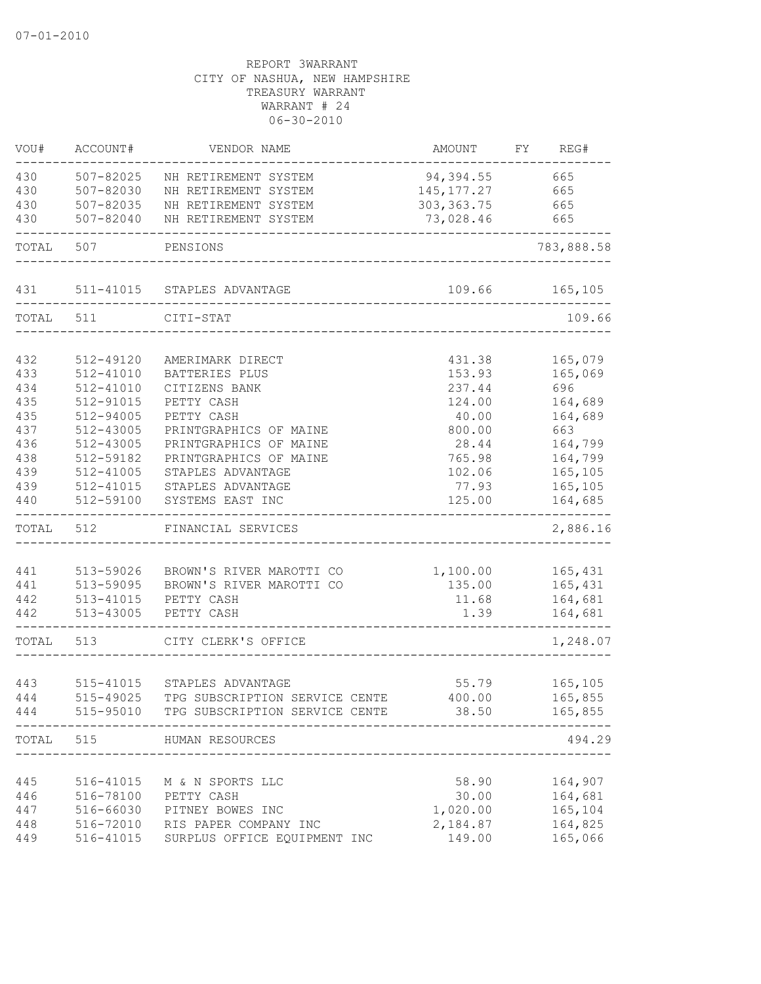| VOU#  | ACCOUNT#      | VENDOR NAME                    | AMOUNT       | FY | REG#       |
|-------|---------------|--------------------------------|--------------|----|------------|
| 430   | 507-82025     | NH RETIREMENT SYSTEM           | 94,394.55    |    | 665        |
| 430   | 507-82030     | NH RETIREMENT SYSTEM           | 145, 177. 27 |    | 665        |
| 430   | 507-82035     | NH RETIREMENT SYSTEM           | 303, 363.75  |    | 665        |
| 430   | 507-82040     | NH RETIREMENT SYSTEM           | 73,028.46    |    | 665        |
| TOTAL | 507           | PENSIONS                       |              |    | 783,888.58 |
|       |               |                                |              |    |            |
| 431   |               | 511-41015 STAPLES ADVANTAGE    | 109.66       |    | 165,105    |
| TOTAL | 511           | CITI-STAT                      |              |    | 109.66     |
|       |               |                                |              |    |            |
| 432   | 512-49120     | AMERIMARK DIRECT               | 431.38       |    | 165,079    |
| 433   | 512-41010     | BATTERIES PLUS                 | 153.93       |    | 165,069    |
| 434   | $512 - 41010$ | CITIZENS BANK                  | 237.44       |    | 696        |
| 435   | 512-91015     | PETTY CASH                     | 124.00       |    | 164,689    |
| 435   | 512-94005     | PETTY CASH                     | 40.00        |    | 164,689    |
| 437   | 512-43005     | PRINTGRAPHICS OF MAINE         | 800.00       |    | 663        |
| 436   | 512-43005     | PRINTGRAPHICS OF MAINE         | 28.44        |    | 164,799    |
| 438   | 512-59182     | PRINTGRAPHICS OF MAINE         | 765.98       |    | 164,799    |
| 439   | 512-41005     | STAPLES ADVANTAGE              | 102.06       |    | 165,105    |
| 439   | 512-41015     | STAPLES ADVANTAGE              | 77.93        |    | 165,105    |
| 440   | 512-59100     | SYSTEMS EAST INC               | 125.00       |    | 164,685    |
| TOTAL | 512           | FINANCIAL SERVICES             |              |    | 2,886.16   |
|       |               |                                |              |    |            |
| 441   | 513-59026     | BROWN'S RIVER MAROTTI CO       | 1,100.00     |    | 165,431    |
| 441   | 513-59095     | BROWN'S RIVER MAROTTI CO       | 135.00       |    | 165,431    |
| 442   | 513-41015     | PETTY CASH                     | 11.68        |    | 164,681    |
| 442   | 513-43005     | PETTY CASH                     | 1.39         |    | 164,681    |
| TOTAL | 513           | CITY CLERK'S OFFICE            |              |    | 1,248.07   |
|       |               |                                |              |    |            |
| 443   | 515-41015     | STAPLES ADVANTAGE              | 55.79        |    | 165,105    |
| 444   | 515-49025     | TPG SUBSCRIPTION SERVICE CENTE | 400.00       |    | 165,855    |
| 444   | 515-95010     | TPG SUBSCRIPTION SERVICE CENTE | 38.50        |    | 165,855    |
| TOTAL | 515           | HUMAN RESOURCES                |              |    | 494.29     |
|       |               |                                |              |    |            |
| 445   | 516-41015     | M & N SPORTS LLC               | 58.90        |    | 164,907    |
| 446   | 516-78100     | PETTY CASH                     | 30.00        |    | 164,681    |
| 447   | 516-66030     | PITNEY BOWES INC               | 1,020.00     |    | 165,104    |
| 448   | 516-72010     | RIS PAPER COMPANY INC          | 2,184.87     |    | 164,825    |
| 449   | 516-41015     | SURPLUS OFFICE EQUIPMENT INC   | 149.00       |    | 165,066    |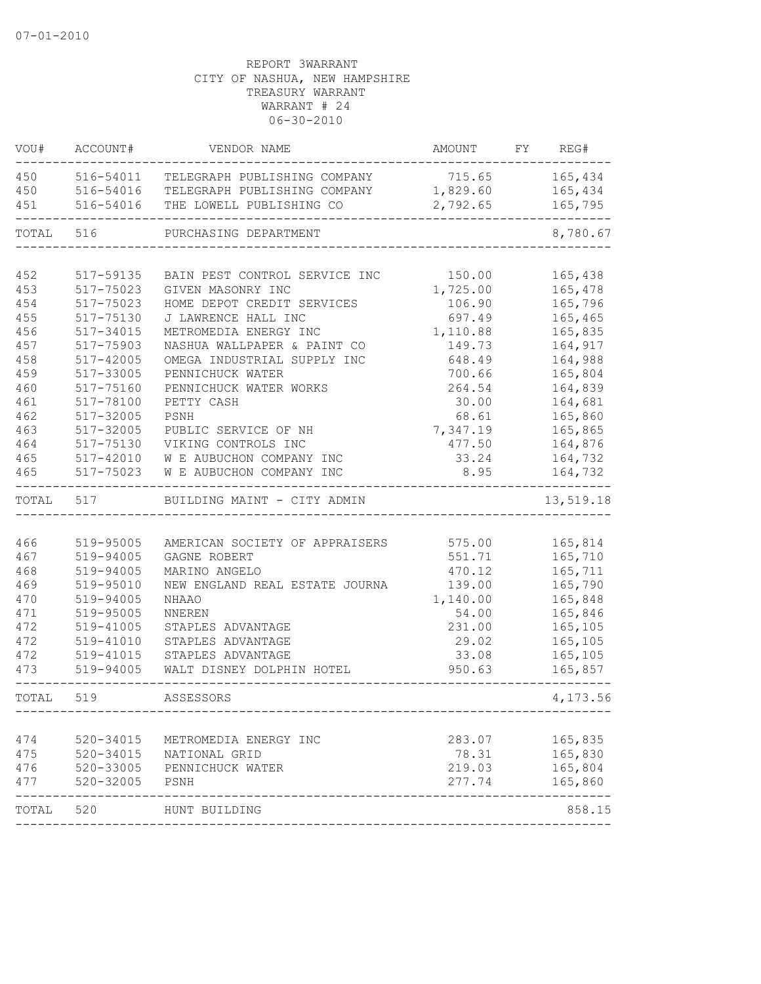| VOU#       | ACCOUNT#               | VENDOR NAME                                     | AMOUNT             | FY | REG#               |
|------------|------------------------|-------------------------------------------------|--------------------|----|--------------------|
| 450        | 516-54011              | TELEGRAPH PUBLISHING COMPANY                    | 715.65 165,434     |    |                    |
| 450        | 516-54016              | TELEGRAPH PUBLISHING COMPANY                    | 1,829.60           |    | 165,434            |
| 451        | 516-54016              | THE LOWELL PUBLISHING CO                        | 2,792.65           |    | 165,795            |
| TOTAL      | 516                    | PURCHASING DEPARTMENT                           |                    |    | 8,780.67           |
|            |                        |                                                 |                    |    |                    |
| 452<br>453 | 517-59135              | BAIN PEST CONTROL SERVICE INC                   | 150.00             |    | 165,438            |
|            | 517-75023<br>517-75023 | GIVEN MASONRY INC<br>HOME DEPOT CREDIT SERVICES | 1,725.00<br>106.90 |    | 165,478<br>165,796 |
| 454<br>455 | 517-75130              | J LAWRENCE HALL INC                             | 697.49             |    | 165,465            |
| 456        | $517 - 34015$          | METROMEDIA ENERGY INC                           |                    |    | 165,835            |
| 457        | 517-75903              | NASHUA WALLPAPER & PAINT CO                     | 1,110.88<br>149.73 |    | 164,917            |
| 458        | 517-42005              | OMEGA INDUSTRIAL SUPPLY INC                     | 648.49             |    | 164,988            |
| 459        | 517-33005              | PENNICHUCK WATER                                | 700.66             |    | 165,804            |
| 460        | 517-75160              | PENNICHUCK WATER WORKS                          | 264.54             |    | 164,839            |
| 461        | 517-78100              | PETTY CASH                                      | 30.00              |    | 164,681            |
| 462        | 517-32005              | PSNH                                            | 68.61              |    | 165,860            |
| 463        | 517-32005              | PUBLIC SERVICE OF NH                            | 7,347.19           |    | 165,865            |
| 464        | 517-75130              | VIKING CONTROLS INC                             | 477.50             |    | 164,876            |
| 465        | 517-42010              | W E AUBUCHON COMPANY INC                        | 33.24              |    | 164,732            |
| 465        | 517-75023              | W E AUBUCHON COMPANY INC                        | 8.95               |    | 164,732            |
|            |                        |                                                 |                    |    |                    |
| TOTAL      | 517                    | BUILDING MAINT - CITY ADMIN                     |                    |    | 13,519.18          |
|            |                        |                                                 |                    |    |                    |
| 466        | 519-95005              | AMERICAN SOCIETY OF APPRAISERS                  | 575.00             |    | 165,814            |
| 467        | 519-94005              | GAGNE ROBERT                                    | 551.71             |    | 165,710            |
| 468        | 519-94005              | MARINO ANGELO                                   | 470.12             |    | 165,711            |
| 469        | 519-95010              | NEW ENGLAND REAL ESTATE JOURNA                  | 139.00             |    | 165,790            |
| 470        | 519-94005              | <b>NHAAO</b>                                    | 1,140.00           |    | 165,848            |
| 471        | 519-95005              | NNEREN                                          | 54.00              |    | 165,846            |
| 472        | 519-41005              | STAPLES ADVANTAGE                               | 231.00             |    | 165,105            |
| 472        | 519-41010              | STAPLES ADVANTAGE                               | 29.02              |    | 165,105            |
| 472        | 519-41015              | STAPLES ADVANTAGE                               | 33.08              |    | 165,105            |
| 473        | 519-94005              | WALT DISNEY DOLPHIN HOTEL                       | 950.63             |    | 165,857            |
| TOTAL.     | 519                    | ASSESSORS                                       |                    |    | 4,173.56           |
|            |                        |                                                 |                    |    |                    |
| 474        | $520 - 34015$          | METROMEDIA ENERGY INC                           | 283.07             |    | 165,835            |
| 475        | 520-34015              | NATIONAL GRID                                   | 78.31              |    | 165,830            |
| 476        | 520-33005              | PENNICHUCK WATER                                | 219.03             |    | 165,804            |
| 477        | 520-32005              | PSNH                                            | 277.74             |    | 165,860            |
| TOTAL 520  |                        | HUNT BUILDING                                   |                    |    | 858.15             |
|            |                        |                                                 |                    |    |                    |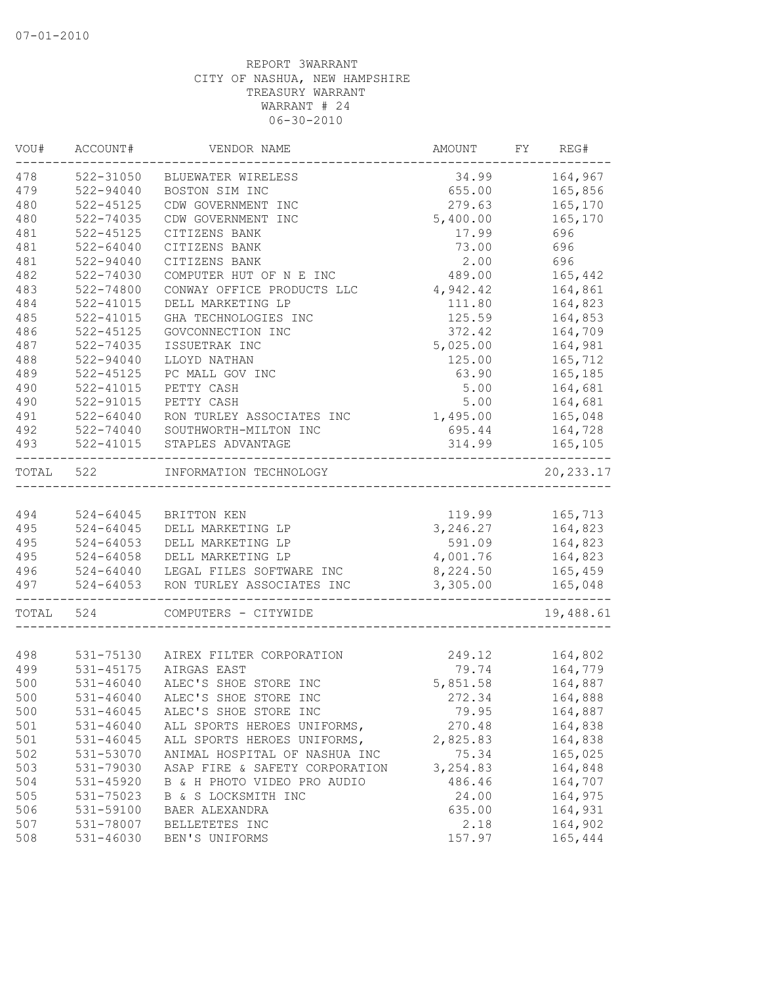| VOU#  | ACCOUNT#      | VENDOR NAME                        | AMOUNT    | FY. | REG#                   |
|-------|---------------|------------------------------------|-----------|-----|------------------------|
| 478   | 522-31050     | BLUEWATER WIRELESS                 | 34.99     |     | 164,967                |
| 479   | 522-94040     | BOSTON SIM INC                     | 655.00    |     | 165,856                |
| 480   | $522 - 45125$ | CDW GOVERNMENT INC                 | 279.63    |     | 165,170                |
| 480   | 522-74035     | CDW GOVERNMENT INC                 | 5,400.00  |     | 165,170                |
| 481   | 522-45125     | CITIZENS BANK                      | 17.99     |     | 696                    |
| 481   | $522 - 64040$ | CITIZENS BANK                      | 73.00     |     | 696                    |
| 481   | 522-94040     | CITIZENS BANK                      | 2.00      |     | 696                    |
| 482   | 522-74030     | COMPUTER HUT OF N E INC            | 489.00    |     | 165,442                |
| 483   | 522-74800     | CONWAY OFFICE PRODUCTS LLC         | 4,942.42  |     | 164,861                |
| 484   | 522-41015     | DELL MARKETING LP                  | 111.80    |     | 164,823                |
| 485   | 522-41015     | GHA TECHNOLOGIES INC               | 125.59    |     | 164,853                |
| 486   | $522 - 45125$ | GOVCONNECTION INC                  | 372.42    |     | 164,709                |
| 487   | 522-74035     | ISSUETRAK INC                      | 5,025.00  |     | 164,981                |
| 488   | 522-94040     | LLOYD NATHAN                       | 125.00    |     | 165,712                |
| 489   | $522 - 45125$ | PC MALL GOV INC                    | 63.90     |     | 165,185                |
| 490   | $522 - 41015$ | PETTY CASH                         | 5.00      |     | 164,681                |
| 490   | 522-91015     | PETTY CASH                         | 5.00      |     | 164,681                |
| 491   | 522-64040     | RON TURLEY ASSOCIATES INC          | 1,495.00  |     | 165,048                |
| 492   | 522-74040     | SOUTHWORTH-MILTON INC              | 695.44    |     | 164,728                |
| 493   | 522-41015     | STAPLES ADVANTAGE                  | 314.99    |     | 165,105<br>$- - - - -$ |
| TOTAL | 522           | INFORMATION TECHNOLOGY             |           |     | 20, 233.17             |
|       |               |                                    |           |     |                        |
| 494   | 524-64045     | BRITTON KEN                        | 119.99    |     | 165,713                |
| 495   | 524-64045     | DELL MARKETING LP                  | 3, 246.27 |     | 164,823                |
| 495   | $524 - 64053$ | DELL MARKETING LP                  | 591.09    |     | 164,823                |
| 495   | $524 - 64058$ | DELL MARKETING LP                  | 4,001.76  |     | 164,823                |
| 496   | 524-64040     | LEGAL FILES SOFTWARE INC           | 8,224.50  |     | 165,459                |
| 497   | $524 - 64053$ | RON TURLEY ASSOCIATES INC          | 3,305.00  |     | 165,048                |
| TOTAL | 524           | COMPUTERS - CITYWIDE               |           |     | 19,488.61              |
|       |               |                                    |           |     |                        |
| 498   |               | 531-75130 AIREX FILTER CORPORATION | 249.12    |     | 164,802                |
| 499   | 531-45175     | AIRGAS EAST                        | 79.74     |     | 164,779                |
| 500   | 531-46040     | ALEC'S SHOE STORE INC              | 5,851.58  |     | 164,887                |
| 500   | 531-46040     | ALEC'S SHOE STORE INC              | 272.34    |     | 164,888                |
| 500   | 531-46045     | ALEC'S SHOE STORE INC              | 79.95     |     | 164,887                |
| 501   | $531 - 46040$ | ALL SPORTS HEROES UNIFORMS,        | 270.48    |     | 164,838                |
| 501   | 531-46045     | ALL SPORTS HEROES UNIFORMS,        | 2,825.83  |     | 164,838                |
| 502   | 531-53070     | ANIMAL HOSPITAL OF NASHUA INC      | 75.34     |     | 165,025                |
| 503   | 531-79030     | ASAP FIRE & SAFETY CORPORATION     | 3,254.83  |     | 164,848                |
| 504   | 531-45920     | B & H PHOTO VIDEO PRO AUDIO        | 486.46    |     | 164,707                |
| 505   | 531-75023     | B & S LOCKSMITH INC                | 24.00     |     | 164,975                |
| 506   | 531-59100     | BAER ALEXANDRA                     | 635.00    |     | 164,931                |
| 507   | 531-78007     | BELLETETES INC                     | 2.18      |     | 164,902                |
| 508   | $531 - 46030$ | BEN'S UNIFORMS                     | 157.97    |     | 165,444                |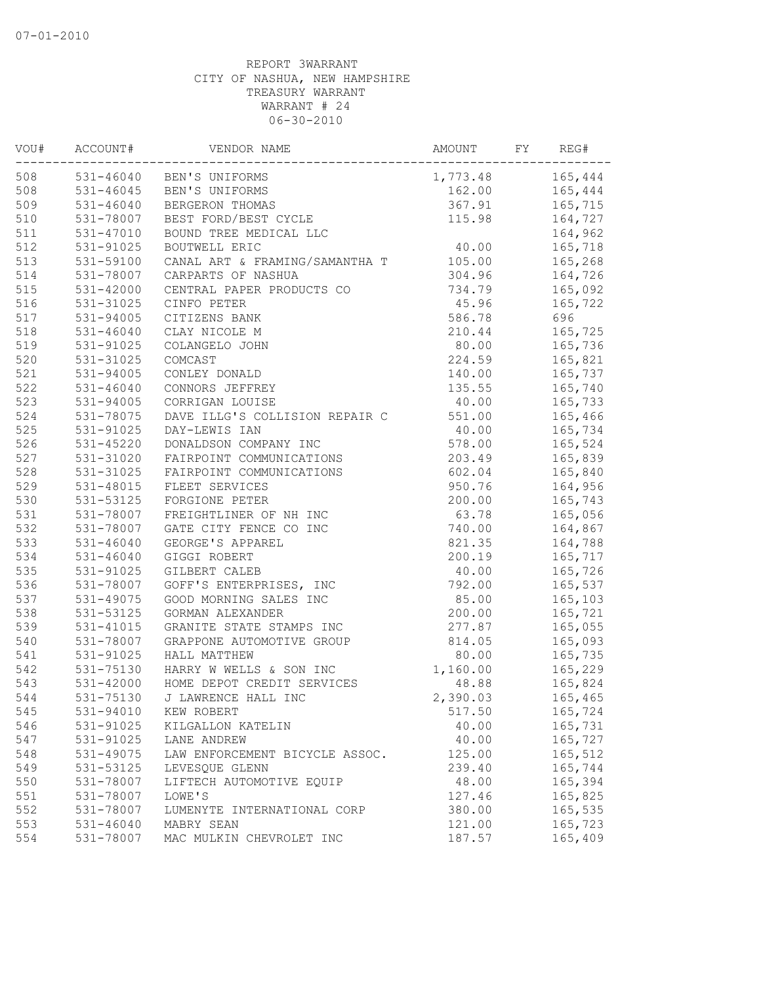| VOU# | ACCOUNT#      | VENDOR NAME                    | AMOUNT   | FY | REG#    |
|------|---------------|--------------------------------|----------|----|---------|
| 508  |               | 531-46040 BEN'S UNIFORMS       | 1,773.48 |    | 165,444 |
| 508  | $531 - 46045$ | BEN'S UNIFORMS                 | 162.00   |    | 165,444 |
| 509  | $531 - 46040$ | BERGERON THOMAS                | 367.91   |    | 165,715 |
| 510  | 531-78007     | BEST FORD/BEST CYCLE           | 115.98   |    | 164,727 |
| 511  | 531-47010     | BOUND TREE MEDICAL LLC         |          |    | 164,962 |
| 512  | 531-91025     | BOUTWELL ERIC                  | 40.00    |    | 165,718 |
| 513  | 531-59100     | CANAL ART & FRAMING/SAMANTHA T | 105.00   |    | 165,268 |
| 514  | 531-78007     | CARPARTS OF NASHUA             | 304.96   |    | 164,726 |
| 515  | 531-42000     | CENTRAL PAPER PRODUCTS CO      | 734.79   |    | 165,092 |
| 516  | 531-31025     | CINFO PETER                    | 45.96    |    | 165,722 |
| 517  | 531-94005     | CITIZENS BANK                  | 586.78   |    | 696     |
| 518  | $531 - 46040$ | CLAY NICOLE M                  | 210.44   |    | 165,725 |
| 519  | 531-91025     | COLANGELO JOHN                 | 80.00    |    | 165,736 |
| 520  | 531-31025     | COMCAST                        | 224.59   |    | 165,821 |
| 521  | 531-94005     | CONLEY DONALD                  | 140.00   |    | 165,737 |
| 522  | $531 - 46040$ | CONNORS JEFFREY                | 135.55   |    | 165,740 |
| 523  | 531-94005     | CORRIGAN LOUISE                | 40.00    |    | 165,733 |
| 524  | 531-78075     | DAVE ILLG'S COLLISION REPAIR C | 551.00   |    | 165,466 |
| 525  | 531-91025     | DAY-LEWIS IAN                  | 40.00    |    | 165,734 |
| 526  | 531-45220     | DONALDSON COMPANY INC          | 578.00   |    | 165,524 |
| 527  | 531-31020     | FAIRPOINT COMMUNICATIONS       | 203.49   |    | 165,839 |
| 528  | 531-31025     | FAIRPOINT COMMUNICATIONS       | 602.04   |    | 165,840 |
| 529  | 531-48015     | FLEET SERVICES                 | 950.76   |    | 164,956 |
| 530  | 531-53125     | FORGIONE PETER                 | 200.00   |    | 165,743 |
| 531  | 531-78007     | FREIGHTLINER OF NH INC         | 63.78    |    | 165,056 |
| 532  | 531-78007     | GATE CITY FENCE CO INC         | 740.00   |    | 164,867 |
| 533  | $531 - 46040$ | GEORGE'S APPAREL               | 821.35   |    | 164,788 |
| 534  | $531 - 46040$ | GIGGI ROBERT                   | 200.19   |    | 165,717 |
| 535  | 531-91025     | GILBERT CALEB                  | 40.00    |    | 165,726 |
| 536  | 531-78007     | GOFF'S ENTERPRISES, INC        | 792.00   |    | 165,537 |
| 537  | 531-49075     | GOOD MORNING SALES INC         | 85.00    |    | 165,103 |
| 538  | 531-53125     | GORMAN ALEXANDER               | 200.00   |    | 165,721 |
| 539  | 531-41015     | GRANITE STATE STAMPS INC       | 277.87   |    | 165,055 |
| 540  | 531-78007     | GRAPPONE AUTOMOTIVE GROUP      | 814.05   |    | 165,093 |
| 541  | 531-91025     | HALL MATTHEW                   | 80.00    |    | 165,735 |
| 542  | 531-75130     | HARRY W WELLS & SON INC        | 1,160.00 |    | 165,229 |
| 543  | 531-42000     | HOME DEPOT CREDIT SERVICES     | 48.88    |    | 165,824 |
| 544  | 531-75130     | J LAWRENCE HALL INC            | 2,390.03 |    | 165,465 |
| 545  | 531-94010     | KEW ROBERT                     | 517.50   |    | 165,724 |
| 546  | 531-91025     | KILGALLON KATELIN              | 40.00    |    | 165,731 |
| 547  | 531-91025     | LANE ANDREW                    | 40.00    |    | 165,727 |
| 548  | 531-49075     | LAW ENFORCEMENT BICYCLE ASSOC. | 125.00   |    | 165,512 |
| 549  | 531-53125     | LEVESQUE GLENN                 | 239.40   |    | 165,744 |
| 550  | 531-78007     | LIFTECH AUTOMOTIVE EQUIP       | 48.00    |    | 165,394 |
| 551  | 531-78007     | LOWE'S                         | 127.46   |    | 165,825 |
| 552  | 531-78007     | LUMENYTE INTERNATIONAL CORP    | 380.00   |    | 165,535 |
| 553  | $531 - 46040$ | MABRY SEAN                     | 121.00   |    | 165,723 |
| 554  | 531-78007     | MAC MULKIN CHEVROLET INC       | 187.57   |    | 165,409 |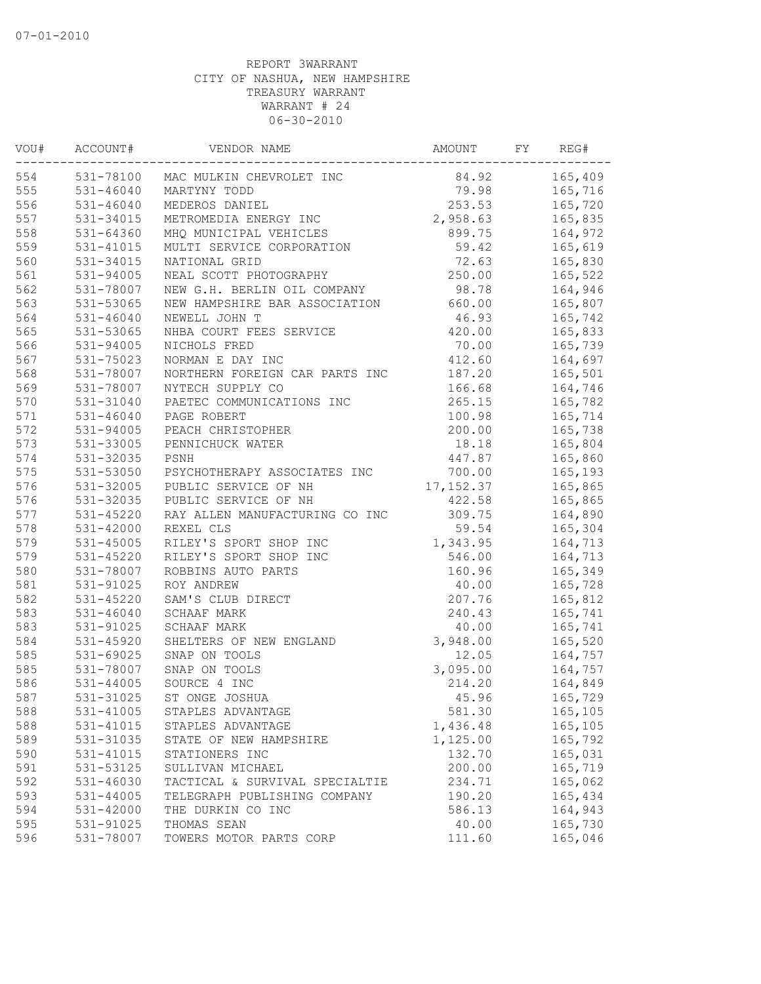| VOU# | ACCOUNT#      | VENDOR NAME                        | AMOUNT    | FY | REG#    |
|------|---------------|------------------------------------|-----------|----|---------|
| 554  |               | 531-78100 MAC MULKIN CHEVROLET INC | 84.92     |    | 165,409 |
| 555  | 531-46040     | MARTYNY TODD                       | 79.98     |    | 165,716 |
| 556  | 531-46040     | MEDEROS DANIEL                     | 253.53    |    | 165,720 |
| 557  | 531-34015     | METROMEDIA ENERGY INC              | 2,958.63  |    | 165,835 |
| 558  | 531-64360     | MHQ MUNICIPAL VEHICLES             | 899.75    |    | 164,972 |
| 559  | 531-41015     | MULTI SERVICE CORPORATION          | 59.42     |    | 165,619 |
| 560  | 531-34015     | NATIONAL GRID                      | 72.63     |    | 165,830 |
| 561  | 531-94005     | NEAL SCOTT PHOTOGRAPHY             | 250.00    |    | 165,522 |
| 562  | 531-78007     | NEW G.H. BERLIN OIL COMPANY        | 98.78     |    | 164,946 |
| 563  | 531-53065     | NEW HAMPSHIRE BAR ASSOCIATION      | 660.00    |    | 165,807 |
| 564  | 531-46040     | NEWELL JOHN T                      | 46.93     |    | 165,742 |
| 565  | 531-53065     | NHBA COURT FEES SERVICE            | 420.00    |    | 165,833 |
| 566  | $531 - 94005$ | NICHOLS FRED                       | 70.00     |    | 165,739 |
| 567  | 531-75023     | NORMAN E DAY INC                   | 412.60    |    | 164,697 |
| 568  | 531-78007     | NORTHERN FOREIGN CAR PARTS INC     | 187.20    |    | 165,501 |
| 569  | 531-78007     | NYTECH SUPPLY CO                   | 166.68    |    | 164,746 |
| 570  | 531-31040     | PAETEC COMMUNICATIONS INC          | 265.15    |    | 165,782 |
| 571  | $531 - 46040$ | PAGE ROBERT                        | 100.98    |    | 165,714 |
| 572  | 531-94005     | PEACH CHRISTOPHER                  | 200.00    |    | 165,738 |
| 573  | 531-33005     | PENNICHUCK WATER                   | 18.18     |    | 165,804 |
| 574  | 531-32035     | PSNH                               | 447.87    |    | 165,860 |
| 575  | 531-53050     | PSYCHOTHERAPY ASSOCIATES INC       | 700.00    |    | 165,193 |
| 576  | 531-32005     | PUBLIC SERVICE OF NH               | 17,152.37 |    | 165,865 |
| 576  | 531-32035     | PUBLIC SERVICE OF NH               | 422.58    |    | 165,865 |
| 577  | 531-45220     | RAY ALLEN MANUFACTURING CO INC     | 309.75    |    | 164,890 |
| 578  | $531 - 42000$ | REXEL CLS                          | 59.54     |    | 165,304 |
| 579  | $531 - 45005$ | RILEY'S SPORT SHOP INC             | 1,343.95  |    | 164,713 |
| 579  | 531-45220     | RILEY'S SPORT SHOP INC             | 546.00    |    | 164,713 |
| 580  | 531-78007     | ROBBINS AUTO PARTS                 | 160.96    |    | 165,349 |
| 581  | 531-91025     | ROY ANDREW                         | 40.00     |    | 165,728 |
| 582  | 531-45220     | SAM'S CLUB DIRECT                  | 207.76    |    | 165,812 |
| 583  | $531 - 46040$ | <b>SCHAAF MARK</b>                 | 240.43    |    | 165,741 |
| 583  | 531-91025     | SCHAAF MARK                        | 40.00     |    | 165,741 |
| 584  | 531-45920     | SHELTERS OF NEW ENGLAND            | 3,948.00  |    | 165,520 |
| 585  | 531-69025     | SNAP ON TOOLS                      | 12.05     |    | 164,757 |
| 585  | 531-78007     | SNAP ON TOOLS                      | 3,095.00  |    | 164,757 |
| 586  | 531-44005     | SOURCE 4 INC                       | 214.20    |    | 164,849 |
| 587  | 531-31025     | ST ONGE JOSHUA                     | 45.96     |    | 165,729 |
| 588  | 531-41005     | STAPLES ADVANTAGE                  | 581.30    |    | 165,105 |
| 588  | 531-41015     | STAPLES ADVANTAGE                  | 1,436.48  |    | 165,105 |
| 589  | 531-31035     | STATE OF NEW HAMPSHIRE             | 1,125.00  |    | 165,792 |
| 590  | 531-41015     | STATIONERS INC                     | 132.70    |    | 165,031 |
| 591  | 531-53125     | SULLIVAN MICHAEL                   | 200.00    |    | 165,719 |
| 592  | 531-46030     | TACTICAL & SURVIVAL SPECIALTIE     | 234.71    |    | 165,062 |
| 593  | $531 - 44005$ | TELEGRAPH PUBLISHING COMPANY       | 190.20    |    | 165,434 |
| 594  | 531-42000     | THE DURKIN CO INC                  | 586.13    |    | 164,943 |
| 595  | 531-91025     | THOMAS SEAN                        | 40.00     |    | 165,730 |
| 596  | 531-78007     | TOWERS MOTOR PARTS CORP            | 111.60    |    | 165,046 |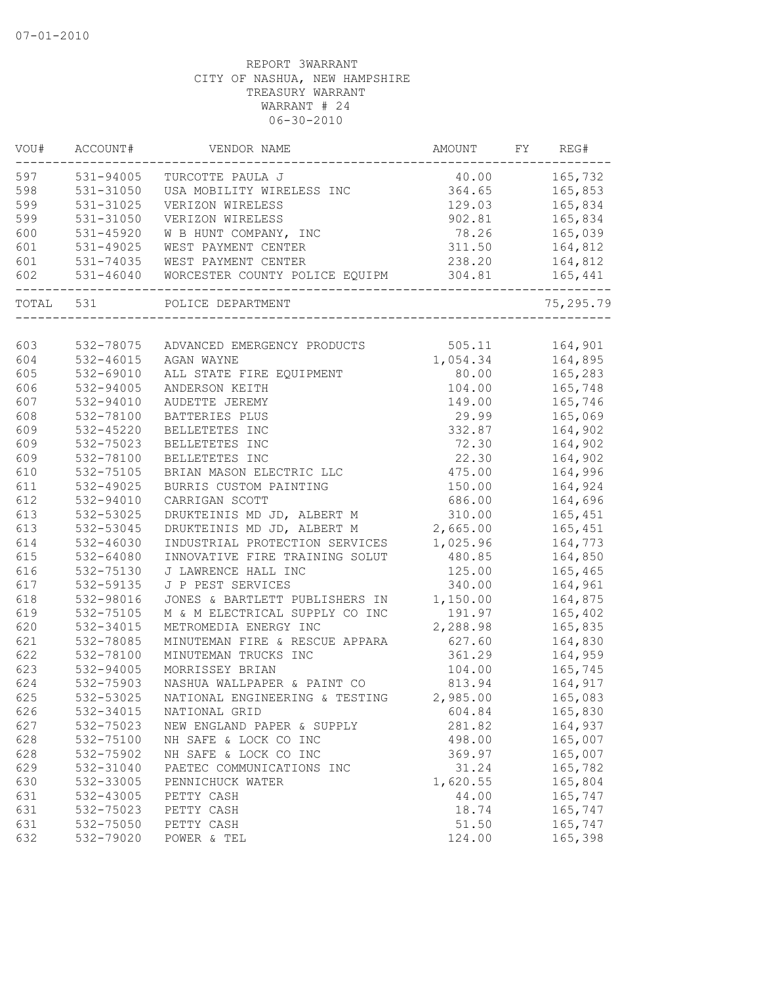| VOU#      | ACCOUNT#      | VENDOR NAME                    | AMOUNT   | FY | REG#      |
|-----------|---------------|--------------------------------|----------|----|-----------|
| 597       | 531-94005     | TURCOTTE PAULA J               | 40.00    |    | 165,732   |
| 598       | 531-31050     | USA MOBILITY WIRELESS INC      | 364.65   |    | 165,853   |
| 599       | 531-31025     | VERIZON WIRELESS               | 129.03   |    | 165,834   |
| 599       | 531-31050     | VERIZON WIRELESS               | 902.81   |    | 165,834   |
| 600       | 531-45920     | W B HUNT COMPANY, INC          | 78.26    |    | 165,039   |
| 601       | 531-49025     | WEST PAYMENT CENTER            | 311.50   |    | 164,812   |
| 601       | 531-74035     | WEST PAYMENT CENTER            | 238.20   |    | 164,812   |
| 602       | 531-46040     | WORCESTER COUNTY POLICE EQUIPM | 304.81   |    | 165,441   |
| TOTAL 531 |               | POLICE DEPARTMENT              |          |    | 75,295.79 |
|           |               |                                |          |    |           |
| 603       | 532-78075     | ADVANCED EMERGENCY PRODUCTS    | 505.11   |    | 164,901   |
| 604       | 532-46015     | AGAN WAYNE                     | 1,054.34 |    | 164,895   |
| 605       | 532-69010     | ALL STATE FIRE EQUIPMENT       | 80.00    |    | 165,283   |
| 606       | 532-94005     | ANDERSON KEITH                 | 104.00   |    | 165,748   |
| 607       | 532-94010     | AUDETTE JEREMY                 | 149.00   |    | 165,746   |
| 608       | 532-78100     | BATTERIES PLUS                 | 29.99    |    | 165,069   |
| 609       | 532-45220     | BELLETETES INC                 | 332.87   |    | 164,902   |
| 609       | 532-75023     | BELLETETES INC                 | 72.30    |    | 164,902   |
| 609       | 532-78100     | BELLETETES INC                 | 22.30    |    | 164,902   |
| 610       | 532-75105     | BRIAN MASON ELECTRIC LLC       | 475.00   |    | 164,996   |
| 611       | $532 - 49025$ | BURRIS CUSTOM PAINTING         | 150.00   |    | 164,924   |
| 612       | 532-94010     | CARRIGAN SCOTT                 | 686.00   |    | 164,696   |
| 613       | 532-53025     | DRUKTEINIS MD JD, ALBERT M     | 310.00   |    | 165,451   |
| 613       | 532-53045     | DRUKTEINIS MD JD, ALBERT M     | 2,665.00 |    | 165,451   |
| 614       | 532-46030     | INDUSTRIAL PROTECTION SERVICES | 1,025.96 |    | 164,773   |
| 615       | 532-64080     | INNOVATIVE FIRE TRAINING SOLUT | 480.85   |    | 164,850   |
| 616       | 532-75130     | J LAWRENCE HALL INC            | 125.00   |    | 165,465   |
| 617       | 532-59135     | J P PEST SERVICES              | 340.00   |    | 164,961   |
| 618       | 532-98016     | JONES & BARTLETT PUBLISHERS IN | 1,150.00 |    | 164,875   |
| 619       | 532-75105     | M & M ELECTRICAL SUPPLY CO INC | 191.97   |    | 165,402   |
| 620       | 532-34015     | METROMEDIA ENERGY INC          | 2,288.98 |    | 165,835   |
| 621       | 532-78085     | MINUTEMAN FIRE & RESCUE APPARA | 627.60   |    | 164,830   |
| 622       | 532-78100     | MINUTEMAN TRUCKS INC           | 361.29   |    | 164,959   |
| 623       | 532-94005     | MORRISSEY BRIAN                | 104.00   |    | 165,745   |
| 624       | 532-75903     | NASHUA WALLPAPER & PAINT CO    | 813.94   |    | 164,917   |
| 625       | 532-53025     | NATIONAL ENGINEERING & TESTING | 2,985.00 |    | 165,083   |
| 626       | 532-34015     | NATIONAL GRID                  | 604.84   |    | 165,830   |
| 627       | 532-75023     | NEW ENGLAND PAPER & SUPPLY     | 281.82   |    | 164,937   |
| 628       | 532-75100     | NH SAFE & LOCK CO INC          | 498.00   |    | 165,007   |
| 628       | 532-75902     | NH SAFE & LOCK CO INC          | 369.97   |    | 165,007   |
| 629       | 532-31040     | PAETEC COMMUNICATIONS INC      | 31.24    |    | 165,782   |
| 630       | 532-33005     | PENNICHUCK WATER               | 1,620.55 |    | 165,804   |
| 631       | 532-43005     | PETTY CASH                     | 44.00    |    | 165,747   |
| 631       | 532-75023     | PETTY CASH                     | 18.74    |    | 165,747   |
| 631       | 532-75050     | PETTY CASH                     | 51.50    |    | 165,747   |
|           |               |                                |          |    |           |
| 632       | 532-79020     | POWER & TEL                    | 124.00   |    | 165,398   |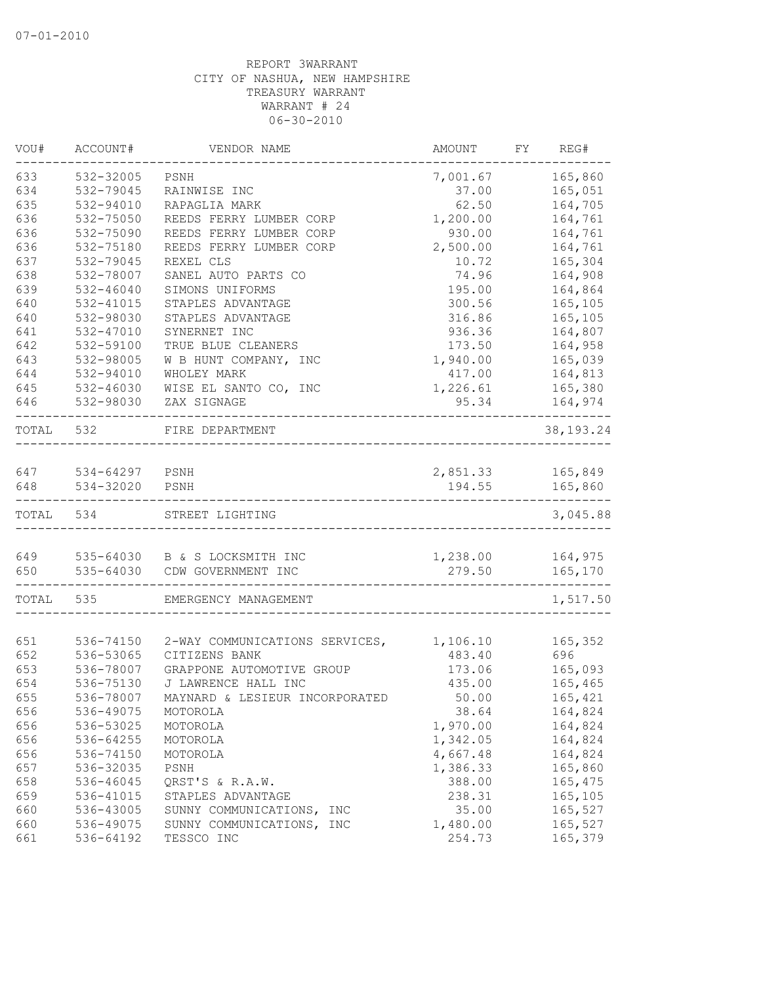| VOU#  | ACCOUNT#       | VENDOR NAME                    | AMOUNT   | REG#<br>FY. |
|-------|----------------|--------------------------------|----------|-------------|
| 633   | 532-32005      | PSNH                           | 7,001.67 | 165,860     |
| 634   | 532-79045      | RAINWISE INC                   | 37.00    | 165,051     |
| 635   | 532-94010      | RAPAGLIA MARK                  | 62.50    | 164,705     |
| 636   | 532-75050      | REEDS FERRY LUMBER CORP        | 1,200.00 | 164,761     |
| 636   | 532-75090      | REEDS FERRY LUMBER CORP        | 930.00   | 164,761     |
| 636   | 532-75180      | REEDS FERRY LUMBER CORP        | 2,500.00 | 164,761     |
| 637   | 532-79045      | REXEL CLS                      | 10.72    | 165,304     |
| 638   | 532-78007      | SANEL AUTO PARTS CO            | 74.96    | 164,908     |
| 639   | 532-46040      | SIMONS UNIFORMS                | 195.00   | 164,864     |
| 640   | 532-41015      | STAPLES ADVANTAGE              | 300.56   | 165,105     |
| 640   | 532-98030      | STAPLES ADVANTAGE              | 316.86   | 165,105     |
| 641   | 532-47010      | SYNERNET INC                   | 936.36   | 164,807     |
| 642   | 532-59100      | TRUE BLUE CLEANERS             | 173.50   | 164,958     |
| 643   | 532-98005      | W B HUNT COMPANY, INC          | 1,940.00 | 165,039     |
| 644   | 532-94010      | WHOLEY MARK                    | 417.00   | 164,813     |
| 645   | 532-46030      | WISE EL SANTO CO, INC          | 1,226.61 | 165,380     |
| 646   | 532-98030      | ZAX SIGNAGE                    | 95.34    | 164,974     |
| TOTAL | 532            | FIRE DEPARTMENT                |          | 38, 193. 24 |
| 647   | 534-64297 PSNH |                                | 2,851.33 | 165,849     |
| 648   | 534-32020      | PSNH                           | 194.55   | 165,860     |
| TOTAL | 534            | STREET LIGHTING                |          | 3,045.88    |
|       |                |                                |          |             |
| 649   |                | 535-64030 B & S LOCKSMITH INC  | 1,238.00 | 164,975     |
| 650   | 535-64030      | CDW GOVERNMENT INC             | 279.50   | 165,170     |
| TOTAL | 535            | EMERGENCY MANAGEMENT           |          | 1,517.50    |
|       |                |                                |          |             |
| 651   | 536-74150      | 2-WAY COMMUNICATIONS SERVICES, | 1,106.10 | 165,352     |
| 652   | 536-53065      | CITIZENS BANK                  | 483.40   | 696         |
| 653   | 536-78007      | GRAPPONE AUTOMOTIVE GROUP      | 173.06   | 165,093     |
| 654   | 536-75130      | J LAWRENCE HALL INC            | 435.00   | 165,465     |
| 655   | 536-78007      | MAYNARD & LESIEUR INCORPORATED | 50.00    | 165,421     |
| 656   | 536-49075      | MOTOROLA                       | 38.64    | 164,824     |
| 656   | 536-53025      | MOTOROLA                       | 1,970.00 | 164,824     |
| 656   | 536-64255      | MOTOROLA                       | 1,342.05 | 164,824     |
| 656   | 536-74150      | MOTOROLA                       | 4,667.48 | 164,824     |
| 657   | 536-32035      | PSNH                           | 1,386.33 | 165,860     |
| 658   | 536-46045      | QRST'S & R.A.W.                | 388.00   | 165,475     |
| 659   | 536-41015      | STAPLES ADVANTAGE              | 238.31   | 165,105     |
| 660   | 536-43005      | SUNNY COMMUNICATIONS,<br>INC   | 35.00    | 165,527     |
| 660   | 536-49075      | SUNNY COMMUNICATIONS, INC      | 1,480.00 | 165,527     |
| 661   | 536-64192      | TESSCO INC                     | 254.73   | 165,379     |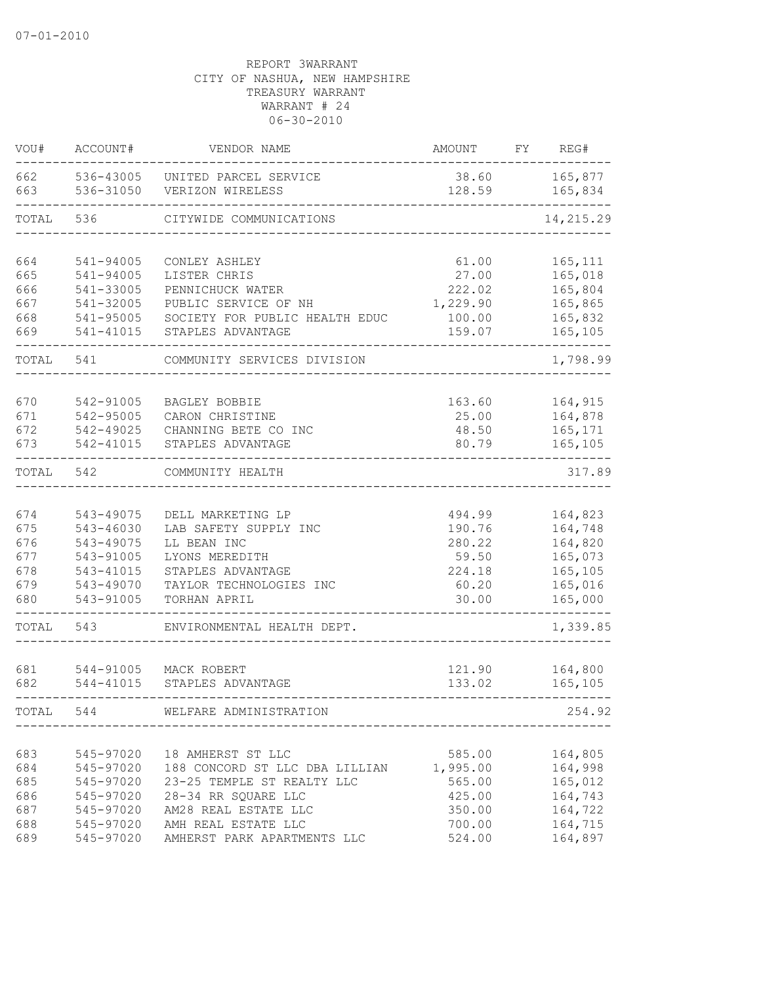| VOU#  | ACCOUNT#      | VENDOR NAME                    | <b>AMOUNT</b> | FY | REG#       |
|-------|---------------|--------------------------------|---------------|----|------------|
| 662   | 536-43005     | UNITED PARCEL SERVICE          | 38.60         |    | 165,877    |
| 663   | 536-31050     | VERIZON WIRELESS               | 128.59        |    | 165,834    |
| TOTAL | 536           | CITYWIDE COMMUNICATIONS        |               |    | 14, 215.29 |
| 664   | 541-94005     | CONLEY ASHLEY                  | 61.00         |    | 165, 111   |
| 665   | 541-94005     | LISTER CHRIS                   | 27.00         |    | 165,018    |
| 666   | 541-33005     | PENNICHUCK WATER               | 222.02        |    | 165,804    |
| 667   | 541-32005     | PUBLIC SERVICE OF NH           | 1,229.90      |    | 165,865    |
| 668   | 541-95005     | SOCIETY FOR PUBLIC HEALTH EDUC | 100.00        |    | 165,832    |
| 669   | 541-41015     | STAPLES ADVANTAGE              | 159.07        |    | 165,105    |
| TOTAL | 541           | COMMUNITY SERVICES DIVISION    |               |    | 1,798.99   |
| 670   | 542-91005     | BAGLEY BOBBIE                  | 163.60        |    | 164,915    |
| 671   | 542-95005     | CARON CHRISTINE                | 25.00         |    | 164,878    |
| 672   | 542-49025     | CHANNING BETE CO INC           | 48.50         |    | 165,171    |
| 673   | 542-41015     | STAPLES ADVANTAGE              | 80.79         |    | 165,105    |
| TOTAL | 542           | COMMUNITY HEALTH               |               |    | 317.89     |
| 674   | 543-49075     | DELL MARKETING LP              | 494.99        |    | 164,823    |
| 675   | 543-46030     | LAB SAFETY SUPPLY INC          | 190.76        |    | 164,748    |
| 676   | 543-49075     | LL BEAN INC                    | 280.22        |    | 164,820    |
| 677   | 543-91005     | LYONS MEREDITH                 | 59.50         |    | 165,073    |
| 678   | 543-41015     | STAPLES ADVANTAGE              | 224.18        |    | 165,105    |
| 679   | 543-49070     | TAYLOR TECHNOLOGIES INC        | 60.20         |    | 165,016    |
| 680   | 543-91005     | TORHAN APRIL                   | 30.00         |    | 165,000    |
| TOTAL | 543           | ENVIRONMENTAL HEALTH DEPT.     |               |    | 1,339.85   |
| 681   | 544-91005     | MACK ROBERT                    | 121.90        |    | 164,800    |
| 682   | $544 - 41015$ | STAPLES ADVANTAGE              | 133.02        |    | 165,105    |
| TOTAL | 544           | WELFARE ADMINISTRATION         |               |    | 254.92     |
| 683   | 545-97020     | 18 AMHERST ST LLC              | 585.00        |    | 164,805    |
| 684   | 545-97020     | 188 CONCORD ST LLC DBA LILLIAN | 1,995.00      |    | 164,998    |
| 685   | 545-97020     | 23-25 TEMPLE ST REALTY LLC     | 565.00        |    | 165,012    |
| 686   | 545-97020     | 28-34 RR SQUARE LLC            | 425.00        |    | 164,743    |
| 687   | 545-97020     | AM28 REAL ESTATE LLC           | 350.00        |    | 164,722    |
| 688   | 545-97020     | AMH REAL ESTATE LLC            | 700.00        |    | 164,715    |
| 689   | 545-97020     | AMHERST PARK APARTMENTS LLC    | 524.00        |    | 164,897    |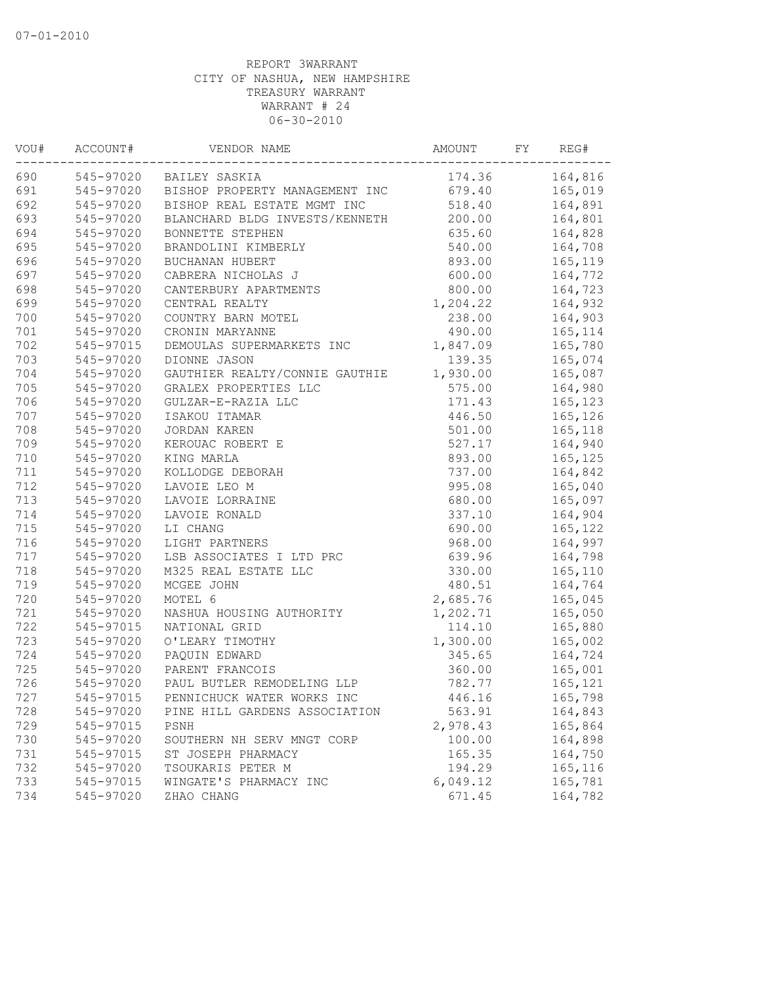| VOU# | ACCOUNT#  | VENDOR NAME                    | AMOUNT   | FY | REG#    |
|------|-----------|--------------------------------|----------|----|---------|
| 690  |           | 545-97020 BAILEY SASKIA        | 174.36   |    | 164,816 |
| 691  | 545-97020 | BISHOP PROPERTY MANAGEMENT INC | 679.40   |    | 165,019 |
| 692  | 545-97020 | BISHOP REAL ESTATE MGMT INC    | 518.40   |    | 164,891 |
| 693  | 545-97020 | BLANCHARD BLDG INVESTS/KENNETH | 200.00   |    | 164,801 |
| 694  | 545-97020 | BONNETTE STEPHEN               | 635.60   |    | 164,828 |
| 695  | 545-97020 | BRANDOLINI KIMBERLY            | 540.00   |    | 164,708 |
| 696  | 545-97020 | BUCHANAN HUBERT                | 893.00   |    | 165,119 |
| 697  | 545-97020 | CABRERA NICHOLAS J             | 600.00   |    | 164,772 |
| 698  | 545-97020 | CANTERBURY APARTMENTS          | 800.00   |    | 164,723 |
| 699  | 545-97020 | CENTRAL REALTY                 | 1,204.22 |    | 164,932 |
| 700  | 545-97020 | COUNTRY BARN MOTEL             | 238.00   |    | 164,903 |
| 701  | 545-97020 | CRONIN MARYANNE                | 490.00   |    | 165,114 |
| 702  | 545-97015 | DEMOULAS SUPERMARKETS INC      | 1,847.09 |    | 165,780 |
| 703  | 545-97020 | DIONNE JASON                   | 139.35   |    | 165,074 |
| 704  | 545-97020 | GAUTHIER REALTY/CONNIE GAUTHIE | 1,930.00 |    | 165,087 |
| 705  | 545-97020 | GRALEX PROPERTIES LLC          | 575.00   |    | 164,980 |
| 706  | 545-97020 | GULZAR-E-RAZIA LLC             | 171.43   |    | 165,123 |
| 707  | 545-97020 | ISAKOU ITAMAR                  | 446.50   |    | 165,126 |
| 708  | 545-97020 | JORDAN KAREN                   | 501.00   |    | 165,118 |
| 709  | 545-97020 | KEROUAC ROBERT E               | 527.17   |    | 164,940 |
| 710  | 545-97020 | KING MARLA                     | 893.00   |    | 165,125 |
| 711  | 545-97020 | KOLLODGE DEBORAH               | 737.00   |    | 164,842 |
| 712  | 545-97020 | LAVOIE LEO M                   | 995.08   |    | 165,040 |
| 713  | 545-97020 | LAVOIE LORRAINE                | 680.00   |    | 165,097 |
| 714  | 545-97020 | LAVOIE RONALD                  | 337.10   |    | 164,904 |
| 715  | 545-97020 | LI CHANG                       | 690.00   |    | 165,122 |
| 716  | 545-97020 | LIGHT PARTNERS                 | 968.00   |    | 164,997 |
| 717  | 545-97020 | LSB ASSOCIATES I LTD PRC       | 639.96   |    | 164,798 |
| 718  | 545-97020 | M325 REAL ESTATE LLC           | 330.00   |    | 165,110 |
| 719  | 545-97020 | MCGEE JOHN                     | 480.51   |    | 164,764 |
| 720  | 545-97020 | MOTEL 6                        | 2,685.76 |    | 165,045 |
| 721  | 545-97020 | NASHUA HOUSING AUTHORITY       | 1,202.71 |    | 165,050 |
| 722  | 545-97015 | NATIONAL GRID                  | 114.10   |    | 165,880 |
| 723  | 545-97020 | O'LEARY TIMOTHY                | 1,300.00 |    | 165,002 |
| 724  | 545-97020 | PAQUIN EDWARD                  | 345.65   |    | 164,724 |
| 725  | 545-97020 | PARENT FRANCOIS                | 360.00   |    | 165,001 |
| 726  | 545-97020 | PAUL BUTLER REMODELING LLP     | 782.77   |    | 165,121 |
| 727  | 545-97015 | PENNICHUCK WATER WORKS INC     | 446.16   |    | 165,798 |
| 728  | 545-97020 | PINE HILL GARDENS ASSOCIATION  | 563.91   |    | 164,843 |
| 729  | 545-97015 | PSNH                           | 2,978.43 |    | 165,864 |
| 730  | 545-97020 | SOUTHERN NH SERV MNGT CORP     | 100.00   |    | 164,898 |
| 731  | 545-97015 | ST JOSEPH PHARMACY             | 165.35   |    | 164,750 |
| 732  | 545-97020 | TSOUKARIS PETER M              | 194.29   |    | 165,116 |
| 733  | 545-97015 | WINGATE'S PHARMACY INC         | 6,049.12 |    | 165,781 |
| 734  | 545-97020 | ZHAO CHANG                     | 671.45   |    | 164,782 |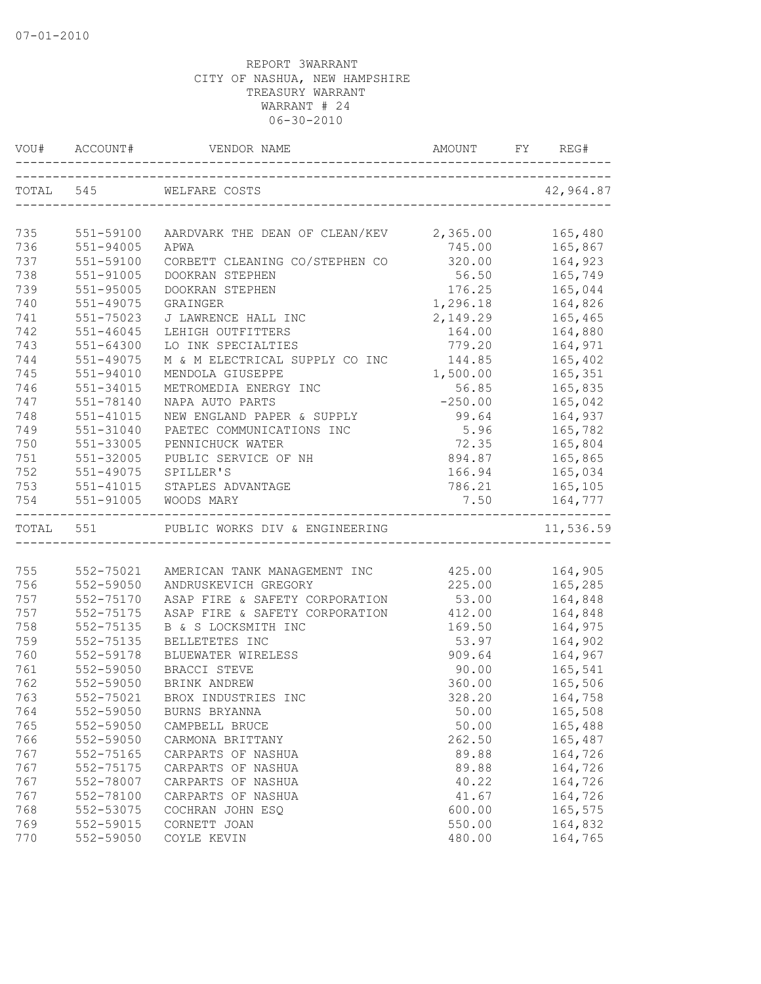|     |               |                                             |                  | REG#           |
|-----|---------------|---------------------------------------------|------------------|----------------|
|     | TOTAL 545     | WELFARE COSTS                               |                  | 42,964.87      |
| 735 | 551-59100     | AARDVARK THE DEAN OF CLEAN/KEV 2,365.00     |                  | 165,480        |
| 736 | 551-94005     | APWA                                        | 745.00           | 165,867        |
| 737 | 551-59100     | CORBETT CLEANING CO/STEPHEN CO              | 320.00           | 164,923        |
| 738 | 551-91005     | DOOKRAN STEPHEN                             | 56.50            | 165,749        |
| 739 | 551-95005     | DOOKRAN STEPHEN                             | 176.25           | 165,044        |
| 740 | 551-49075     | GRAINGER                                    | 1,296.18 164,826 |                |
| 741 | 551-75023     | J LAWRENCE HALL INC                         | 2,149.29         | 165,465        |
| 742 | $551 - 46045$ | LEHIGH OUTFITTERS                           | 164.00           | 164,880        |
| 743 | 551-64300     | LO INK SPECIALTIES                          | 779.20           | 164,971        |
| 744 | 551-49075     | M & M ELECTRICAL SUPPLY CO INC              | 144.85           | 165,402        |
| 745 | $551 - 94010$ | MENDOLA GIUSEPPE                            | 1,500.00         | 165,351        |
| 746 | 551-34015     | METROMEDIA ENERGY INC                       | 56.85            | 165,835        |
| 747 | 551-78140     | NAPA AUTO PARTS                             | $-250.00$        | 165,042        |
| 748 | $551 - 41015$ | NEW ENGLAND PAPER & SUPPLY                  | 99.64            | 164,937        |
| 749 | 551-31040     | PAETEC COMMUNICATIONS INC                   | 5.96             | 165,782        |
| 750 | 551-33005     | PENNICHUCK WATER                            | 72.35            | 165,804        |
| 751 | 551-32005     | PUBLIC SERVICE OF NH                        | 894.87 165,865   |                |
| 752 | 551-49075     | SPILLER'S                                   |                  | 166.94 165,034 |
| 753 |               | 551-41015 STAPLES ADVANTAGE                 | 786.21           | 165,105        |
| 754 | 551-91005     | WOODS MARY                                  | 7.50             | 164,777        |
|     |               | TOTAL 551 PUBLIC WORKS DIV & ENGINEERING    |                  | 11,536.59      |
|     |               |                                             |                  |                |
| 755 | 552-75021     | AMERICAN TANK MANAGEMENT INC 425.00 164,905 |                  |                |
| 756 | 552-59050     | ANDRUSKEVICH GREGORY                        | 225.00 165,285   |                |
| 757 | 552-75170     | ASAP FIRE & SAFETY CORPORATION              |                  | 53.00 164,848  |
| 757 | 552-75175     | ASAP FIRE & SAFETY CORPORATION 412.00       |                  | 164,848        |
| 758 | 552-75135     | B & S LOCKSMITH INC                         | 169.50           | 164,975        |
| 759 | 552-75135     | BELLETETES INC                              | 53.97            | 164,902        |
| 760 | 552-59178     | BLUEWATER WIRELESS                          | 909.64           | 164,967        |
| 761 | 552-59050     | BRACCI STEVE                                | 90.00            | 165,541        |
| 762 | 552-59050     | BRINK ANDREW                                | 360.00           | 165,506        |
| 763 | 552-75021     | BROX INDUSTRIES INC                         | 328.20           | 164,758        |
| 764 | 552-59050     | BURNS BRYANNA                               | 50.00            | 165,508        |
| 765 | 552-59050     | CAMPBELL BRUCE                              | 50.00            | 165,488        |
| 766 | 552-59050     | CARMONA BRITTANY                            | 262.50           | 165,487        |
| 767 | 552-75165     | CARPARTS OF NASHUA                          | 89.88            | 164,726        |
| 767 | 552-75175     | CARPARTS OF NASHUA                          | 89.88            | 164,726        |
| 767 | 552-78007     | CARPARTS OF NASHUA                          | 40.22            | 164,726        |
| 767 | 552-78100     | CARPARTS OF NASHUA                          | 41.67            | 164,726        |
| 768 | 552-53075     | COCHRAN JOHN ESO                            | 600.00           | 165,575        |
| 769 | 552-59015     | CORNETT JOAN                                | 550.00           | 164,832        |
| 770 | 552-59050     | COYLE KEVIN                                 | 480.00           | 164,765        |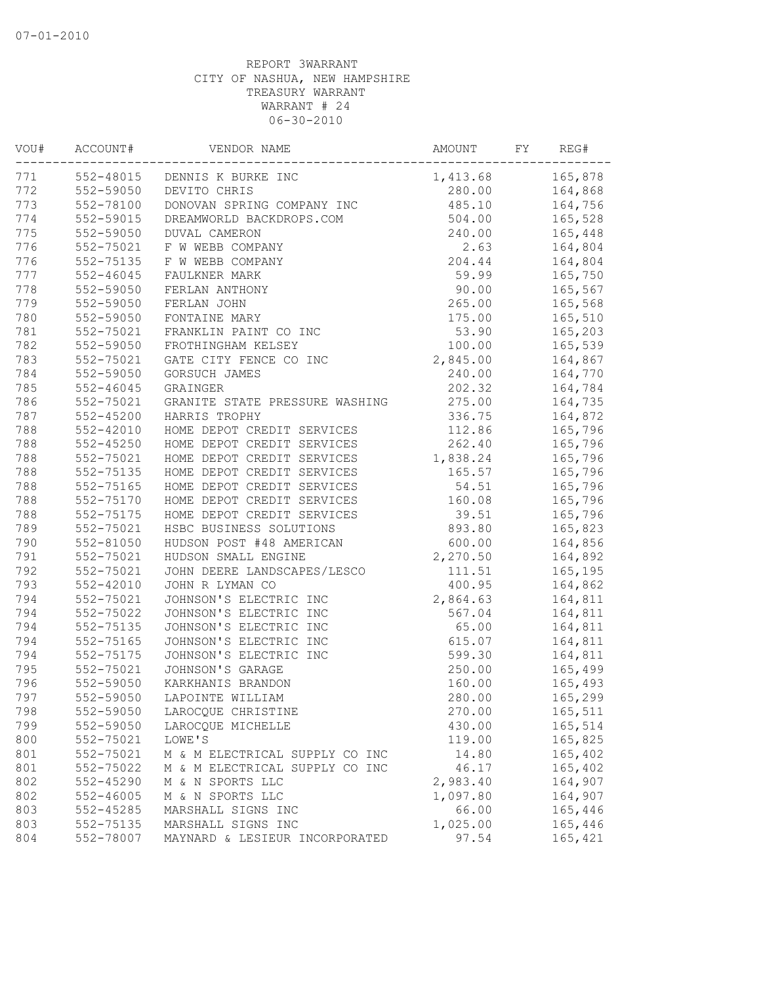| VOU# | ACCOUNT#      | VENDOR NAME                    | AMOUNT   | FY | REG#    |
|------|---------------|--------------------------------|----------|----|---------|
| 771  | 552-48015     | DENNIS K BURKE INC             | 1,413.68 |    | 165,878 |
| 772  | 552-59050     | DEVITO CHRIS                   | 280.00   |    | 164,868 |
| 773  | 552-78100     | DONOVAN SPRING COMPANY INC     | 485.10   |    | 164,756 |
| 774  | 552-59015     | DREAMWORLD BACKDROPS.COM       | 504.00   |    | 165,528 |
| 775  | 552-59050     | DUVAL CAMERON                  | 240.00   |    | 165,448 |
| 776  | 552-75021     | F W WEBB COMPANY               | 2.63     |    | 164,804 |
| 776  | 552-75135     | F W WEBB COMPANY               | 204.44   |    | 164,804 |
| 777  | $552 - 46045$ | FAULKNER MARK                  | 59.99    |    | 165,750 |
| 778  | 552-59050     | FERLAN ANTHONY                 | 90.00    |    | 165,567 |
| 779  | 552-59050     | FERLAN JOHN                    | 265.00   |    | 165,568 |
| 780  | 552-59050     | FONTAINE MARY                  | 175.00   |    | 165,510 |
| 781  | 552-75021     | FRANKLIN PAINT CO INC          | 53.90    |    | 165,203 |
| 782  | 552-59050     | FROTHINGHAM KELSEY             | 100.00   |    | 165,539 |
| 783  | 552-75021     | GATE CITY FENCE CO INC         | 2,845.00 |    | 164,867 |
| 784  | 552-59050     | GORSUCH JAMES                  | 240.00   |    | 164,770 |
| 785  | $552 - 46045$ | GRAINGER                       | 202.32   |    | 164,784 |
| 786  | 552-75021     | GRANITE STATE PRESSURE WASHING | 275.00   |    | 164,735 |
| 787  | $552 - 45200$ | HARRIS TROPHY                  | 336.75   |    | 164,872 |
| 788  | 552-42010     | HOME DEPOT CREDIT SERVICES     | 112.86   |    | 165,796 |
| 788  | $552 - 45250$ | HOME DEPOT CREDIT SERVICES     | 262.40   |    | 165,796 |
| 788  | 552-75021     | HOME DEPOT CREDIT SERVICES     | 1,838.24 |    | 165,796 |
| 788  | 552-75135     | HOME DEPOT CREDIT SERVICES     | 165.57   |    | 165,796 |
| 788  | 552-75165     | HOME DEPOT CREDIT SERVICES     | 54.51    |    | 165,796 |
| 788  | 552-75170     | HOME DEPOT CREDIT SERVICES     | 160.08   |    | 165,796 |
| 788  | 552-75175     | HOME DEPOT CREDIT SERVICES     | 39.51    |    | 165,796 |
| 789  | 552-75021     | HSBC BUSINESS SOLUTIONS        | 893.80   |    | 165,823 |
| 790  | 552-81050     | HUDSON POST #48 AMERICAN       | 600.00   |    | 164,856 |
| 791  | 552-75021     | HUDSON SMALL ENGINE            | 2,270.50 |    | 164,892 |
| 792  | 552-75021     | JOHN DEERE LANDSCAPES/LESCO    | 111.51   |    | 165,195 |
| 793  | $552 - 42010$ | JOHN R LYMAN CO                | 400.95   |    | 164,862 |
| 794  | 552-75021     | JOHNSON'S ELECTRIC INC         | 2,864.63 |    | 164,811 |
| 794  | 552-75022     | JOHNSON'S ELECTRIC INC         | 567.04   |    | 164,811 |
| 794  | 552-75135     | JOHNSON'S ELECTRIC INC         | 65.00    |    | 164,811 |
| 794  | 552-75165     | JOHNSON'S ELECTRIC INC         | 615.07   |    | 164,811 |
| 794  | 552-75175     | JOHNSON'S ELECTRIC INC         | 599.30   |    | 164,811 |
| 795  | 552-75021     | JOHNSON'S GARAGE               | 250.00   |    | 165,499 |
| 796  | 552-59050     | KARKHANIS BRANDON              | 160.00   |    | 165,493 |
| 797  | 552-59050     | LAPOINTE WILLIAM               | 280.00   |    | 165,299 |
| 798  | 552-59050     | LAROCQUE CHRISTINE             | 270.00   |    | 165,511 |
| 799  | 552-59050     | LAROCQUE MICHELLE              | 430.00   |    | 165,514 |
| 800  | 552-75021     | LOWE'S                         | 119.00   |    | 165,825 |
| 801  | 552-75021     | M & M ELECTRICAL SUPPLY CO INC | 14.80    |    | 165,402 |
| 801  | 552-75022     | M & M ELECTRICAL SUPPLY CO INC | 46.17    |    | 165,402 |
| 802  | $552 - 45290$ | M & N SPORTS LLC               | 2,983.40 |    | 164,907 |
| 802  | $552 - 46005$ | M & N SPORTS LLC               | 1,097.80 |    | 164,907 |
| 803  | 552-45285     | MARSHALL SIGNS INC             | 66.00    |    | 165,446 |
| 803  | 552-75135     | MARSHALL SIGNS INC             | 1,025.00 |    | 165,446 |
| 804  | 552-78007     | MAYNARD & LESIEUR INCORPORATED | 97.54    |    | 165,421 |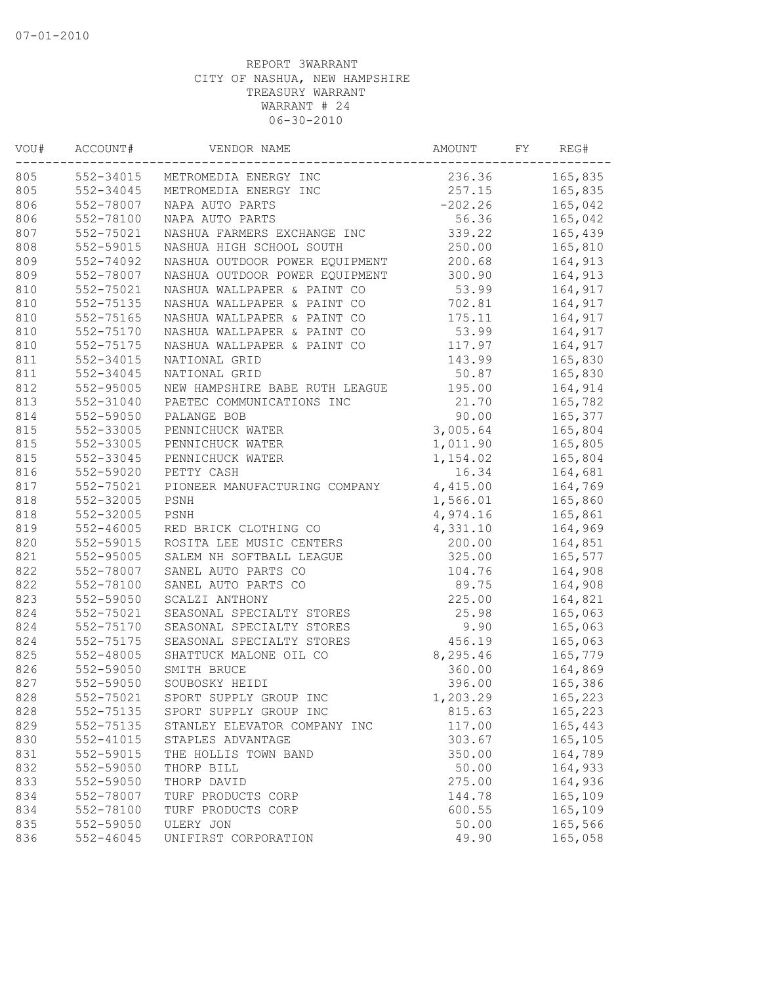| VOU# | ACCOUNT#      | VENDOR NAME                    | AMOUNT    | FY | REG#    |
|------|---------------|--------------------------------|-----------|----|---------|
| 805  | 552-34015     | METROMEDIA ENERGY INC          | 236.36    |    | 165,835 |
| 805  | 552-34045     | METROMEDIA ENERGY INC          | 257.15    |    | 165,835 |
| 806  | 552-78007     | NAPA AUTO PARTS                | $-202.26$ |    | 165,042 |
| 806  | 552-78100     | NAPA AUTO PARTS                | 56.36     |    | 165,042 |
| 807  | 552-75021     | NASHUA FARMERS EXCHANGE INC    | 339.22    |    | 165,439 |
| 808  | 552-59015     | NASHUA HIGH SCHOOL SOUTH       | 250.00    |    | 165,810 |
| 809  | 552-74092     | NASHUA OUTDOOR POWER EQUIPMENT | 200.68    |    | 164,913 |
| 809  | 552-78007     | NASHUA OUTDOOR POWER EQUIPMENT | 300.90    |    | 164,913 |
| 810  | 552-75021     | NASHUA WALLPAPER & PAINT CO    | 53.99     |    | 164,917 |
| 810  | 552-75135     | NASHUA WALLPAPER & PAINT CO    | 702.81    |    | 164,917 |
| 810  | 552-75165     | NASHUA WALLPAPER & PAINT CO    | 175.11    |    | 164,917 |
| 810  | 552-75170     | NASHUA WALLPAPER & PAINT CO    | 53.99     |    | 164,917 |
| 810  | 552-75175     | NASHUA WALLPAPER & PAINT CO    | 117.97    |    | 164,917 |
| 811  | 552-34015     | NATIONAL GRID                  | 143.99    |    | 165,830 |
| 811  | 552-34045     | NATIONAL GRID                  | 50.87     |    | 165,830 |
| 812  | 552-95005     | NEW HAMPSHIRE BABE RUTH LEAGUE | 195.00    |    | 164,914 |
| 813  | 552-31040     | PAETEC COMMUNICATIONS INC      | 21.70     |    | 165,782 |
| 814  | 552-59050     | PALANGE BOB                    | 90.00     |    | 165,377 |
| 815  | 552-33005     | PENNICHUCK WATER               | 3,005.64  |    | 165,804 |
| 815  | 552-33005     | PENNICHUCK WATER               | 1,011.90  |    | 165,805 |
| 815  | 552-33045     | PENNICHUCK WATER               | 1,154.02  |    | 165,804 |
| 816  | 552-59020     | PETTY CASH                     | 16.34     |    | 164,681 |
| 817  | 552-75021     | PIONEER MANUFACTURING COMPANY  | 4,415.00  |    | 164,769 |
| 818  | 552-32005     | PSNH                           | 1,566.01  |    | 165,860 |
| 818  | 552-32005     | PSNH                           | 4,974.16  |    | 165,861 |
| 819  | $552 - 46005$ | RED BRICK CLOTHING CO          | 4,331.10  |    | 164,969 |
| 820  | 552-59015     | ROSITA LEE MUSIC CENTERS       | 200.00    |    | 164,851 |
| 821  | 552-95005     | SALEM NH SOFTBALL LEAGUE       | 325.00    |    | 165,577 |
| 822  | 552-78007     | SANEL AUTO PARTS CO            | 104.76    |    | 164,908 |
| 822  | 552-78100     | SANEL AUTO PARTS CO            | 89.75     |    | 164,908 |
| 823  | 552-59050     | SCALZI ANTHONY                 | 225.00    |    | 164,821 |
| 824  | 552-75021     | SEASONAL SPECIALTY STORES      | 25.98     |    | 165,063 |
| 824  | 552-75170     | SEASONAL SPECIALTY STORES      | 9.90      |    | 165,063 |
| 824  | 552-75175     | SEASONAL SPECIALTY STORES      | 456.19    |    | 165,063 |
| 825  | $552 - 48005$ | SHATTUCK MALONE OIL CO         | 8,295.46  |    | 165,779 |
| 826  | 552-59050     | SMITH BRUCE                    | 360.00    |    | 164,869 |
| 827  | 552-59050     | SOUBOSKY HEIDI                 | 396.00    |    | 165,386 |
| 828  | 552-75021     | SPORT SUPPLY GROUP INC         | 1,203.29  |    | 165,223 |
| 828  | 552-75135     | SPORT SUPPLY GROUP INC         | 815.63    |    | 165,223 |
| 829  | 552-75135     | STANLEY ELEVATOR COMPANY INC   | 117.00    |    | 165,443 |
| 830  | 552-41015     | STAPLES ADVANTAGE              | 303.67    |    | 165,105 |
| 831  | 552-59015     | THE HOLLIS TOWN BAND           | 350.00    |    | 164,789 |
| 832  | 552-59050     | THORP BILL                     | 50.00     |    | 164,933 |
| 833  | 552-59050     | THORP DAVID                    | 275.00    |    | 164,936 |
| 834  | 552-78007     | TURF PRODUCTS CORP             | 144.78    |    | 165,109 |
| 834  | 552-78100     | TURF PRODUCTS CORP             | 600.55    |    | 165,109 |
| 835  | 552-59050     | ULERY JON                      | 50.00     |    | 165,566 |
| 836  | 552-46045     | UNIFIRST CORPORATION           | 49.90     |    | 165,058 |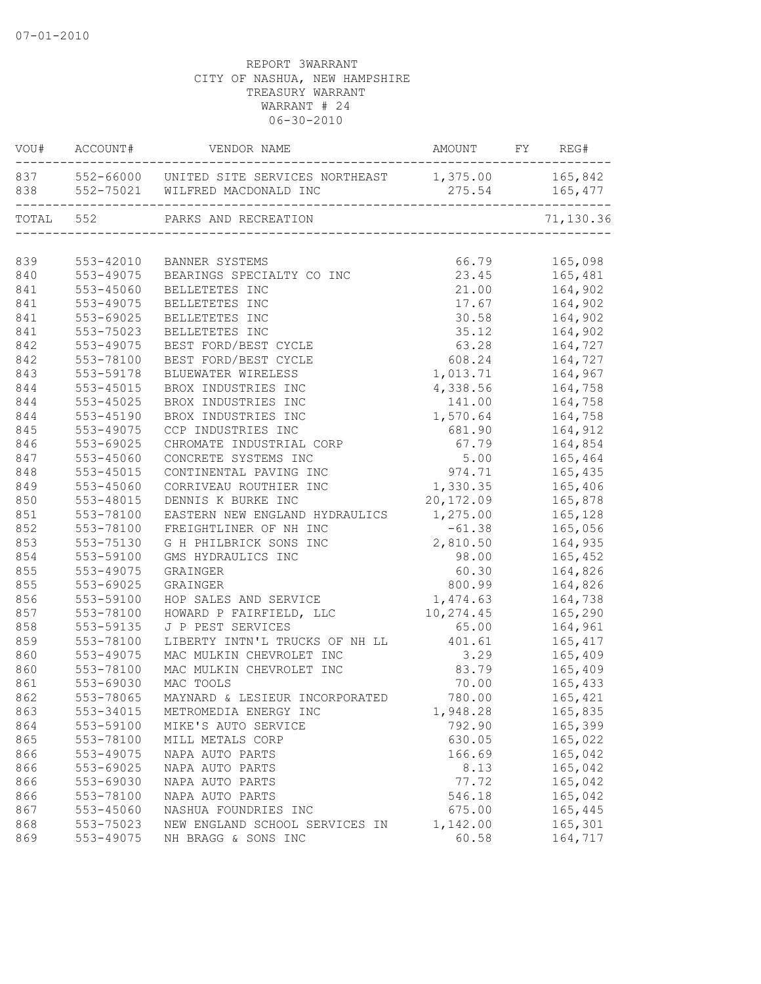|           | VOU# ACCOUNT# | VENDOR NAME                                                   | AMOUNT FY REG# |                |
|-----------|---------------|---------------------------------------------------------------|----------------|----------------|
|           |               | 837 552-66000 UNITED SITE SERVICES NORTHEAST 1,375.00 165,842 |                | 275.54 165,477 |
| TOTAL 552 |               | PARKS AND RECREATION                                          |                | 71,130.36      |
|           |               |                                                               |                |                |
| 839       | 553-42010     | BANNER SYSTEMS                                                | 66.79          | 165,098        |
| 840       | 553-49075     | BEARINGS SPECIALTY CO INC                                     | 23.45          | 165,481        |
| 841       | 553-45060     | BELLETETES INC                                                | 21.00          | 164,902        |
| 841       | 553-49075     | BELLETETES INC                                                | 17.67          | 164,902        |
| 841       | 553-69025     | BELLETETES INC                                                | 30.58          | 164,902        |
| 841       | 553-75023     | BELLETETES INC                                                | 35.12          | 164,902        |
| 842       | 553-49075     | BEST FORD/BEST CYCLE                                          | 63.28          | 164,727        |
| 842       | 553-78100     | BEST FORD/BEST CYCLE                                          | 608.24         | 164,727        |
| 843       | 553-59178     | BLUEWATER WIRELESS                                            | 1,013.71       | 164,967        |
| 844       | $553 - 45015$ | BROX INDUSTRIES INC                                           | 4,338.56       | 164,758        |
| 844       | 553-45025     | BROX INDUSTRIES INC                                           | 141.00         | 164,758        |
| 844       | 553-45190     | BROX INDUSTRIES INC                                           | 1,570.64       | 164,758        |
| 845       | 553-49075     | CCP INDUSTRIES INC                                            | 681.90         | 164,912        |
| 846       | 553-69025     | CHROMATE INDUSTRIAL CORP                                      | 67.79          | 164,854        |
| 847       | 553-45060     | CONCRETE SYSTEMS INC                                          | 5.00           | 165,464        |
| 848       | 553-45015     | CONTINENTAL PAVING INC                                        | 974.71         | 165,435        |
| 849       | 553-45060     | CORRIVEAU ROUTHIER INC                                        | 1,330.35       | 165,406        |
| 850       | 553-48015     | DENNIS K BURKE INC                                            | 20,172.09      | 165,878        |
| 851       | 553-78100     | EASTERN NEW ENGLAND HYDRAULICS                                | 1,275.00       | 165,128        |
| 852       | 553-78100     | FREIGHTLINER OF NH INC                                        | $-61.38$       | 165,056        |
| 853       | 553-75130     | G H PHILBRICK SONS INC                                        | 2,810.50       | 164,935        |
| 854       | 553-59100     | GMS HYDRAULICS INC                                            | 98.00          | 165,452        |
| 855       | 553-49075     | GRAINGER                                                      | 60.30          | 164,826        |
| 855       | 553-69025     | GRAINGER                                                      | 800.99         | 164,826        |
| 856       | 553-59100     | HOP SALES AND SERVICE                                         | 1,474.63       | 164,738        |
| 857       | 553-78100     | HOWARD P FAIRFIELD, LLC                                       | 10,274.45      | 165,290        |
| 858       | 553-59135     | J P PEST SERVICES                                             | 65.00          | 164,961        |
| 859       | 553-78100     | LIBERTY INTN'L TRUCKS OF NH LL                                | 401.61         | 165,417        |
| 860       | 553-49075     | MAC MULKIN CHEVROLET INC                                      | 3.29           | 165,409        |
| 860       | 553-78100     | MAC MULKIN CHEVROLET INC                                      | 83.79          | 165,409        |
| 861       | 553-69030     | MAC TOOLS                                                     | 70.00          | 165,433        |
| 862       | 553-78065     | MAYNARD & LESIEUR INCORPORATED                                | 780.00         | 165,421        |
| 863       | 553-34015     | METROMEDIA ENERGY INC                                         | 1,948.28       | 165,835        |
| 864       | 553-59100     | MIKE'S AUTO SERVICE                                           | 792.90         | 165,399        |
| 865       | 553-78100     | MILL METALS CORP                                              | 630.05         | 165,022        |
| 866       | 553-49075     | NAPA AUTO PARTS                                               | 166.69         | 165,042        |
| 866       | 553-69025     | NAPA AUTO PARTS                                               | 8.13           | 165,042        |
| 866       | 553-69030     | NAPA AUTO PARTS                                               | 77.72          | 165,042        |
| 866       | 553-78100     | NAPA AUTO PARTS                                               | 546.18         | 165,042        |
| 867       | 553-45060     | NASHUA FOUNDRIES INC                                          | 675.00         | 165,445        |
| 868       | 553-75023     | NEW ENGLAND SCHOOL SERVICES IN                                | 1,142.00       | 165,301        |
| 869       | 553-49075     | NH BRAGG & SONS INC                                           | 60.58          | 164,717        |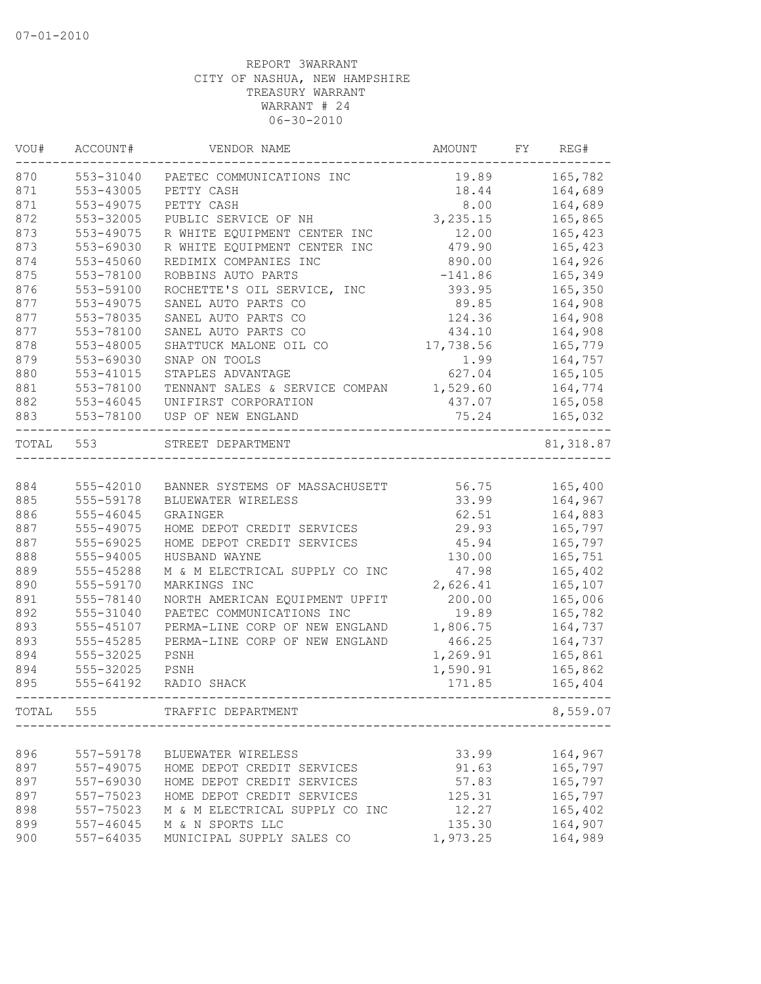| VOU#  | ACCOUNT#      | VENDOR NAME                    | AMOUNT    | FY | REG#       |
|-------|---------------|--------------------------------|-----------|----|------------|
| 870   | 553-31040     | PAETEC COMMUNICATIONS INC      | 19.89     |    | 165,782    |
| 871   | 553-43005     | PETTY CASH                     | 18.44     |    | 164,689    |
| 871   | 553-49075     | PETTY CASH                     | 8.00      |    | 164,689    |
| 872   | 553-32005     | PUBLIC SERVICE OF NH           | 3,235.15  |    | 165,865    |
| 873   | 553-49075     | R WHITE EQUIPMENT CENTER INC   | 12.00     |    | 165,423    |
| 873   | 553-69030     | R WHITE EQUIPMENT CENTER INC   | 479.90    |    | 165,423    |
| 874   | 553-45060     | REDIMIX COMPANIES INC          | 890.00    |    | 164,926    |
| 875   | 553-78100     | ROBBINS AUTO PARTS             | $-141.86$ |    | 165,349    |
| 876   | 553-59100     | ROCHETTE'S OIL SERVICE, INC    | 393.95    |    | 165,350    |
| 877   | 553-49075     | SANEL AUTO PARTS CO            | 89.85     |    | 164,908    |
| 877   | 553-78035     | SANEL AUTO PARTS CO            | 124.36    |    | 164,908    |
| 877   | 553-78100     | SANEL AUTO PARTS CO            | 434.10    |    | 164,908    |
| 878   | 553-48005     | SHATTUCK MALONE OIL CO         | 17,738.56 |    | 165,779    |
| 879   | 553-69030     | SNAP ON TOOLS                  | 1.99      |    | 164,757    |
| 880   | 553-41015     | STAPLES ADVANTAGE              | 627.04    |    | 165,105    |
| 881   | 553-78100     | TENNANT SALES & SERVICE COMPAN | 1,529.60  |    | 164,774    |
| 882   | $553 - 46045$ | UNIFIRST CORPORATION           | 437.07    |    | 165,058    |
| 883   | 553-78100     | USP OF NEW ENGLAND             | 75.24     |    | 165,032    |
| TOTAL | 553           | STREET DEPARTMENT              |           |    | 81, 318.87 |
|       |               |                                |           |    |            |
| 884   | 555-42010     | BANNER SYSTEMS OF MASSACHUSETT | 56.75     |    | 165,400    |
| 885   | 555-59178     | BLUEWATER WIRELESS             | 33.99     |    | 164,967    |
| 886   | 555-46045     | GRAINGER                       | 62.51     |    | 164,883    |
| 887   | 555-49075     | HOME DEPOT CREDIT SERVICES     | 29.93     |    | 165,797    |
| 887   | 555-69025     | HOME DEPOT CREDIT SERVICES     | 45.94     |    | 165,797    |
| 888   | 555-94005     | HUSBAND WAYNE                  | 130.00    |    | 165,751    |
| 889   | 555-45288     | M & M ELECTRICAL SUPPLY CO INC | 47.98     |    | 165,402    |
| 890   | 555-59170     | MARKINGS INC                   | 2,626.41  |    | 165,107    |
| 891   | 555-78140     | NORTH AMERICAN EQUIPMENT UPFIT | 200.00    |    | 165,006    |
| 892   | 555-31040     | PAETEC COMMUNICATIONS INC      | 19.89     |    | 165,782    |
| 893   | 555-45107     | PERMA-LINE CORP OF NEW ENGLAND | 1,806.75  |    | 164,737    |
| 893   | 555-45285     | PERMA-LINE CORP OF NEW ENGLAND | 466.25    |    | 164,737    |
| 894   | 555-32025     | PSNH                           | 1,269.91  |    | 165,861    |
| 894   | 555-32025     | PSNH                           | 1,590.91  |    | 165,862    |
| 895   | 555-64192     | RADIO SHACK                    | 171.85    |    | 165,404    |
| TOTAL | 555           | TRAFFIC DEPARTMENT             |           |    | 8,559.07   |
|       |               |                                |           |    |            |
| 896   | 557-59178     | BLUEWATER WIRELESS             | 33.99     |    | 164,967    |
| 897   | 557-49075     | HOME DEPOT CREDIT SERVICES     | 91.63     |    | 165,797    |
| 897   | 557-69030     | HOME DEPOT CREDIT SERVICES     | 57.83     |    | 165,797    |
| 897   | 557-75023     | HOME DEPOT CREDIT SERVICES     | 125.31    |    | 165,797    |
| 898   | 557-75023     | M & M ELECTRICAL SUPPLY CO INC | 12.27     |    | 165,402    |
| 899   | 557-46045     | M & N SPORTS LLC               | 135.30    |    | 164,907    |
| 900   | 557-64035     | MUNICIPAL SUPPLY SALES CO      | 1,973.25  |    | 164,989    |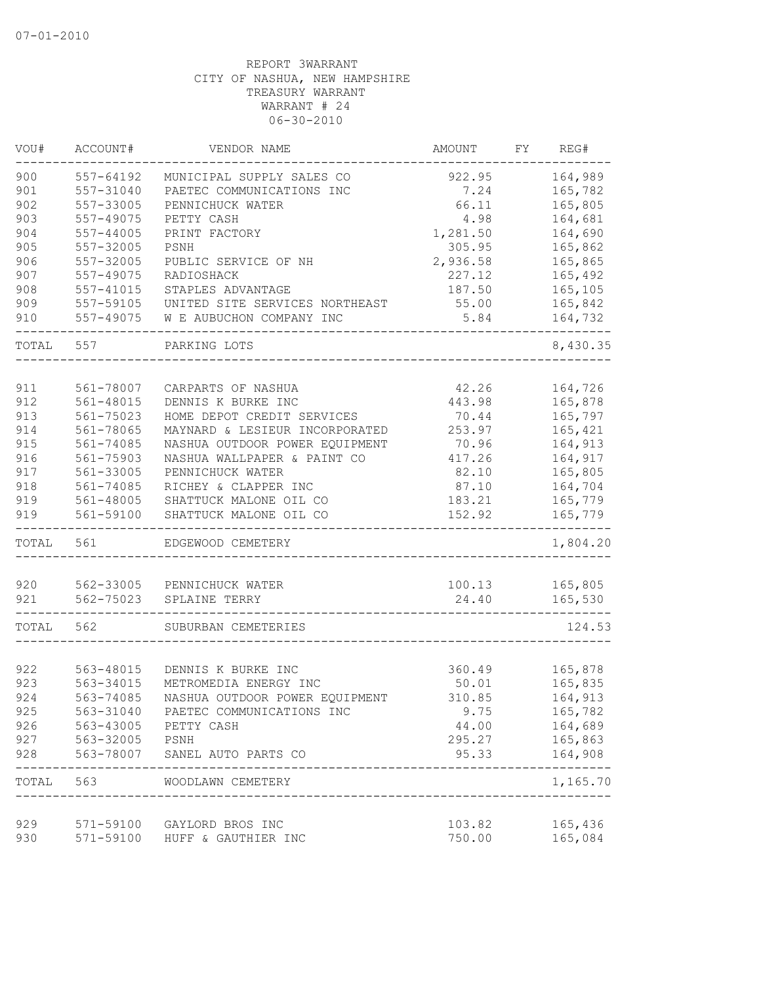| VOU#       | ACCOUNT#      | VENDOR NAME                                                 | <b>AMOUNT</b>    | FY. | REG#                  |
|------------|---------------|-------------------------------------------------------------|------------------|-----|-----------------------|
| 900        | 557-64192     | MUNICIPAL SUPPLY SALES CO                                   | 922.95           |     | 164,989               |
| 901        | 557-31040     | PAETEC COMMUNICATIONS INC                                   | 7.24             |     | 165,782               |
| 902        | 557-33005     | PENNICHUCK WATER                                            | 66.11            |     | 165,805               |
| 903        | 557-49075     | PETTY CASH                                                  | 4.98             |     | 164,681               |
| 904        | $557 - 44005$ | PRINT FACTORY                                               | 1,281.50         |     | 164,690               |
| 905        | 557-32005     | PSNH                                                        | 305.95           |     | 165,862               |
| 906        | 557-32005     | PUBLIC SERVICE OF NH                                        | 2,936.58         |     | 165,865               |
| 907        | 557-49075     | RADIOSHACK                                                  | 227.12           |     | 165,492               |
| 908        | 557-41015     | STAPLES ADVANTAGE                                           | 187.50           |     | 165,105               |
| 909        | 557-59105     | UNITED SITE SERVICES NORTHEAST                              | 55.00            |     | 165,842               |
| 910        | 557-49075     | W E AUBUCHON COMPANY INC                                    | 5.84             |     | 164,732               |
| TOTAL      | 557           | PARKING LOTS                                                |                  |     | 8,430.35              |
|            |               |                                                             |                  |     |                       |
| 911        | 561-78007     | CARPARTS OF NASHUA                                          | 42.26            |     | 164,726               |
| 912        | 561-48015     | DENNIS K BURKE INC                                          | 443.98           |     | 165,878               |
| 913        | 561-75023     | HOME DEPOT CREDIT SERVICES                                  | 70.44            |     | 165,797               |
| 914        | 561-78065     | MAYNARD & LESIEUR INCORPORATED                              | 253.97           |     | 165,421               |
| 915        | 561-74085     | NASHUA OUTDOOR POWER EQUIPMENT                              | 70.96            |     | 164,913               |
| 916        | 561-75903     | NASHUA WALLPAPER & PAINT CO                                 | 417.26           |     | 164,917               |
| 917        | 561-33005     | PENNICHUCK WATER                                            | 82.10            |     | 165,805               |
| 918        | 561-74085     | RICHEY & CLAPPER INC                                        | 87.10            |     | 164,704               |
| 919        | 561-48005     | SHATTUCK MALONE OIL CO                                      | 183.21           |     | 165,779               |
| 919        | 561-59100     | SHATTUCK MALONE OIL CO                                      | 152.92           |     | 165,779               |
| TOTAL      | 561           | EDGEWOOD CEMETERY                                           |                  |     | 1,804.20              |
| 920        | 562-33005     | PENNICHUCK WATER                                            | 100.13           |     | 165,805               |
| 921        | 562-75023     | SPLAINE TERRY                                               | 24.40            |     | 165,530               |
| TOTAL      | 562           | SUBURBAN CEMETERIES                                         |                  |     | 124.53                |
|            |               |                                                             |                  |     |                       |
| 922        | 563-48015     | DENNIS K BURKE INC                                          | 360.49           |     | 165,878               |
| 923        | 563-34015     | METROMEDIA ENERGY INC                                       | 50.01            |     | 165,835               |
| 924        | 563-74085     | NASHUA OUTDOOR POWER EQUIPMENT                              | 310.85           |     | 164,913               |
| 925        | 563-31040     | PAETEC COMMUNICATIONS INC                                   | 9.75             |     | 165,782               |
| 926        | 563-43005     | PETTY CASH                                                  | 44.00            |     | 164,689               |
| 927        | 563-32005     | PSNH                                                        | 295.27           |     | 165,863               |
| 928        | 563-78007     | SANEL AUTO PARTS CO                                         | 95.33            |     | 164,908               |
|            |               | TOTAL 563 WOODLAWN CEMETERY<br>_________________________    |                  |     | ---------<br>1,165.70 |
|            |               |                                                             |                  |     |                       |
| 929<br>930 |               | 571-59100 GAYLORD BROS INC<br>571-59100 HUFF & GAUTHIER INC | 103.82<br>750.00 |     | 165,436<br>165,084    |
|            |               |                                                             |                  |     |                       |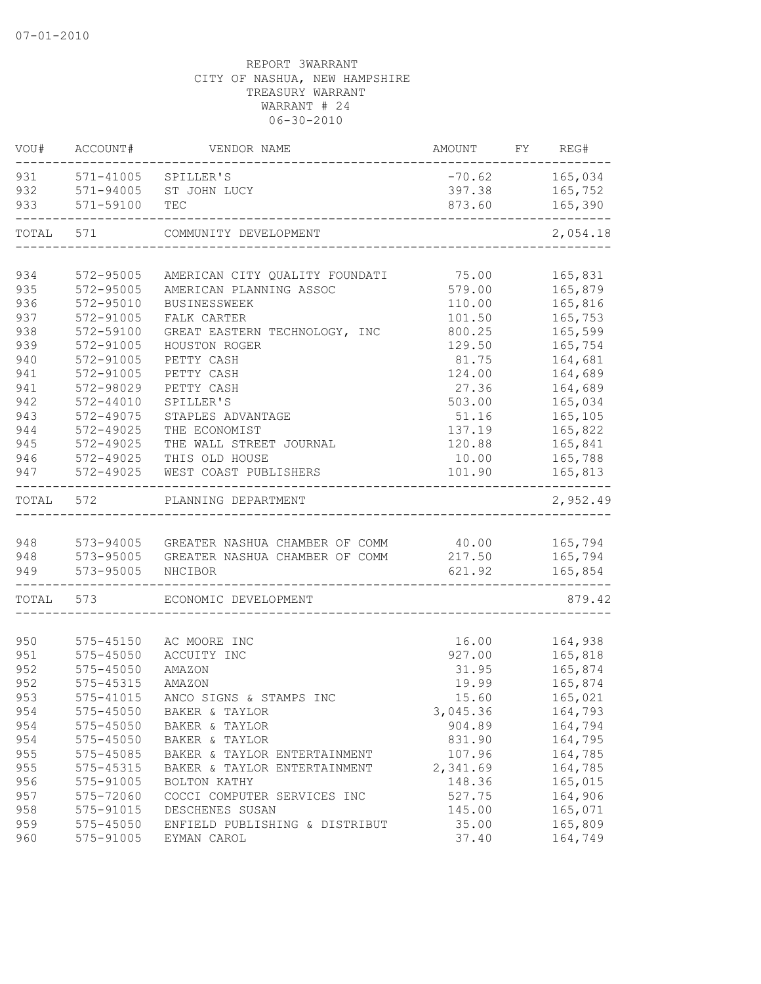| VOU#  | ACCOUNT#                | VENDOR NAME                              | AMOUNT FY REG# |          |
|-------|-------------------------|------------------------------------------|----------------|----------|
|       | 931 571-41005 SPILLER'S |                                          | $-70.62$       | 165,034  |
| 932   | 571-94005               | ST JOHN LUCY                             | 397.38         | 165,752  |
| 933   | 571-59100               | TEC                                      | 873.60         | 165,390  |
| TOTAL | 571                     | COMMUNITY DEVELOPMENT                    |                | 2,054.18 |
|       |                         |                                          |                |          |
| 934   | 572-95005               | AMERICAN CITY QUALITY FOUNDATI           | 75.00          | 165,831  |
| 935   | 572-95005               | AMERICAN PLANNING ASSOC                  | 579.00         | 165,879  |
| 936   | 572-95010               | <b>BUSINESSWEEK</b>                      | 110.00         | 165,816  |
| 937   | 572-91005               | FALK CARTER                              | 101.50         | 165,753  |
| 938   | 572-59100               | GREAT EASTERN TECHNOLOGY, INC            | 800.25         | 165,599  |
| 939   | 572-91005               | HOUSTON ROGER                            | 129.50         | 165,754  |
| 940   | 572-91005               | PETTY CASH                               | 81.75          | 164,681  |
| 941   | 572-91005               | PETTY CASH                               | 124.00         | 164,689  |
| 941   | 572-98029               | PETTY CASH                               | 27.36          | 164,689  |
| 942   | $572 - 44010$           | SPILLER'S                                | 503.00         | 165,034  |
| 943   | 572-49075               | STAPLES ADVANTAGE                        | 51.16          | 165,105  |
| 944   | 572-49025               | THE ECONOMIST                            | 137.19         | 165,822  |
| 945   | 572-49025               | THE WALL STREET JOURNAL                  | 120.88         | 165,841  |
| 946   | 572-49025               | THIS OLD HOUSE                           | 10.00          | 165,788  |
| 947   | 572-49025               | WEST COAST PUBLISHERS                    | 101.90         | 165,813  |
| TOTAL | 572                     | PLANNING DEPARTMENT                      |                | 2,952.49 |
| 948   |                         | 573-94005 GREATER NASHUA CHAMBER OF COMM | 40.00          | 165,794  |
| 948   |                         | 573-95005 GREATER NASHUA CHAMBER OF COMM | 217.50         | 165,794  |
| 949   | 573-95005               | NHCIBOR                                  | 621.92         | 165,854  |
|       |                         |                                          |                |          |
| TOTAL | 573                     | ECONOMIC DEVELOPMENT                     |                | 879.42   |
|       |                         |                                          |                |          |
| 950   | 575-45150               | AC MOORE INC                             | 16.00          | 164,938  |
| 951   | 575-45050               | ACCUITY INC                              | 927.00         | 165,818  |
| 952   | 575-45050               | AMAZON                                   | 31.95          | 165,874  |
| 952   | 575-45315               | AMAZON                                   | 19.99          | 165,874  |
| 953   |                         | 575-41015 ANCO SIGNS & STAMPS INC        | 15.60          | 165,021  |
| 954   | 575-45050               | BAKER & TAYLOR                           | 3,045.36       | 164,793  |
| 954   | 575-45050               | BAKER & TAYLOR                           | 904.89         | 164,794  |
| 954   | $575 - 45050$           | BAKER & TAYLOR                           | 831.90         | 164,795  |
| 955   | 575-45085               | BAKER & TAYLOR ENTERTAINMENT             | 107.96         | 164,785  |
| 955   | 575-45315               | BAKER & TAYLOR ENTERTAINMENT             | 2,341.69       | 164,785  |
| 956   | 575-91005               | BOLTON KATHY                             | 148.36         | 165,015  |
| 957   | 575-72060               | COCCI COMPUTER SERVICES INC              | 527.75         | 164,906  |
| 958   | 575-91015               | DESCHENES SUSAN                          | 145.00         | 165,071  |
| 959   | 575-45050               | ENFIELD PUBLISHING & DISTRIBUT           | 35.00          | 165,809  |
| 960   | 575-91005               | EYMAN CAROL                              | 37.40          | 164,749  |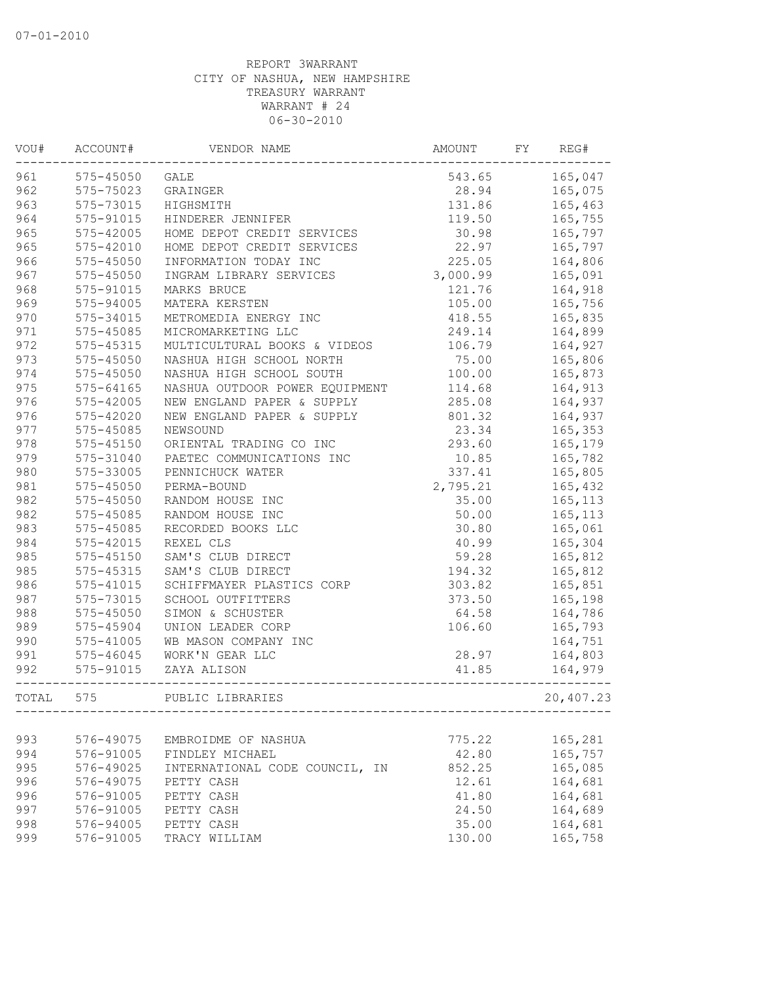| VOU#  | ACCOUNT#      | VENDOR NAME                    | AMOUNT   | FY | REG#      |
|-------|---------------|--------------------------------|----------|----|-----------|
| 961   | 575-45050     | GALE                           | 543.65   |    | 165,047   |
| 962   | 575-75023     | GRAINGER                       | 28.94    |    | 165,075   |
| 963   | 575-73015     | HIGHSMITH                      | 131.86   |    | 165,463   |
| 964   | 575-91015     | HINDERER JENNIFER              | 119.50   |    | 165,755   |
| 965   | 575-42005     | HOME DEPOT CREDIT SERVICES     | 30.98    |    | 165,797   |
| 965   | 575-42010     | HOME DEPOT CREDIT SERVICES     | 22.97    |    | 165,797   |
| 966   | 575-45050     | INFORMATION TODAY INC          | 225.05   |    | 164,806   |
| 967   | $575 - 45050$ | INGRAM LIBRARY SERVICES        | 3,000.99 |    | 165,091   |
| 968   | 575-91015     | MARKS BRUCE                    | 121.76   |    | 164,918   |
| 969   | 575-94005     | MATERA KERSTEN                 | 105.00   |    | 165,756   |
| 970   | 575-34015     | METROMEDIA ENERGY INC          | 418.55   |    | 165,835   |
| 971   | 575-45085     | MICROMARKETING LLC             | 249.14   |    | 164,899   |
| 972   | 575-45315     | MULTICULTURAL BOOKS & VIDEOS   | 106.79   |    | 164,927   |
| 973   | 575-45050     | NASHUA HIGH SCHOOL NORTH       | 75.00    |    | 165,806   |
| 974   | 575-45050     | NASHUA HIGH SCHOOL SOUTH       | 100.00   |    | 165,873   |
| 975   | $575 - 64165$ | NASHUA OUTDOOR POWER EQUIPMENT | 114.68   |    | 164,913   |
| 976   | 575-42005     | NEW ENGLAND PAPER & SUPPLY     | 285.08   |    | 164,937   |
| 976   | 575-42020     | NEW ENGLAND PAPER & SUPPLY     | 801.32   |    | 164,937   |
| 977   | 575-45085     | NEWSOUND                       | 23.34    |    | 165,353   |
| 978   | $575 - 45150$ | ORIENTAL TRADING CO INC        | 293.60   |    | 165,179   |
| 979   | 575-31040     | PAETEC COMMUNICATIONS INC      | 10.85    |    | 165,782   |
| 980   | 575-33005     | PENNICHUCK WATER               | 337.41   |    | 165,805   |
| 981   | 575-45050     | PERMA-BOUND                    | 2,795.21 |    | 165,432   |
| 982   | $575 - 45050$ | RANDOM HOUSE INC               | 35.00    |    | 165, 113  |
| 982   | 575-45085     | RANDOM HOUSE INC               | 50.00    |    | 165, 113  |
| 983   | 575-45085     | RECORDED BOOKS LLC             | 30.80    |    | 165,061   |
| 984   | 575-42015     | REXEL CLS                      | 40.99    |    | 165,304   |
| 985   | 575-45150     | SAM'S CLUB DIRECT              | 59.28    |    | 165,812   |
| 985   | 575-45315     | SAM'S CLUB DIRECT              | 194.32   |    | 165,812   |
| 986   | 575-41015     | SCHIFFMAYER PLASTICS CORP      | 303.82   |    | 165,851   |
| 987   | 575-73015     | SCHOOL OUTFITTERS              | 373.50   |    | 165,198   |
| 988   | 575-45050     | SIMON & SCHUSTER               | 64.58    |    | 164,786   |
| 989   | 575-45904     | UNION LEADER CORP              | 106.60   |    | 165,793   |
| 990   | 575-41005     | WB MASON COMPANY INC           |          |    | 164,751   |
| 991   | $575 - 46045$ | WORK'N GEAR LLC                | 28.97    |    | 164,803   |
| 992   | 575-91015     | ZAYA ALISON                    | 41.85    |    | 164,979   |
| TOTAL | 575           | PUBLIC LIBRARIES               |          |    | 20,407.23 |
|       |               |                                |          |    |           |
| 993   | 576-49075     | EMBROIDME OF NASHUA            | 775.22   |    | 165,281   |
| 994   | 576-91005     | FINDLEY MICHAEL                | 42.80    |    | 165,757   |
| 995   | 576-49025     | INTERNATIONAL CODE COUNCIL, IN | 852.25   |    | 165,085   |
| 996   | 576-49075     | PETTY CASH                     | 12.61    |    | 164,681   |
| 996   | 576-91005     | PETTY CASH                     | 41.80    |    | 164,681   |
| 997   | 576-91005     | PETTY CASH                     | 24.50    |    | 164,689   |
| 998   | 576-94005     | PETTY CASH                     | 35.00    |    | 164,681   |
| 999   | 576-91005     | TRACY WILLIAM                  | 130.00   |    | 165,758   |
|       |               |                                |          |    |           |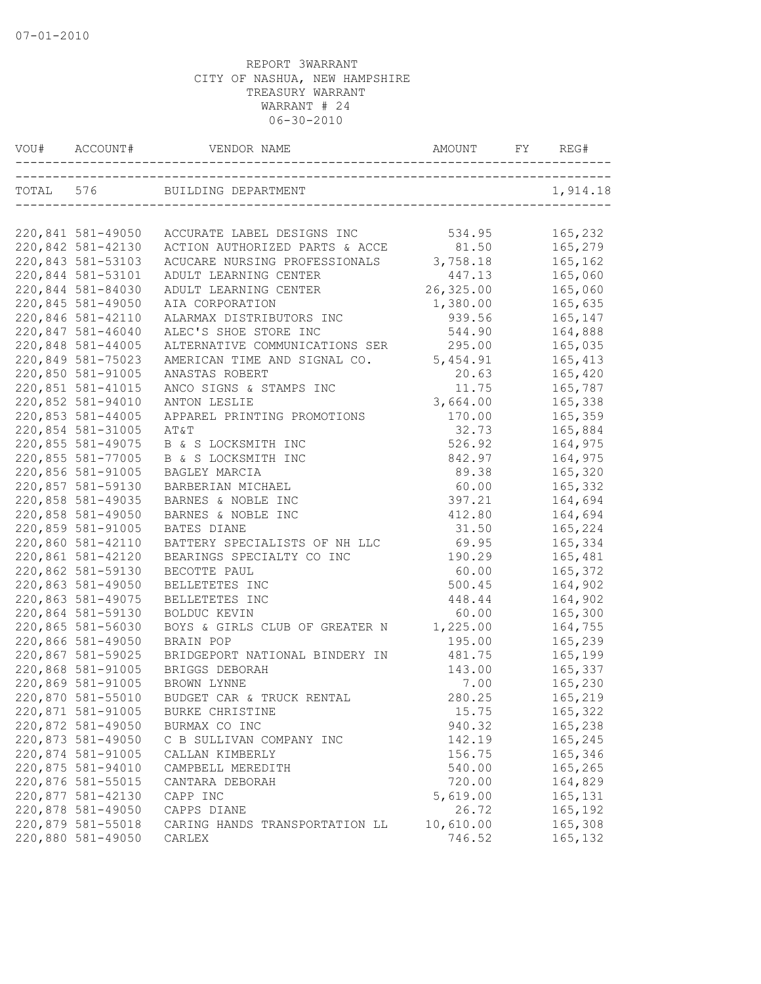| VOU# ACCOUNT#     |                                | AMOUNT    |          |
|-------------------|--------------------------------|-----------|----------|
|                   | TOTAL 576 BUILDING DEPARTMENT  |           | 1,914.18 |
|                   |                                |           |          |
| 220,841 581-49050 | ACCURATE LABEL DESIGNS INC     | 534.95    | 165,232  |
| 220,842 581-42130 | ACTION AUTHORIZED PARTS & ACCE | 81.50     | 165,279  |
| 220,843 581-53103 | ACUCARE NURSING PROFESSIONALS  | 3,758.18  | 165,162  |
| 220,844 581-53101 | ADULT LEARNING CENTER          | 447.13    | 165,060  |
| 220,844 581-84030 | ADULT LEARNING CENTER          | 26,325.00 | 165,060  |
| 220,845 581-49050 | AIA CORPORATION                | 1,380.00  | 165,635  |
| 220,846 581-42110 | ALARMAX DISTRIBUTORS INC       | 939.56    | 165,147  |
| 220,847 581-46040 | ALEC'S SHOE STORE INC          | 544.90    | 164,888  |
| 220,848 581-44005 | ALTERNATIVE COMMUNICATIONS SER | 295.00    | 165,035  |
| 220,849 581-75023 | AMERICAN TIME AND SIGNAL CO.   | 5,454.91  | 165,413  |
| 220,850 581-91005 | ANASTAS ROBERT                 | 20.63     | 165,420  |
| 220,851 581-41015 | ANCO SIGNS & STAMPS INC        | 11.75     | 165,787  |
| 220,852 581-94010 | ANTON LESLIE                   | 3,664.00  | 165,338  |
| 220,853 581-44005 | APPAREL PRINTING PROMOTIONS    | 170.00    | 165,359  |
| 220,854 581-31005 | AT&T                           | 32.73     | 165,884  |
| 220,855 581-49075 | B & S LOCKSMITH INC            | 526.92    | 164,975  |
| 220,855 581-77005 | B & S LOCKSMITH INC            | 842.97    | 164,975  |
| 220,856 581-91005 | BAGLEY MARCIA                  | 89.38     | 165,320  |
| 220,857 581-59130 | BARBERIAN MICHAEL              | 60.00     | 165,332  |
| 220,858 581-49035 | BARNES & NOBLE INC             | 397.21    | 164,694  |
| 220,858 581-49050 | BARNES & NOBLE INC             | 412.80    | 164,694  |
| 220,859 581-91005 | BATES DIANE                    | 31.50     | 165,224  |
| 220,860 581-42110 | BATTERY SPECIALISTS OF NH LLC  | 69.95     | 165,334  |
| 220,861 581-42120 | BEARINGS SPECIALTY CO INC      | 190.29    | 165,481  |
| 220,862 581-59130 | BECOTTE PAUL                   | 60.00     | 165,372  |
| 220,863 581-49050 | BELLETETES INC                 | 500.45    | 164,902  |
| 220,863 581-49075 | BELLETETES INC                 | 448.44    | 164,902  |
| 220,864 581-59130 | BOLDUC KEVIN                   | 60.00     | 165,300  |
| 220,865 581-56030 | BOYS & GIRLS CLUB OF GREATER N | 1,225.00  | 164,755  |
| 220,866 581-49050 | BRAIN POP                      | 195.00    | 165,239  |
| 220,867 581-59025 | BRIDGEPORT NATIONAL BINDERY IN | 481.75    | 165,199  |
| 220,868 581-91005 | BRIGGS DEBORAH                 | 143.00    | 165,337  |
| 220,869 581-91005 | BROWN LYNNE                    | 7.00      | 165,230  |
| 220,870 581-55010 | BUDGET CAR & TRUCK RENTAL      | 280.25    | 165,219  |
| 220,871 581-91005 | BURKE CHRISTINE                | 15.75     | 165,322  |
| 220,872 581-49050 | BURMAX CO INC                  | 940.32    | 165,238  |
| 220,873 581-49050 | C B SULLIVAN COMPANY INC       | 142.19    | 165,245  |
| 220,874 581-91005 | CALLAN KIMBERLY                | 156.75    | 165,346  |
| 220,875 581-94010 | CAMPBELL MEREDITH              | 540.00    | 165,265  |
| 220,876 581-55015 | CANTARA DEBORAH                | 720.00    | 164,829  |
| 220,877 581-42130 | CAPP INC                       | 5,619.00  | 165,131  |
| 220,878 581-49050 | CAPPS DIANE                    | 26.72     | 165,192  |
| 220,879 581-55018 | CARING HANDS TRANSPORTATION LL | 10,610.00 | 165,308  |
| 220,880 581-49050 | CARLEX                         | 746.52    | 165,132  |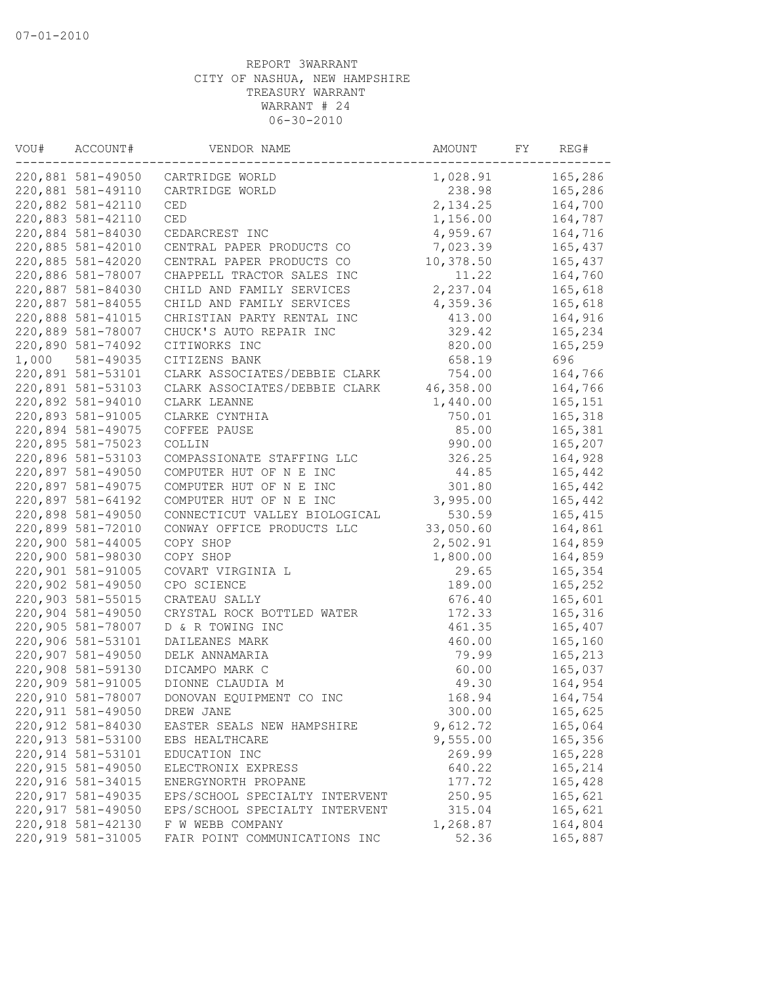| VOU#  | ACCOUNT#           | VENDOR NAME                    | AMOUNT    | FY | REG#     |
|-------|--------------------|--------------------------------|-----------|----|----------|
|       | 220,881 581-49050  | CARTRIDGE WORLD                | 1,028.91  |    | 165,286  |
|       | 220,881 581-49110  | CARTRIDGE WORLD                | 238.98    |    | 165,286  |
|       | 220,882 581-42110  | CED                            | 2, 134.25 |    | 164,700  |
|       | 220,883 581-42110  | CED                            | 1,156.00  |    | 164,787  |
|       | 220,884 581-84030  | CEDARCREST INC                 | 4,959.67  |    | 164,716  |
|       | 220,885 581-42010  | CENTRAL PAPER PRODUCTS CO      | 7,023.39  |    | 165,437  |
|       | 220,885 581-42020  | CENTRAL PAPER PRODUCTS CO      | 10,378.50 |    | 165,437  |
|       | 220,886 581-78007  | CHAPPELL TRACTOR SALES INC     | 11.22     |    | 164,760  |
|       | 220,887 581-84030  | CHILD AND FAMILY SERVICES      | 2,237.04  |    | 165,618  |
|       | 220,887 581-84055  | CHILD AND FAMILY SERVICES      | 4,359.36  |    | 165,618  |
|       | 220,888 581-41015  | CHRISTIAN PARTY RENTAL INC     | 413.00    |    | 164,916  |
|       | 220,889 581-78007  | CHUCK'S AUTO REPAIR INC        | 329.42    |    | 165,234  |
|       | 220,890 581-74092  | CITIWORKS INC                  | 820.00    |    | 165,259  |
| 1,000 | 581-49035          | CITIZENS BANK                  | 658.19    |    | 696      |
|       | 220,891 581-53101  | CLARK ASSOCIATES/DEBBIE CLARK  | 754.00    |    | 164,766  |
|       | 220,891 581-53103  | CLARK ASSOCIATES/DEBBIE CLARK  | 46,358.00 |    | 164,766  |
|       | 220,892 581-94010  | CLARK LEANNE                   | 1,440.00  |    | 165,151  |
|       | 220,893 581-91005  | CLARKE CYNTHIA                 | 750.01    |    | 165,318  |
|       | 220,894 581-49075  | COFFEE PAUSE                   | 85.00     |    | 165,381  |
|       | 220,895 581-75023  | COLLIN                         | 990.00    |    | 165,207  |
|       | 220,896 581-53103  | COMPASSIONATE STAFFING LLC     | 326.25    |    | 164,928  |
|       | 220,897 581-49050  | COMPUTER HUT OF N E INC        | 44.85     |    | 165,442  |
|       | 220,897 581-49075  | COMPUTER HUT OF N E INC        | 301.80    |    | 165,442  |
|       | 220,897 581-64192  | COMPUTER HUT OF N E INC        | 3,995.00  |    | 165,442  |
|       | 220,898 581-49050  | CONNECTICUT VALLEY BIOLOGICAL  | 530.59    |    | 165, 415 |
|       | 220,899 581-72010  | CONWAY OFFICE PRODUCTS LLC     | 33,050.60 |    | 164,861  |
|       | 220,900 581-44005  | COPY SHOP                      | 2,502.91  |    | 164,859  |
|       | 220,900 581-98030  | COPY SHOP                      | 1,800.00  |    | 164,859  |
|       | 220,901 581-91005  | COVART VIRGINIA L              | 29.65     |    | 165,354  |
|       | 220,902 581-49050  | CPO SCIENCE                    | 189.00    |    | 165,252  |
|       | 220,903 581-55015  | CRATEAU SALLY                  | 676.40    |    | 165,601  |
|       | 220,904 581-49050  | CRYSTAL ROCK BOTTLED WATER     | 172.33    |    | 165,316  |
|       | 220,905 581-78007  | D & R TOWING INC               | 461.35    |    | 165,407  |
|       | 220,906 581-53101  | DAILEANES MARK                 | 460.00    |    | 165,160  |
|       | 220,907 581-49050  | DELK ANNAMARIA                 | 79.99     |    | 165,213  |
|       | 220,908 581-59130  | DICAMPO MARK C                 | 60.00     |    | 165,037  |
|       | 220,909 581-91005  | DIONNE CLAUDIA M               | 49.30     |    | 164,954  |
|       | 220,910 581-78007  | DONOVAN EQUIPMENT CO INC       | 168.94    |    | 164,754  |
|       | 220,911 581-49050  | DREW JANE                      | 300.00    |    | 165,625  |
|       | 220,912 581-84030  | EASTER SEALS NEW HAMPSHIRE     | 9,612.72  |    | 165,064  |
|       | 220, 913 581-53100 | EBS HEALTHCARE                 | 9,555.00  |    | 165,356  |
|       | 220, 914 581-53101 | EDUCATION INC                  | 269.99    |    | 165,228  |
|       | 220, 915 581-49050 | ELECTRONIX EXPRESS             | 640.22    |    | 165,214  |
|       | 220,916 581-34015  | ENERGYNORTH PROPANE            | 177.72    |    | 165,428  |
|       | 220, 917 581-49035 | EPS/SCHOOL SPECIALTY INTERVENT | 250.95    |    | 165,621  |
|       | 220,917 581-49050  | EPS/SCHOOL SPECIALTY INTERVENT | 315.04    |    | 165,621  |
|       | 220,918 581-42130  | F W WEBB COMPANY               | 1,268.87  |    | 164,804  |
|       | 220,919 581-31005  | FAIR POINT COMMUNICATIONS INC  | 52.36     |    | 165,887  |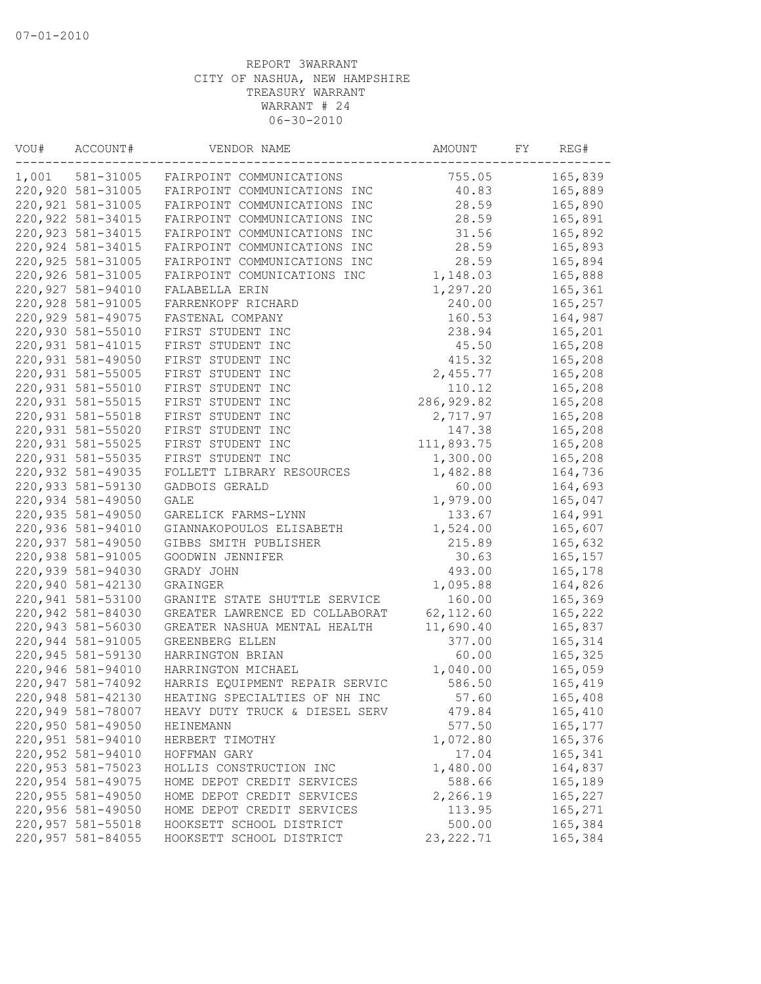| VOU#  | ACCOUNT#           | VENDOR NAME                    | AMOUNT      | FY | REG#    |
|-------|--------------------|--------------------------------|-------------|----|---------|
| 1,001 | 581-31005          | FAIRPOINT COMMUNICATIONS       | 755.05      |    | 165,839 |
|       | 220,920 581-31005  | FAIRPOINT COMMUNICATIONS INC   | 40.83       |    | 165,889 |
|       | 220, 921 581-31005 | FAIRPOINT COMMUNICATIONS INC   | 28.59       |    | 165,890 |
|       | 220, 922 581-34015 | FAIRPOINT COMMUNICATIONS INC   | 28.59       |    | 165,891 |
|       | 220,923 581-34015  | FAIRPOINT COMMUNICATIONS INC   | 31.56       |    | 165,892 |
|       | 220,924 581-34015  | FAIRPOINT COMMUNICATIONS INC   | 28.59       |    | 165,893 |
|       | 220, 925 581-31005 | FAIRPOINT COMMUNICATIONS INC   | 28.59       |    | 165,894 |
|       | 220,926 581-31005  | FAIRPOINT COMUNICATIONS INC    | 1,148.03    |    | 165,888 |
|       | 220,927 581-94010  | FALABELLA ERIN                 | 1,297.20    |    | 165,361 |
|       | 220,928 581-91005  | FARRENKOPF RICHARD             | 240.00      |    | 165,257 |
|       | 220,929 581-49075  | FASTENAL COMPANY               | 160.53      |    | 164,987 |
|       | 220,930 581-55010  | FIRST STUDENT INC              | 238.94      |    | 165,201 |
|       | 220, 931 581-41015 | FIRST STUDENT INC              | 45.50       |    | 165,208 |
|       | 220,931 581-49050  | FIRST STUDENT INC              | 415.32      |    | 165,208 |
|       | 220,931 581-55005  | FIRST STUDENT INC              | 2,455.77    |    | 165,208 |
|       | 220,931 581-55010  | FIRST STUDENT INC              | 110.12      |    | 165,208 |
|       | 220, 931 581-55015 | FIRST STUDENT INC              | 286, 929.82 |    | 165,208 |
|       | 220,931 581-55018  | FIRST STUDENT INC              | 2,717.97    |    | 165,208 |
|       | 220,931 581-55020  | FIRST STUDENT INC              | 147.38      |    | 165,208 |
|       | 220,931 581-55025  | FIRST STUDENT INC              | 111,893.75  |    | 165,208 |
|       | 220,931 581-55035  | FIRST STUDENT INC              | 1,300.00    |    | 165,208 |
|       | 220,932 581-49035  | FOLLETT LIBRARY RESOURCES      | 1,482.88    |    | 164,736 |
|       | 220,933 581-59130  | GADBOIS GERALD                 | 60.00       |    | 164,693 |
|       | 220,934 581-49050  | GALE                           | 1,979.00    |    | 165,047 |
|       | 220,935 581-49050  | GARELICK FARMS-LYNN            | 133.67      |    | 164,991 |
|       | 220,936 581-94010  | GIANNAKOPOULOS ELISABETH       | 1,524.00    |    | 165,607 |
|       | 220,937 581-49050  | GIBBS SMITH PUBLISHER          | 215.89      |    | 165,632 |
|       | 220,938 581-91005  | GOODWIN JENNIFER               | 30.63       |    | 165,157 |
|       | 220,939 581-94030  | GRADY JOHN                     | 493.00      |    | 165,178 |
|       | 220,940 581-42130  | GRAINGER                       | 1,095.88    |    | 164,826 |
|       | 220,941 581-53100  |                                | 160.00      |    |         |
|       | 220,942 581-84030  | GRANITE STATE SHUTTLE SERVICE  | 62, 112.60  |    | 165,369 |
|       |                    | GREATER LAWRENCE ED COLLABORAT |             |    | 165,222 |
|       | 220,943 581-56030  | GREATER NASHUA MENTAL HEALTH   | 11,690.40   |    | 165,837 |
|       | 220,944 581-91005  | GREENBERG ELLEN                | 377.00      |    | 165,314 |
|       | 220,945 581-59130  | HARRINGTON BRIAN               | 60.00       |    | 165,325 |
|       | 220,946 581-94010  | HARRINGTON MICHAEL             | 1,040.00    |    | 165,059 |
|       | 220,947 581-74092  | HARRIS EQUIPMENT REPAIR SERVIC | 586.50      |    | 165,419 |
|       | 220,948 581-42130  | HEATING SPECIALTIES OF NH INC  | 57.60       |    | 165,408 |
|       | 220,949 581-78007  | HEAVY DUTY TRUCK & DIESEL SERV | 479.84      |    | 165,410 |
|       | 220,950 581-49050  | <b>HEINEMANN</b>               | 577.50      |    | 165,177 |
|       | 220,951 581-94010  | HERBERT TIMOTHY                | 1,072.80    |    | 165,376 |
|       | 220,952 581-94010  | HOFFMAN GARY                   | 17.04       |    | 165,341 |
|       | 220,953 581-75023  | HOLLIS CONSTRUCTION INC        | 1,480.00    |    | 164,837 |
|       | 220,954 581-49075  | HOME DEPOT CREDIT SERVICES     | 588.66      |    | 165,189 |
|       | 220,955 581-49050  | HOME DEPOT CREDIT SERVICES     | 2,266.19    |    | 165,227 |
|       | 220,956 581-49050  | HOME DEPOT CREDIT SERVICES     | 113.95      |    | 165,271 |
|       | 220,957 581-55018  | HOOKSETT SCHOOL DISTRICT       | 500.00      |    | 165,384 |
|       | 220,957 581-84055  | HOOKSETT SCHOOL DISTRICT       | 23, 222.71  |    | 165,384 |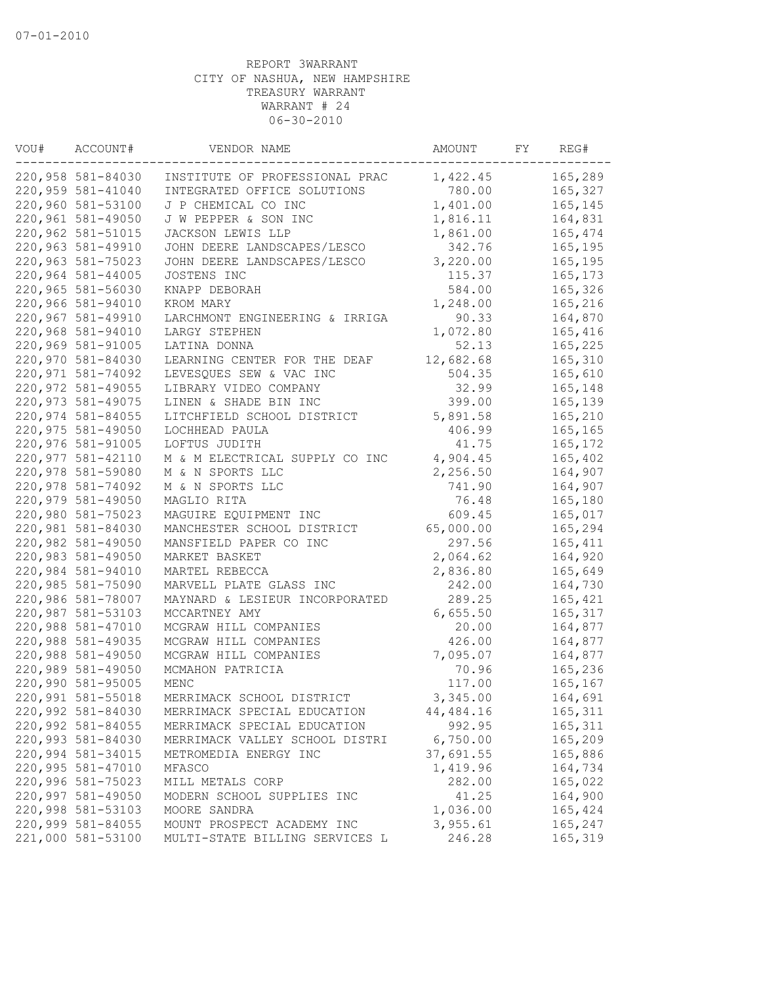| VOU# | ACCOUNT#                               | VENDOR NAME                                                | AMOUNT              | FY | REG#               |
|------|----------------------------------------|------------------------------------------------------------|---------------------|----|--------------------|
|      | 220,958 581-84030                      | INSTITUTE OF PROFESSIONAL PRAC                             | 1,422.45            |    | 165,289            |
|      | 220,959 581-41040                      | INTEGRATED OFFICE SOLUTIONS                                | 780.00              |    | 165,327            |
|      | 220,960 581-53100                      | J P CHEMICAL CO INC                                        | 1,401.00            |    | 165,145            |
|      | 220,961 581-49050                      | J W PEPPER & SON INC                                       | 1,816.11            |    | 164,831            |
|      | 220,962 581-51015                      | JACKSON LEWIS LLP                                          | 1,861.00            |    | 165,474            |
|      | 220,963 581-49910                      | JOHN DEERE LANDSCAPES/LESCO                                | 342.76              |    | 165,195            |
|      | 220,963 581-75023                      | JOHN DEERE LANDSCAPES/LESCO                                | 3,220.00            |    | 165,195            |
|      | 220,964 581-44005                      | JOSTENS INC                                                | 115.37              |    | 165, 173           |
|      | 220,965 581-56030                      | KNAPP DEBORAH                                              | 584.00              |    | 165,326            |
|      | 220,966 581-94010                      | KROM MARY                                                  | 1,248.00            |    | 165,216            |
|      | 220,967 581-49910                      | LARCHMONT ENGINEERING & IRRIGA                             | 90.33               |    | 164,870            |
|      | 220,968 581-94010                      | LARGY STEPHEN                                              | 1,072.80            |    | 165,416            |
|      | 220,969 581-91005                      | LATINA DONNA                                               | 52.13               |    | 165,225            |
|      | 220,970 581-84030                      | LEARNING CENTER FOR THE DEAF                               | 12,682.68           |    | 165,310            |
|      | 220,971 581-74092                      | LEVESQUES SEW & VAC INC                                    | 504.35              |    | 165,610            |
|      | 220,972 581-49055                      | LIBRARY VIDEO COMPANY                                      | 32.99               |    | 165,148            |
|      | 220,973 581-49075                      | LINEN & SHADE BIN INC                                      | 399.00              |    | 165,139            |
|      | 220,974 581-84055                      | LITCHFIELD SCHOOL DISTRICT                                 | 5,891.58            |    | 165,210            |
|      | 220,975 581-49050                      | LOCHHEAD PAULA                                             | 406.99              |    | 165,165            |
|      | 220,976 581-91005                      | LOFTUS JUDITH                                              | 41.75               |    | 165,172            |
|      | 220,977 581-42110                      | M & M ELECTRICAL SUPPLY CO INC                             | 4,904.45            |    | 165,402            |
|      | 220,978 581-59080                      | M & N SPORTS LLC                                           | 2,256.50            |    | 164,907            |
|      | 220,978 581-74092                      | M & N SPORTS LLC                                           | 741.90              |    | 164,907            |
|      | 220,979 581-49050                      | MAGLIO RITA                                                | 76.48               |    | 165,180            |
|      | 220,980 581-75023                      | MAGUIRE EQUIPMENT INC                                      | 609.45              |    | 165,017            |
|      | 220,981 581-84030                      | MANCHESTER SCHOOL DISTRICT                                 | 65,000.00           |    | 165,294            |
|      | 220,982 581-49050                      | MANSFIELD PAPER CO INC                                     | 297.56              |    | 165,411            |
|      | 220,983 581-49050                      | MARKET BASKET                                              | 2,064.62            |    | 164,920            |
|      | 220,984 581-94010                      | MARTEL REBECCA                                             | 2,836.80            |    | 165,649            |
|      | 220,985 581-75090                      | MARVELL PLATE GLASS INC                                    | 242.00              |    | 164,730            |
|      | 220,986 581-78007                      | MAYNARD & LESIEUR INCORPORATED                             | 289.25              |    | 165,421            |
|      | 220,987 581-53103                      | MCCARTNEY AMY                                              | 6,655.50            |    | 165,317            |
|      | 220,988 581-47010                      | MCGRAW HILL COMPANIES                                      | 20.00               |    | 164,877            |
|      | 220,988 581-49035                      | MCGRAW HILL COMPANIES                                      | 426.00              |    | 164,877            |
|      | 220,988 581-49050                      | MCGRAW HILL COMPANIES                                      | 7,095.07            |    | 164,877            |
|      | 220,989 581-49050                      | MCMAHON PATRICIA                                           | 70.96               |    | 165,236            |
|      | 220,990 581-95005                      | MENC                                                       | 117.00              |    | 165,167            |
|      | 220,991 581-55018                      | MERRIMACK SCHOOL DISTRICT                                  | 3,345.00            |    | 164,691            |
|      |                                        |                                                            |                     |    | 165, 311           |
|      | 220,992 581-84030<br>220,992 581-84055 | MERRIMACK SPECIAL EDUCATION<br>MERRIMACK SPECIAL EDUCATION | 44,484.16<br>992.95 |    | 165,311            |
|      | 220,993 581-84030                      | MERRIMACK VALLEY SCHOOL DISTRI                             | 6,750.00            |    |                    |
|      | 220,994 581-34015                      | METROMEDIA ENERGY INC                                      | 37,691.55           |    | 165,209<br>165,886 |
|      |                                        |                                                            |                     |    |                    |
|      | 220,995 581-47010                      | MFASCO                                                     | 1,419.96            |    | 164,734            |
|      | 220,996 581-75023                      | MILL METALS CORP                                           | 282.00              |    | 165,022            |
|      | 220,997 581-49050                      | MODERN SCHOOL SUPPLIES INC                                 | 41.25               |    | 164,900            |
|      | 220,998 581-53103                      | MOORE SANDRA                                               | 1,036.00            |    | 165,424            |
|      | 220,999 581-84055                      | MOUNT PROSPECT ACADEMY INC                                 | 3,955.61            |    | 165,247            |
|      | 221,000 581-53100                      | MULTI-STATE BILLING SERVICES L                             | 246.28              |    | 165,319            |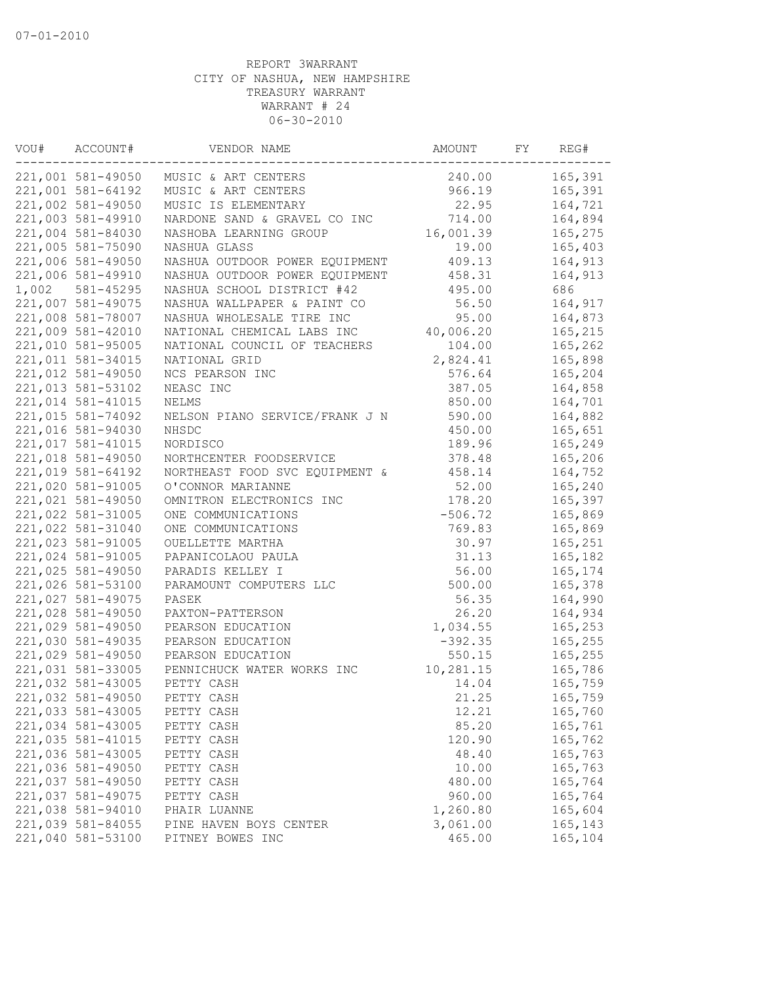| VOU#  | ACCOUNT#          | VENDOR NAME                    | AMOUNT    | FY | REG#    |
|-------|-------------------|--------------------------------|-----------|----|---------|
|       | 221,001 581-49050 | MUSIC & ART CENTERS            | 240.00    |    | 165,391 |
|       | 221,001 581-64192 | MUSIC & ART CENTERS            | 966.19    |    | 165,391 |
|       | 221,002 581-49050 | MUSIC IS ELEMENTARY            | 22.95     |    | 164,721 |
|       | 221,003 581-49910 | NARDONE SAND & GRAVEL CO INC   | 714.00    |    | 164,894 |
|       | 221,004 581-84030 | NASHOBA LEARNING GROUP         | 16,001.39 |    | 165,275 |
|       | 221,005 581-75090 | NASHUA GLASS                   | 19.00     |    | 165,403 |
|       | 221,006 581-49050 | NASHUA OUTDOOR POWER EQUIPMENT | 409.13    |    | 164,913 |
|       | 221,006 581-49910 | NASHUA OUTDOOR POWER EQUIPMENT | 458.31    |    | 164,913 |
| 1,002 | 581-45295         | NASHUA SCHOOL DISTRICT #42     | 495.00    |    | 686     |
|       | 221,007 581-49075 | NASHUA WALLPAPER & PAINT CO    | 56.50     |    | 164,917 |
|       | 221,008 581-78007 | NASHUA WHOLESALE TIRE INC      | 95.00     |    | 164,873 |
|       | 221,009 581-42010 | NATIONAL CHEMICAL LABS INC     | 40,006.20 |    | 165,215 |
|       | 221,010 581-95005 | NATIONAL COUNCIL OF TEACHERS   | 104.00    |    | 165,262 |
|       | 221,011 581-34015 | NATIONAL GRID                  | 2,824.41  |    | 165,898 |
|       | 221,012 581-49050 | NCS PEARSON INC                | 576.64    |    | 165,204 |
|       | 221,013 581-53102 | NEASC INC                      | 387.05    |    | 164,858 |
|       | 221,014 581-41015 | NELMS                          | 850.00    |    | 164,701 |
|       | 221,015 581-74092 | NELSON PIANO SERVICE/FRANK J N | 590.00    |    | 164,882 |
|       | 221,016 581-94030 | NHSDC                          | 450.00    |    | 165,651 |
|       | 221,017 581-41015 | NORDISCO                       | 189.96    |    | 165,249 |
|       | 221,018 581-49050 | NORTHCENTER FOODSERVICE        | 378.48    |    | 165,206 |
|       | 221,019 581-64192 | NORTHEAST FOOD SVC EQUIPMENT & | 458.14    |    | 164,752 |
|       | 221,020 581-91005 | O'CONNOR MARIANNE              | 52.00     |    | 165,240 |
|       | 221,021 581-49050 | OMNITRON ELECTRONICS INC       | 178.20    |    | 165,397 |
|       | 221,022 581-31005 | ONE COMMUNICATIONS             | $-506.72$ |    | 165,869 |
|       | 221,022 581-31040 | ONE COMMUNICATIONS             | 769.83    |    | 165,869 |
|       | 221,023 581-91005 | OUELLETTE MARTHA               | 30.97     |    | 165,251 |
|       | 221,024 581-91005 | PAPANICOLAOU PAULA             | 31.13     |    | 165,182 |
|       | 221,025 581-49050 | PARADIS KELLEY I               | 56.00     |    | 165,174 |
|       | 221,026 581-53100 | PARAMOUNT COMPUTERS LLC        | 500.00    |    | 165,378 |
|       | 221,027 581-49075 | PASEK                          | 56.35     |    | 164,990 |
|       | 221,028 581-49050 | PAXTON-PATTERSON               | 26.20     |    | 164,934 |
|       | 221,029 581-49050 | PEARSON EDUCATION              | 1,034.55  |    | 165,253 |
|       | 221,030 581-49035 |                                | $-392.35$ |    |         |
|       |                   | PEARSON EDUCATION              |           |    | 165,255 |
|       | 221,029 581-49050 | PEARSON EDUCATION              | 550.15    |    | 165,255 |
|       | 221,031 581-33005 | PENNICHUCK WATER WORKS INC     | 10,281.15 |    | 165,786 |
|       | 221,032 581-43005 | PETTY CASH                     | 14.04     |    | 165,759 |
|       | 221,032 581-49050 | PETTY CASH                     | 21.25     |    | 165,759 |
|       | 221,033 581-43005 | PETTY CASH                     | 12.21     |    | 165,760 |
|       | 221,034 581-43005 | PETTY CASH                     | 85.20     |    | 165,761 |
|       | 221,035 581-41015 | PETTY CASH                     | 120.90    |    | 165,762 |
|       | 221,036 581-43005 | PETTY CASH                     | 48.40     |    | 165,763 |
|       | 221,036 581-49050 | PETTY CASH                     | 10.00     |    | 165,763 |
|       | 221,037 581-49050 | PETTY CASH                     | 480.00    |    | 165,764 |
|       | 221,037 581-49075 | PETTY CASH                     | 960.00    |    | 165,764 |
|       | 221,038 581-94010 | PHAIR LUANNE                   | 1,260.80  |    | 165,604 |
|       | 221,039 581-84055 | PINE HAVEN BOYS CENTER         | 3,061.00  |    | 165,143 |
|       | 221,040 581-53100 | PITNEY BOWES INC               | 465.00    |    | 165,104 |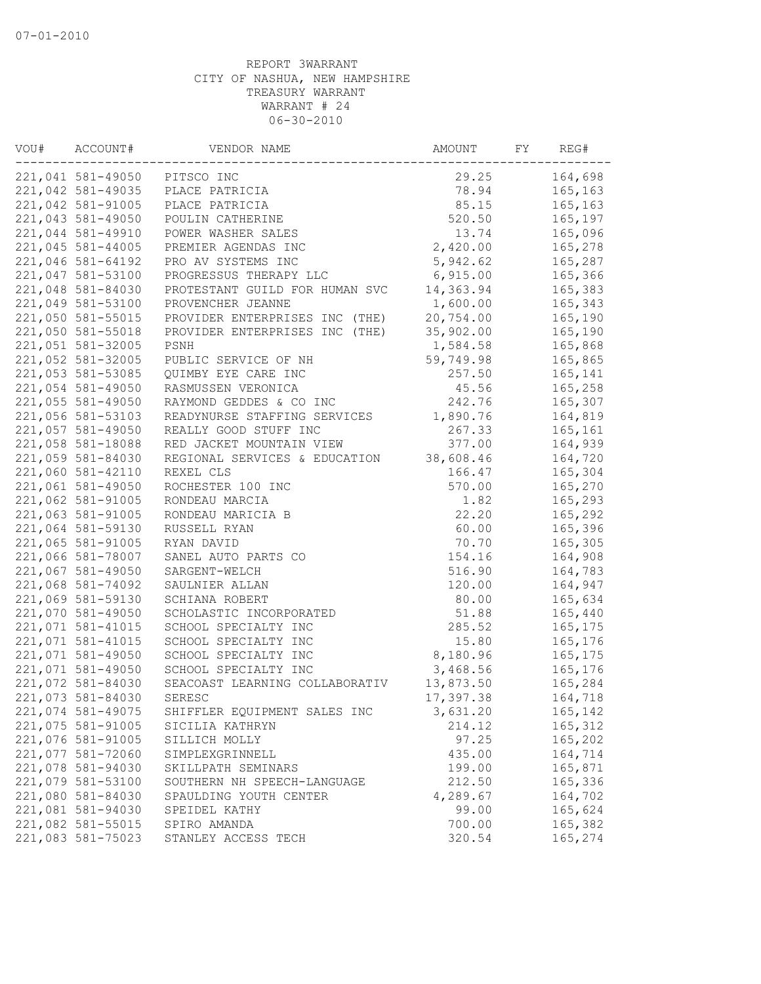| VOU# | ACCOUNT#          | VENDOR NAME                    | AMOUNT    | FY | REG#     |
|------|-------------------|--------------------------------|-----------|----|----------|
|      | 221,041 581-49050 | PITSCO INC                     | 29.25     |    | 164,698  |
|      | 221,042 581-49035 | PLACE PATRICIA                 | 78.94     |    | 165,163  |
|      | 221,042 581-91005 | PLACE PATRICIA                 | 85.15     |    | 165,163  |
|      | 221,043 581-49050 | POULIN CATHERINE               | 520.50    |    | 165,197  |
|      | 221,044 581-49910 | POWER WASHER SALES             | 13.74     |    | 165,096  |
|      | 221,045 581-44005 | PREMIER AGENDAS INC            | 2,420.00  |    | 165,278  |
|      | 221,046 581-64192 | PRO AV SYSTEMS INC             | 5,942.62  |    | 165,287  |
|      | 221,047 581-53100 | PROGRESSUS THERAPY LLC         | 6,915.00  |    | 165,366  |
|      | 221,048 581-84030 | PROTESTANT GUILD FOR HUMAN SVC | 14,363.94 |    | 165,383  |
|      | 221,049 581-53100 | PROVENCHER JEANNE              | 1,600.00  |    | 165,343  |
|      | 221,050 581-55015 | PROVIDER ENTERPRISES INC (THE) | 20,754.00 |    | 165,190  |
|      | 221,050 581-55018 | PROVIDER ENTERPRISES INC (THE) | 35,902.00 |    | 165,190  |
|      | 221,051 581-32005 | PSNH                           | 1,584.58  |    | 165,868  |
|      | 221,052 581-32005 | PUBLIC SERVICE OF NH           | 59,749.98 |    | 165,865  |
|      | 221,053 581-53085 | QUIMBY EYE CARE INC            | 257.50    |    | 165,141  |
|      | 221,054 581-49050 | RASMUSSEN VERONICA             | 45.56     |    | 165,258  |
|      | 221,055 581-49050 | RAYMOND GEDDES & CO INC        | 242.76    |    | 165,307  |
|      | 221,056 581-53103 | READYNURSE STAFFING SERVICES   | 1,890.76  |    | 164,819  |
|      | 221,057 581-49050 | REALLY GOOD STUFF INC          | 267.33    |    | 165,161  |
|      | 221,058 581-18088 | RED JACKET MOUNTAIN VIEW       | 377.00    |    | 164,939  |
|      | 221,059 581-84030 | REGIONAL SERVICES & EDUCATION  | 38,608.46 |    | 164,720  |
|      | 221,060 581-42110 | REXEL CLS                      | 166.47    |    | 165,304  |
|      | 221,061 581-49050 | ROCHESTER 100 INC              | 570.00    |    | 165,270  |
|      | 221,062 581-91005 | RONDEAU MARCIA                 | 1.82      |    | 165,293  |
|      | 221,063 581-91005 | RONDEAU MARICIA B              | 22.20     |    | 165,292  |
|      | 221,064 581-59130 | RUSSELL RYAN                   | 60.00     |    | 165,396  |
|      | 221,065 581-91005 | RYAN DAVID                     | 70.70     |    | 165,305  |
|      | 221,066 581-78007 | SANEL AUTO PARTS CO            | 154.16    |    | 164,908  |
|      | 221,067 581-49050 | SARGENT-WELCH                  | 516.90    |    | 164,783  |
|      | 221,068 581-74092 | SAULNIER ALLAN                 | 120.00    |    | 164,947  |
|      | 221,069 581-59130 | SCHIANA ROBERT                 | 80.00     |    | 165,634  |
|      | 221,070 581-49050 | SCHOLASTIC INCORPORATED        | 51.88     |    | 165,440  |
|      | 221,071 581-41015 | SCHOOL SPECIALTY INC           | 285.52    |    | 165, 175 |
|      | 221,071 581-41015 | SCHOOL SPECIALTY INC           | 15.80     |    | 165,176  |
|      | 221,071 581-49050 | SCHOOL SPECIALTY INC           | 8,180.96  |    | 165,175  |
|      | 221,071 581-49050 |                                |           |    |          |
|      |                   | SCHOOL SPECIALTY INC           | 3,468.56  |    | 165,176  |
|      | 221,072 581-84030 | SEACOAST LEARNING COLLABORATIV | 13,873.50 |    | 165,284  |
|      | 221,073 581-84030 | SERESC                         | 17,397.38 |    | 164,718  |
|      | 221,074 581-49075 | SHIFFLER EQUIPMENT SALES INC   | 3,631.20  |    | 165,142  |
|      | 221,075 581-91005 | SICILIA KATHRYN                | 214.12    |    | 165,312  |
|      | 221,076 581-91005 | SILLICH MOLLY                  | 97.25     |    | 165,202  |
|      | 221,077 581-72060 | SIMPLEXGRINNELL                | 435.00    |    | 164,714  |
|      | 221,078 581-94030 | SKILLPATH SEMINARS             | 199.00    |    | 165,871  |
|      | 221,079 581-53100 | SOUTHERN NH SPEECH-LANGUAGE    | 212.50    |    | 165,336  |
|      | 221,080 581-84030 | SPAULDING YOUTH CENTER         | 4,289.67  |    | 164,702  |
|      | 221,081 581-94030 | SPEIDEL KATHY                  | 99.00     |    | 165,624  |
|      | 221,082 581-55015 | SPIRO AMANDA                   | 700.00    |    | 165,382  |
|      | 221,083 581-75023 | STANLEY ACCESS TECH            | 320.54    |    | 165,274  |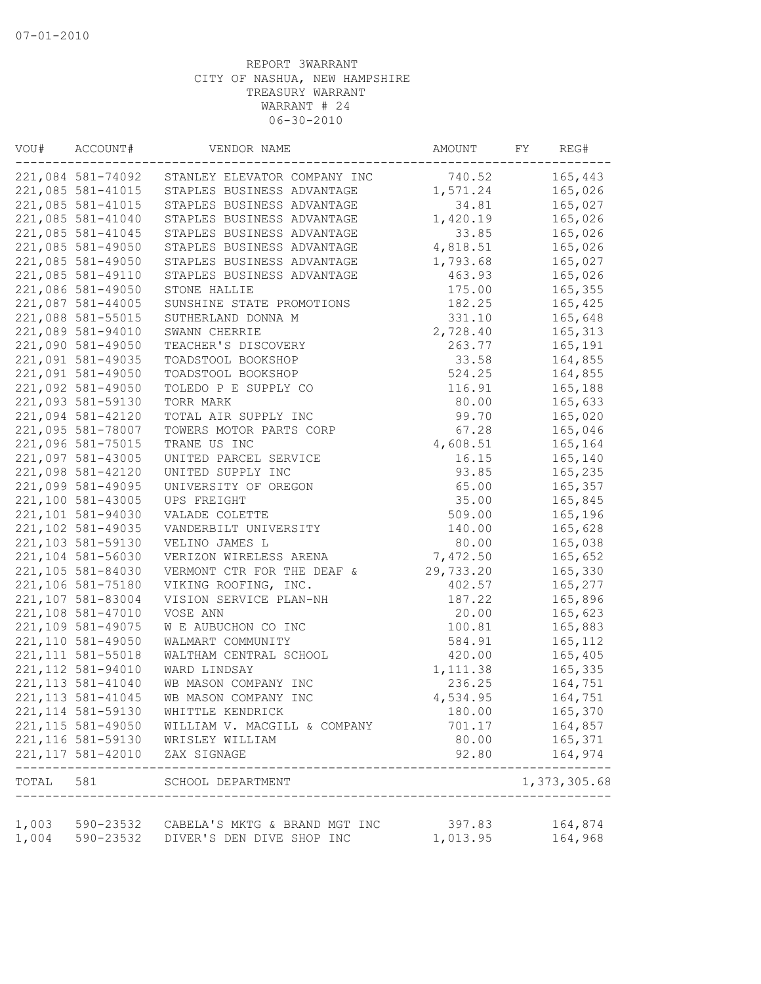| VOU#      | ACCOUNT#           | VENDOR NAME                                   | AMOUNT    | FY<br>REG#         |
|-----------|--------------------|-----------------------------------------------|-----------|--------------------|
|           | 221,084 581-74092  | STANLEY ELEVATOR COMPANY INC                  | 740.52    | 165,443            |
|           | 221,085 581-41015  | STAPLES BUSINESS ADVANTAGE                    | 1,571.24  | 165,026            |
|           | 221,085 581-41015  | STAPLES BUSINESS ADVANTAGE                    | 34.81     | 165,027            |
|           | 221,085 581-41040  | STAPLES BUSINESS ADVANTAGE                    | 1,420.19  | 165,026            |
|           | 221,085 581-41045  | STAPLES BUSINESS ADVANTAGE                    | 33.85     | 165,026            |
|           | 221,085 581-49050  | STAPLES BUSINESS ADVANTAGE                    | 4,818.51  | 165,026            |
|           | 221,085 581-49050  | STAPLES BUSINESS ADVANTAGE                    | 1,793.68  | 165,027            |
|           | 221,085 581-49110  | STAPLES BUSINESS ADVANTAGE                    | 463.93    | 165,026            |
|           | 221,086 581-49050  | STONE HALLIE                                  | 175.00    | 165,355            |
|           | 221,087 581-44005  | SUNSHINE STATE PROMOTIONS                     | 182.25    | 165,425            |
|           | 221,088 581-55015  | SUTHERLAND DONNA M                            | 331.10    | 165,648            |
|           | 221,089 581-94010  | SWANN CHERRIE                                 | 2,728.40  | 165, 313           |
|           | 221,090 581-49050  | TEACHER'S DISCOVERY                           | 263.77    | 165,191            |
|           | 221,091 581-49035  | TOADSTOOL BOOKSHOP                            | 33.58     | 164,855            |
|           | 221,091 581-49050  | TOADSTOOL BOOKSHOP                            | 524.25    | 164,855            |
|           | 221,092 581-49050  | TOLEDO P E SUPPLY CO                          | 116.91    | 165,188            |
|           | 221,093 581-59130  | TORR MARK                                     | 80.00     | 165,633            |
|           | 221,094 581-42120  | TOTAL AIR SUPPLY INC                          | 99.70     | 165,020            |
|           | 221,095 581-78007  | TOWERS MOTOR PARTS CORP                       | 67.28     | 165,046            |
|           | 221,096 581-75015  | TRANE US INC                                  | 4,608.51  | 165,164            |
|           | 221,097 581-43005  | UNITED PARCEL SERVICE                         | 16.15     | 165,140            |
|           | 221,098 581-42120  | UNITED SUPPLY INC                             | 93.85     | 165,235            |
|           | 221,099 581-49095  | UNIVERSITY OF OREGON                          | 65.00     | 165,357            |
|           | 221,100 581-43005  | UPS FREIGHT                                   | 35.00     | 165,845            |
|           | 221,101 581-94030  | VALADE COLETTE                                | 509.00    | 165,196            |
|           | 221,102 581-49035  | VANDERBILT UNIVERSITY                         | 140.00    | 165,628            |
|           | 221,103 581-59130  | VELINO JAMES L                                | 80.00     | 165,038            |
|           | 221,104 581-56030  | VERIZON WIRELESS ARENA                        | 7,472.50  | 165,652            |
|           | 221,105 581-84030  | VERMONT CTR FOR THE DEAF &                    | 29,733.20 | 165,330            |
|           | 221,106 581-75180  | VIKING ROOFING, INC.                          | 402.57    | 165,277            |
|           | 221,107 581-83004  | VISION SERVICE PLAN-NH                        | 187.22    | 165,896            |
|           | 221,108 581-47010  | VOSE ANN                                      | 20.00     | 165,623            |
|           | 221,109 581-49075  | W E AUBUCHON CO INC                           | 100.81    | 165,883            |
|           | 221,110 581-49050  | WALMART COMMUNITY                             | 584.91    | 165, 112           |
|           | 221, 111 581-55018 | WALTHAM CENTRAL SCHOOL                        | 420.00    | 165,405            |
|           | 221, 112 581-94010 | WARD LINDSAY                                  | 1,111.38  | 165,335            |
|           | 221, 113 581-41040 | WB MASON COMPANY INC                          | 236.25    | 164,751            |
|           | 221, 113 581-41045 | WB MASON COMPANY INC                          | 4,534.95  | 164,751            |
|           | 221, 114 581-59130 | WHITTLE KENDRICK                              | 180.00    | 165,370            |
|           | 221, 115 581-49050 | WILLIAM V. MACGILL & COMPANY                  | 701.17    | 164,857            |
|           | 221, 116 581-59130 | WRISLEY WILLIAM                               | 80.00     | 165,371            |
|           | 221, 117 581-42010 | ZAX SIGNAGE                                   | 92.80     | 164,974            |
| TOTAL 581 |                    | SCHOOL DEPARTMENT                             |           | 1,373,305.68       |
|           |                    |                                               |           |                    |
|           |                    | 1,003 590-23532 CABELA'S MKTG & BRAND MGT INC | 397.83    | 164,874<br>164,968 |
| 1,004     | 590-23532          | DIVER'S DEN DIVE SHOP INC                     | 1,013.95  |                    |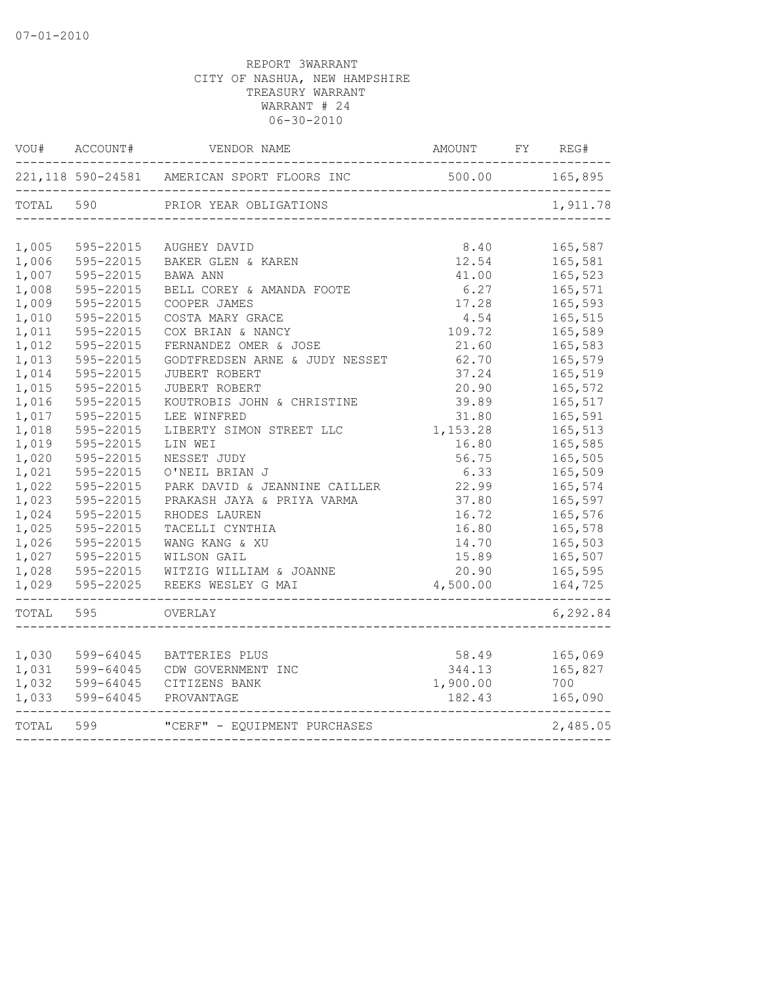| WOU#      | ACCOUNT#           | VENDOR NAME                                              | AMOUNT                              | FY | REG#     |
|-----------|--------------------|----------------------------------------------------------|-------------------------------------|----|----------|
|           | 221, 118 590-24581 | AMERICAN SPORT FLOORS INC<br>--------------------------- | 500.00<br>------------------------- |    | 165,895  |
| TOTAL     | 590                | PRIOR YEAR OBLIGATIONS                                   |                                     |    | 1,911.78 |
|           |                    |                                                          |                                     |    |          |
| 1,005     | 595-22015          | AUGHEY DAVID                                             | 8.40                                |    | 165,587  |
| 1,006     | 595-22015          | BAKER GLEN & KAREN                                       | 12.54                               |    | 165,581  |
| 1,007     | 595-22015          | BAWA ANN                                                 | 41.00                               |    | 165,523  |
| 1,008     | 595-22015          | BELL COREY & AMANDA FOOTE                                | 6.27                                |    | 165,571  |
| 1,009     | 595-22015          | COOPER JAMES                                             | 17.28                               |    | 165,593  |
| 1,010     | 595-22015          | COSTA MARY GRACE                                         | 4.54                                |    | 165,515  |
| 1,011     | 595-22015          | COX BRIAN & NANCY                                        | 109.72                              |    | 165,589  |
| 1,012     | 595-22015          | FERNANDEZ OMER & JOSE                                    | 21.60                               |    | 165,583  |
| 1,013     | 595-22015          | GODTFREDSEN ARNE & JUDY NESSET                           | 62.70                               |    | 165,579  |
| 1,014     | 595-22015          | JUBERT ROBERT                                            | 37.24                               |    | 165,519  |
| 1,015     | 595-22015          | JUBERT ROBERT                                            | 20.90                               |    | 165,572  |
| 1,016     | 595-22015          | KOUTROBIS JOHN & CHRISTINE                               | 39.89                               |    | 165,517  |
| 1,017     | 595-22015          | LEE WINFRED                                              | 31.80                               |    | 165,591  |
| 1,018     | 595-22015          | LIBERTY SIMON STREET LLC                                 | 1,153.28                            |    | 165,513  |
| 1,019     | 595-22015          | LIN WEI                                                  | 16.80                               |    | 165,585  |
| 1,020     | 595-22015          | NESSET JUDY                                              | 56.75                               |    | 165,505  |
| 1,021     | 595-22015          | O'NEIL BRIAN J                                           | 6.33                                |    | 165,509  |
| 1,022     | 595-22015          | PARK DAVID & JEANNINE CAILLER                            | 22.99                               |    | 165,574  |
| 1,023     | 595-22015          | PRAKASH JAYA & PRIYA VARMA                               | 37.80                               |    | 165,597  |
| 1,024     | 595-22015          | RHODES LAUREN                                            | 16.72                               |    | 165,576  |
| 1,025     | 595-22015          | TACELLI CYNTHIA                                          | 16.80                               |    | 165,578  |
| 1,026     | 595-22015          | WANG KANG & XU                                           | 14.70                               |    | 165,503  |
| 1,027     | 595-22015          | WILSON GAIL                                              | 15.89                               |    | 165,507  |
| 1,028     | 595-22015          | WITZIG WILLIAM & JOANNE                                  | 20.90                               |    | 165,595  |
| 1,029     | 595-22025          | REEKS WESLEY G MAI                                       | 4,500.00                            |    | 164,725  |
| TOTAL     | 595                | OVERLAY                                                  |                                     |    | 6,292.84 |
|           |                    |                                                          |                                     |    |          |
| 1,030     | 599-64045          | BATTERIES PLUS                                           | 58.49                               |    | 165,069  |
| 1,031     | 599-64045          | CDW GOVERNMENT INC                                       | 344.13                              |    | 165,827  |
| 1,032     | 599-64045          | CITIZENS BANK                                            | 1,900.00                            |    | 700      |
| 1,033     | 599-64045          | PROVANTAGE                                               | 182.43                              |    | 165,090  |
| TOTAL 599 |                    | "CERF" - EQUIPMENT PURCHASES                             |                                     |    | 2,485.05 |
|           |                    |                                                          |                                     |    |          |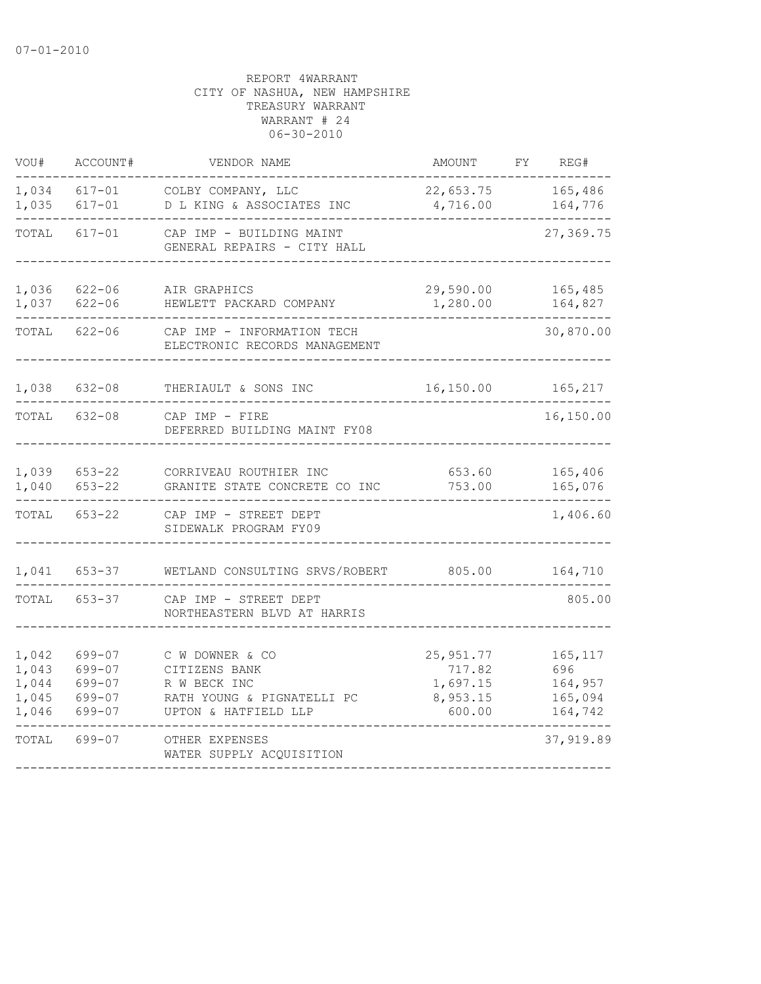| VOU#                                      | ACCOUNT#                                       | VENDOR NAME                                                                                            | <b>AMOUNT</b>                                          | FΥ | REG#                                             |
|-------------------------------------------|------------------------------------------------|--------------------------------------------------------------------------------------------------------|--------------------------------------------------------|----|--------------------------------------------------|
| 1,034<br>1,035                            | $617 - 01$<br>$617 - 01$                       | COLBY COMPANY, LLC<br>D L KING & ASSOCIATES INC                                                        | 22,653.75<br>4,716.00                                  |    | 165,486<br>164,776                               |
| TOTAL                                     | $617 - 01$                                     | CAP IMP - BUILDING MAINT<br>GENERAL REPAIRS - CITY HALL                                                |                                                        |    | 27,369.75                                        |
| 1,036<br>1,037                            | $622 - 06$<br>$622 - 06$                       | AIR GRAPHICS<br>HEWLETT PACKARD COMPANY                                                                | 29,590.00<br>1,280.00                                  |    | 165,485<br>164,827                               |
| TOTAL                                     | $622 - 06$                                     | CAP IMP - INFORMATION TECH<br>ELECTRONIC RECORDS MANAGEMENT                                            |                                                        |    | 30,870.00                                        |
| 1,038                                     | $632 - 08$                                     | THERIAULT & SONS INC                                                                                   | 16,150.00                                              |    | 165,217                                          |
| TOTAL                                     | $632 - 08$                                     | CAP IMP - FIRE<br>DEFERRED BUILDING MAINT FY08                                                         |                                                        |    | 16,150.00                                        |
| 1,039<br>1,040                            | $653 - 22$<br>$653 - 22$                       | CORRIVEAU ROUTHIER INC<br>GRANITE STATE CONCRETE CO INC                                                | 653.60<br>753.00                                       |    | 165,406<br>165,076                               |
| TOTAL                                     | $653 - 22$                                     | CAP IMP - STREET DEPT<br>SIDEWALK PROGRAM FY09                                                         |                                                        |    | 1,406.60                                         |
| 1,041                                     | $653 - 37$                                     | WETLAND CONSULTING SRVS/ROBERT                                                                         | 805.00                                                 |    | 164,710                                          |
| TOTAL                                     | $653 - 37$                                     | CAP IMP - STREET DEPT<br>NORTHEASTERN BLVD AT HARRIS                                                   |                                                        |    | 805.00                                           |
| 1,042<br>1,043<br>1,044<br>1,045<br>1,046 | 699-07<br>699-07<br>699-07<br>699-07<br>699-07 | C W DOWNER & CO<br>CITIZENS BANK<br>R W BECK INC<br>RATH YOUNG & PIGNATELLI PC<br>UPTON & HATFIELD LLP | 25, 951.77<br>717.82<br>1,697.15<br>8,953.15<br>600.00 |    | 165, 117<br>696<br>164,957<br>165,094<br>164,742 |
| TOTAL                                     | 699-07                                         | OTHER EXPENSES<br>WATER SUPPLY ACQUISITION                                                             |                                                        |    | 37,919.89                                        |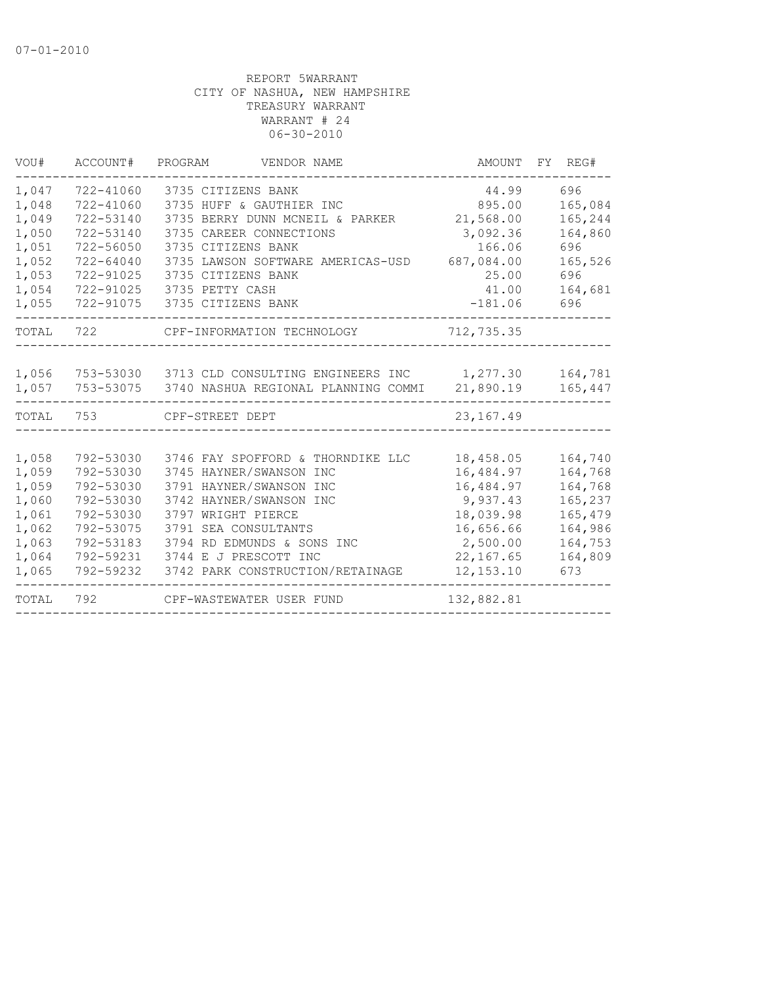| VOU#  | ACCOUNT#      | PROGRAM<br>VENDOR NAME                                    | AMOUNT     | FY REG# |
|-------|---------------|-----------------------------------------------------------|------------|---------|
| 1,047 | 722-41060     | 3735 CITIZENS BANK                                        | 44.99      | 696     |
| 1,048 | 722-41060     | 3735 HUFF & GAUTHIER INC                                  | 895.00     | 165,084 |
| 1,049 | 722-53140     | 3735 BERRY DUNN MCNEIL & PARKER                           | 21,568.00  | 165,244 |
| 1,050 | 722-53140     | 3735 CAREER CONNECTIONS                                   | 3,092.36   | 164,860 |
| 1,051 | 722-56050     | 3735 CITIZENS BANK                                        | 166.06     | 696     |
| 1,052 | $722 - 64040$ | 3735 LAWSON SOFTWARE AMERICAS-USD                         | 687,084.00 | 165,526 |
| 1,053 | 722-91025     | 3735 CITIZENS BANK                                        | 25.00      | 696     |
| 1,054 | 722-91025     | 3735 PETTY CASH                                           | 41.00      | 164,681 |
| 1,055 | 722-91075     | 3735 CITIZENS BANK                                        | $-181.06$  | 696     |
| TOTAL |               | 722 CPF-INFORMATION TECHNOLOGY                            | 712,735.35 |         |
|       |               |                                                           |            |         |
| 1,056 |               | 753-53030 3713 CLD CONSULTING ENGINEERS INC 1,277.30      |            | 164,781 |
| 1,057 |               | 753-53075  3740 NASHUA REGIONAL PLANNING COMMI  21,890.19 |            | 165,447 |
| TOTAL |               | 753 CPF-STREET DEPT                                       | 23, 167.49 |         |
| 1,058 | 792-53030     | 3746 FAY SPOFFORD & THORNDIKE LLC                         | 18,458.05  | 164,740 |
| 1,059 | 792-53030     | 3745 HAYNER/SWANSON INC                                   | 16,484.97  | 164,768 |
| 1,059 | 792-53030     | 3791 HAYNER/SWANSON INC                                   | 16,484.97  | 164,768 |
| 1,060 | 792-53030     | 3742 HAYNER/SWANSON INC                                   | 9,937.43   | 165,237 |
| 1,061 | 792-53030     | 3797 WRIGHT PIERCE                                        | 18,039.98  | 165,479 |
| 1,062 | 792-53075     | 3791 SEA CONSULTANTS                                      | 16,656.66  | 164,986 |
| 1,063 | 792-53183     | 3794 RD EDMUNDS & SONS INC                                | 2,500.00   | 164,753 |
| 1,064 | 792-59231     | 3744 E J PRESCOTT INC                                     | 22, 167.65 | 164,809 |
| 1,065 | 792-59232     | 3742 PARK CONSTRUCTION/RETAINAGE                          | 12, 153.10 | 673     |
| TOTAL | 792           | CPF-WASTEWATER USER FUND                                  | 132,882.81 |         |
|       |               |                                                           |            |         |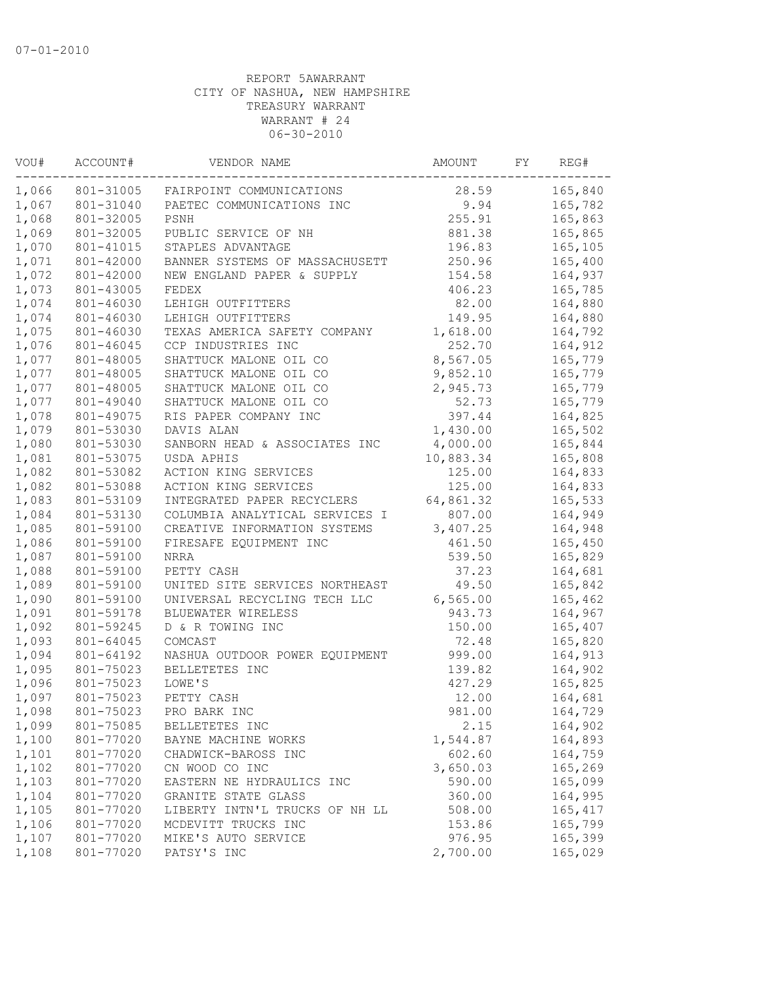| VOU#               | ACCOUNT#  | VENDOR NAME                    | AMOUNT    | FY | REG#     |
|--------------------|-----------|--------------------------------|-----------|----|----------|
| 1,066<br>801-31005 |           | FAIRPOINT COMMUNICATIONS       | 28.59     |    | 165,840  |
| 1,067              | 801-31040 | PAETEC COMMUNICATIONS INC      | 9.94      |    | 165,782  |
| 1,068              | 801-32005 | PSNH                           | 255.91    |    | 165,863  |
| 1,069              | 801-32005 | PUBLIC SERVICE OF NH           | 881.38    |    | 165,865  |
| 1,070              | 801-41015 | STAPLES ADVANTAGE              | 196.83    |    | 165,105  |
| 1,071              | 801-42000 | BANNER SYSTEMS OF MASSACHUSETT | 250.96    |    | 165,400  |
| 1,072              | 801-42000 | NEW ENGLAND PAPER & SUPPLY     | 154.58    |    | 164,937  |
| 1,073              | 801-43005 | FEDEX                          | 406.23    |    | 165,785  |
| 1,074              | 801-46030 | LEHIGH OUTFITTERS              | 82.00     |    | 164,880  |
| 1,074              | 801-46030 | LEHIGH OUTFITTERS              | 149.95    |    | 164,880  |
| 1,075              | 801-46030 | TEXAS AMERICA SAFETY COMPANY   | 1,618.00  |    | 164,792  |
| 1,076              | 801-46045 | CCP INDUSTRIES INC             | 252.70    |    | 164,912  |
| 1,077              | 801-48005 | SHATTUCK MALONE OIL CO         | 8,567.05  |    | 165,779  |
| 1,077              | 801-48005 | SHATTUCK MALONE OIL CO         | 9,852.10  |    | 165,779  |
| 1,077              | 801-48005 | SHATTUCK MALONE OIL CO         | 2,945.73  |    | 165,779  |
| 1,077              | 801-49040 | SHATTUCK MALONE OIL CO         | 52.73     |    | 165,779  |
| 1,078              | 801-49075 | RIS PAPER COMPANY INC          | 397.44    |    | 164,825  |
| 1,079              | 801-53030 | DAVIS ALAN                     | 1,430.00  |    | 165,502  |
| 1,080              | 801-53030 | SANBORN HEAD & ASSOCIATES INC  | 4,000.00  |    | 165,844  |
| 1,081              | 801-53075 | USDA APHIS                     | 10,883.34 |    | 165,808  |
| 1,082              | 801-53082 | ACTION KING SERVICES           | 125.00    |    | 164,833  |
| 1,082              | 801-53088 | ACTION KING SERVICES           | 125.00    |    | 164,833  |
| 1,083              | 801-53109 | INTEGRATED PAPER RECYCLERS     | 64,861.32 |    | 165,533  |
| 1,084              | 801-53130 | COLUMBIA ANALYTICAL SERVICES I | 807.00    |    | 164,949  |
| 1,085              | 801-59100 | CREATIVE INFORMATION SYSTEMS   | 3,407.25  |    | 164,948  |
| 1,086              | 801-59100 | FIRESAFE EQUIPMENT INC         | 461.50    |    | 165,450  |
| 1,087              | 801-59100 | <b>NRRA</b>                    | 539.50    |    | 165,829  |
| 1,088              | 801-59100 | PETTY CASH                     | 37.23     |    | 164,681  |
| 1,089              | 801-59100 | UNITED SITE SERVICES NORTHEAST | 49.50     |    | 165,842  |
| 1,090              | 801-59100 | UNIVERSAL RECYCLING TECH LLC   | 6, 565.00 |    | 165,462  |
| 1,091              | 801-59178 | BLUEWATER WIRELESS             | 943.73    |    | 164,967  |
| 1,092              | 801-59245 | D & R TOWING INC               | 150.00    |    | 165,407  |
| 1,093              | 801-64045 | COMCAST                        | 72.48     |    | 165,820  |
| 1,094              | 801-64192 | NASHUA OUTDOOR POWER EQUIPMENT | 999.00    |    | 164,913  |
| 1,095              | 801-75023 | BELLETETES INC                 | 139.82    |    | 164,902  |
| 1,096              | 801-75023 | LOWE'S                         | 427.29    |    | 165,825  |
| 1,097              | 801-75023 | PETTY CASH                     | 12.00     |    | 164,681  |
| 1,098              | 801-75023 | PRO BARK INC                   | 981.00    |    | 164,729  |
| 1,099              | 801-75085 | BELLETETES INC                 | 2.15      |    | 164,902  |
| 1,100              | 801-77020 | BAYNE MACHINE WORKS            | 1,544.87  |    | 164,893  |
| 1,101              | 801-77020 | CHADWICK-BAROSS INC            | 602.60    |    | 164,759  |
| 1,102              | 801-77020 | CN WOOD CO INC                 | 3,650.03  |    | 165,269  |
| 1,103              | 801-77020 | EASTERN NE HYDRAULICS INC      | 590.00    |    | 165,099  |
| 1,104              | 801-77020 | GRANITE STATE GLASS            | 360.00    |    | 164,995  |
| 1,105              | 801-77020 | LIBERTY INTN'L TRUCKS OF NH LL | 508.00    |    | 165, 417 |
| 1,106              | 801-77020 | MCDEVITT TRUCKS INC            | 153.86    |    | 165,799  |
| 1,107              | 801-77020 | MIKE'S AUTO SERVICE            | 976.95    |    | 165,399  |
| 1,108              | 801-77020 | PATSY'S INC                    | 2,700.00  |    | 165,029  |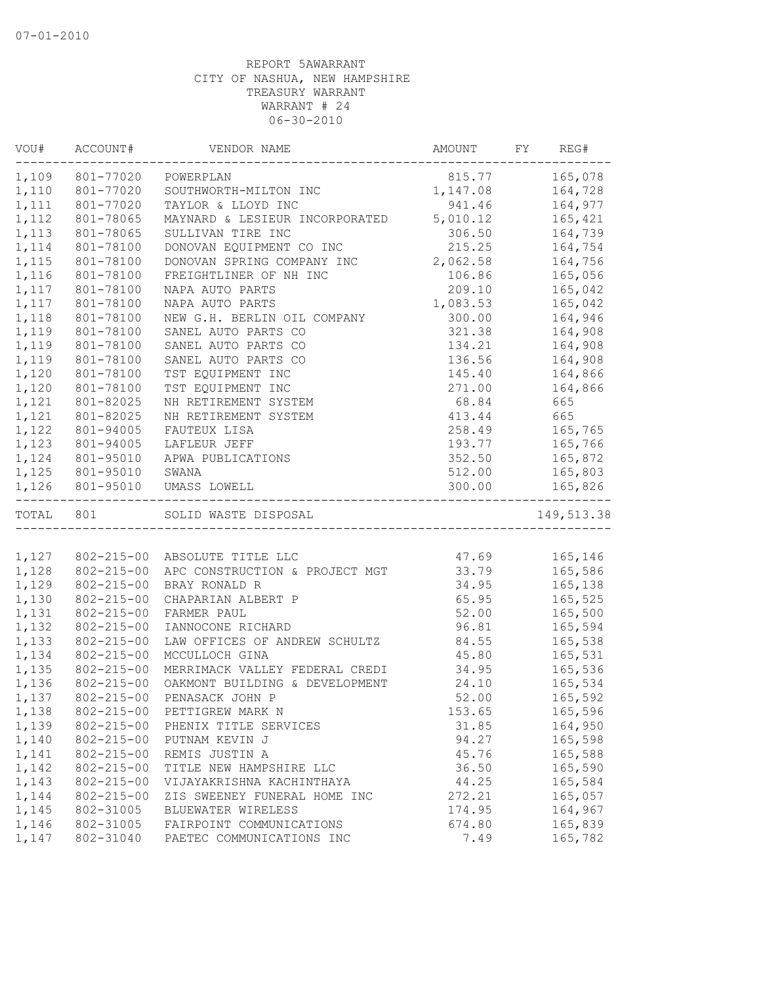|           | VOU# ACCOUNT#    | VENDOR NAME                                  | AMOUNT FY | REG#                 |
|-----------|------------------|----------------------------------------------|-----------|----------------------|
|           | 1,109 801-77020  | POWERPLAN                                    | 815.77    | 165,078              |
| 1,110     | 801-77020        | SOUTHWORTH-MILTON INC                        | 1,147.08  | 164,728              |
| 1,111     | 801-77020        | TAYLOR & LLOYD INC                           | 941.46    | 164,977              |
| 1,112     | 801-78065        | MAYNARD & LESIEUR INCORPORATED 5,010.12      |           | 165,421              |
| 1,113     | 801-78065        | SULLIVAN TIRE INC                            | 306.50    | 164,739              |
| 1,114     | 801-78100        | DONOVAN EQUIPMENT CO INC                     | 215.25    | 164,754              |
| 1,115     | 801-78100        | DONOVAN SPRING COMPANY INC                   | 2,062.58  | 164,756              |
| 1,116     | 801-78100        | FREIGHTLINER OF NH INC                       | 106.86    | 165,056              |
| 1,117     | 801-78100        | NAPA AUTO PARTS                              | 209.10    | 165,042              |
| 1,117     | 801-78100        | NAPA AUTO PARTS                              | 1,083.53  | 165,042              |
| 1,118     | 801-78100        | NEW G.H. BERLIN OIL COMPANY                  | 300.00    | 164,946              |
| 1,119     | 801-78100        | SANEL AUTO PARTS CO                          | 321.38    | 164,908              |
| 1,119     | 801-78100        | SANEL AUTO PARTS CO                          | 134.21    | 164,908              |
| 1,119     | 801-78100        | SANEL AUTO PARTS CO                          | 136.56    | 164,908              |
| 1,120     | 801-78100        | TST EQUIPMENT INC                            | 145.40    | 164,866              |
| 1,120     | 801-78100        | TST EQUIPMENT INC                            | 271.00    | 164,866              |
| 1,121     | 801-82025        | NH RETIREMENT SYSTEM                         | 68.84     | 665                  |
| 1,121     | 801-82025        | NH RETIREMENT SYSTEM                         | 413.44    | 665                  |
| 1,122     | 801-94005        | FAUTEUX LISA                                 | 258.49    | 165,765              |
| 1,123     | 801-94005        | LAFLEUR JEFF                                 | 193.77    | 165,766              |
| 1,124     | 801-95010        | APWA PUBLICATIONS                            | 352.50    | 165,872              |
|           | 1,125 801-95010  | SWANA                                        | 512.00    | 165,803              |
|           | 1,126 801-95010  | UMASS LOWELL<br>---------------------------- | 300.00    | 165,826<br>--------- |
| TOTAL 801 |                  | SOLID WASTE DISPOSAL                         |           | 149,513.38           |
|           |                  |                                              |           |                      |
|           |                  | 1,127 802-215-00 ABSOLUTE TITLE LLC          | 47.69     | 165,146              |
| 1,128     | 802-215-00       | APC CONSTRUCTION & PROJECT MGT               | 33.79     | 165,586              |
| 1,129     | 802-215-00       | BRAY RONALD R                                | 34.95     | 165,138              |
| 1,130     | 802-215-00       | CHAPARIAN ALBERT P                           | 65.95     | 165,525              |
| 1,131     | 802-215-00       | FARMER PAUL                                  | 52.00     | 165,500              |
| 1,132     | 802-215-00       | IANNOCONE RICHARD                            | 96.81     | 165,594              |
| 1,133     | 802-215-00       | LAW OFFICES OF ANDREW SCHULTZ                | 84.55     | 165,538              |
| 1,134     | 802-215-00       | MCCULLOCH GINA                               | 45.80     | 165,531              |
| 1,135     | $802 - 215 - 00$ | MERRIMACK VALLEY FEDERAL CREDI               | 34.95     | 165,536              |
| 1,136     | 802-215-00       | OAKMONT BUILDING & DEVELOPMENT               | 24.10     | 165,534              |
| 1,137     | 802-215-00       | PENASACK JOHN P                              | 52.00     | 165,592              |
| 1,138     | $802 - 215 - 00$ | PETTIGREW MARK N                             | 153.65    | 165,596              |
| 1,139     | 802-215-00       | PHENIX TITLE SERVICES                        | 31.85     | 164,950              |
| 1,140     | $802 - 215 - 00$ | PUTNAM KEVIN J                               | 94.27     | 165,598              |
| 1,141     | $802 - 215 - 00$ | REMIS JUSTIN A                               | 45.76     | 165,588              |
| 1,142     | $802 - 215 - 00$ | TITLE NEW HAMPSHIRE LLC                      | 36.50     | 165,590              |
| 1,143     | $802 - 215 - 00$ | VIJAYAKRISHNA KACHINTHAYA                    | 44.25     | 165,584              |
| 1,144     | 802-215-00       | ZIS SWEENEY FUNERAL HOME INC                 | 272.21    | 165,057              |
| 1,145     | 802-31005        | BLUEWATER WIRELESS                           | 174.95    | 164,967              |
| 1,146     | 802-31005        | FAIRPOINT COMMUNICATIONS                     | 674.80    | 165,839              |
| 1,147     | 802-31040        | PAETEC COMMUNICATIONS INC                    | 7.49      | 165,782              |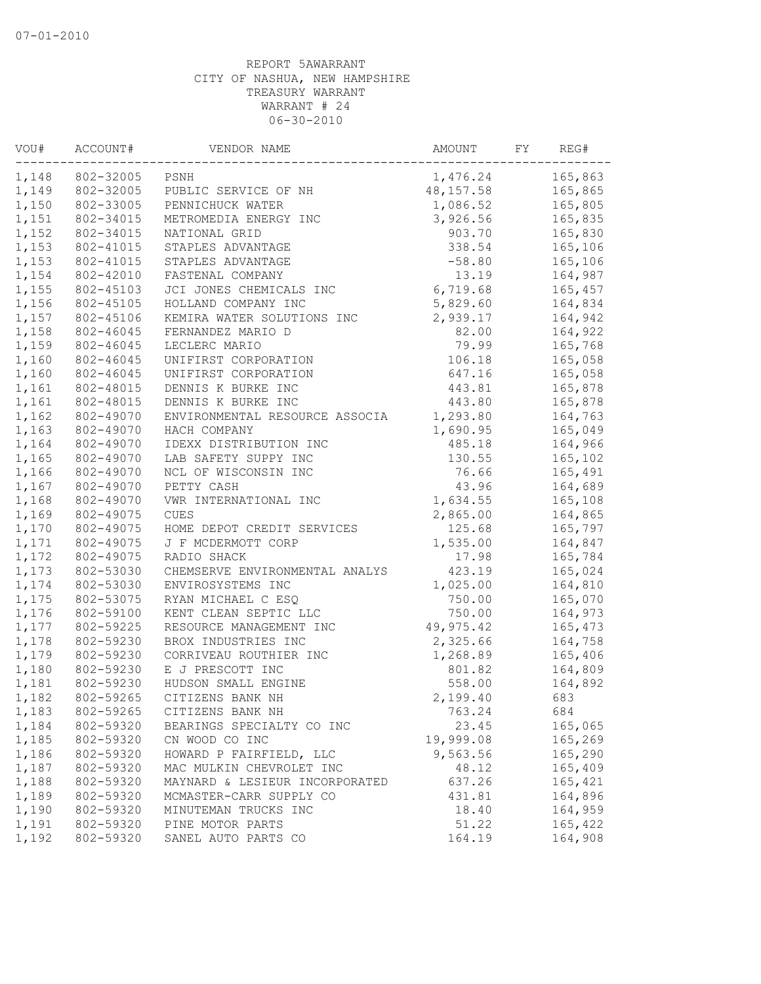| VOU#  | ACCOUNT#  | VENDOR NAME                    | AMOUNT     | FY | REG#    |
|-------|-----------|--------------------------------|------------|----|---------|
| 1,148 | 802-32005 | PSNH                           | 1,476.24   |    | 165,863 |
| 1,149 | 802-32005 | PUBLIC SERVICE OF NH           | 48, 157.58 |    | 165,865 |
| 1,150 | 802-33005 | PENNICHUCK WATER               | 1,086.52   |    | 165,805 |
| 1,151 | 802-34015 | METROMEDIA ENERGY INC          | 3,926.56   |    | 165,835 |
| 1,152 | 802-34015 | NATIONAL GRID                  | 903.70     |    | 165,830 |
| 1,153 | 802-41015 | STAPLES ADVANTAGE              | 338.54     |    | 165,106 |
| 1,153 | 802-41015 | STAPLES ADVANTAGE              | $-58.80$   |    | 165,106 |
| 1,154 | 802-42010 | FASTENAL COMPANY               | 13.19      |    | 164,987 |
| 1,155 | 802-45103 | JCI JONES CHEMICALS INC        | 6,719.68   |    | 165,457 |
| 1,156 | 802-45105 | HOLLAND COMPANY INC            | 5,829.60   |    | 164,834 |
| 1,157 | 802-45106 | KEMIRA WATER SOLUTIONS INC     | 2,939.17   |    | 164,942 |
| 1,158 | 802-46045 | FERNANDEZ MARIO D              | 82.00      |    | 164,922 |
| 1,159 | 802-46045 | LECLERC MARIO                  | 79.99      |    | 165,768 |
| 1,160 | 802-46045 | UNIFIRST CORPORATION           | 106.18     |    | 165,058 |
| 1,160 | 802-46045 | UNIFIRST CORPORATION           | 647.16     |    | 165,058 |
| 1,161 | 802-48015 | DENNIS K BURKE INC             | 443.81     |    | 165,878 |
| 1,161 | 802-48015 | DENNIS K BURKE INC             | 443.80     |    | 165,878 |
| 1,162 | 802-49070 | ENVIRONMENTAL RESOURCE ASSOCIA | 1,293.80   |    | 164,763 |
| 1,163 | 802-49070 | HACH COMPANY                   | 1,690.95   |    | 165,049 |
| 1,164 | 802-49070 | IDEXX DISTRIBUTION INC         | 485.18     |    | 164,966 |
| 1,165 | 802-49070 | LAB SAFETY SUPPY INC           | 130.55     |    | 165,102 |
| 1,166 | 802-49070 | NCL OF WISCONSIN INC           | 76.66      |    | 165,491 |
| 1,167 | 802-49070 | PETTY CASH                     | 43.96      |    | 164,689 |
| 1,168 | 802-49070 | VWR INTERNATIONAL INC          | 1,634.55   |    | 165,108 |
| 1,169 | 802-49075 | CUES                           | 2,865.00   |    | 164,865 |
| 1,170 | 802-49075 | HOME DEPOT CREDIT SERVICES     | 125.68     |    | 165,797 |
| 1,171 | 802-49075 | J F MCDERMOTT CORP             | 1,535.00   |    | 164,847 |
| 1,172 | 802-49075 | RADIO SHACK                    | 17.98      |    | 165,784 |
| 1,173 | 802-53030 | CHEMSERVE ENVIRONMENTAL ANALYS | 423.19     |    | 165,024 |
| 1,174 | 802-53030 | ENVIROSYSTEMS INC              | 1,025.00   |    | 164,810 |
| 1,175 | 802-53075 | RYAN MICHAEL C ESQ             | 750.00     |    | 165,070 |
| 1,176 | 802-59100 | KENT CLEAN SEPTIC LLC          | 750.00     |    | 164,973 |
| 1,177 | 802-59225 | RESOURCE MANAGEMENT INC        | 49,975.42  |    | 165,473 |
| 1,178 | 802-59230 | BROX INDUSTRIES INC            | 2,325.66   |    | 164,758 |
| 1,179 | 802-59230 | CORRIVEAU ROUTHIER INC         | 1,268.89   |    | 165,406 |
| 1,180 | 802-59230 | E J PRESCOTT INC               | 801.82     |    | 164,809 |
| 1,181 | 802-59230 | HUDSON SMALL ENGINE            | 558.00     |    | 164,892 |
| 1,182 | 802-59265 | CITIZENS BANK NH               | 2,199.40   |    | 683     |
| 1,183 | 802-59265 | CITIZENS BANK NH               | 763.24     |    | 684     |
| 1,184 | 802-59320 | BEARINGS SPECIALTY CO INC      | 23.45      |    | 165,065 |
| 1,185 | 802-59320 | CN WOOD CO INC                 | 19,999.08  |    | 165,269 |
| 1,186 | 802-59320 | HOWARD P FAIRFIELD, LLC        | 9,563.56   |    | 165,290 |
| 1,187 | 802-59320 | MAC MULKIN CHEVROLET INC       | 48.12      |    | 165,409 |
| 1,188 | 802-59320 | MAYNARD & LESIEUR INCORPORATED | 637.26     |    | 165,421 |
| 1,189 | 802-59320 | MCMASTER-CARR SUPPLY CO        | 431.81     |    | 164,896 |
| 1,190 | 802-59320 | MINUTEMAN TRUCKS INC           | 18.40      |    | 164,959 |
| 1,191 | 802-59320 | PINE MOTOR PARTS               | 51.22      |    | 165,422 |
| 1,192 | 802-59320 | SANEL AUTO PARTS CO            | 164.19     |    | 164,908 |
|       |           |                                |            |    |         |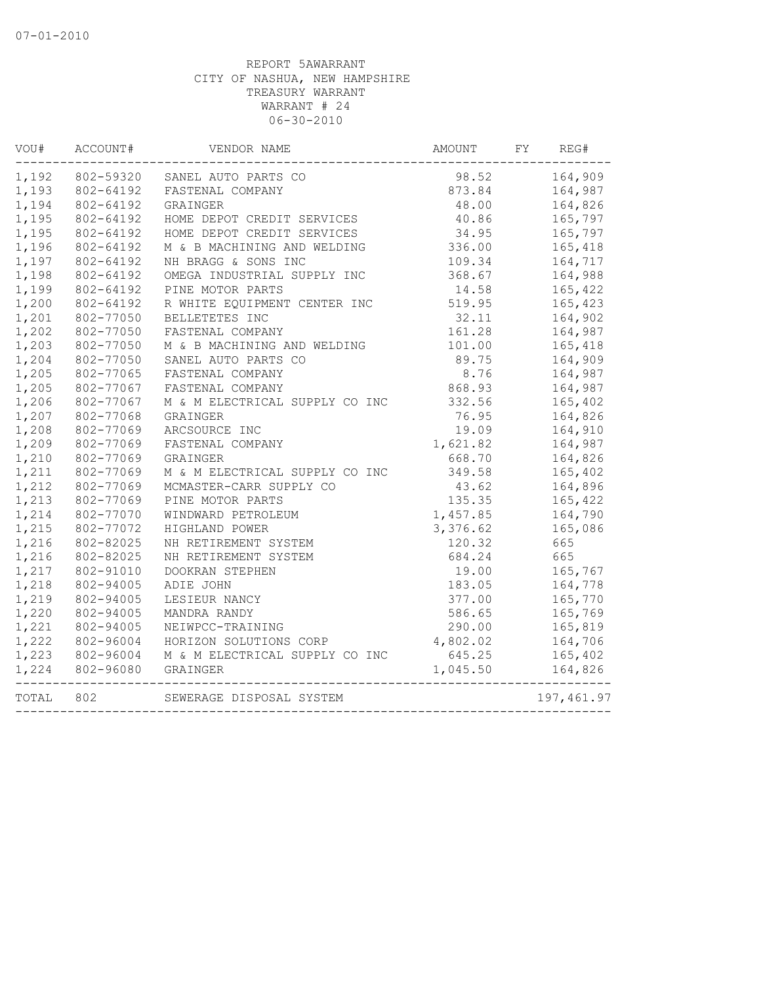| VOU#  | ACCOUNT#                 | VENDOR NAME                    | AMOUNT   | FY | REG#       |
|-------|--------------------------|--------------------------------|----------|----|------------|
| 1,192 | 802-59320                | SANEL AUTO PARTS CO            | 98.52    |    | 164,909    |
| 1,193 | 802-64192                | FASTENAL COMPANY               | 873.84   |    | 164,987    |
| 1,194 | 802-64192                | GRAINGER                       | 48.00    |    | 164,826    |
| 1,195 | 802-64192                | HOME DEPOT CREDIT SERVICES     | 40.86    |    | 165,797    |
| 1,195 | 802-64192                | HOME DEPOT CREDIT SERVICES     | 34.95    |    | 165,797    |
| 1,196 | 802-64192                | M & B MACHINING AND WELDING    | 336.00   |    | 165,418    |
| 1,197 | 802-64192                | NH BRAGG & SONS INC            | 109.34   |    | 164,717    |
| 1,198 | 802-64192                | OMEGA INDUSTRIAL SUPPLY INC    | 368.67   |    | 164,988    |
| 1,199 | 802-64192                | PINE MOTOR PARTS               | 14.58    |    | 165,422    |
| 1,200 | 802-64192                | R WHITE EQUIPMENT CENTER INC   | 519.95   |    | 165,423    |
| 1,201 | 802-77050                | BELLETETES INC                 | 32.11    |    | 164,902    |
| 1,202 | 802-77050                | FASTENAL COMPANY               | 161.28   |    | 164,987    |
| 1,203 | 802-77050                | M & B MACHINING AND WELDING    | 101.00   |    | 165,418    |
| 1,204 | 802-77050                | SANEL AUTO PARTS CO            | 89.75    |    | 164,909    |
| 1,205 | 802-77065                | FASTENAL COMPANY               | 8.76     |    | 164,987    |
| 1,205 | 802-77067                | FASTENAL COMPANY               | 868.93   |    | 164,987    |
| 1,206 | 802-77067                | M & M ELECTRICAL SUPPLY CO INC | 332.56   |    | 165,402    |
| 1,207 | 802-77068                | GRAINGER                       | 76.95    |    | 164,826    |
| 1,208 | 802-77069                | ARCSOURCE INC                  | 19.09    |    | 164,910    |
| 1,209 | 802-77069                | FASTENAL COMPANY               | 1,621.82 |    | 164,987    |
| 1,210 | 802-77069                | GRAINGER                       | 668.70   |    | 164,826    |
| 1,211 | 802-77069                | M & M ELECTRICAL SUPPLY CO INC | 349.58   |    | 165,402    |
| 1,212 | 802-77069                | MCMASTER-CARR SUPPLY CO        | 43.62    |    | 164,896    |
| 1,213 | 802-77069                | PINE MOTOR PARTS               | 135.35   |    | 165,422    |
| 1,214 | 802-77070                | WINDWARD PETROLEUM             | 1,457.85 |    | 164,790    |
| 1,215 | 802-77072                | HIGHLAND POWER                 | 3,376.62 |    | 165,086    |
| 1,216 | 802-82025                | NH RETIREMENT SYSTEM           | 120.32   |    | 665        |
| 1,216 | 802-82025                | NH RETIREMENT SYSTEM           | 684.24   |    | 665        |
| 1,217 | 802-91010                | DOOKRAN STEPHEN                | 19.00    |    | 165,767    |
| 1,218 | 802-94005                | ADIE JOHN                      | 183.05   |    | 164,778    |
| 1,219 | 802-94005                | LESIEUR NANCY                  | 377.00   |    | 165,770    |
| 1,220 | 802-94005                | MANDRA RANDY                   | 586.65   |    | 165,769    |
| 1,221 | 802-94005                | NEIWPCC-TRAINING               | 290.00   |    | 165,819    |
| 1,222 | 802-96004                | HORIZON SOLUTIONS CORP         | 4,802.02 |    | 164,706    |
| 1,223 | 802-96004                | M & M ELECTRICAL SUPPLY CO INC | 645.25   |    | 165,402    |
| 1,224 | 802-96080<br>----------- | GRAINGER                       | 1,045.50 |    | 164,826    |
| TOTAL | 802                      | SEWERAGE DISPOSAL SYSTEM       |          |    | 197,461.97 |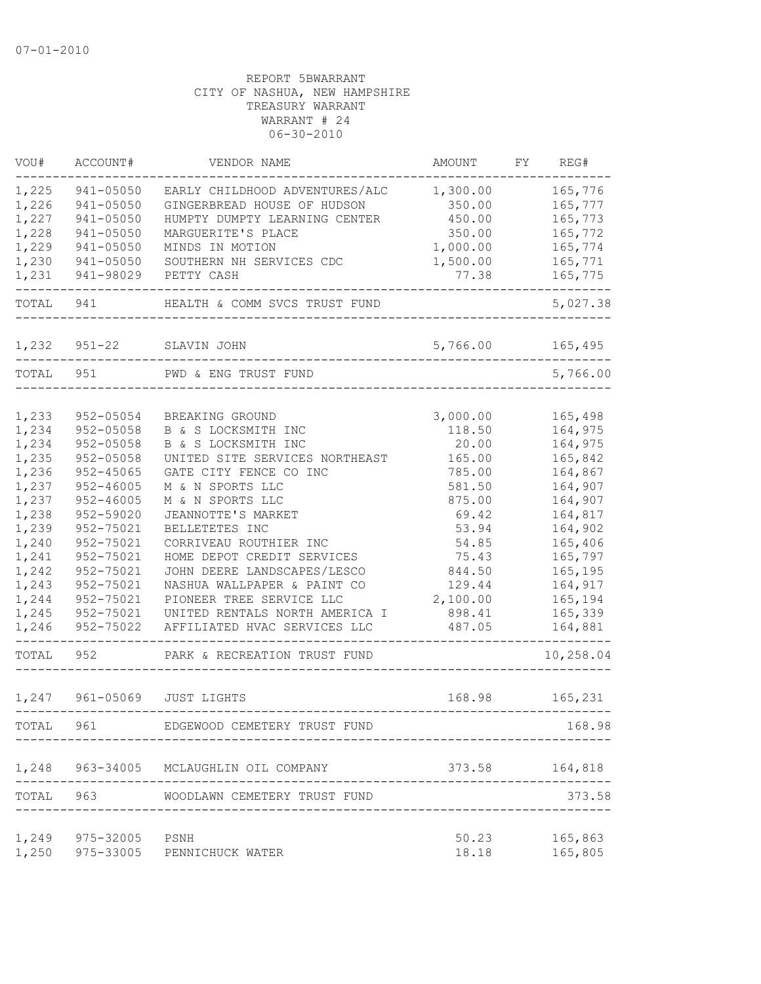| VOU#           | ACCOUNT#                   | VENDOR NAME                                           | AMOUNT          | FY | REG#               |
|----------------|----------------------------|-------------------------------------------------------|-----------------|----|--------------------|
| 1,225          | 941-05050                  | EARLY CHILDHOOD ADVENTURES/ALC                        | 1,300.00        |    | 165,776            |
| 1,226          | 941-05050                  | GINGERBREAD HOUSE OF HUDSON                           | 350.00          |    | 165,777            |
| 1,227          | 941-05050                  | HUMPTY DUMPTY LEARNING CENTER                         | 450.00          |    | 165,773            |
| 1,228          | 941-05050                  | MARGUERITE'S PLACE                                    | 350.00          |    | 165,772            |
| 1,229          | $941 - 05050$              | MINDS IN MOTION                                       | 1,000.00        |    | 165,774            |
| 1,230          | $941 - 05050$              | SOUTHERN NH SERVICES CDC                              | 1,500.00        |    | 165,771            |
| 1,231          | 941-98029                  | PETTY CASH                                            | 77.38           |    | 165,775            |
| TOTAL          | 941                        | HEALTH & COMM SVCS TRUST FUND                         |                 |    | 5,027.38           |
| 1,232          | $951 - 22$                 | SLAVIN JOHN                                           | 5,766.00        |    | 165,495            |
|                |                            |                                                       |                 |    |                    |
| TOTAL          | 951                        | PWD & ENG TRUST FUND                                  |                 |    | 5,766.00           |
|                |                            |                                                       |                 |    |                    |
| 1,233          | 952-05054                  | BREAKING GROUND                                       | 3,000.00        |    | 165,498            |
| 1,234          | $952 - 05058$              | B & S LOCKSMITH INC                                   | 118.50          |    | 164,975            |
| 1,234<br>1,235 | 952-05058<br>$952 - 05058$ | B & S LOCKSMITH INC<br>UNITED SITE SERVICES NORTHEAST | 20.00<br>165.00 |    | 164,975            |
| 1,236          | $952 - 45065$              | GATE CITY FENCE CO INC                                | 785.00          |    | 165,842<br>164,867 |
| 1,237          | $952 - 46005$              | M & N SPORTS LLC                                      | 581.50          |    | 164,907            |
| 1,237          | $952 - 46005$              | M & N SPORTS LLC                                      | 875.00          |    | 164,907            |
| 1,238          | 952-59020                  | JEANNOTTE'S MARKET                                    | 69.42           |    | 164,817            |
| 1,239          | 952-75021                  | BELLETETES INC                                        | 53.94           |    | 164,902            |
| 1,240          | 952-75021                  | CORRIVEAU ROUTHIER INC                                | 54.85           |    | 165,406            |
| 1,241          | 952-75021                  | HOME DEPOT CREDIT SERVICES                            | 75.43           |    | 165,797            |
| 1,242          | 952-75021                  | JOHN DEERE LANDSCAPES/LESCO                           | 844.50          |    | 165,195            |
| 1,243          | 952-75021                  | NASHUA WALLPAPER & PAINT CO                           | 129.44          |    | 164,917            |
| 1,244          | 952-75021                  | PIONEER TREE SERVICE LLC                              | 2,100.00        |    | 165,194            |
| 1,245          | 952-75021                  | UNITED RENTALS NORTH AMERICA I                        | 898.41          |    | 165,339            |
| 1,246          | 952-75022                  | AFFILIATED HVAC SERVICES LLC                          | 487.05          |    | 164,881            |
| TOTAL          | 952                        | PARK & RECREATION TRUST FUND                          |                 |    | 10,258.04          |
|                |                            |                                                       |                 |    |                    |
| 1,247          | 961-05069                  | <b>JUST LIGHTS</b>                                    | 168.98          |    | 165,231            |
| TOTAL          | 961                        | EDGEWOOD CEMETERY TRUST FUND                          |                 |    | 168.98             |
| 1,248          | 963-34005                  | MCLAUGHLIN OIL COMPANY                                | 373.58          |    | 164,818            |
| TOTAL          | 963                        | WOODLAWN CEMETERY TRUST FUND                          |                 |    | 373.58             |
|                |                            |                                                       |                 |    |                    |
|                | 1,249 975-32005            | PSNH                                                  | 50.23           |    | 165,863            |
| 1,250          | 975-33005                  | PENNICHUCK WATER                                      | 18.18           |    | 165,805            |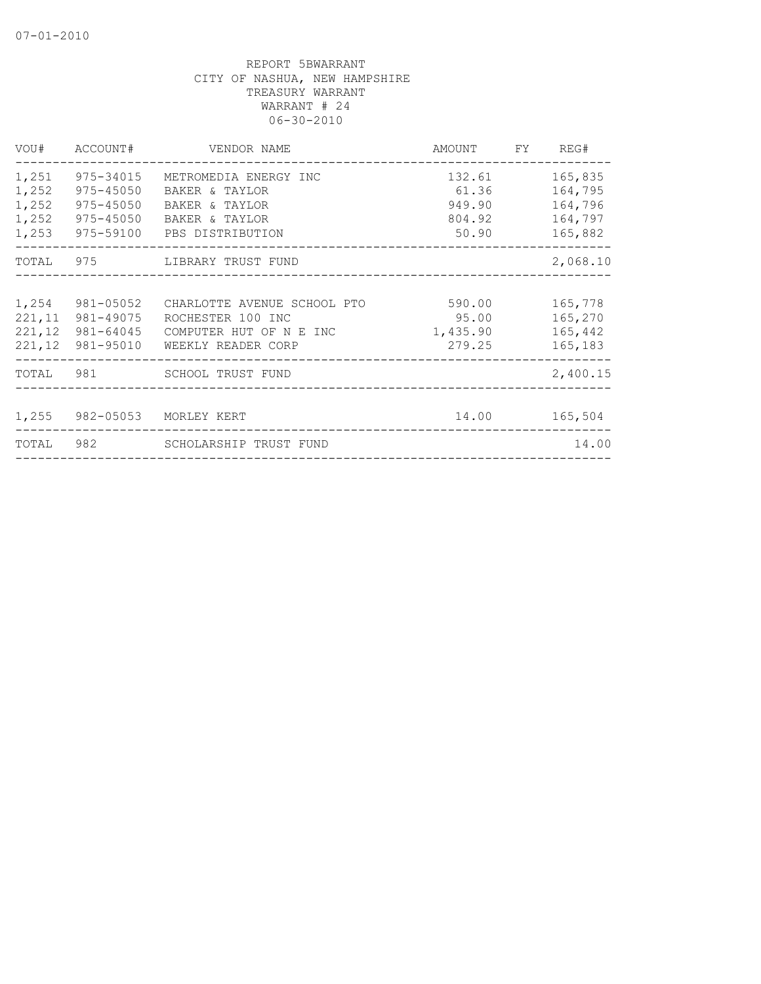|                                           | VOU# ACCOUNT#                                                   | VENDOR NAME                                                                                                                                               | AMOUNT FY REG#                         |                                                     |
|-------------------------------------------|-----------------------------------------------------------------|-----------------------------------------------------------------------------------------------------------------------------------------------------------|----------------------------------------|-----------------------------------------------------|
| 1,251<br>1,252<br>1,252<br>1,252<br>1,253 | 975-34015<br>975-45050<br>$975 - 45050$<br>975-45050            | METROMEDIA ENERGY INC<br>132.61<br>61.36<br>BAKER & TAYLOR<br>949.90<br>BAKER & TAYLOR<br>804.92<br>BAKER & TAYLOR<br>50.90<br>975-59100 PBS DISTRIBUTION |                                        | 165,835<br>164,795<br>164,796<br>164,797<br>165,882 |
|                                           |                                                                 | TOTAL 975 LIBRARY TRUST FUND                                                                                                                              |                                        | 2,068.10                                            |
| 1,254<br>221,12                           | 981-05052<br>221, 11 981-49075<br>981-64045<br>221,12 981-95010 | CHARLOTTE AVENUE SCHOOL PTO<br>ROCHESTER 100 INC<br>COMPUTER HUT OF N E INC<br>WEEKLY READER CORP                                                         | 590.00<br>95.00<br>1,435.90<br>279.25  | 165,778<br>165,270<br>165,442<br>165,183            |
|                                           |                                                                 | TOTAL 981 SCHOOL TRUST FUND                                                                                                                               |                                        | 2,400.15                                            |
| TOTAL                                     |                                                                 | 1,255 982-05053 MORLEY KERT                                                                                                                               |                                        | 14.00 165,504<br>14.00                              |
|                                           |                                                                 |                                                                                                                                                           | ______________________________________ |                                                     |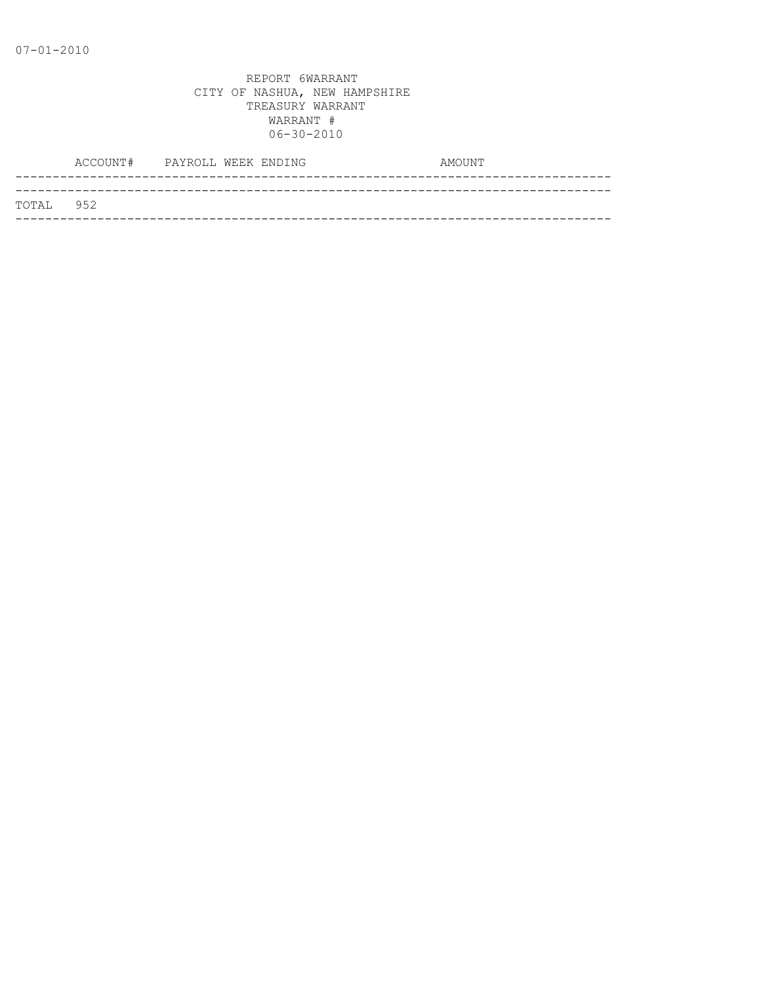|           | ACCOUNT# PAYROLL WEEK ENDING |  |  | AMOUNT |  |
|-----------|------------------------------|--|--|--------|--|
|           |                              |  |  |        |  |
| TOTAL 952 |                              |  |  |        |  |
|           |                              |  |  |        |  |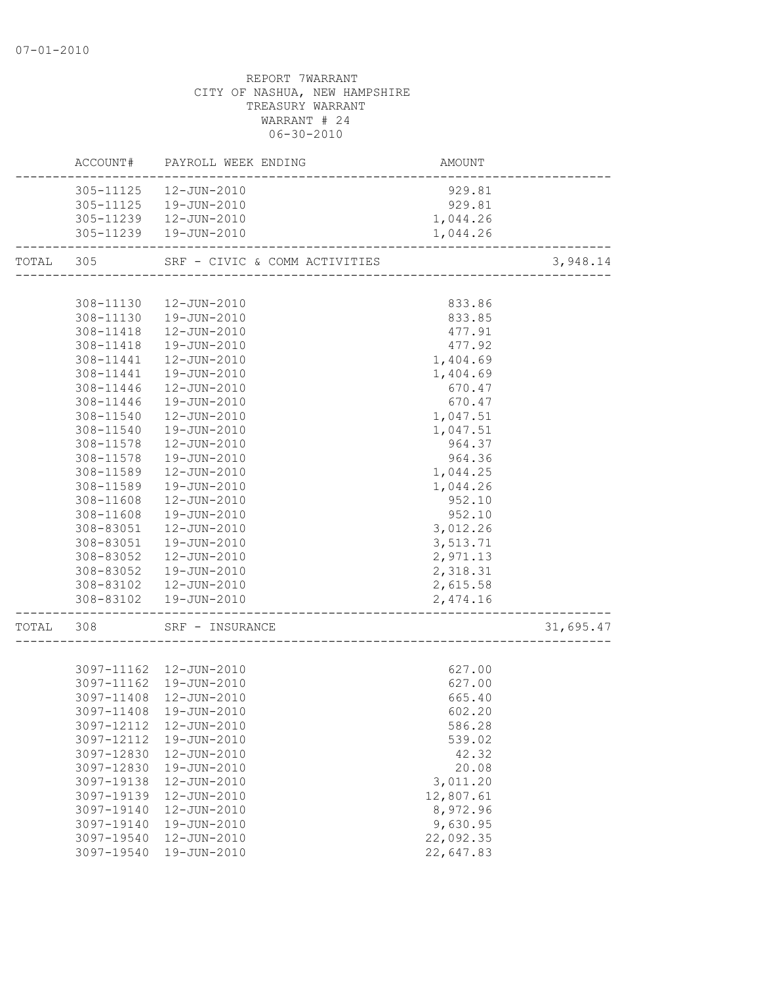|           |            | ACCOUNT# PAYROLL WEEK ENDING  | AMOUNT    |           |
|-----------|------------|-------------------------------|-----------|-----------|
|           |            | 305-11125  12-JUN-2010        | 929.81    |           |
|           |            | 305-11125  19-JUN-2010        | 929.81    |           |
|           |            | 305-11239  12-JUN-2010        | 1,044.26  |           |
|           |            | 305-11239  19-JUN-2010        | 1,044.26  |           |
| TOTAL 305 |            | SRF - CIVIC & COMM ACTIVITIES |           | 3,948.14  |
|           |            |                               |           |           |
|           | 308-11130  | 12-JUN-2010                   | 833.86    |           |
|           | 308-11130  | 19-JUN-2010                   | 833.85    |           |
|           | 308-11418  | 12-JUN-2010                   | 477.91    |           |
|           |            | 308-11418  19-JUN-2010        | 477.92    |           |
|           |            | 308-11441  12-JUN-2010        | 1,404.69  |           |
|           | 308-11441  | 19-JUN-2010                   | 1,404.69  |           |
|           | 308-11446  | 12-JUN-2010                   | 670.47    |           |
|           | 308-11446  | 19-JUN-2010                   | 670.47    |           |
|           | 308-11540  | 12-JUN-2010                   | 1,047.51  |           |
|           | 308-11540  | 19-JUN-2010                   | 1,047.51  |           |
|           | 308-11578  | 12-JUN-2010                   | 964.37    |           |
|           | 308-11578  | 19-JUN-2010                   | 964.36    |           |
|           | 308-11589  |                               |           |           |
|           |            | 12-JUN-2010                   | 1,044.25  |           |
|           | 308-11589  | 19-JUN-2010                   | 1,044.26  |           |
|           | 308-11608  | 12-JUN-2010                   | 952.10    |           |
|           | 308-11608  | 19-JUN-2010                   | 952.10    |           |
|           | 308-83051  | 12-JUN-2010                   | 3,012.26  |           |
|           | 308-83051  | 19-JUN-2010                   | 3,513.71  |           |
|           | 308-83052  | 12-JUN-2010                   | 2,971.13  |           |
|           | 308-83052  | 19-JUN-2010                   | 2,318.31  |           |
|           | 308-83102  | 12-JUN-2010                   | 2,615.58  |           |
|           |            | 308-83102  19-JUN-2010        | 2,474.16  |           |
| TOTAL 308 |            | SRF - INSURANCE               |           | 31,695.47 |
|           |            |                               |           |           |
|           |            | 3097-11162  12-JUN-2010       | 627.00    |           |
|           |            | 3097-11162  19-JUN-2010       | 627.00    |           |
|           |            | 3097-11408 12-JUN-2010        | 665.40    |           |
|           | 3097-11408 | 19-JUN-2010                   | 602.20    |           |
|           | 3097-12112 | $12 - JUN - 2010$             | 586.28    |           |
|           | 3097-12112 | 19-JUN-2010                   | 539.02    |           |
|           | 3097-12830 | 12-JUN-2010                   | 42.32     |           |
|           | 3097-12830 | 19-JUN-2010                   | 20.08     |           |
|           | 3097-19138 | 12-JUN-2010                   | 3,011.20  |           |
|           | 3097-19139 | 12-JUN-2010                   | 12,807.61 |           |
|           |            |                               |           |           |
|           | 3097-19140 | 12-JUN-2010                   | 8,972.96  |           |
|           | 3097-19140 | 19-JUN-2010                   | 9,630.95  |           |
|           | 3097-19540 | 12-JUN-2010                   | 22,092.35 |           |
|           | 3097-19540 | 19-JUN-2010                   | 22,647.83 |           |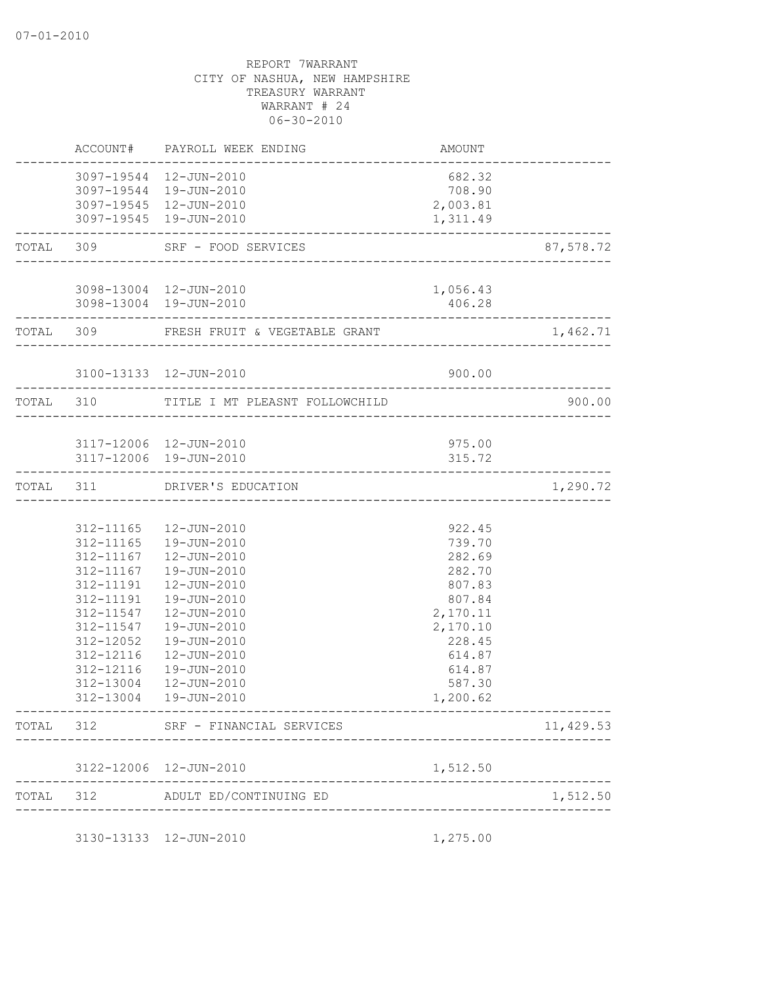|           |                        | ACCOUNT# PAYROLL WEEK ENDING                                         | AMOUNT                             |           |
|-----------|------------------------|----------------------------------------------------------------------|------------------------------------|-----------|
|           |                        | 3097-19544 12-JUN-2010                                               | 682.32                             |           |
|           |                        | 3097-19544 19-JUN-2010                                               | 708.90                             |           |
|           |                        | 3097-19545 12-JUN-2010                                               | 2,003.81                           |           |
|           |                        | 3097-19545 19-JUN-2010<br>---------------------                      | 1,311.49                           |           |
|           | TOTAL 309              | SRF - FOOD SERVICES                                                  |                                    | 87,578.72 |
|           |                        | 3098-13004 12-JUN-2010                                               | 1,056.43                           |           |
|           |                        | 3098-13004 19-JUN-2010                                               | 406.28                             |           |
|           |                        | -------------------------<br>TOTAL 309 FRESH FRUIT & VEGETABLE GRANT |                                    | 1,462.71  |
|           |                        | 3100-13133  12-JUN-2010                                              | 900.00                             |           |
|           | TOTAL 310              | TITLE I MT PLEASNT FOLLOWCHILD                                       |                                    | 900.00    |
|           |                        |                                                                      |                                    |           |
|           |                        | 3117-12006 12-JUN-2010<br>3117-12006 19-JUN-2010                     | 975.00<br>315.72                   |           |
| TOTAL 311 |                        | DRIVER'S EDUCATION                                                   | ---------------------------------- | 1,290.72  |
|           |                        |                                                                      |                                    |           |
|           |                        | 312-11165  12-JUN-2010                                               | 922.45                             |           |
|           |                        | 312-11165  19-JUN-2010                                               | 739.70                             |           |
|           |                        | 312-11167  12-JUN-2010                                               | 282.69                             |           |
|           | 312-11167              | 19-JUN-2010                                                          | 282.70                             |           |
|           | 312-11191              | 12-JUN-2010                                                          | 807.83                             |           |
|           | 312-11191              | 19-JUN-2010                                                          | 807.84                             |           |
|           | 312-11547              | 12-JUN-2010                                                          | 2,170.11                           |           |
|           | 312-11547              | 19-JUN-2010                                                          | 2,170.10                           |           |
|           | 312-12052              | 19-JUN-2010                                                          | 228.45                             |           |
|           | 312-12116              | 12-JUN-2010                                                          | 614.87                             |           |
|           | 312-12116              | 19-JUN-2010                                                          | 614.87                             |           |
|           | 312-13004<br>312-13004 | 12-JUN-2010<br>19-JUN-2010                                           | 587.30<br>1,200.62                 |           |
|           |                        |                                                                      |                                    |           |
|           |                        | TOTAL 312 SRF - FINANCIAL SERVICES                                   |                                    | 11,429.53 |
|           |                        | 3122-12006 12-JUN-2010                                               | 1,512.50                           |           |
|           |                        | TOTAL 312 ADULT ED/CONTINUING ED                                     | _______________________________    | 1,512.50  |
|           |                        | 3130-13133 12-JUN-2010                                               | 1,275.00                           |           |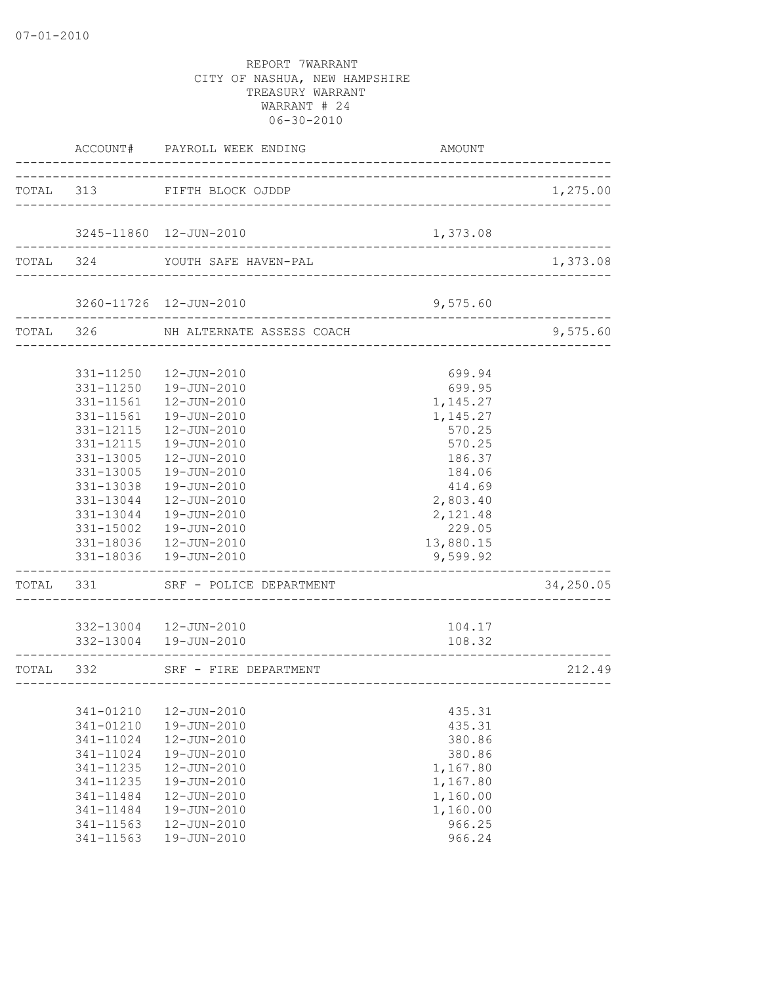|           |                                                  | ACCOUNT# PAYROLL WEEK ENDING                                                              | AMOUNT                                      |           |
|-----------|--------------------------------------------------|-------------------------------------------------------------------------------------------|---------------------------------------------|-----------|
|           |                                                  | TOTAL 313 FIFTH BLOCK OJDDP                                                               |                                             | 1,275.00  |
|           |                                                  | 3245-11860  12-JUN-2010                                                                   | 1,373.08                                    |           |
|           |                                                  | TOTAL 324 YOUTH SAFE HAVEN-PAL                                                            |                                             | 1,373.08  |
|           |                                                  | 3260-11726 12-JUN-2010                                                                    | 9,575.60                                    |           |
|           |                                                  | TOTAL 326 NH ALTERNATE ASSESS COACH                                                       |                                             | 9,575.60  |
|           | 331-11561                                        | 331-11250  12-JUN-2010<br>331-11250  19-JUN-2010<br>12-JUN-2010                           | 699.94<br>699.95<br>1,145.27                |           |
|           | 331-11561<br>331-12115<br>331-12115              | 19-JUN-2010<br>12-JUN-2010<br>19-JUN-2010                                                 | 1,145.27<br>570.25<br>570.25                |           |
|           | 331-13005<br>331-13005<br>331-13038              | 12-JUN-2010<br>19-JUN-2010<br>19-JUN-2010                                                 | 186.37<br>184.06<br>414.69                  |           |
|           | 331-13044                                        | 12-JUN-2010<br>331-13044  19-JUN-2010<br>331-15002  19-JUN-2010<br>331-18036  12-JUN-2010 | 2,803.40<br>2,121.48<br>229.05<br>13,880.15 |           |
|           | . _ _ _ _ _ _ _ _ _ _ _ _                        | 331-18036  19-JUN-2010                                                                    | 9,599.92                                    |           |
|           |                                                  | TOTAL 331 SRF - POLICE DEPARTMENT                                                         |                                             | 34,250.05 |
|           |                                                  | 332-13004  12-JUN-2010<br>332-13004  19-JUN-2010                                          | 104.17<br>108.32                            |           |
| TOTAL 332 |                                                  | SRF - FIRE DEPARTMENT                                                                     | ___________________                         | 212.49    |
|           | 341-01210<br>341-01210                           | 12-JUN-2010<br>19-JUN-2010                                                                | 435.31<br>435.31                            |           |
|           | 341-11024<br>341-11024<br>341-11235              | 12-JUN-2010<br>19-JUN-2010<br>12-JUN-2010                                                 | 380.86<br>380.86<br>1,167.80                |           |
|           | 341-11235<br>341-11484<br>341-11484<br>341-11563 | 19-JUN-2010<br>12-JUN-2010<br>19-JUN-2010<br>12-JUN-2010                                  | 1,167.80<br>1,160.00<br>1,160.00<br>966.25  |           |
|           | 341-11563                                        | 19-JUN-2010                                                                               | 966.24                                      |           |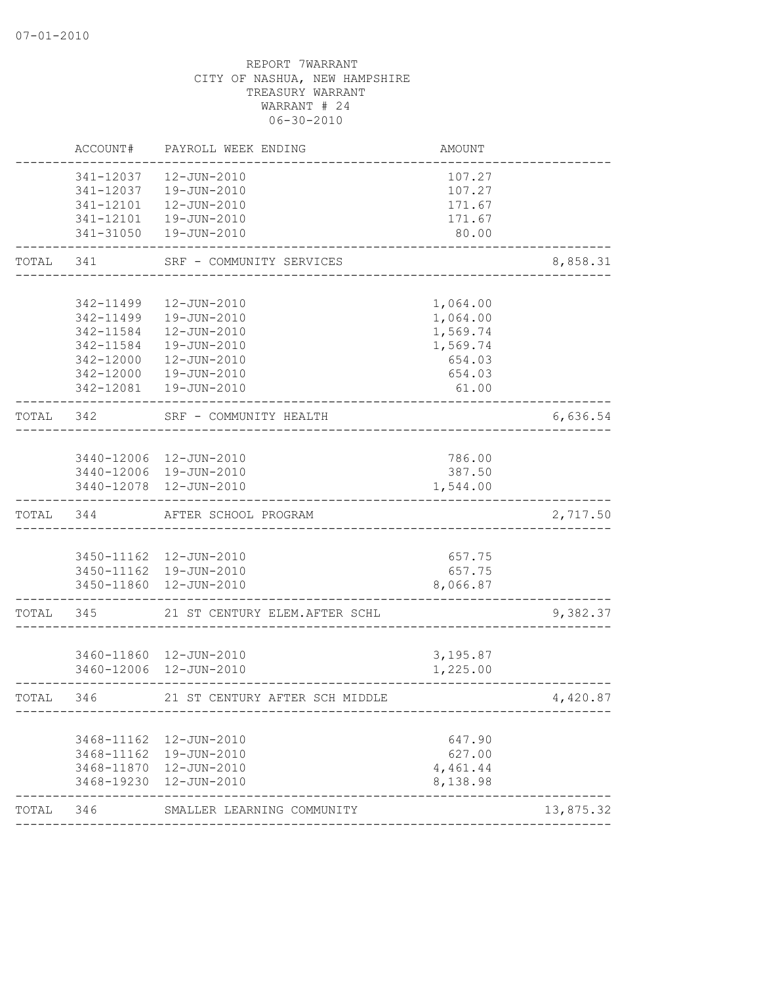|       | ACCOUNT#  | PAYROLL WEEK ENDING                                | AMOUNT               |           |
|-------|-----------|----------------------------------------------------|----------------------|-----------|
|       | 341-12037 | 12-JUN-2010                                        | 107.27               |           |
|       | 341-12037 | 19-JUN-2010                                        | 107.27               |           |
|       | 341-12101 | 12-JUN-2010                                        | 171.67               |           |
|       |           | 341-12101  19-JUN-2010                             | 171.67               |           |
|       | 341-31050 | 19-JUN-2010                                        | 80.00                |           |
| TOTAL | 341       | SRF - COMMUNITY SERVICES                           |                      | 8,858.31  |
|       |           |                                                    |                      |           |
|       | 342-11499 | 12-JUN-2010                                        | 1,064.00             |           |
|       | 342-11499 | 19-JUN-2010                                        | 1,064.00             |           |
|       | 342-11584 | 12-JUN-2010                                        | 1,569.74             |           |
|       | 342-11584 | 19-JUN-2010                                        | 1,569.74             |           |
|       | 342-12000 | 12-JUN-2010                                        | 654.03               |           |
|       | 342-12000 | 19-JUN-2010                                        | 654.03               |           |
|       |           | 342-12081  19-JUN-2010                             | 61.00                |           |
| TOTAL | 342       | SRF - COMMUNITY HEALTH                             |                      | 6,636.54  |
|       |           |                                                    |                      |           |
|       |           | 3440-12006 12-JUN-2010                             | 786.00               |           |
|       |           | 3440-12006 19-JUN-2010                             | 387.50               |           |
|       |           | 3440-12078  12-JUN-2010                            | 1,544.00             |           |
| TOTAL | 344       | AFTER SCHOOL PROGRAM                               |                      | 2,717.50  |
|       |           |                                                    |                      |           |
|       |           | 3450-11162  12-JUN-2010                            | 657.75               |           |
|       |           | 3450-11162  19-JUN-2010                            | 657.75               |           |
|       |           | 3450-11860 12-JUN-2010                             | 8,066.87             |           |
| TOTAL | 345       | 21 ST CENTURY ELEM. AFTER SCHL                     |                      | 9,382.37  |
|       |           |                                                    |                      |           |
|       |           | 3460-11860 12-JUN-2010                             | 3,195.87             |           |
|       |           | 3460-12006 12-JUN-2010                             | 1,225.00             |           |
| TOTAL | 346       | 21 ST CENTURY AFTER SCH MIDDLE                     |                      | 4,420.87  |
|       |           |                                                    | 647.90               |           |
|       |           | 3468-11162  12-JUN-2010<br>3468-11162  19-JUN-2010 | 627.00               |           |
|       |           | 3468-11870  12-JUN-2010                            |                      |           |
|       |           | 3468-19230 12-JUN-2010                             | 4,461.44<br>8,138.98 |           |
| TOTAL | 346       | SMALLER LEARNING COMMUNITY                         |                      | 13,875.32 |
|       |           |                                                    |                      |           |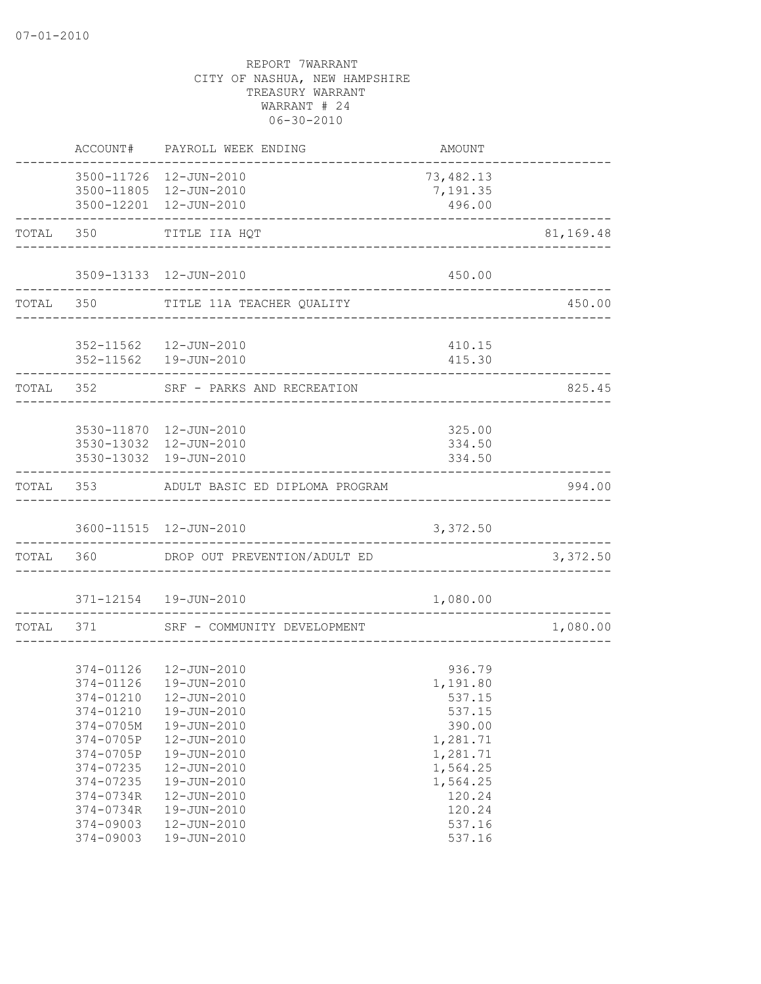|           | ACCOUNT#  | PAYROLL WEEK ENDING                              | <b>AMOUNT</b>                          |           |
|-----------|-----------|--------------------------------------------------|----------------------------------------|-----------|
|           |           | 3500-11726 12-JUN-2010<br>3500-11805 12-JUN-2010 | 73,482.13<br>7,191.35                  |           |
|           |           | 3500-12201 12-JUN-2010                           | 496.00                                 |           |
|           | TOTAL 350 | -----------------------------<br>TITLE IIA HQT   |                                        | 81,169.48 |
|           |           | 3509-13133 12-JUN-2010                           | 450.00                                 |           |
|           | TOTAL 350 | TITLE 11A TEACHER QUALITY                        |                                        | 450.00    |
|           |           |                                                  | ______________________________________ |           |
|           |           | 352-11562  12-JUN-2010<br>352-11562  19-JUN-2010 | 410.15<br>415.30                       |           |
| TOTAL 352 |           | SRF - PARKS AND RECREATION                       |                                        | 825.45    |
|           |           |                                                  |                                        |           |
|           |           | 3530-11870  12-JUN-2010                          | 325.00                                 |           |
|           |           | 3530-13032 12-JUN-2010<br>3530-13032 19-JUN-2010 | 334.50<br>334.50                       |           |
|           |           | TOTAL 353 ADULT BASIC ED DIPLOMA PROGRAM         |                                        | 994.00    |
|           |           | 3600-11515 12-JUN-2010                           | 3,372.50                               |           |
|           | TOTAL 360 | DROP OUT PREVENTION/ADULT ED                     |                                        | 3,372.50  |
|           |           | 371-12154  19-JUN-2010                           | 1,080.00                               |           |
|           | TOTAL 371 | SRF - COMMUNITY DEVELOPMENT                      |                                        | 1,080.00  |
|           |           |                                                  |                                        |           |
|           |           | 374-01126  12-JUN-2010                           | 936.79                                 |           |
|           |           | 374-01126  19-JUN-2010                           | 1,191.80                               |           |
|           |           | 374-01210  12-JUN-2010                           | 537.15                                 |           |
|           | 374-01210 | 19-JUN-2010                                      | 537.15                                 |           |
|           | 374-0705M | 19-JUN-2010                                      | 390.00                                 |           |
|           | 374-0705P | 12-JUN-2010                                      | 1,281.71                               |           |
|           | 374-0705P | 19-JUN-2010                                      | 1,281.71                               |           |
|           | 374-07235 | 12-JUN-2010                                      | 1,564.25                               |           |
|           | 374-07235 | 19-JUN-2010                                      | 1,564.25                               |           |
|           | 374-0734R | 12-JUN-2010                                      | 120.24                                 |           |
|           | 374-0734R | 19-JUN-2010                                      | 120.24                                 |           |
|           | 374-09003 | 12-JUN-2010                                      | 537.16                                 |           |
|           | 374-09003 | 19-JUN-2010                                      | 537.16                                 |           |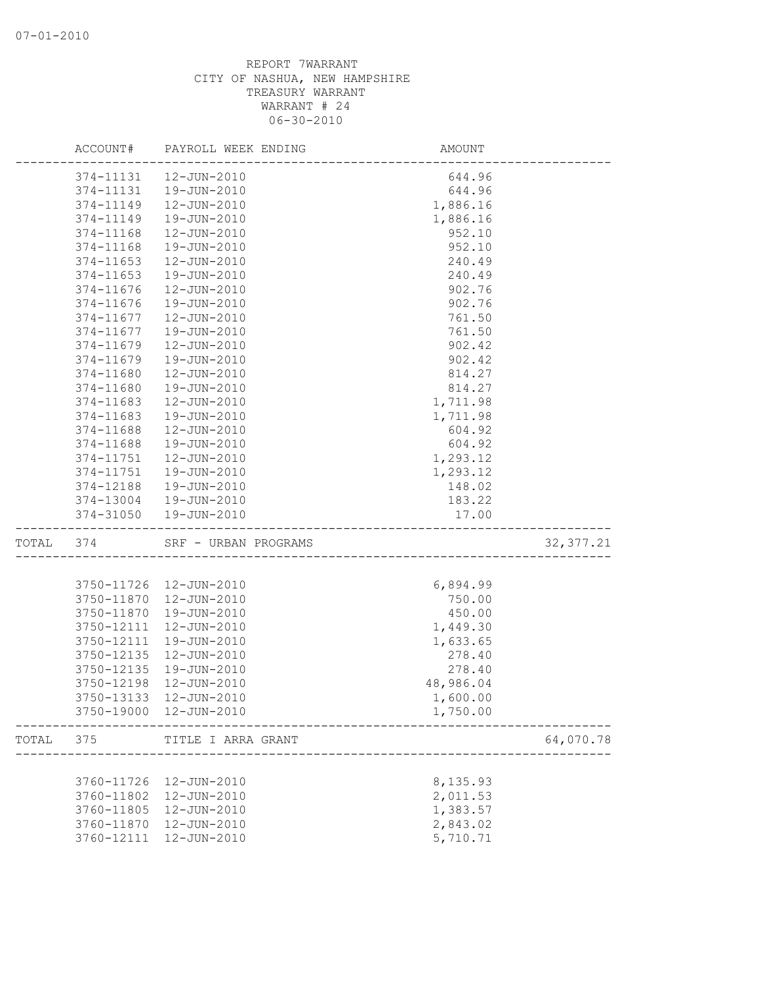|       | ACCOUNT#   | PAYROLL WEEK ENDING    | AMOUNT                          |            |
|-------|------------|------------------------|---------------------------------|------------|
|       | 374-11131  | 12-JUN-2010            | 644.96                          |            |
|       | 374-11131  | 19-JUN-2010            | 644.96                          |            |
|       | 374-11149  | 12-JUN-2010            | 1,886.16                        |            |
|       | 374-11149  | 19-JUN-2010            | 1,886.16                        |            |
|       | 374-11168  | 12-JUN-2010            | 952.10                          |            |
|       | 374-11168  | 19-JUN-2010            | 952.10                          |            |
|       | 374-11653  | 12-JUN-2010            | 240.49                          |            |
|       | 374-11653  | 19-JUN-2010            | 240.49                          |            |
|       | 374-11676  | 12-JUN-2010            | 902.76                          |            |
|       | 374-11676  | 19-JUN-2010            | 902.76                          |            |
|       | 374-11677  | 12-JUN-2010            | 761.50                          |            |
|       | 374-11677  | 19-JUN-2010            | 761.50                          |            |
|       | 374-11679  | 12-JUN-2010            | 902.42                          |            |
|       | 374-11679  | 19-JUN-2010            | 902.42                          |            |
|       | 374-11680  | 12-JUN-2010            | 814.27                          |            |
|       | 374-11680  | 19-JUN-2010            | 814.27                          |            |
|       | 374-11683  | 12-JUN-2010            | 1,711.98                        |            |
|       | 374-11683  | 19-JUN-2010            | 1,711.98                        |            |
|       | 374-11688  | 12-JUN-2010            | 604.92                          |            |
|       | 374-11688  | 19-JUN-2010            | 604.92                          |            |
|       | 374-11751  | 12-JUN-2010            | 1,293.12                        |            |
|       | 374-11751  | 19-JUN-2010            | 1,293.12                        |            |
|       | 374-12188  | 19-JUN-2010            | 148.02                          |            |
|       | 374-13004  | 19-JUN-2010            | 183.22                          |            |
|       | 374-31050  | 19-JUN-2010            | 17.00                           |            |
| TOTAL | 374        | SRF - URBAN PROGRAMS   |                                 | 32, 377.21 |
|       |            |                        |                                 |            |
|       | 3750-11726 | 12-JUN-2010            | 6,894.99                        |            |
|       | 3750-11870 | 12-JUN-2010            | 750.00                          |            |
|       | 3750-11870 | 19-JUN-2010            | 450.00                          |            |
|       | 3750-12111 | 12-JUN-2010            | 1,449.30                        |            |
|       | 3750-12111 | 19-JUN-2010            | 1,633.65                        |            |
|       | 3750-12135 | 12-JUN-2010            | 278.40                          |            |
|       | 3750-12135 | 19-JUN-2010            | 278.40                          |            |
|       | 3750-12198 | 12-JUN-2010            | 48,986.04                       |            |
|       |            | 3750-13133 12-JUN-2010 | 1,600.00                        |            |
|       |            | 3750-19000 12-JUN-2010 | 1,750.00<br>___________________ |            |
| TOTAL | 375        | TITLE I ARRA GRANT     |                                 | 64,070.78  |
|       |            |                        |                                 |            |
|       | 3760-11726 | 12-JUN-2010            | 8,135.93                        |            |
|       | 3760-11802 | 12-JUN-2010            | 2,011.53                        |            |
|       | 3760-11805 | 12-JUN-2010            | 1,383.57                        |            |
|       | 3760-11870 | 12-JUN-2010            | 2,843.02                        |            |
|       | 3760-12111 | 12-JUN-2010            | 5,710.71                        |            |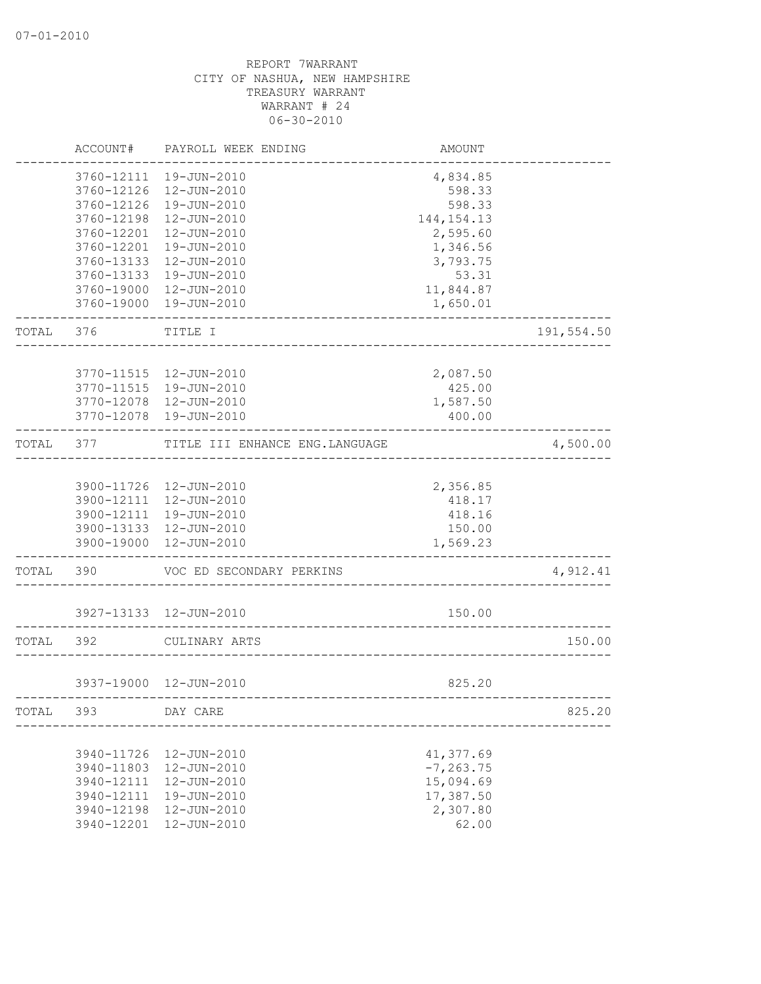|       | ACCOUNT#   | PAYROLL WEEK ENDING             | AMOUNT       |            |
|-------|------------|---------------------------------|--------------|------------|
|       | 3760-12111 | 19-JUN-2010                     | 4,834.85     |            |
|       | 3760-12126 | 12-JUN-2010                     | 598.33       |            |
|       | 3760-12126 | 19-JUN-2010                     | 598.33       |            |
|       | 3760-12198 | 12-JUN-2010                     | 144, 154. 13 |            |
|       | 3760-12201 | 12-JUN-2010                     | 2,595.60     |            |
|       | 3760-12201 | 19-JUN-2010                     | 1,346.56     |            |
|       | 3760-13133 | 12-JUN-2010                     | 3,793.75     |            |
|       | 3760-13133 | 19-JUN-2010                     | 53.31        |            |
|       | 3760-19000 | 12-JUN-2010                     | 11,844.87    |            |
|       | 3760-19000 | 19-JUN-2010                     | 1,650.01     |            |
| TOTAL | 376        | TITLE I                         |              | 191,554.50 |
|       |            |                                 |              |            |
|       | 3770-11515 | 12-JUN-2010                     | 2,087.50     |            |
|       | 3770-11515 | 19-JUN-2010                     | 425.00       |            |
|       | 3770-12078 | 12-JUN-2010                     | 1,587.50     |            |
|       | 3770-12078 | 19-JUN-2010                     | 400.00       |            |
| TOTAL | 377        | TITLE III ENHANCE ENG. LANGUAGE |              | 4,500.00   |
|       |            |                                 |              |            |
|       |            | 3900-11726 12-JUN-2010          | 2,356.85     |            |
|       | 3900-12111 | 12-JUN-2010                     | 418.17       |            |
|       | 3900-12111 | 19-JUN-2010                     | 418.16       |            |
|       | 3900-13133 | 12-JUN-2010                     | 150.00       |            |
|       | 3900-19000 | 12-JUN-2010                     | 1,569.23     |            |
| TOTAL | 390        | VOC ED SECONDARY PERKINS        |              | 4,912.41   |
|       |            | 3927-13133 12-JUN-2010          | 150.00       |            |
|       |            |                                 |              |            |
| TOTAL | 392        | CULINARY ARTS                   |              | 150.00     |
|       |            | 3937-19000 12-JUN-2010          | 825.20       |            |
| TOTAL | 393        | DAY CARE                        |              | 825.20     |
|       |            |                                 |              |            |
|       | 3940-11726 | $12 - JUN - 2010$               | 41,377.69    |            |
|       | 3940-11803 | 12-JUN-2010                     | $-7, 263.75$ |            |
|       | 3940-12111 | $12 - JUN - 2010$               | 15,094.69    |            |
|       | 3940-12111 | 19-JUN-2010                     | 17,387.50    |            |
|       | 3940-12198 | 12-JUN-2010                     | 2,307.80     |            |
|       | 3940-12201 | 12-JUN-2010                     | 62.00        |            |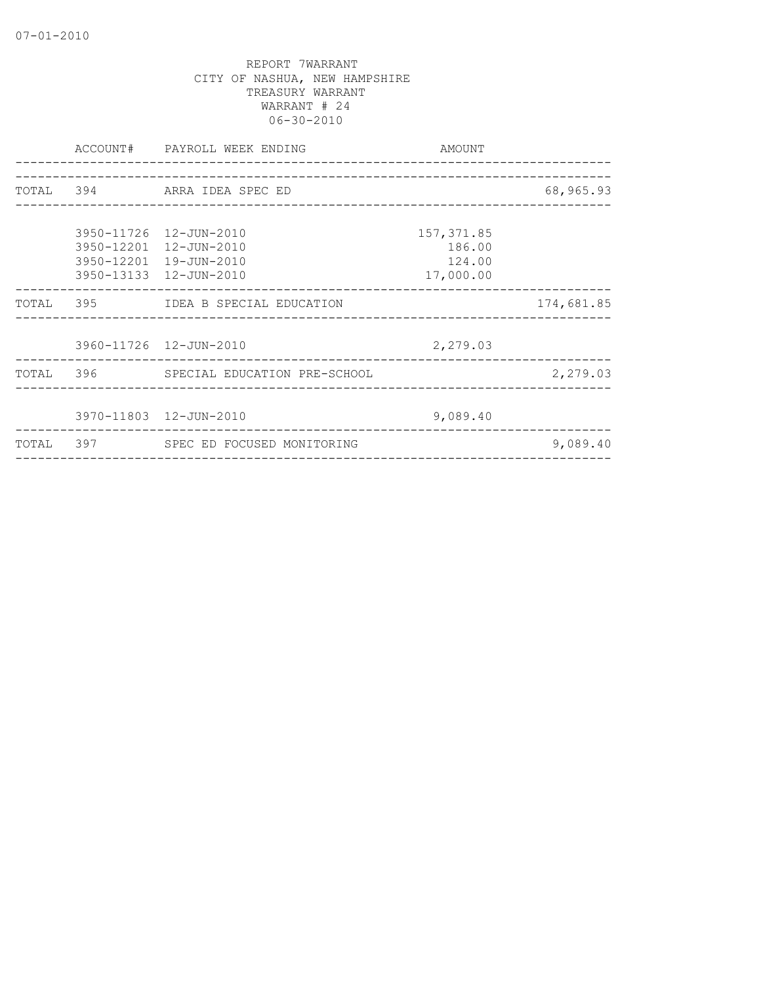|  | ACCOUNT# PAYROLL WEEK ENDING                                                                         | AMOUNT                                       |            |
|--|------------------------------------------------------------------------------------------------------|----------------------------------------------|------------|
|  | TOTAL 394 ARRA IDEA SPEC ED                                                                          |                                              | 68,965.93  |
|  | 3950-11726 12-JUN-2010<br>3950-12201 12-JUN-2010<br>3950-12201 19-JUN-2010<br>3950-13133 12-JUN-2010 | 157, 371.85<br>186.00<br>124.00<br>17,000.00 |            |
|  | TOTAL 395 IDEA B SPECIAL EDUCATION                                                                   |                                              | 174,681.85 |
|  | 3960-11726 12-JUN-2010                                                                               | 2,279.03                                     |            |
|  | TOTAL 396 SPECIAL EDUCATION PRE-SCHOOL                                                               |                                              | 2,279.03   |
|  | 3970-11803 12-JUN-2010                                                                               | 9,089.40                                     |            |
|  | TOTAL 397 SPEC ED FOCUSED MONITORING                                                                 |                                              | 9,089.40   |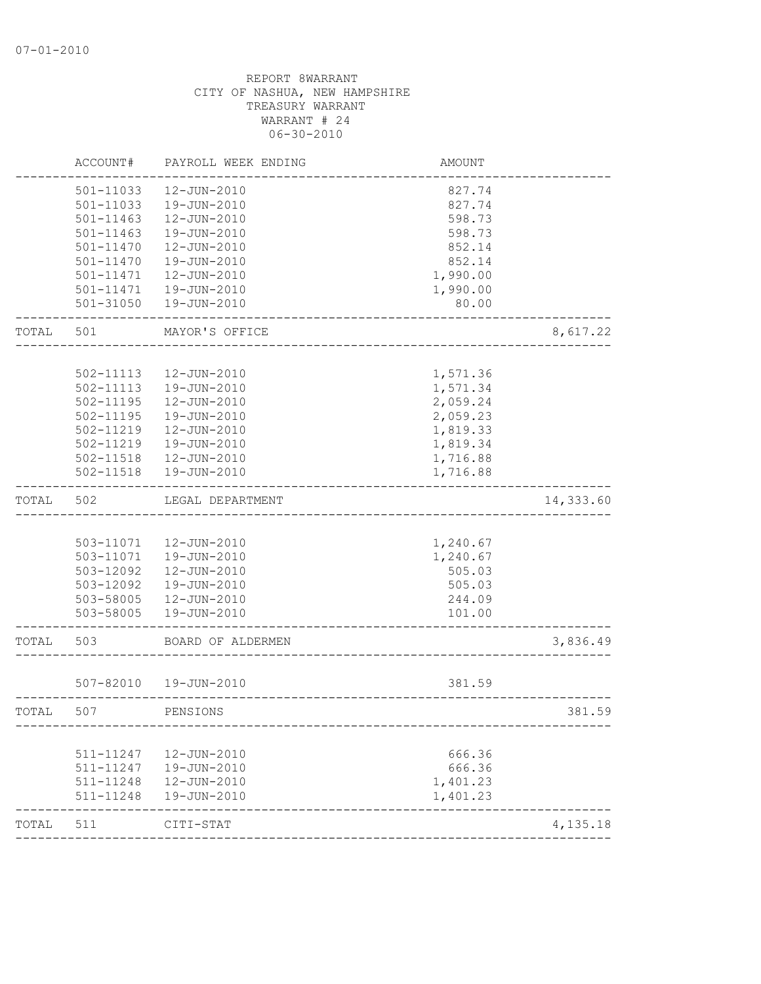|       | ACCOUNT#               | PAYROLL WEEK ENDING    | AMOUNT           |           |
|-------|------------------------|------------------------|------------------|-----------|
|       | 501-11033              | 12-JUN-2010            | 827.74           |           |
|       | 501-11033              | 19-JUN-2010            | 827.74           |           |
|       | 501-11463              | 12-JUN-2010            | 598.73           |           |
|       | 501-11463              | 19-JUN-2010            | 598.73           |           |
|       | 501-11470              | 12-JUN-2010            | 852.14           |           |
|       | 501-11470              | 19-JUN-2010            | 852.14           |           |
|       | 501-11471              | 12-JUN-2010            | 1,990.00         |           |
|       | 501-11471              | 19-JUN-2010            | 1,990.00         |           |
|       | $501 - 31050$          | 19-JUN-2010            | 80.00            |           |
| TOTAL | 501                    | MAYOR'S OFFICE         |                  | 8,617.22  |
|       |                        |                        |                  |           |
|       | 502-11113              | 12-JUN-2010            | 1,571.36         |           |
|       | 502-11113              | 19-JUN-2010            | 1,571.34         |           |
|       | 502-11195              | 12-JUN-2010            | 2,059.24         |           |
|       | 502-11195              | 19-JUN-2010            | 2,059.23         |           |
|       | 502-11219              | 12-JUN-2010            | 1,819.33         |           |
|       | 502-11219              | 19-JUN-2010            | 1,819.34         |           |
|       | 502-11518              | 12-JUN-2010            | 1,716.88         |           |
|       | 502-11518              | 19-JUN-2010            | 1,716.88         |           |
| TOTAL | 502                    | LEGAL DEPARTMENT       |                  | 14,333.60 |
|       |                        |                        |                  |           |
|       | 503-11071              | 12-JUN-2010            | 1,240.67         |           |
|       | 503-11071              | 19-JUN-2010            | 1,240.67         |           |
|       | 503-12092              | 12-JUN-2010            | 505.03           |           |
|       | 503-12092              | 19-JUN-2010            | 505.03           |           |
|       | 503-58005              | 12-JUN-2010            | 244.09           |           |
|       | 503-58005              | 19-JUN-2010            | 101.00           |           |
| TOTAL | 503                    | BOARD OF ALDERMEN      |                  | 3,836.49  |
|       |                        |                        |                  |           |
|       |                        | 507-82010  19-JUN-2010 | 381.59           |           |
| TOTAL | 507                    | PENSIONS               |                  | 381.59    |
|       |                        | 12-JUN-2010            |                  |           |
|       | 511-11247<br>511-11247 | 19-JUN-2010            | 666.36<br>666.36 |           |
|       | 511-11248              | 12-JUN-2010            | 1,401.23         |           |
|       | 511-11248              | 19-JUN-2010            | 1,401.23         |           |
| TOTAL | 511                    | CITI-STAT              |                  | 4,135.18  |
|       |                        |                        |                  |           |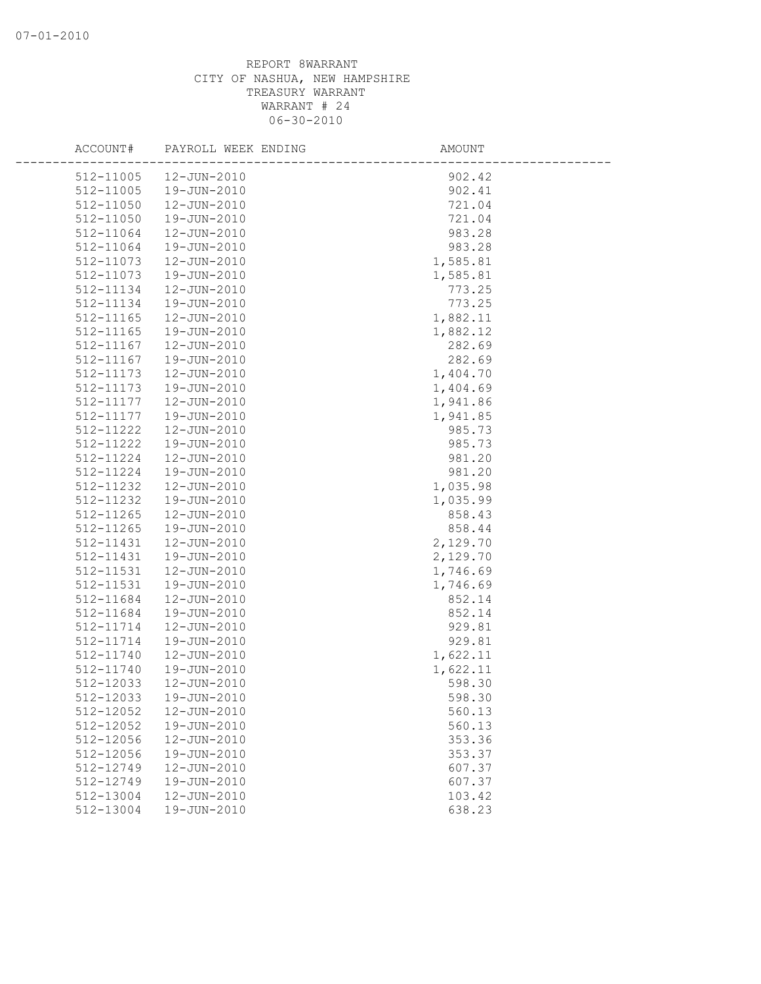| ACCOUNT#               | PAYROLL WEEK ENDING        | AMOUNT             |  |
|------------------------|----------------------------|--------------------|--|
| 512-11005              | 12-JUN-2010                | 902.42             |  |
| 512-11005              | 19-JUN-2010                | 902.41             |  |
| 512-11050              | 12-JUN-2010                | 721.04             |  |
| 512-11050              | 19-JUN-2010                | 721.04             |  |
| 512-11064              | 12-JUN-2010                | 983.28             |  |
| 512-11064              | 19-JUN-2010                | 983.28             |  |
| 512-11073              | 12-JUN-2010                | 1,585.81           |  |
| 512-11073              | 19-JUN-2010                | 1,585.81           |  |
| 512-11134              | 12-JUN-2010                | 773.25             |  |
| 512-11134              | 19-JUN-2010                | 773.25             |  |
| $512 - 11165$          | 12-JUN-2010                | 1,882.11           |  |
| 512-11165              | 19-JUN-2010                | 1,882.12           |  |
| 512-11167              | 12-JUN-2010                | 282.69             |  |
| 512-11167              | 19-JUN-2010                | 282.69             |  |
| 512-11173              | 12-JUN-2010                | 1,404.70           |  |
| 512-11173              | 19-JUN-2010                | 1,404.69           |  |
| 512-11177              | 12-JUN-2010                | 1,941.86           |  |
| 512-11177              | 19-JUN-2010                | 1,941.85           |  |
| 512-11222              | 12-JUN-2010                | 985.73             |  |
| 512-11222              | 19-JUN-2010                | 985.73             |  |
| 512-11224              | 12-JUN-2010                | 981.20             |  |
| 512-11224              | 19-JUN-2010                | 981.20             |  |
| 512-11232              | 12-JUN-2010                | 1,035.98           |  |
| 512-11232              | 19-JUN-2010                | 1,035.99           |  |
| 512-11265              | 12-JUN-2010                | 858.43             |  |
| 512-11265              | 19-JUN-2010                | 858.44             |  |
| 512-11431              | 12-JUN-2010                | 2,129.70           |  |
| 512-11431              | 19-JUN-2010                | 2,129.70           |  |
| 512-11531              | 12-JUN-2010                | 1,746.69           |  |
| 512-11531              | 19-JUN-2010                | 1,746.69           |  |
| 512-11684              | 12-JUN-2010                | 852.14             |  |
| 512-11684<br>512-11714 | 19-JUN-2010                | 852.14             |  |
| 512-11714              | 12-JUN-2010                | 929.81             |  |
| 512-11740              | 19-JUN-2010<br>12-JUN-2010 | 929.81<br>1,622.11 |  |
| 512-11740              | 19-JUN-2010                | 1,622.11           |  |
| 512-12033              | 12-JUN-2010                | 598.30             |  |
| 512-12033              | 19-JUN-2010                | 598.30             |  |
| 512-12052              | 12-JUN-2010                | 560.13             |  |
| 512-12052              | 19-JUN-2010                | 560.13             |  |
| 512-12056              | 12-JUN-2010                | 353.36             |  |
| 512-12056              | 19-JUN-2010                | 353.37             |  |
| 512-12749              | 12-JUN-2010                | 607.37             |  |
| 512-12749              | 19-JUN-2010                | 607.37             |  |
| 512-13004              | 12-JUN-2010                | 103.42             |  |
| 512-13004              | 19-JUN-2010                | 638.23             |  |
|                        |                            |                    |  |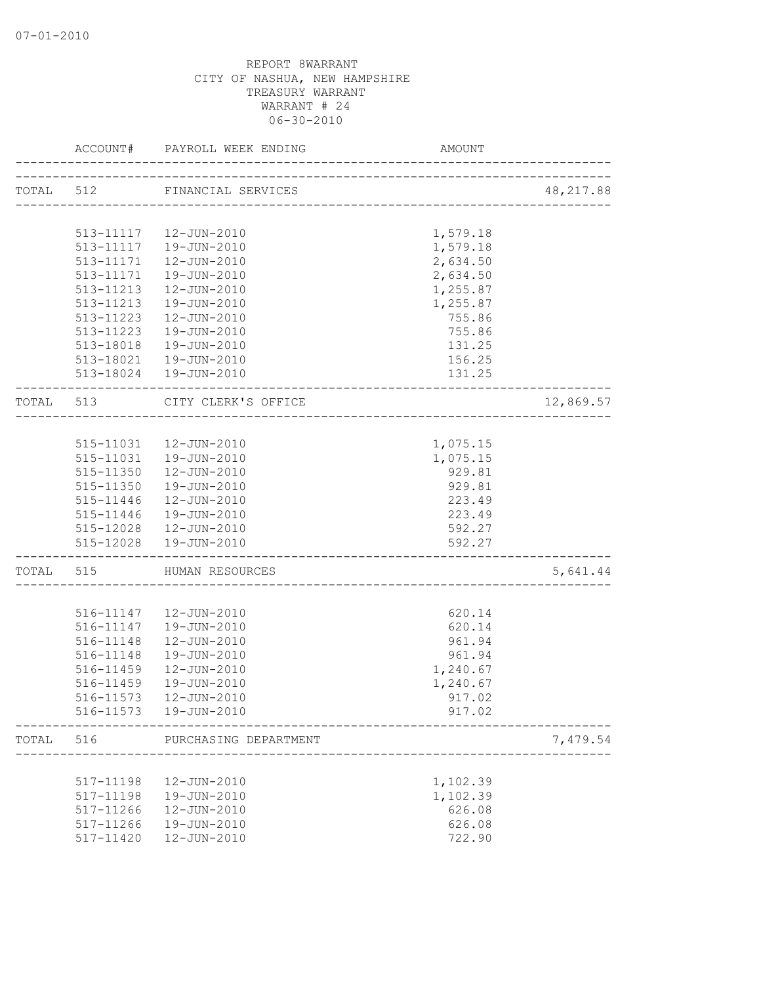|           | ACCOUNT#  | PAYROLL WEEK ENDING          | AMOUNT                      |            |
|-----------|-----------|------------------------------|-----------------------------|------------|
|           |           | TOTAL 512 FINANCIAL SERVICES |                             | 48, 217.88 |
|           |           |                              |                             |            |
|           |           | 513-11117  12-JUN-2010       | 1,579.18                    |            |
|           |           | 513-11117  19-JUN-2010       | 1,579.18                    |            |
|           | 513-11171 | 12-JUN-2010                  | 2,634.50                    |            |
|           | 513-11171 | 19-JUN-2010                  | 2,634.50                    |            |
|           | 513-11213 | 12-JUN-2010                  | 1,255.87                    |            |
|           | 513-11213 | 19-JUN-2010                  | 1,255.87                    |            |
|           | 513-11223 | 12-JUN-2010                  | 755.86                      |            |
|           | 513-11223 | 19-JUN-2010                  | 755.86                      |            |
|           | 513-18018 | 19-JUN-2010                  | 131.25                      |            |
|           |           | 513-18021  19-JUN-2010       | 156.25                      |            |
|           |           | 513-18024  19-JUN-2010       | 131.25                      |            |
| TOTAL 513 |           | CITY CLERK'S OFFICE          |                             | 12,869.57  |
|           |           |                              | -----------------------     |            |
|           |           | 515-11031  12-JUN-2010       | 1,075.15                    |            |
|           |           | 515-11031  19-JUN-2010       | 1,075.15                    |            |
|           | 515-11350 | 12-JUN-2010                  | 929.81                      |            |
|           | 515-11350 | 19-JUN-2010                  | 929.81                      |            |
|           | 515-11446 | 12-JUN-2010                  | 223.49                      |            |
|           | 515-11446 | 19-JUN-2010                  | 223.49                      |            |
|           | 515-12028 | 12-JUN-2010                  | 592.27                      |            |
|           |           | 515-12028  19-JUN-2010       | 592.27                      |            |
| TOTAL 515 |           | HUMAN RESOURCES              | ___________________________ | 5,641.44   |
|           |           |                              |                             |            |
|           |           | 516-11147   12-JUN-2010      | 620.14                      |            |
|           | 516-11147 | 19-JUN-2010                  | 620.14                      |            |
|           | 516-11148 | 12-JUN-2010                  | 961.94                      |            |
|           | 516-11148 | 19-JUN-2010                  | 961.94                      |            |
|           | 516-11459 | 12-JUN-2010                  | 1,240.67                    |            |
|           | 516-11459 | 19-JUN-2010                  | 1,240.67                    |            |
|           | 516-11573 | 12-JUN-2010                  | 917.02                      |            |
|           | 516-11573 | 19-JUN-2010                  | 917.02                      |            |
| TOTAL     | 516       | PURCHASING DEPARTMENT        |                             | 7,479.54   |
|           |           |                              |                             |            |
|           | 517-11198 | 12-JUN-2010                  | 1,102.39                    |            |
|           | 517-11198 | 19-JUN-2010                  | 1,102.39                    |            |
|           | 517-11266 | 12-JUN-2010                  | 626.08                      |            |
|           | 517-11266 | 19-JUN-2010                  | 626.08                      |            |
|           | 517-11420 | 12-JUN-2010                  | 722.90                      |            |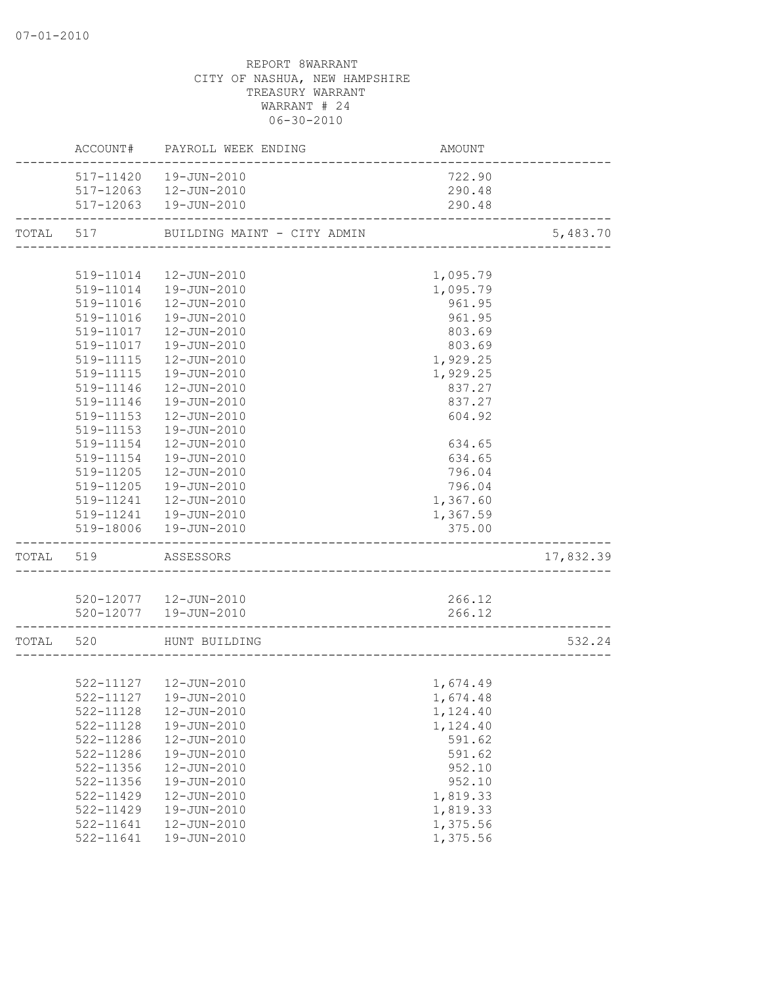|           |               | ACCOUNT# PAYROLL WEEK ENDING | AMOUNT   |           |
|-----------|---------------|------------------------------|----------|-----------|
|           |               | 517-11420  19-JUN-2010       | 722.90   |           |
|           |               | 517-12063  12-JUN-2010       | 290.48   |           |
|           |               | 517-12063  19-JUN-2010       | 290.48   |           |
| TOTAL 517 |               | BUILDING MAINT - CITY ADMIN  |          | 5,483.70  |
|           |               |                              |          |           |
|           | 519-11014     | 12-JUN-2010                  | 1,095.79 |           |
|           | 519-11014     | 19-JUN-2010                  | 1,095.79 |           |
|           | 519-11016     | 12-JUN-2010                  | 961.95   |           |
|           | 519-11016     | 19-JUN-2010                  | 961.95   |           |
|           | 519-11017     | 12-JUN-2010                  | 803.69   |           |
|           | 519-11017     | 19-JUN-2010                  | 803.69   |           |
|           | 519-11115     | 12-JUN-2010                  | 1,929.25 |           |
|           | 519-11115     | 19-JUN-2010                  | 1,929.25 |           |
|           | 519-11146     | 12-JUN-2010                  | 837.27   |           |
|           | 519-11146     | 19-JUN-2010                  | 837.27   |           |
|           | 519-11153     | 12-JUN-2010                  | 604.92   |           |
|           | 519-11153     | 19-JUN-2010                  |          |           |
|           | 519-11154     | 12-JUN-2010                  | 634.65   |           |
|           | 519-11154     | 19-JUN-2010                  | 634.65   |           |
|           | 519-11205     | 12-JUN-2010                  | 796.04   |           |
|           | 519-11205     | 19-JUN-2010                  | 796.04   |           |
|           | 519-11241     | 12-JUN-2010                  | 1,367.60 |           |
|           |               | 519-11241  19-JUN-2010       | 1,367.59 |           |
|           |               | 519-18006  19-JUN-2010       | 375.00   |           |
|           | TOTAL 519     | ASSESSORS                    |          | 17,832.39 |
|           |               | 520-12077  12-JUN-2010       | 266.12   |           |
|           |               | 520-12077  19-JUN-2010       | 266.12   |           |
|           |               |                              |          |           |
| TOTAL 520 |               | HUNT BUILDING                |          | 532.24    |
|           |               |                              |          |           |
|           |               | 522-11127  12-JUN-2010       | 1,674.49 |           |
|           |               | 522-11127  19-JUN-2010       | 1,674.48 |           |
|           | 522-11128     | 12-JUN-2010                  | 1,124.40 |           |
|           | $522 - 11128$ | 19-JUN-2010                  | 1,124.40 |           |
|           | 522-11286     | 12-JUN-2010                  | 591.62   |           |
|           | 522-11286     | 19-JUN-2010                  | 591.62   |           |
|           | 522-11356     | 12-JUN-2010                  | 952.10   |           |
|           | 522-11356     | 19-JUN-2010                  | 952.10   |           |
|           | 522-11429     | $12 - JUN - 2010$            | 1,819.33 |           |
|           | 522-11429     | 19-JUN-2010                  | 1,819.33 |           |
|           | 522-11641     | $12 - JUN - 2010$            | 1,375.56 |           |
|           | 522-11641     | 19-JUN-2010                  | 1,375.56 |           |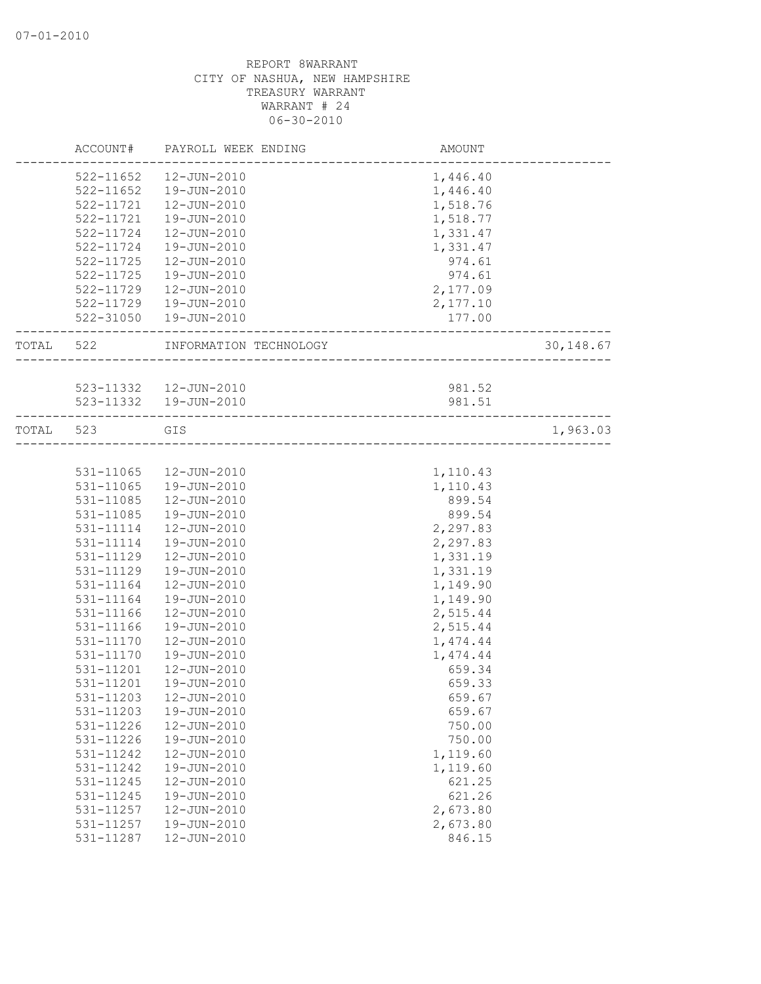|           | ACCOUNT#      | PAYROLL WEEK ENDING    | AMOUNT                                 |           |
|-----------|---------------|------------------------|----------------------------------------|-----------|
|           | 522-11652     | 12-JUN-2010            | 1,446.40                               |           |
|           | $522 - 11652$ | 19-JUN-2010            | 1,446.40                               |           |
|           | 522-11721     | 12-JUN-2010            | 1,518.76                               |           |
|           | 522-11721     | 19-JUN-2010            | 1,518.77                               |           |
|           | 522-11724     | 12-JUN-2010            | 1,331.47                               |           |
|           | 522-11724     | 19-JUN-2010            | 1,331.47                               |           |
|           | 522-11725     | 12-JUN-2010            | 974.61                                 |           |
|           | 522-11725     | 19-JUN-2010            | 974.61                                 |           |
|           | 522-11729     | 12-JUN-2010            | 2,177.09                               |           |
|           |               | 522-11729  19-JUN-2010 | 2,177.10                               |           |
|           |               | 522-31050  19-JUN-2010 | 177.00                                 |           |
| TOTAL 522 |               | INFORMATION TECHNOLOGY | <u> 1988 - 1989 - 1989 - 1989 - 19</u> | 30,148.67 |
|           |               |                        |                                        |           |
|           |               | 523-11332  12-JUN-2010 | 981.52                                 |           |
|           |               | 523-11332  19-JUN-2010 | 981.51                                 |           |
| TOTAL     | 523           | GIS                    |                                        | 1,963.03  |
|           |               |                        |                                        |           |
|           | 531-11065     | 12-JUN-2010            | 1,110.43                               |           |
|           | 531-11065     | 19-JUN-2010            | 1,110.43                               |           |
|           | 531-11085     | 12-JUN-2010            | 899.54                                 |           |
|           | 531-11085     | 19-JUN-2010            | 899.54                                 |           |
|           | 531-11114     | 12-JUN-2010            | 2,297.83                               |           |
|           | 531-11114     | 19-JUN-2010            | 2,297.83                               |           |
|           | 531-11129     | 12-JUN-2010            | 1,331.19                               |           |
|           | 531-11129     | 19-JUN-2010            | 1,331.19                               |           |
|           | 531-11164     | 12-JUN-2010            | 1,149.90                               |           |
|           | 531-11164     | 19-JUN-2010            | 1,149.90                               |           |
|           | 531-11166     | 12-JUN-2010            | 2,515.44                               |           |
|           | 531-11166     | 19-JUN-2010            | 2,515.44                               |           |
|           | 531-11170     | 12-JUN-2010            | 1,474.44                               |           |
|           | 531-11170     | 19-JUN-2010            | 1,474.44                               |           |
|           | 531-11201     | 12-JUN-2010            | 659.34                                 |           |
|           | 531-11201     | 19-JUN-2010            | 659.33                                 |           |
|           | 531-11203     | 12-JUN-2010            | 659.67                                 |           |
|           | 531-11203     | 19-JUN-2010            | 659.67                                 |           |
|           | 531-11226     | 12-JUN-2010            | 750.00                                 |           |
|           | 531-11226     | 19-JUN-2010            | 750.00                                 |           |
|           | 531-11242     | 12-JUN-2010            | 1,119.60                               |           |
|           | 531-11242     | 19-JUN-2010            | 1,119.60                               |           |
|           | 531-11245     | 12-JUN-2010            | 621.25                                 |           |
|           | 531-11245     | 19-JUN-2010            | 621.26                                 |           |
|           | 531-11257     | 12-JUN-2010            | 2,673.80                               |           |
|           | 531-11257     | 19-JUN-2010            | 2,673.80                               |           |
|           | 531-11287     | 12-JUN-2010            | 846.15                                 |           |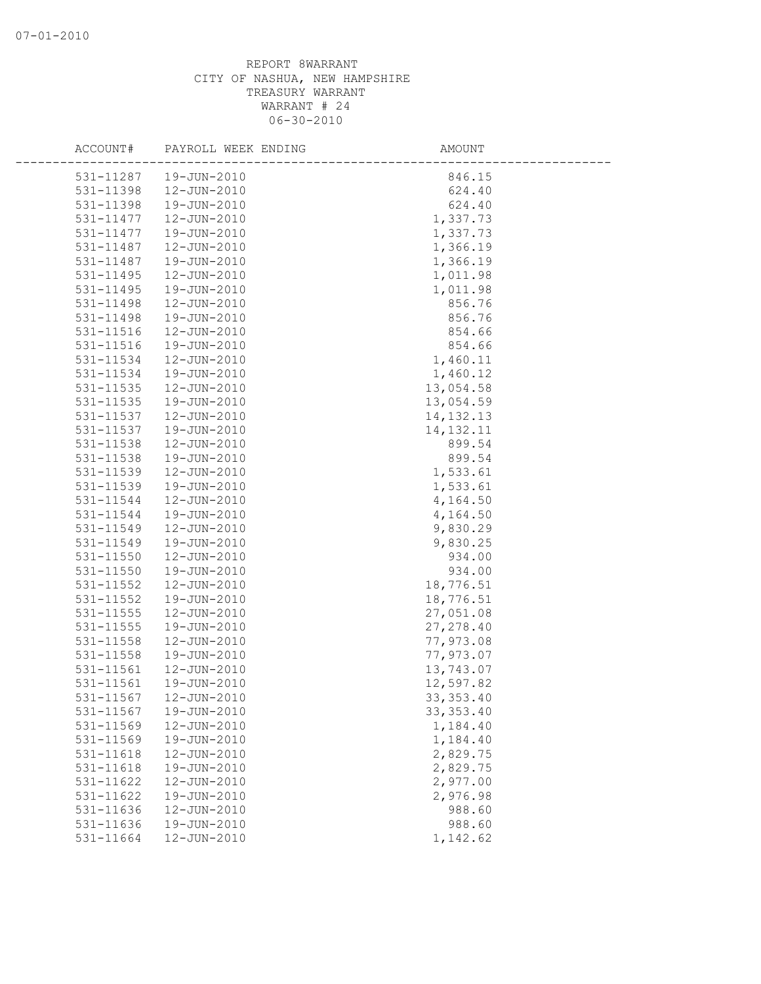| ACCOUNT#      | PAYROLL WEEK ENDING | AMOUNT      |
|---------------|---------------------|-------------|
| 531-11287     | 19-JUN-2010         | 846.15      |
| 531-11398     | 12-JUN-2010         | 624.40      |
| 531-11398     | 19-JUN-2010         | 624.40      |
| 531-11477     | 12-JUN-2010         | 1,337.73    |
| 531-11477     | 19-JUN-2010         | 1,337.73    |
| 531-11487     | 12-JUN-2010         | 1,366.19    |
| 531-11487     | 19-JUN-2010         | 1,366.19    |
| $531 - 11495$ | 12-JUN-2010         | 1,011.98    |
| 531-11495     | 19-JUN-2010         | 1,011.98    |
| 531-11498     | 12-JUN-2010         | 856.76      |
| 531-11498     | 19-JUN-2010         | 856.76      |
| 531-11516     | 12-JUN-2010         | 854.66      |
| 531-11516     | 19-JUN-2010         | 854.66      |
| 531-11534     | 12-JUN-2010         | 1,460.11    |
| 531-11534     | 19-JUN-2010         | 1,460.12    |
| $531 - 11535$ | 12-JUN-2010         | 13,054.58   |
| 531-11535     | 19-JUN-2010         | 13,054.59   |
| 531-11537     | 12-JUN-2010         | 14, 132. 13 |
| 531-11537     | 19-JUN-2010         | 14, 132. 11 |
| 531-11538     | 12-JUN-2010         | 899.54      |
| 531-11538     | 19-JUN-2010         | 899.54      |
| 531-11539     | 12-JUN-2010         | 1,533.61    |
| 531-11539     | 19-JUN-2010         | 1,533.61    |
| 531-11544     | 12-JUN-2010         | 4,164.50    |
| 531-11544     | 19-JUN-2010         | 4,164.50    |
| 531-11549     | 12-JUN-2010         | 9,830.29    |
| 531-11549     | 19-JUN-2010         | 9,830.25    |
| 531-11550     | 12-JUN-2010         | 934.00      |
| 531-11550     | 19-JUN-2010         | 934.00      |
| 531-11552     | 12-JUN-2010         | 18,776.51   |
| 531-11552     | 19-JUN-2010         | 18,776.51   |
| 531-11555     | 12-JUN-2010         | 27,051.08   |
| 531-11555     | 19-JUN-2010         | 27, 278.40  |
| 531-11558     | $12 - JUN - 2010$   | 77,973.08   |
| 531-11558     | 19-JUN-2010         | 77,973.07   |
| 531-11561     | 12-JUN-2010         | 13,743.07   |
| 531-11561     | 19-JUN-2010         | 12,597.82   |
| 531-11567     | 12-JUN-2010         | 33, 353.40  |
| 531-11567     | 19-JUN-2010         | 33, 353.40  |
| 531-11569     | 12-JUN-2010         | 1,184.40    |
| 531-11569     | 19-JUN-2010         | 1,184.40    |
| 531-11618     | 12-JUN-2010         | 2,829.75    |
| 531-11618     | 19-JUN-2010         | 2,829.75    |
| 531-11622     | 12-JUN-2010         | 2,977.00    |
| 531-11622     | 19-JUN-2010         | 2,976.98    |
| 531-11636     | $12 - JUN - 2010$   | 988.60      |
| 531-11636     | 19-JUN-2010         | 988.60      |
| 531-11664     | 12-JUN-2010         | 1,142.62    |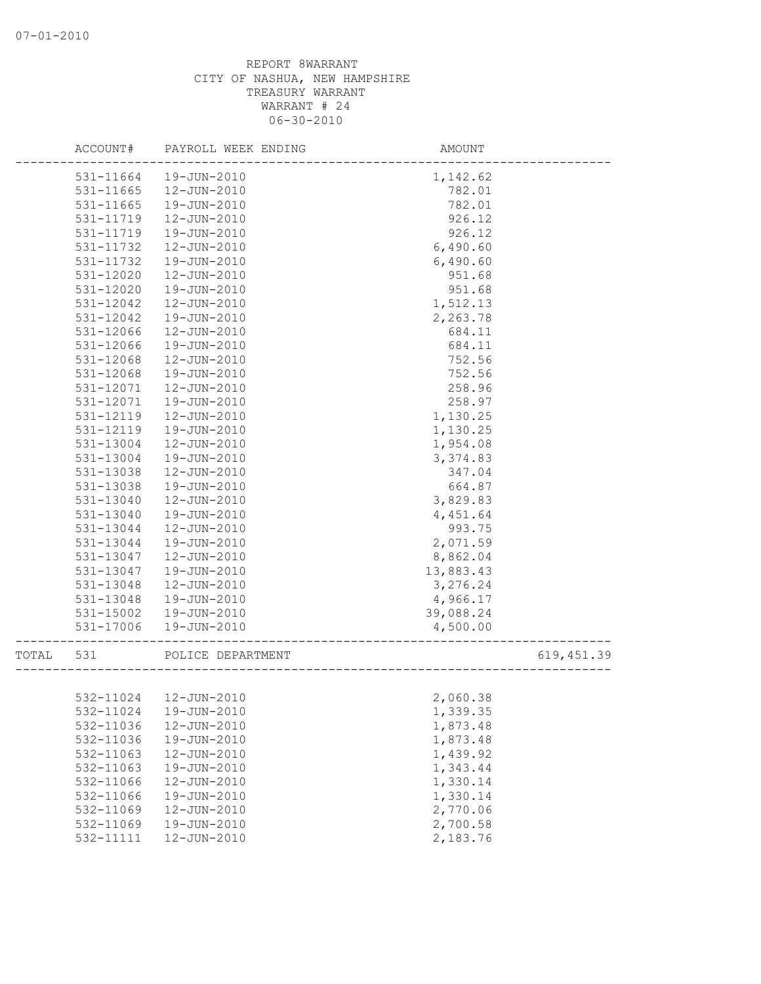|       | ACCOUNT#  | PAYROLL WEEK ENDING    | AMOUNT    |             |
|-------|-----------|------------------------|-----------|-------------|
|       | 531-11664 | 19-JUN-2010            | 1,142.62  |             |
|       | 531-11665 | 12-JUN-2010            | 782.01    |             |
|       | 531-11665 | 19-JUN-2010            | 782.01    |             |
|       | 531-11719 | 12-JUN-2010            | 926.12    |             |
|       | 531-11719 | 19-JUN-2010            | 926.12    |             |
|       | 531-11732 | 12-JUN-2010            | 6,490.60  |             |
|       | 531-11732 | 19-JUN-2010            | 6,490.60  |             |
|       | 531-12020 | 12-JUN-2010            | 951.68    |             |
|       | 531-12020 | 19-JUN-2010            | 951.68    |             |
|       | 531-12042 | 12-JUN-2010            | 1,512.13  |             |
|       | 531-12042 | 19-JUN-2010            | 2,263.78  |             |
|       | 531-12066 | 12-JUN-2010            | 684.11    |             |
|       | 531-12066 | 19-JUN-2010            | 684.11    |             |
|       | 531-12068 | 12-JUN-2010            | 752.56    |             |
|       | 531-12068 | 19-JUN-2010            | 752.56    |             |
|       | 531-12071 | 12-JUN-2010            | 258.96    |             |
|       | 531-12071 | 19-JUN-2010            | 258.97    |             |
|       | 531-12119 | 12-JUN-2010            | 1,130.25  |             |
|       | 531-12119 | 19-JUN-2010            | 1,130.25  |             |
|       | 531-13004 | 12-JUN-2010            | 1,954.08  |             |
|       | 531-13004 | 19-JUN-2010            | 3,374.83  |             |
|       | 531-13038 | 12-JUN-2010            | 347.04    |             |
|       | 531-13038 | 19-JUN-2010            | 664.87    |             |
|       | 531-13040 | 12-JUN-2010            | 3,829.83  |             |
|       | 531-13040 | 19-JUN-2010            | 4,451.64  |             |
|       | 531-13044 | 12-JUN-2010            | 993.75    |             |
|       | 531-13044 | 19-JUN-2010            | 2,071.59  |             |
|       | 531-13047 | 12-JUN-2010            | 8,862.04  |             |
|       | 531-13047 | 19-JUN-2010            | 13,883.43 |             |
|       | 531-13048 | 12-JUN-2010            | 3,276.24  |             |
|       | 531-13048 | 19-JUN-2010            | 4,966.17  |             |
|       | 531-15002 | 19-JUN-2010            | 39,088.24 |             |
|       | 531-17006 | 19-JUN-2010            | 4,500.00  |             |
| TOTAL | 531       | POLICE DEPARTMENT      |           | 619, 451.39 |
|       |           |                        |           |             |
|       |           | 532-11024  12-JUN-2010 | 2,060.38  |             |
|       | 532-11024 | 19-JUN-2010            | 1,339.35  |             |
|       | 532-11036 | 12-JUN-2010            | 1,873.48  |             |
|       | 532-11036 | 19-JUN-2010            | 1,873.48  |             |
|       | 532-11063 | 12-JUN-2010            | 1,439.92  |             |
|       | 532-11063 | 19-JUN-2010            | 1,343.44  |             |
|       | 532-11066 | 12-JUN-2010            | 1,330.14  |             |
|       | 532-11066 | 19-JUN-2010            | 1,330.14  |             |
|       | 532-11069 | 12-JUN-2010            | 2,770.06  |             |
|       | 532-11069 | 19-JUN-2010            | 2,700.58  |             |
|       | 532-11111 | 12-JUN-2010            | 2,183.76  |             |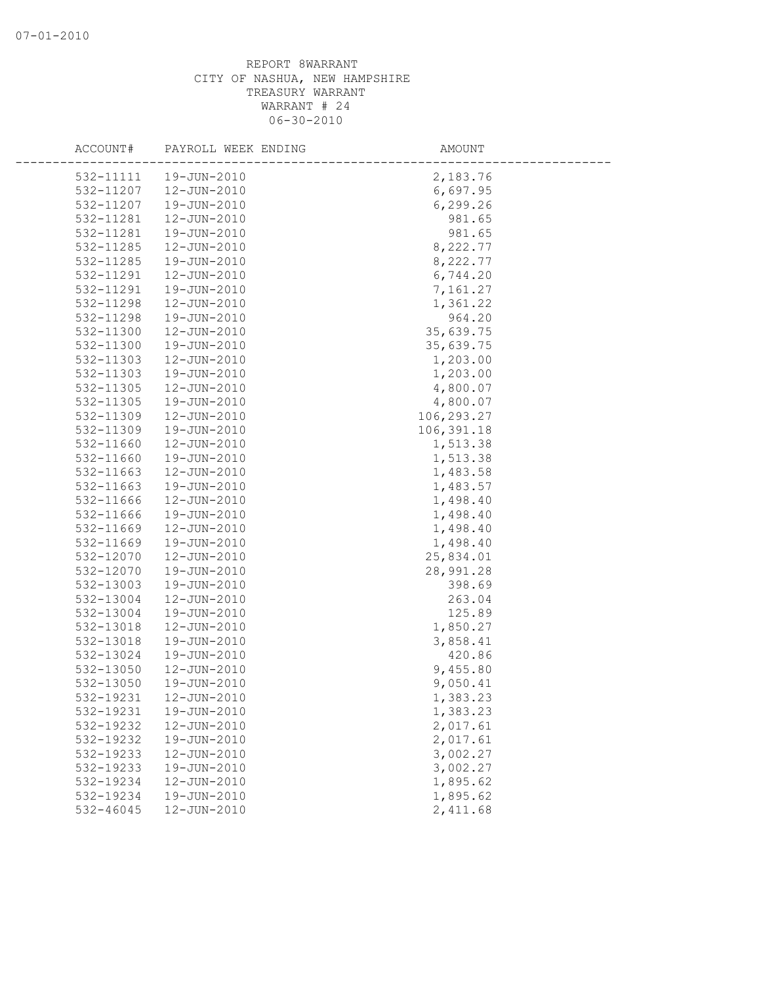| ACCOUNT#  | PAYROLL WEEK ENDING | AMOUNT     |
|-----------|---------------------|------------|
| 532-11111 | 19-JUN-2010         | 2,183.76   |
| 532-11207 | 12-JUN-2010         | 6,697.95   |
| 532-11207 | 19-JUN-2010         | 6, 299.26  |
| 532-11281 | 12-JUN-2010         | 981.65     |
| 532-11281 | 19-JUN-2010         | 981.65     |
| 532-11285 | 12-JUN-2010         | 8,222.77   |
| 532-11285 | 19-JUN-2010         | 8,222.77   |
| 532-11291 | 12-JUN-2010         | 6,744.20   |
| 532-11291 | 19-JUN-2010         | 7,161.27   |
| 532-11298 | 12-JUN-2010         | 1,361.22   |
| 532-11298 | 19-JUN-2010         | 964.20     |
| 532-11300 | 12-JUN-2010         | 35,639.75  |
| 532-11300 | 19-JUN-2010         | 35,639.75  |
| 532-11303 | 12-JUN-2010         | 1,203.00   |
| 532-11303 | 19-JUN-2010         | 1,203.00   |
| 532-11305 | 12-JUN-2010         | 4,800.07   |
| 532-11305 | 19-JUN-2010         | 4,800.07   |
| 532-11309 | 12-JUN-2010         | 106,293.27 |
| 532-11309 | 19-JUN-2010         | 106,391.18 |
| 532-11660 | 12-JUN-2010         | 1,513.38   |
| 532-11660 | 19-JUN-2010         | 1,513.38   |
| 532-11663 | 12-JUN-2010         | 1,483.58   |
| 532-11663 | 19-JUN-2010         | 1,483.57   |
| 532-11666 | 12-JUN-2010         | 1,498.40   |
| 532-11666 | 19-JUN-2010         | 1,498.40   |
| 532-11669 | 12-JUN-2010         | 1,498.40   |
| 532-11669 | 19-JUN-2010         | 1,498.40   |
| 532-12070 | 12-JUN-2010         | 25,834.01  |
| 532-12070 | 19-JUN-2010         | 28,991.28  |
| 532-13003 | 19-JUN-2010         | 398.69     |
| 532-13004 | 12-JUN-2010         | 263.04     |
| 532-13004 | 19-JUN-2010         | 125.89     |
| 532-13018 | 12-JUN-2010         | 1,850.27   |
| 532-13018 | 19-JUN-2010         | 3,858.41   |
| 532-13024 | 19-JUN-2010         | 420.86     |
| 532-13050 | 12-JUN-2010         | 9,455.80   |
| 532-13050 | 19-JUN-2010         | 9,050.41   |
| 532-19231 | 12-JUN-2010         | 1,383.23   |
| 532-19231 | 19-JUN-2010         | 1,383.23   |
| 532-19232 | 12-JUN-2010         | 2,017.61   |
| 532-19232 | 19-JUN-2010         | 2,017.61   |
| 532-19233 | 12-JUN-2010         | 3,002.27   |
| 532-19233 | 19-JUN-2010         | 3,002.27   |
| 532-19234 | 12-JUN-2010         | 1,895.62   |
| 532-19234 | 19-JUN-2010         | 1,895.62   |
| 532-46045 | 12-JUN-2010         | 2,411.68   |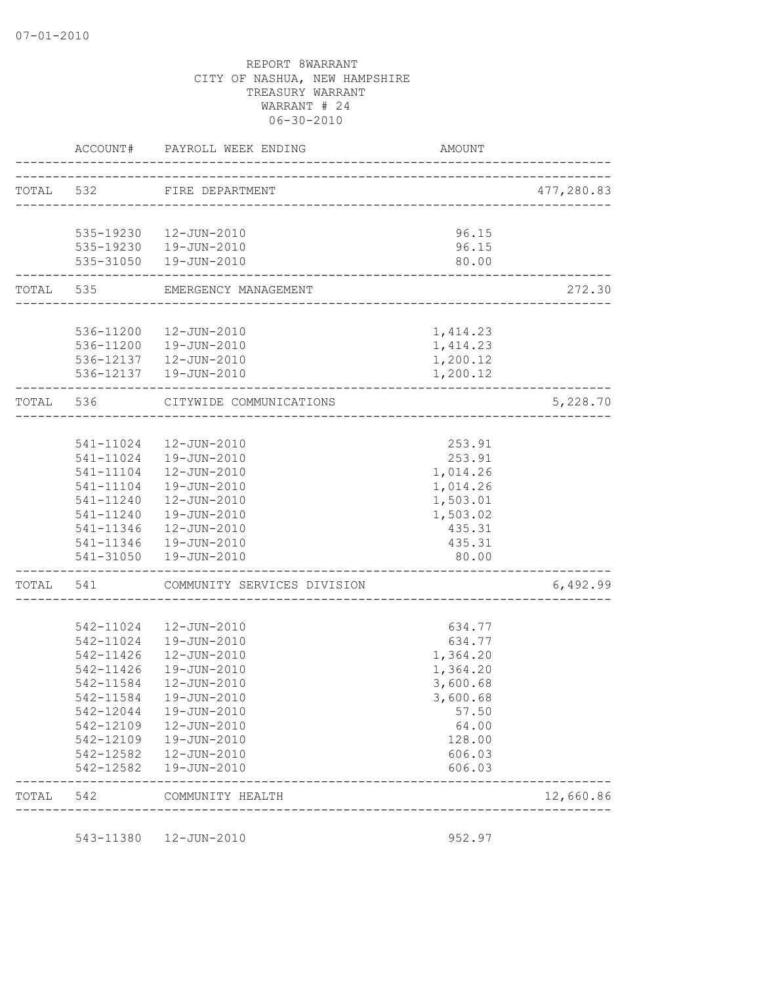|           |                        | ACCOUNT# PAYROLL WEEK ENDING          | AMOUNT                             |            |
|-----------|------------------------|---------------------------------------|------------------------------------|------------|
|           |                        | TOTAL 532 FIRE DEPARTMENT             |                                    | 477,280.83 |
|           |                        |                                       | __________________________________ |            |
|           |                        | 535-19230  12-JUN-2010                | 96.15                              |            |
|           |                        | 535-19230  19-JUN-2010                | 96.15                              |            |
|           |                        | 535-31050  19-JUN-2010                | 80.00                              |            |
|           |                        | TOTAL 535 EMERGENCY MANAGEMENT        |                                    | 272.30     |
|           |                        |                                       |                                    |            |
|           |                        | 536-11200  12-JUN-2010                | 1,414.23                           |            |
|           |                        | 536-11200  19-JUN-2010                | 1,414.23                           |            |
|           |                        | 536-12137  12-JUN-2010                | 1,200.12                           |            |
|           |                        | 536-12137  19-JUN-2010                | 1,200.12                           |            |
| TOTAL 536 |                        | CITYWIDE COMMUNICATIONS               |                                    | 5,228.70   |
|           |                        |                                       |                                    |            |
|           |                        | 541-11024  12-JUN-2010                | 253.91                             |            |
|           |                        | 541-11024  19-JUN-2010                | 253.91                             |            |
|           |                        | 541-11104  12-JUN-2010                | 1,014.26                           |            |
|           |                        | 541-11104  19-JUN-2010                | 1,014.26                           |            |
|           | 541-11240              | 12-JUN-2010                           | 1,503.01                           |            |
|           | 541-11240              | 19-JUN-2010                           | 1,503.02                           |            |
|           | 541-11346              | 12-JUN-2010                           | 435.31                             |            |
|           | 541-11346              | 19-JUN-2010                           | 435.31                             |            |
|           | 541-31050              | 19-JUN-2010                           | 80.00                              |            |
|           |                        | TOTAL 541 COMMUNITY SERVICES DIVISION |                                    | 6,492.99   |
|           |                        |                                       |                                    |            |
|           | 542-11024              | 12-JUN-2010                           | 634.77                             |            |
|           | 542-11024              | 19-JUN-2010                           | 634.77                             |            |
|           | 542-11426              | 12-JUN-2010                           | 1,364.20                           |            |
|           | 542-11426<br>542-11584 | 19-JUN-2010<br>12-JUN-2010            | 1,364.20                           |            |
|           | 542-11584              | 19-JUN-2010                           | 3,600.68<br>3,600.68               |            |
|           | 542-12044              | 19-JUN-2010                           | 57.50                              |            |
|           |                        | 542-12109  12-JUN-2010                | 64.00                              |            |
|           |                        | 542-12109  19-JUN-2010                | 128.00                             |            |
|           |                        | 542-12582  12-JUN-2010                | 606.03                             |            |
|           |                        | 542-12582  19-JUN-2010                | 606.03                             |            |
| TOTAL 542 |                        | COMMUNITY HEALTH                      |                                    | 12,660.86  |

543-11380 12-JUN-2010 952.97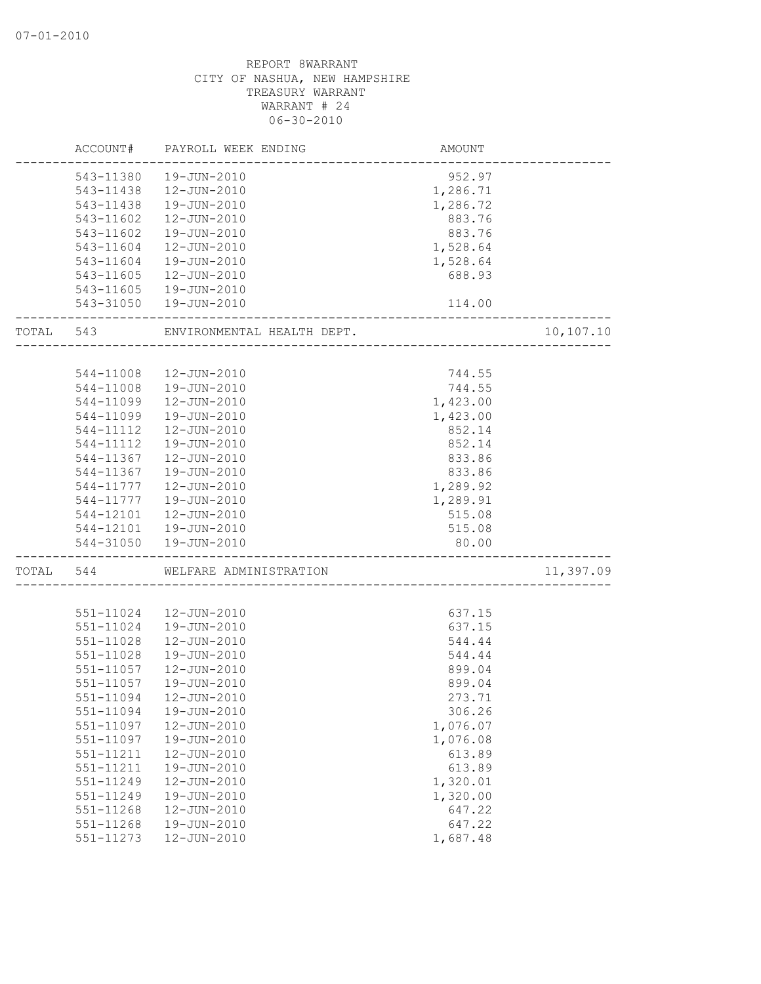|       | ACCOUNT#  | PAYROLL WEEK ENDING        | AMOUNT   |           |
|-------|-----------|----------------------------|----------|-----------|
|       | 543-11380 | 19-JUN-2010                | 952.97   |           |
|       | 543-11438 | 12-JUN-2010                | 1,286.71 |           |
|       | 543-11438 | 19-JUN-2010                | 1,286.72 |           |
|       | 543-11602 | 12-JUN-2010                | 883.76   |           |
|       | 543-11602 | 19-JUN-2010                | 883.76   |           |
|       | 543-11604 | 12-JUN-2010                | 1,528.64 |           |
|       | 543-11604 | 19-JUN-2010                | 1,528.64 |           |
|       | 543-11605 | 12-JUN-2010                | 688.93   |           |
|       | 543-11605 | 19-JUN-2010                |          |           |
|       |           | 543-31050  19-JUN-2010     | 114.00   |           |
| TOTAL | 543       | ENVIRONMENTAL HEALTH DEPT. |          | 10,107.10 |
|       |           |                            |          |           |
|       | 544-11008 | 12-JUN-2010                | 744.55   |           |
|       | 544-11008 | 19-JUN-2010                | 744.55   |           |
|       | 544-11099 | 12-JUN-2010                | 1,423.00 |           |
|       | 544-11099 | 19-JUN-2010                | 1,423.00 |           |
|       | 544-11112 | 12-JUN-2010                | 852.14   |           |
|       | 544-11112 | 19-JUN-2010                | 852.14   |           |
|       | 544-11367 | 12-JUN-2010                | 833.86   |           |
|       | 544-11367 | 19-JUN-2010                | 833.86   |           |
|       | 544-11777 | 12-JUN-2010                | 1,289.92 |           |
|       | 544-11777 | 19-JUN-2010                | 1,289.91 |           |
|       | 544-12101 | 12-JUN-2010                | 515.08   |           |
|       | 544-12101 | 19-JUN-2010                | 515.08   |           |
|       | 544-31050 | 19-JUN-2010                | 80.00    |           |
| TOTAL | 544       | WELFARE ADMINISTRATION     |          | 11,397.09 |
|       |           |                            |          |           |
|       | 551-11024 | 12-JUN-2010                | 637.15   |           |
|       | 551-11024 | 19-JUN-2010                | 637.15   |           |
|       | 551-11028 | 12-JUN-2010                | 544.44   |           |
|       | 551-11028 | 19-JUN-2010                | 544.44   |           |
|       | 551-11057 | 12-JUN-2010                | 899.04   |           |
|       | 551-11057 | 19-JUN-2010                | 899.04   |           |
|       | 551-11094 | 12-JUN-2010                | 273.71   |           |
|       | 551-11094 | 19-JUN-2010                | 306.26   |           |
|       | 551-11097 | 12-JUN-2010                | 1,076.07 |           |
|       | 551-11097 | 19-JUN-2010                | 1,076.08 |           |
|       | 551-11211 | 12-JUN-2010                | 613.89   |           |
|       | 551-11211 | 19-JUN-2010                | 613.89   |           |
|       | 551-11249 | 12-JUN-2010                | 1,320.01 |           |
|       | 551-11249 | 19-JUN-2010                | 1,320.00 |           |
|       | 551-11268 | 12-JUN-2010                | 647.22   |           |
|       | 551-11268 | 19-JUN-2010                | 647.22   |           |
|       | 551-11273 | 12-JUN-2010                | 1,687.48 |           |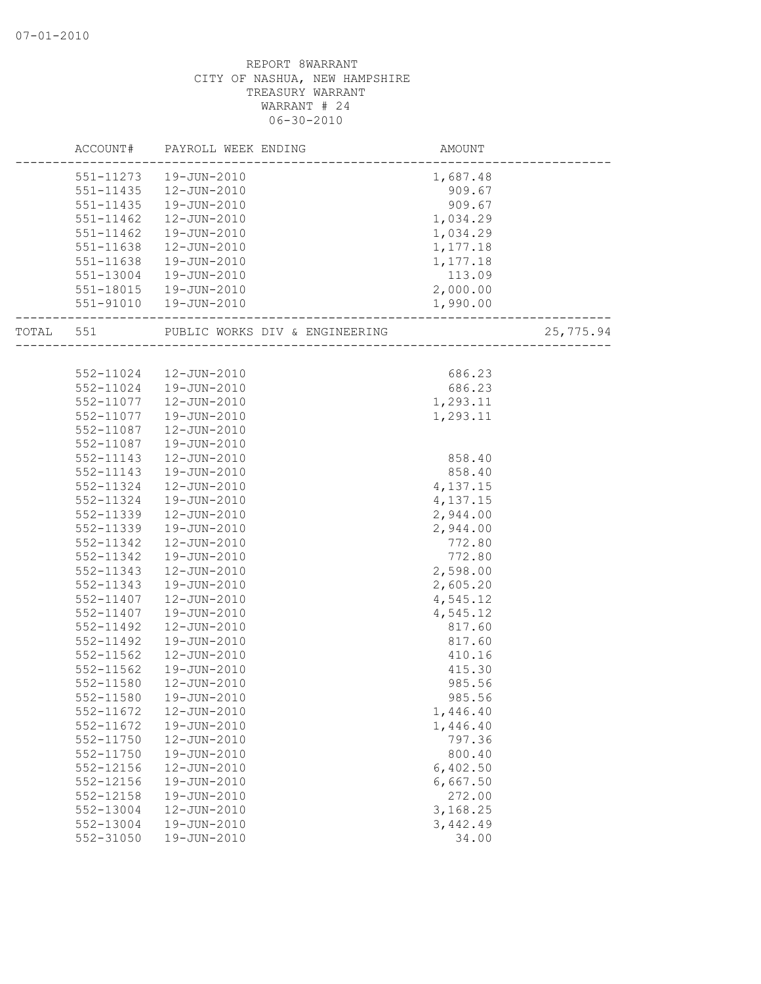|       | ACCOUNT#      | PAYROLL WEEK ENDING            | AMOUNT   |           |
|-------|---------------|--------------------------------|----------|-----------|
|       | 551-11273     | 19-JUN-2010                    | 1,687.48 |           |
|       | $551 - 11435$ | 12-JUN-2010                    | 909.67   |           |
|       | 551-11435     | 19-JUN-2010                    | 909.67   |           |
|       | 551-11462     | 12-JUN-2010                    | 1,034.29 |           |
|       | 551-11462     | 19-JUN-2010                    | 1,034.29 |           |
|       | 551-11638     | 12-JUN-2010                    | 1,177.18 |           |
|       | 551-11638     | 19-JUN-2010                    | 1,177.18 |           |
|       | 551-13004     | 19-JUN-2010                    | 113.09   |           |
|       | 551-18015     | 19-JUN-2010                    | 2,000.00 |           |
|       | 551-91010     | 19-JUN-2010                    | 1,990.00 |           |
| TOTAL | 551           | PUBLIC WORKS DIV & ENGINEERING |          | 25,775.94 |
|       |               |                                |          |           |
|       | 552-11024     | 12-JUN-2010                    | 686.23   |           |
|       | 552-11024     | 19-JUN-2010                    | 686.23   |           |
|       | 552-11077     | 12-JUN-2010                    | 1,293.11 |           |
|       | 552-11077     | 19-JUN-2010                    | 1,293.11 |           |
|       | 552-11087     | 12-JUN-2010                    |          |           |
|       | 552-11087     | 19-JUN-2010                    |          |           |
|       | 552-11143     | 12-JUN-2010                    | 858.40   |           |
|       | 552-11143     | 19-JUN-2010                    | 858.40   |           |
|       | 552-11324     | 12-JUN-2010                    | 4,137.15 |           |
|       | 552-11324     | 19-JUN-2010                    | 4,137.15 |           |
|       | 552-11339     | 12-JUN-2010                    | 2,944.00 |           |
|       | 552-11339     | 19-JUN-2010                    | 2,944.00 |           |
|       | 552-11342     | 12-JUN-2010                    | 772.80   |           |
|       | 552-11342     | 19-JUN-2010                    | 772.80   |           |
|       | 552-11343     | 12-JUN-2010                    | 2,598.00 |           |
|       | 552-11343     | 19-JUN-2010                    | 2,605.20 |           |
|       | 552-11407     | 12-JUN-2010                    | 4,545.12 |           |
|       | 552-11407     | 19-JUN-2010                    | 4,545.12 |           |
|       | 552-11492     | 12-JUN-2010                    | 817.60   |           |
|       | 552-11492     | 19-JUN-2010                    | 817.60   |           |
|       | $552 - 11562$ | 12-JUN-2010                    | 410.16   |           |
|       | 552-11562     | 19-JUN-2010                    | 415.30   |           |
|       | 552-11580     | 12-JUN-2010                    | 985.56   |           |
|       | 552-11580     | 19-JUN-2010                    | 985.56   |           |
|       | 552-11672     | 12-JUN-2010                    | 1,446.40 |           |
|       | 552-11672     | 19-JUN-2010                    | 1,446.40 |           |
|       | 552-11750     | 12-JUN-2010                    | 797.36   |           |
|       | 552-11750     | 19-JUN-2010                    | 800.40   |           |
|       | 552-12156     | 12-JUN-2010                    | 6,402.50 |           |
|       | 552-12156     | 19-JUN-2010                    | 6,667.50 |           |
|       | 552-12158     | 19-JUN-2010                    | 272.00   |           |
|       | 552-13004     | 12-JUN-2010                    | 3,168.25 |           |
|       | 552-13004     | 19-JUN-2010                    | 3,442.49 |           |
|       | 552-31050     | 19-JUN-2010                    | 34.00    |           |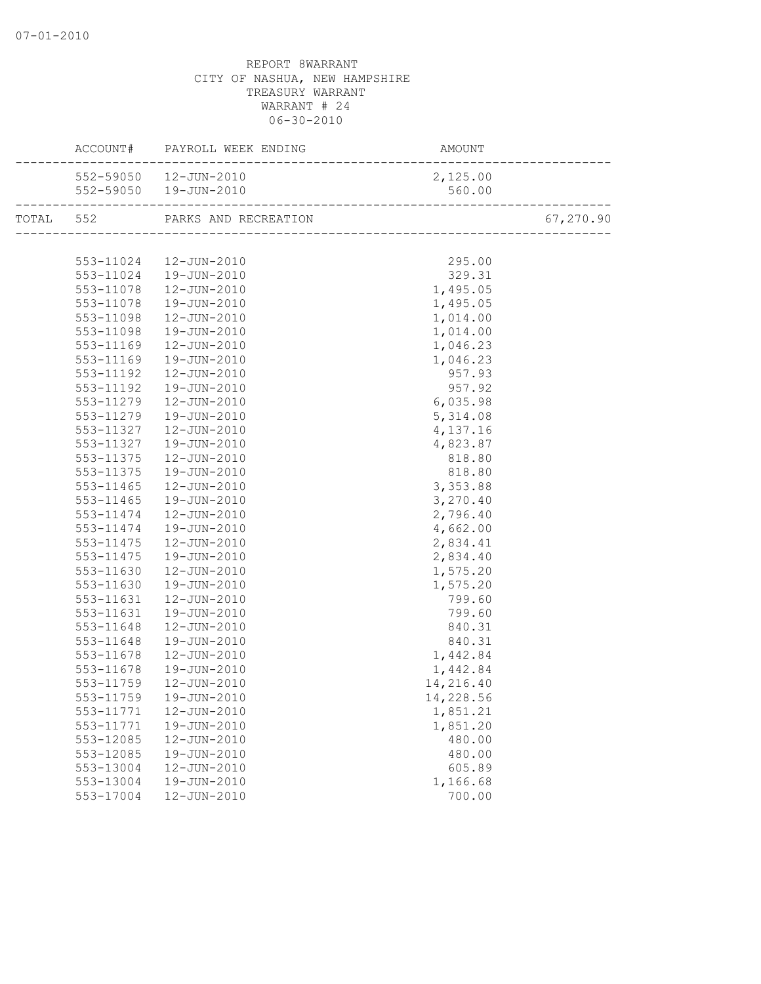|           | ACCOUNT# PAYROLL WEEK ENDING                       | AMOUNT<br>--------------------------------- |           |
|-----------|----------------------------------------------------|---------------------------------------------|-----------|
|           | 552-59050  12-JUN-2010                             | 2,125.00                                    |           |
|           | 552-59050  19-JUN-2010                             | 560.00                                      |           |
|           | TOTAL 552 PARKS AND RECREATION                     | N<br>_________________________________      | 67,270.90 |
|           |                                                    |                                             |           |
|           |                                                    | 295.00                                      |           |
|           | 553-11024   12-JUN-2010<br>553-11024   19-JUN-2010 | 329.31                                      |           |
| 553-11078 | $12 - JUN - 2010$                                  | 1,495.05                                    |           |
| 553-11078 | 19-JUN-2010                                        | 1,495.05                                    |           |
| 553-11098 | 12-JUN-2010                                        | 1,014.00                                    |           |
| 553-11098 | 19-JUN-2010                                        | 1,014.00                                    |           |
| 553-11169 | 12-JUN-2010                                        | 1,046.23                                    |           |
| 553-11169 | 19-JUN-2010                                        | 1,046.23                                    |           |
| 553-11192 | 12-JUN-2010                                        | 957.93                                      |           |
| 553-11192 | 19-JUN-2010                                        | 957.92                                      |           |
| 553-11279 | 12-JUN-2010                                        | 6,035.98                                    |           |
| 553-11279 | 19-JUN-2010                                        | 5,314.08                                    |           |
| 553-11327 | 12-JUN-2010                                        | 4,137.16                                    |           |
| 553-11327 | 19-JUN-2010                                        | 4,823.87                                    |           |
| 553-11375 | 12-JUN-2010                                        | 818.80                                      |           |
| 553-11375 | 19-JUN-2010                                        | 818.80                                      |           |
| 553-11465 | $12 - JUN - 2010$                                  | 3,353.88                                    |           |
| 553-11465 | 19-JUN-2010                                        | 3,270.40                                    |           |
| 553-11474 | 12-JUN-2010                                        | 2,796.40                                    |           |
| 553-11474 | 19-JUN-2010                                        | 4,662.00                                    |           |
| 553-11475 | 12-JUN-2010                                        | 2,834.41                                    |           |
| 553-11475 | 19-JUN-2010                                        | 2,834.40                                    |           |
| 553-11630 | 12-JUN-2010                                        | 1,575.20                                    |           |
| 553-11630 | 19-JUN-2010                                        | 1,575.20                                    |           |
| 553-11631 | 12-JUN-2010                                        | 799.60                                      |           |
| 553-11631 | 19-JUN-2010                                        | 799.60                                      |           |
| 553-11648 | 12-JUN-2010                                        | 840.31                                      |           |
| 553-11648 | 19-JUN-2010                                        | 840.31                                      |           |
| 553-11678 | 12-JUN-2010                                        | 1,442.84                                    |           |
| 553-11678 | 19-JUN-2010                                        | 1,442.84                                    |           |
| 553-11759 | 12-JUN-2010                                        | 14,216.40                                   |           |
|           | 553-11759  19-JUN-2010                             | 14,228.56                                   |           |
| 553-11771 | 12-JUN-2010                                        | 1,851.21                                    |           |
| 553-11771 | 19-JUN-2010                                        | 1,851.20                                    |           |
| 553-12085 | 12-JUN-2010                                        | 480.00                                      |           |
| 553-12085 | 19-JUN-2010                                        | 480.00                                      |           |
| 553-13004 | 12-JUN-2010                                        | 605.89                                      |           |
| 553-13004 | 19-JUN-2010                                        | 1,166.68                                    |           |
| 553-17004 | 12-JUN-2010                                        | 700.00                                      |           |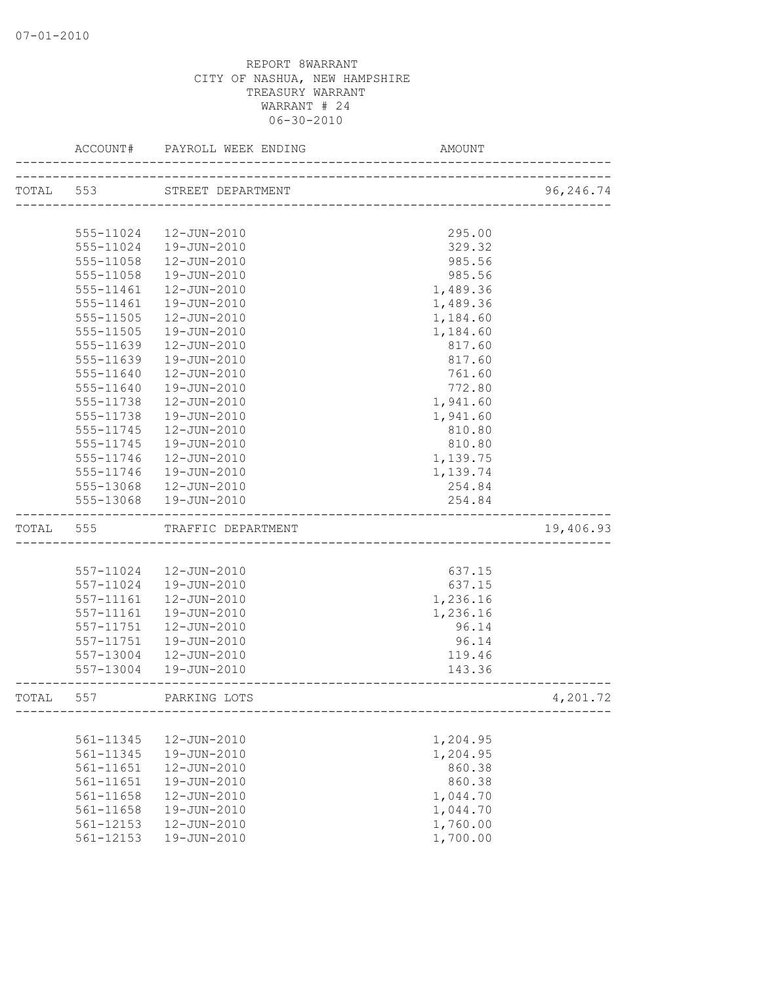|           | ACCOUNT#      | PAYROLL WEEK ENDING    | AMOUNT                      |           |
|-----------|---------------|------------------------|-----------------------------|-----------|
| TOTAL 553 |               | STREET DEPARTMENT      | --------------------------- | 96,246.74 |
|           |               |                        |                             |           |
|           |               | 555-11024  12-JUN-2010 | 295.00                      |           |
|           | 555-11024     | 19-JUN-2010            | 329.32                      |           |
|           | 555-11058     | 12-JUN-2010            | 985.56                      |           |
|           | 555-11058     | 19-JUN-2010            | 985.56                      |           |
|           | 555-11461     | 12-JUN-2010            | 1,489.36                    |           |
|           | 555-11461     | 19-JUN-2010            | 1,489.36                    |           |
|           | 555-11505     | 12-JUN-2010            | 1,184.60                    |           |
|           | 555-11505     | 19-JUN-2010            | 1,184.60                    |           |
|           | 555-11639     | 12-JUN-2010            | 817.60                      |           |
|           | 555-11639     | 19-JUN-2010            | 817.60                      |           |
|           | 555-11640     | 12-JUN-2010            | 761.60                      |           |
|           | 555-11640     | 19-JUN-2010            | 772.80                      |           |
|           | 555-11738     | 12-JUN-2010            | 1,941.60                    |           |
|           | 555-11738     | 19-JUN-2010            | 1,941.60                    |           |
|           | 555-11745     | 12-JUN-2010            | 810.80                      |           |
|           | 555-11745     | 19-JUN-2010            | 810.80                      |           |
|           | 555-11746     | 12-JUN-2010            | 1,139.75                    |           |
|           | 555-11746     | 19-JUN-2010            | 1,139.74                    |           |
|           | 555-13068     | 12-JUN-2010            | 254.84                      |           |
|           |               | 555-13068  19-JUN-2010 | 254.84                      |           |
| TOTAL     | 555           | TRAFFIC DEPARTMENT     |                             | 19,406.93 |
|           |               |                        |                             |           |
|           | 557-11024     | 12-JUN-2010            | 637.15                      |           |
|           | 557-11024     | 19-JUN-2010            | 637.15                      |           |
|           | 557-11161     | 12-JUN-2010            | 1,236.16                    |           |
|           | $557 - 11161$ | 19-JUN-2010            | 1,236.16                    |           |
|           | 557-11751     | 12-JUN-2010            | 96.14                       |           |
|           | 557-11751     | 19-JUN-2010            | 96.14                       |           |
|           | 557-13004     | 12-JUN-2010            | 119.46                      |           |
|           |               | 557-13004  19-JUN-2010 | 143.36                      |           |
| TOTAL     | 557           | PARKING LOTS           |                             | 4,201.72  |
|           |               |                        |                             |           |
|           | 561-11345     | 12-JUN-2010            | 1,204.95                    |           |
|           | 561-11345     | 19-JUN-2010            | 1,204.95                    |           |
|           | 561-11651     | 12-JUN-2010            | 860.38                      |           |
|           | 561-11651     | 19-JUN-2010            | 860.38                      |           |
|           | 561-11658     | 12-JUN-2010            | 1,044.70                    |           |
|           | 561-11658     | 19-JUN-2010            | 1,044.70                    |           |
|           | 561-12153     | 12-JUN-2010            | 1,760.00                    |           |
|           | 561-12153     | 19-JUN-2010            | 1,700.00                    |           |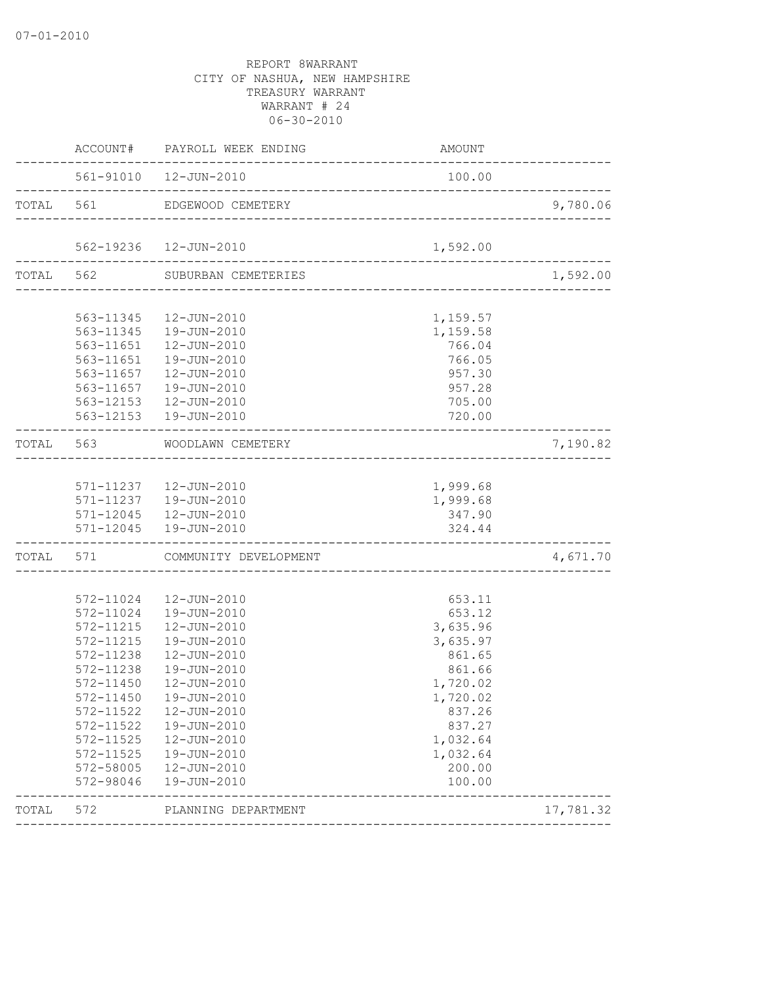|           |                        | ACCOUNT# PAYROLL WEEK ENDING                                 | AMOUNT                        |           |
|-----------|------------------------|--------------------------------------------------------------|-------------------------------|-----------|
|           |                        | 561-91010  12-JUN-2010                                       | 100.00                        |           |
| TOTAL 561 |                        | EDGEWOOD CEMETERY                                            |                               | 9,780.06  |
|           |                        | 562-19236  12-JUN-2010<br>.<br>----------------------------- | 1,592.00                      |           |
|           |                        | TOTAL 562 SUBURBAN CEMETERIES                                | _____________________________ | 1,592.00  |
|           |                        |                                                              |                               |           |
|           |                        | 563-11345  12-JUN-2010                                       | 1,159.57                      |           |
|           |                        | 563-11345  19-JUN-2010                                       | 1,159.58                      |           |
|           |                        | 563-11651  12-JUN-2010                                       | 766.04                        |           |
|           |                        | 563-11651  19-JUN-2010                                       | 766.05                        |           |
|           |                        | 563-11657   12-JUN-2010                                      | 957.30                        |           |
|           | 563-11657              | 19-JUN-2010                                                  | 957.28                        |           |
|           |                        | 563-12153  12-JUN-2010                                       | 705.00                        |           |
|           |                        | 563-12153  19-JUN-2010                                       | 720.00                        |           |
|           |                        | TOTAL 563 WOODLAWN CEMETERY                                  |                               | 7,190.82  |
|           |                        |                                                              |                               |           |
|           |                        | 571-11237  12-JUN-2010                                       | 1,999.68                      |           |
|           |                        | 571-11237  19-JUN-2010                                       | 1,999.68                      |           |
|           |                        | 571-12045  12-JUN-2010                                       | 347.90                        |           |
|           |                        | 571-12045  19-JUN-2010                                       | 324.44                        |           |
|           |                        | TOTAL 571 COMMUNITY DEVELOPMENT                              | -----------------------       | 4,671.70  |
|           |                        |                                                              |                               |           |
|           |                        | 572-11024  12-JUN-2010                                       | 653.11                        |           |
|           |                        | 572-11024  19-JUN-2010                                       | 653.12                        |           |
|           | 572-11215              | 12-JUN-2010                                                  | 3,635.96                      |           |
|           | 572-11215              | 19-JUN-2010                                                  | 3,635.97                      |           |
|           | 572-11238              | 12-JUN-2010                                                  | 861.65                        |           |
|           | 572-11238              | 19-JUN-2010                                                  | 861.66                        |           |
|           | 572-11450              | 12-JUN-2010                                                  | 1,720.02                      |           |
|           |                        | 572-11450  19-JUN-2010                                       | 1,720.02                      |           |
|           | 572-11522              | 12-JUN-2010                                                  | 837.26                        |           |
|           |                        | 572-11522  19-JUN-2010                                       | 837.27                        |           |
|           | 572-11525              | 12-JUN-2010                                                  | 1,032.64                      |           |
|           | 572-11525              | 19-JUN-2010                                                  | 1,032.64                      |           |
|           | 572-58005<br>572-98046 | 12-JUN-2010<br>19-JUN-2010                                   | 200.00<br>100.00              |           |
|           |                        |                                                              |                               |           |
| TOTAL     | 572                    | PLANNING DEPARTMENT                                          |                               | 17,781.32 |
|           |                        |                                                              |                               |           |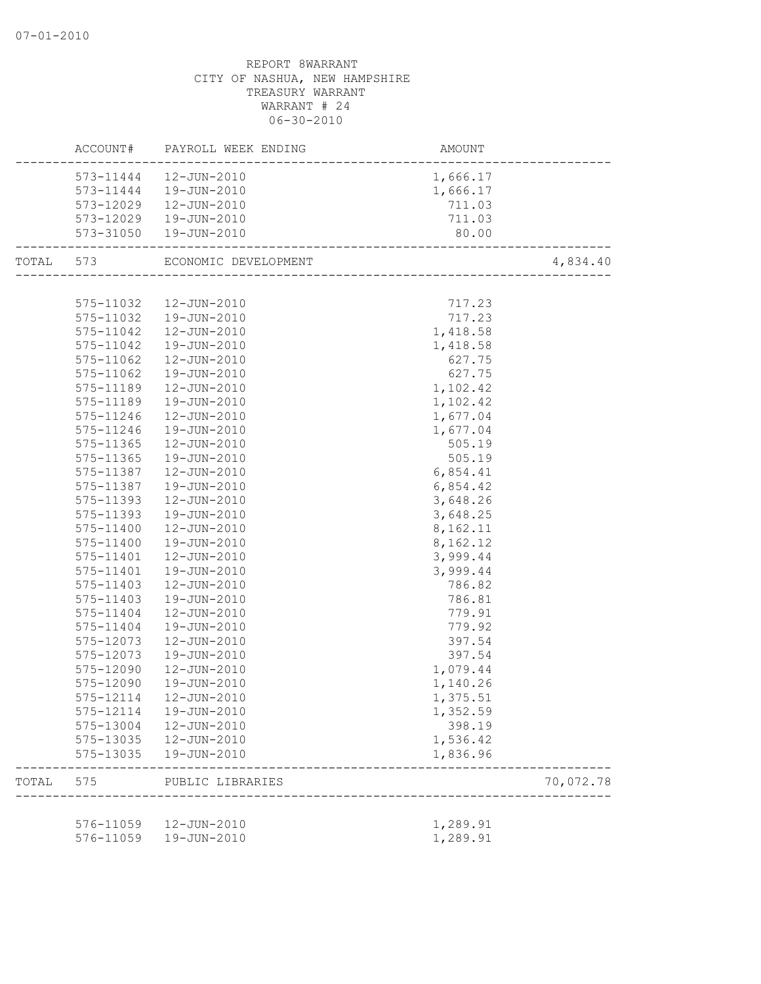## REPORT 8WARRANT CITY OF NASHUA, NEW HAMPSHIRE TREASURY WARRANT WARRANT # 24 06-30-2010 ACCOUNT# PAYROLL WEEK ENDING AMOUNT -------------------------------------------------------------------------------- 573-11444 12-JUN-2010 1,666.17 573-11444 19-JUN-2010 1,666.17 573-12029 12-JUN-2010 711.03 573-12029 19-JUN-2010 711.03 573-31050 19-JUN-2010 80.00 -------------------------------------------------------------------------------- TOTAL 573 ECONOMIC DEVELOPMENT 4,834.40 -------------------------------------------------------------------------------- 575-11032 12-JUN-2010 717.23 575-11032 19-JUN-2010 717.23 575-11042 12-JUN-2010 1,418.58 575-11042 19-JUN-2010 1,418.58 575-11062 12-JUN-2010 627.75 575-11062 19-JUN-2010 627.75 575-11189 12-JUN-2010 1,102.42 575-11189 19-JUN-2010 1,102.42 575-11246 12-JUN-2010 1,677.04 575-11246 19-JUN-2010 1,677.04 575-11365 12-JUN-2010 505.19 575-11365 19-JUN-2010 505.19 575-11387 12-JUN-2010 6,854.41 575-11387 19-JUN-2010 6,854.42 575-11393 12-JUN-2010 3,648.26 575-11393 19-JUN-2010 3,648.25 575-11400 12-JUN-2010 8,162.11 575-11400 19-JUN-2010 8,162.12 575-11401 12-JUN-2010 3,999.44 575-11401 19-JUN-2010 3,999.44 575-11403 12-JUN-2010 786.82 575-11403 19-JUN-2010 786.81 575-11404 12-JUN-2010 779.91 575-11404 19-JUN-2010 779.92 575-12073 12-JUN-2010 397.54 575-12073 19-JUN-2010 397.54 575-12090 12-JUN-2010 1,079.44 575-12090 19-JUN-2010 1,140.26 575-12114 12-JUN-2010 1,375.51 575-12114 19-JUN-2010 1,352.59 575-13004 12-JUN-2010 398.19 575-13035 12-JUN-2010 1,536.42 575-13035 19-JUN-2010 1,836.96 -------------------------------------------------------------------------------- TOTAL 575 PUBLIC LIBRARIES 70,072.78 -------------------------------------------------------------------------------- 576-11059 12-JUN-2010 1,289.91 576-11059 19-JUN-2010 1,289.91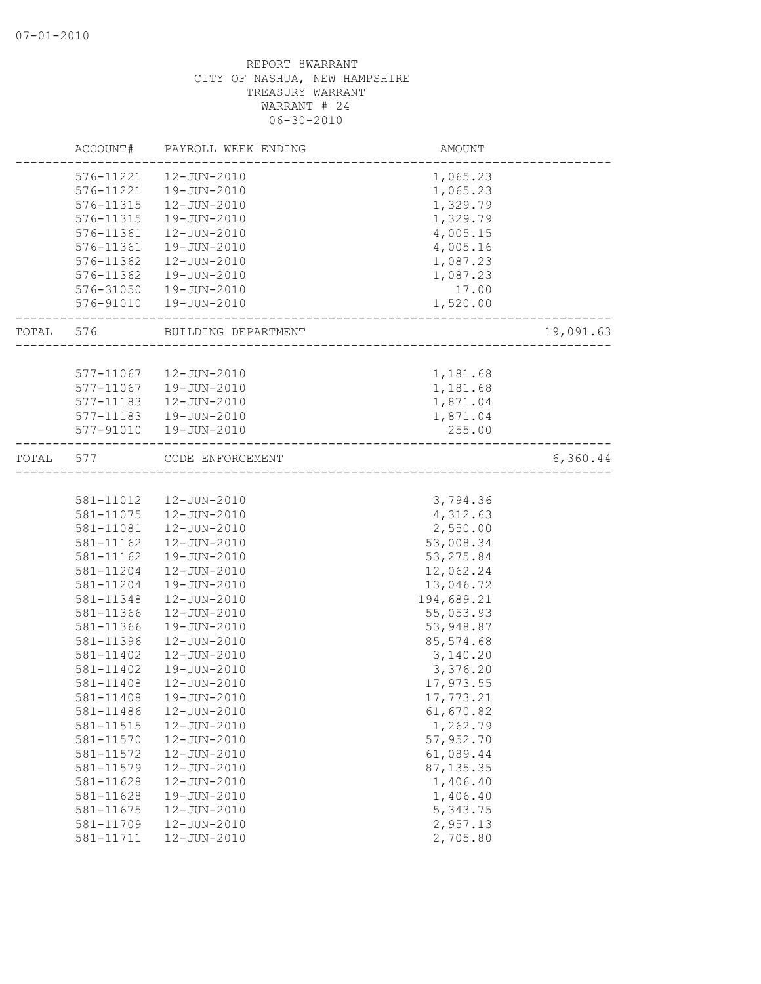|       | ACCOUNT#  | PAYROLL WEEK ENDING | <b>AMOUNT</b> |           |
|-------|-----------|---------------------|---------------|-----------|
|       | 576-11221 | 12-JUN-2010         | 1,065.23      |           |
|       | 576-11221 | 19-JUN-2010         | 1,065.23      |           |
|       | 576-11315 | 12-JUN-2010         | 1,329.79      |           |
|       | 576-11315 | 19-JUN-2010         | 1,329.79      |           |
|       | 576-11361 | 12-JUN-2010         | 4,005.15      |           |
|       | 576-11361 | 19-JUN-2010         | 4,005.16      |           |
|       | 576-11362 | $12 - JUN - 2010$   | 1,087.23      |           |
|       | 576-11362 | 19-JUN-2010         | 1,087.23      |           |
|       | 576-31050 | 19-JUN-2010         | 17.00         |           |
|       | 576-91010 | 19-JUN-2010         | 1,520.00      |           |
| TOTAL | 576       | BUILDING DEPARTMENT |               | 19,091.63 |
|       |           |                     |               |           |
|       | 577-11067 | 12-JUN-2010         | 1,181.68      |           |
|       | 577-11067 | 19-JUN-2010         | 1,181.68      |           |
|       | 577-11183 | 12-JUN-2010         | 1,871.04      |           |
|       | 577-11183 | 19-JUN-2010         | 1,871.04      |           |
|       | 577-91010 | 19-JUN-2010         | 255.00        |           |
| TOTAL | 577       | CODE ENFORCEMENT    |               | 6,360.44  |
|       |           |                     |               |           |
|       | 581-11012 | 12-JUN-2010         | 3,794.36      |           |
|       | 581-11075 | 12-JUN-2010         | 4,312.63      |           |
|       | 581-11081 | 12-JUN-2010         | 2,550.00      |           |
|       | 581-11162 | 12-JUN-2010         | 53,008.34     |           |
|       | 581-11162 | 19-JUN-2010         | 53, 275.84    |           |
|       | 581-11204 | 12-JUN-2010         | 12,062.24     |           |
|       | 581-11204 | 19-JUN-2010         | 13,046.72     |           |
|       | 581-11348 | 12-JUN-2010         | 194,689.21    |           |
|       | 581-11366 | 12-JUN-2010         | 55,053.93     |           |
|       | 581-11366 | 19-JUN-2010         | 53,948.87     |           |
|       | 581-11396 | 12-JUN-2010         | 85,574.68     |           |
|       | 581-11402 | 12-JUN-2010         | 3,140.20      |           |
|       | 581-11402 | 19-JUN-2010         | 3,376.20      |           |
|       | 581-11408 | 12-JUN-2010         | 17,973.55     |           |
|       | 581-11408 | 19-JUN-2010         | 17,773.21     |           |
|       | 581-11486 | 12-JUN-2010         | 61,670.82     |           |
|       | 581-11515 | 12-JUN-2010         | 1,262.79      |           |
|       | 581-11570 | 12-JUN-2010         | 57,952.70     |           |
|       | 581-11572 | 12-JUN-2010         | 61,089.44     |           |
|       | 581-11579 | 12-JUN-2010         | 87, 135.35    |           |
|       | 581-11628 | 12-JUN-2010         | 1,406.40      |           |
|       | 581-11628 | 19-JUN-2010         | 1,406.40      |           |
|       | 581-11675 | 12-JUN-2010         | 5,343.75      |           |
|       | 581-11709 | 12-JUN-2010         | 2,957.13      |           |
|       | 581-11711 | 12-JUN-2010         | 2,705.80      |           |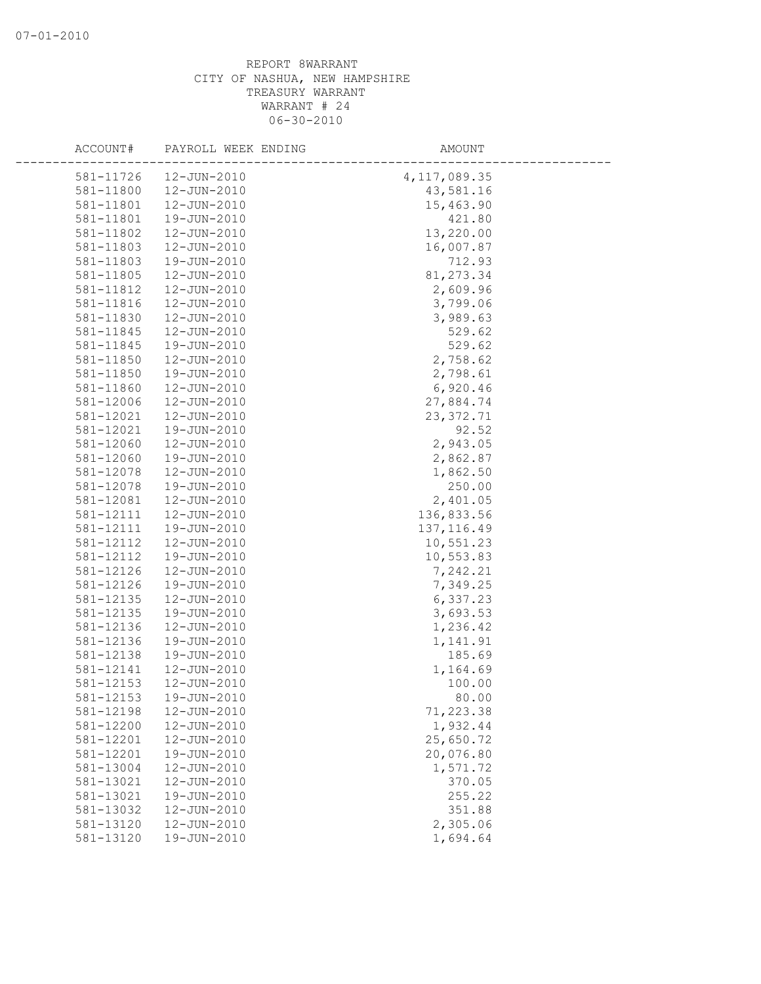| ACCOUNT#  | PAYROLL WEEK ENDING | AMOUNT         |  |
|-----------|---------------------|----------------|--|
| 581-11726 | 12-JUN-2010         | 4, 117, 089.35 |  |
| 581-11800 | 12-JUN-2010         | 43,581.16      |  |
| 581-11801 | 12-JUN-2010         | 15,463.90      |  |
| 581-11801 | 19-JUN-2010         | 421.80         |  |
| 581-11802 | 12-JUN-2010         | 13,220.00      |  |
| 581-11803 | 12-JUN-2010         | 16,007.87      |  |
| 581-11803 | 19-JUN-2010         | 712.93         |  |
| 581-11805 | 12-JUN-2010         | 81, 273.34     |  |
| 581-11812 | 12-JUN-2010         | 2,609.96       |  |
| 581-11816 | 12-JUN-2010         | 3,799.06       |  |
| 581-11830 | 12-JUN-2010         | 3,989.63       |  |
| 581-11845 | 12-JUN-2010         | 529.62         |  |
| 581-11845 | 19-JUN-2010         | 529.62         |  |
| 581-11850 | 12-JUN-2010         | 2,758.62       |  |
| 581-11850 | 19-JUN-2010         | 2,798.61       |  |
| 581-11860 | 12-JUN-2010         | 6,920.46       |  |
| 581-12006 | 12-JUN-2010         | 27,884.74      |  |
| 581-12021 | 12-JUN-2010         | 23, 372.71     |  |
| 581-12021 | 19-JUN-2010         | 92.52          |  |
| 581-12060 | 12-JUN-2010         | 2,943.05       |  |
| 581-12060 | 19-JUN-2010         | 2,862.87       |  |
| 581-12078 | 12-JUN-2010         | 1,862.50       |  |
| 581-12078 | 19-JUN-2010         | 250.00         |  |
| 581-12081 | 12-JUN-2010         | 2,401.05       |  |
| 581-12111 | 12-JUN-2010         | 136,833.56     |  |
| 581-12111 | 19-JUN-2010         | 137, 116.49    |  |
| 581-12112 | 12-JUN-2010         | 10,551.23      |  |
| 581-12112 | 19-JUN-2010         | 10,553.83      |  |
| 581-12126 | 12-JUN-2010         | 7,242.21       |  |
| 581-12126 | 19-JUN-2010         | 7,349.25       |  |
| 581-12135 | 12-JUN-2010         | 6,337.23       |  |
| 581-12135 | 19-JUN-2010         | 3,693.53       |  |
| 581-12136 | 12-JUN-2010         | 1,236.42       |  |
| 581-12136 | 19-JUN-2010         | 1,141.91       |  |
| 581-12138 | 19-JUN-2010         | 185.69         |  |
| 581-12141 | 12-JUN-2010         | 1,164.69       |  |
| 581-12153 | 12-JUN-2010         | 100.00         |  |
| 581-12153 | 19-JUN-2010         | 80.00          |  |
| 581-12198 | 12-JUN-2010         | 71,223.38      |  |
| 581-12200 | 12-JUN-2010         | 1,932.44       |  |
| 581-12201 | 12-JUN-2010         | 25,650.72      |  |
| 581-12201 | 19-JUN-2010         | 20,076.80      |  |
| 581-13004 | 12-JUN-2010         | 1,571.72       |  |
| 581-13021 | 12-JUN-2010         | 370.05         |  |
| 581-13021 | 19-JUN-2010         | 255.22         |  |
| 581-13032 | 12-JUN-2010         | 351.88         |  |
| 581-13120 | 12-JUN-2010         | 2,305.06       |  |
| 581-13120 | 19-JUN-2010         | 1,694.64       |  |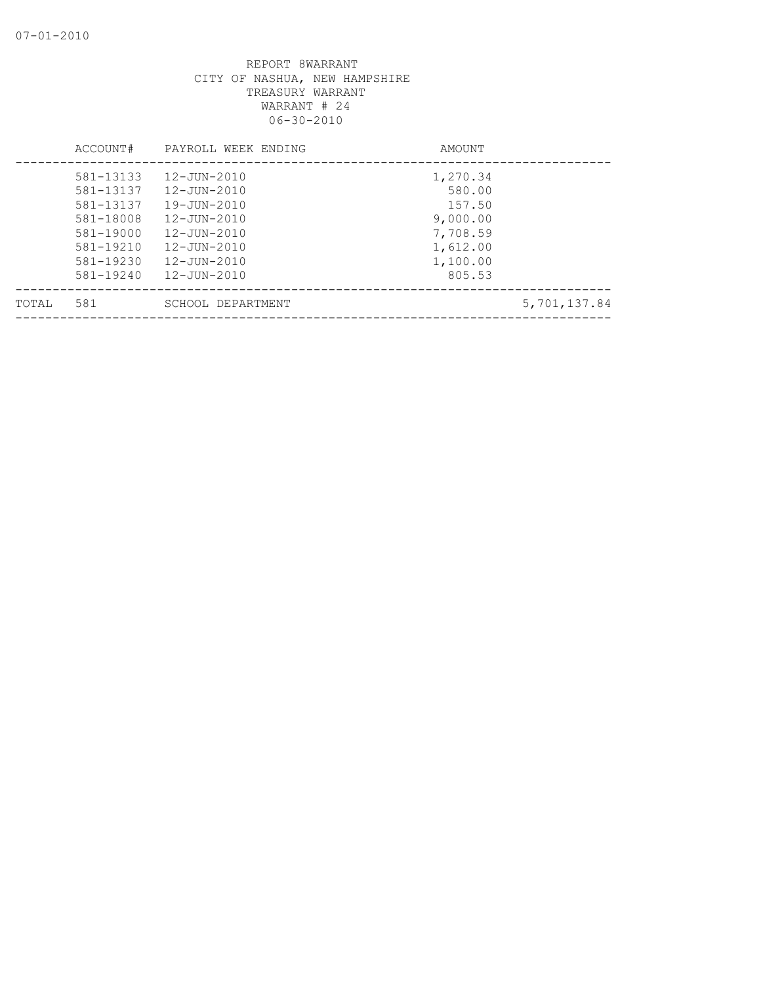|       | ACCOUNT#      | PAYROLL WEEK ENDING | AMOUNT   |              |
|-------|---------------|---------------------|----------|--------------|
|       | 581-13133     | 12-JUN-2010         | 1,270.34 |              |
|       | 581-13137     | 12-JUN-2010         | 580.00   |              |
|       | 581-13137     | 19-JUN-2010         | 157.50   |              |
|       | 581-18008     | $12 - JUN - 2010$   | 9,000.00 |              |
|       | 581-19000     | 12-JUN-2010         | 7,708.59 |              |
|       | $581 - 19210$ | 12-JUN-2010         | 1,612.00 |              |
|       | 581-19230     | 12-JUN-2010         | 1,100.00 |              |
|       | $581 - 19240$ | 12-JUN-2010         | 805.53   |              |
| TOTAL | 581           | SCHOOL DEPARTMENT   |          | 5,701,137.84 |
|       |               |                     |          |              |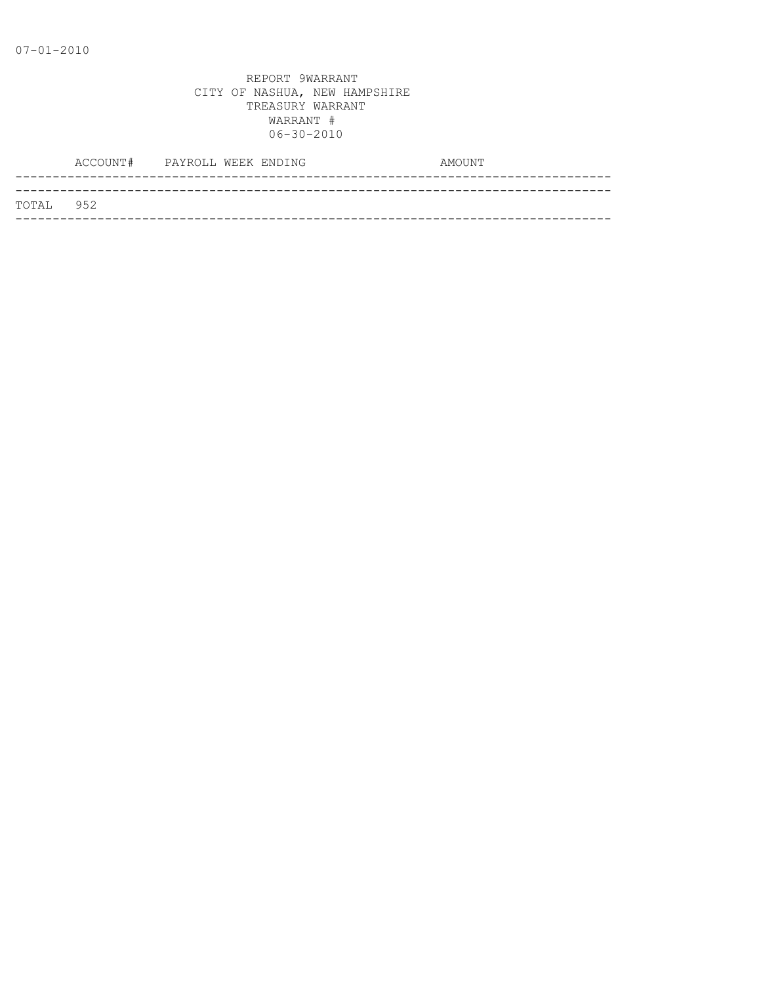|           | ACCOUNT# PAYROLL WEEK ENDING |  |  | AMOUNT |
|-----------|------------------------------|--|--|--------|
|           |                              |  |  |        |
| TOTAL 952 |                              |  |  |        |
|           |                              |  |  |        |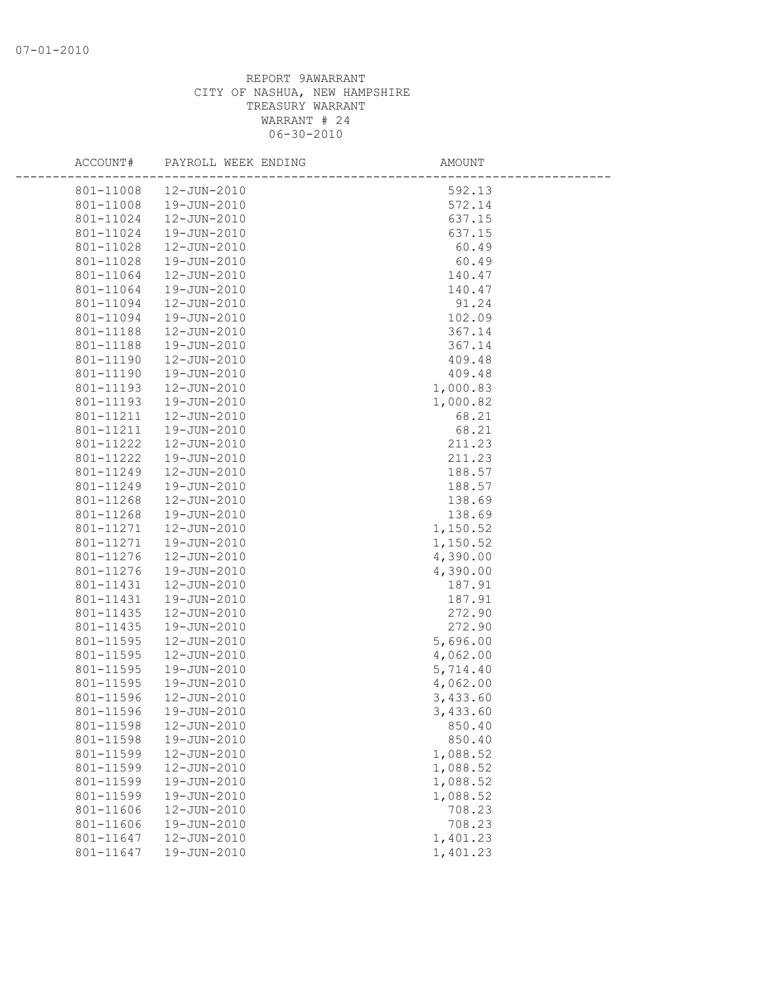| ACCOUNT#               | PAYROLL WEEK ENDING        | AMOUNT             |  |
|------------------------|----------------------------|--------------------|--|
| 801-11008              | 12-JUN-2010                | 592.13             |  |
| 801-11008              | 19-JUN-2010                | 572.14             |  |
| 801-11024              | 12-JUN-2010                | 637.15             |  |
| 801-11024              | 19-JUN-2010                | 637.15             |  |
| 801-11028              | 12-JUN-2010                | 60.49              |  |
| 801-11028              | 19-JUN-2010                | 60.49              |  |
| 801-11064              | 12-JUN-2010                | 140.47             |  |
| 801-11064              | 19-JUN-2010                | 140.47             |  |
| 801-11094              | 12-JUN-2010                | 91.24              |  |
| 801-11094              | 19-JUN-2010                | 102.09             |  |
| 801-11188              | 12-JUN-2010                | 367.14             |  |
| 801-11188              | 19-JUN-2010                | 367.14             |  |
| 801-11190              | 12-JUN-2010                | 409.48             |  |
| 801-11190              | 19-JUN-2010                | 409.48             |  |
| 801-11193              | 12-JUN-2010                | 1,000.83           |  |
| 801-11193              | 19-JUN-2010                | 1,000.82           |  |
| 801-11211              | 12-JUN-2010                | 68.21              |  |
| 801-11211              | 19-JUN-2010                | 68.21              |  |
| 801-11222              | 12-JUN-2010                | 211.23             |  |
| 801-11222              | 19-JUN-2010                | 211.23             |  |
| 801-11249              | 12-JUN-2010                | 188.57             |  |
| 801-11249              | 19-JUN-2010                | 188.57             |  |
| 801-11268              | 12-JUN-2010                | 138.69             |  |
| 801-11268              | 19-JUN-2010                | 138.69             |  |
| 801-11271              | 12-JUN-2010                | 1,150.52           |  |
| 801-11271              | 19-JUN-2010                | 1,150.52           |  |
| 801-11276<br>801-11276 | 12-JUN-2010<br>19-JUN-2010 | 4,390.00           |  |
| 801-11431              | 12-JUN-2010                | 4,390.00<br>187.91 |  |
| 801-11431              | 19-JUN-2010                | 187.91             |  |
| 801-11435              | 12-JUN-2010                | 272.90             |  |
| 801-11435              | 19-JUN-2010                | 272.90             |  |
| 801-11595              | 12-JUN-2010                | 5,696.00           |  |
| 801-11595              | 12-JUN-2010                | 4,062.00           |  |
| 801-11595              | 19-JUN-2010                | 5,714.40           |  |
| 801-11595              | 19-JUN-2010                | 4,062.00           |  |
| 801-11596              | 12-JUN-2010                | 3,433.60           |  |
| 801-11596              | 19-JUN-2010                | 3,433.60           |  |
| 801-11598              | 12-JUN-2010                | 850.40             |  |
| 801-11598              | 19-JUN-2010                | 850.40             |  |
| 801-11599              | 12-JUN-2010                | 1,088.52           |  |
| 801-11599              | 12-JUN-2010                | 1,088.52           |  |
| 801-11599              | 19-JUN-2010                | 1,088.52           |  |
| 801-11599              | 19-JUN-2010                | 1,088.52           |  |
| 801-11606              | 12-JUN-2010                | 708.23             |  |
| 801-11606              | 19-JUN-2010                | 708.23             |  |
| 801-11647              | 12-JUN-2010                | 1,401.23           |  |
| 801-11647              | 19-JUN-2010                | 1,401.23           |  |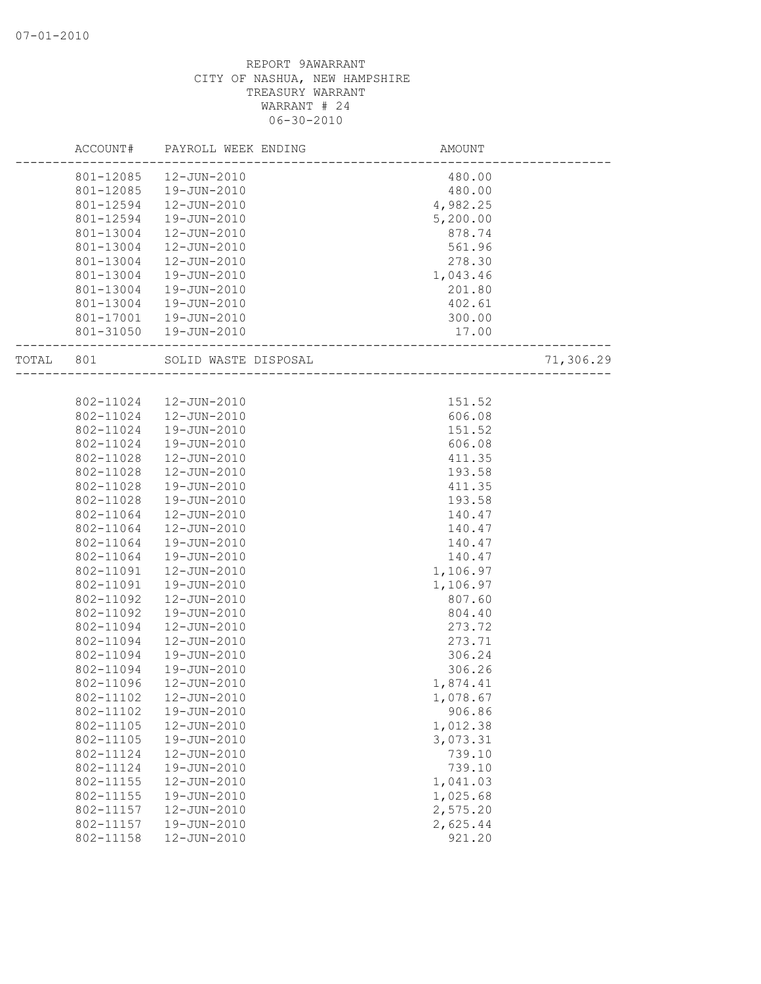|       | ACCOUNT#  | PAYROLL WEEK ENDING  | AMOUNT   |           |
|-------|-----------|----------------------|----------|-----------|
|       | 801-12085 | 12-JUN-2010          | 480.00   |           |
|       | 801-12085 | 19-JUN-2010          | 480.00   |           |
|       | 801-12594 | 12-JUN-2010          | 4,982.25 |           |
|       | 801-12594 | 19-JUN-2010          | 5,200.00 |           |
|       | 801-13004 | 12-JUN-2010          | 878.74   |           |
|       | 801-13004 | 12-JUN-2010          | 561.96   |           |
|       | 801-13004 | 12-JUN-2010          | 278.30   |           |
|       | 801-13004 | 19-JUN-2010          | 1,043.46 |           |
|       | 801-13004 | 19-JUN-2010          | 201.80   |           |
|       | 801-13004 | 19-JUN-2010          | 402.61   |           |
|       | 801-17001 | 19-JUN-2010          | 300.00   |           |
|       | 801-31050 | 19-JUN-2010          | 17.00    |           |
| TOTAL | 801       | SOLID WASTE DISPOSAL |          | 71,306.29 |
|       |           |                      |          |           |
|       | 802-11024 | 12-JUN-2010          | 151.52   |           |
|       | 802-11024 | 12-JUN-2010          | 606.08   |           |
|       | 802-11024 | 19-JUN-2010          | 151.52   |           |
|       | 802-11024 | 19-JUN-2010          | 606.08   |           |
|       | 802-11028 | 12-JUN-2010          | 411.35   |           |
|       | 802-11028 | 12-JUN-2010          | 193.58   |           |
|       | 802-11028 | 19-JUN-2010          | 411.35   |           |
|       | 802-11028 | 19-JUN-2010          | 193.58   |           |
|       | 802-11064 | 12-JUN-2010          | 140.47   |           |
|       | 802-11064 | 12-JUN-2010          | 140.47   |           |
|       | 802-11064 | 19-JUN-2010          | 140.47   |           |
|       | 802-11064 | 19-JUN-2010          | 140.47   |           |
|       | 802-11091 | 12-JUN-2010          | 1,106.97 |           |
|       | 802-11091 | 19-JUN-2010          | 1,106.97 |           |
|       | 802-11092 | 12-JUN-2010          | 807.60   |           |
|       | 802-11092 | 19-JUN-2010          | 804.40   |           |
|       | 802-11094 | 12-JUN-2010          | 273.72   |           |
|       | 802-11094 | 12-JUN-2010          | 273.71   |           |
|       | 802-11094 | 19-JUN-2010          | 306.24   |           |
|       | 802-11094 | 19-JUN-2010          | 306.26   |           |
|       | 802-11096 | 12-JUN-2010          | 1,874.41 |           |
|       | 802-11102 | 12-JUN-2010          | 1,078.67 |           |
|       | 802-11102 | 19-JUN-2010          | 906.86   |           |
|       | 802-11105 | 12-JUN-2010          | 1,012.38 |           |
|       | 802-11105 | 19-JUN-2010          | 3,073.31 |           |
|       | 802-11124 | 12-JUN-2010          | 739.10   |           |
|       | 802-11124 | 19-JUN-2010          | 739.10   |           |
|       | 802-11155 | 12-JUN-2010          | 1,041.03 |           |
|       | 802-11155 | 19-JUN-2010          | 1,025.68 |           |
|       | 802-11157 | 12-JUN-2010          | 2,575.20 |           |
|       | 802-11157 | 19-JUN-2010          | 2,625.44 |           |
|       | 802-11158 | 12-JUN-2010          | 921.20   |           |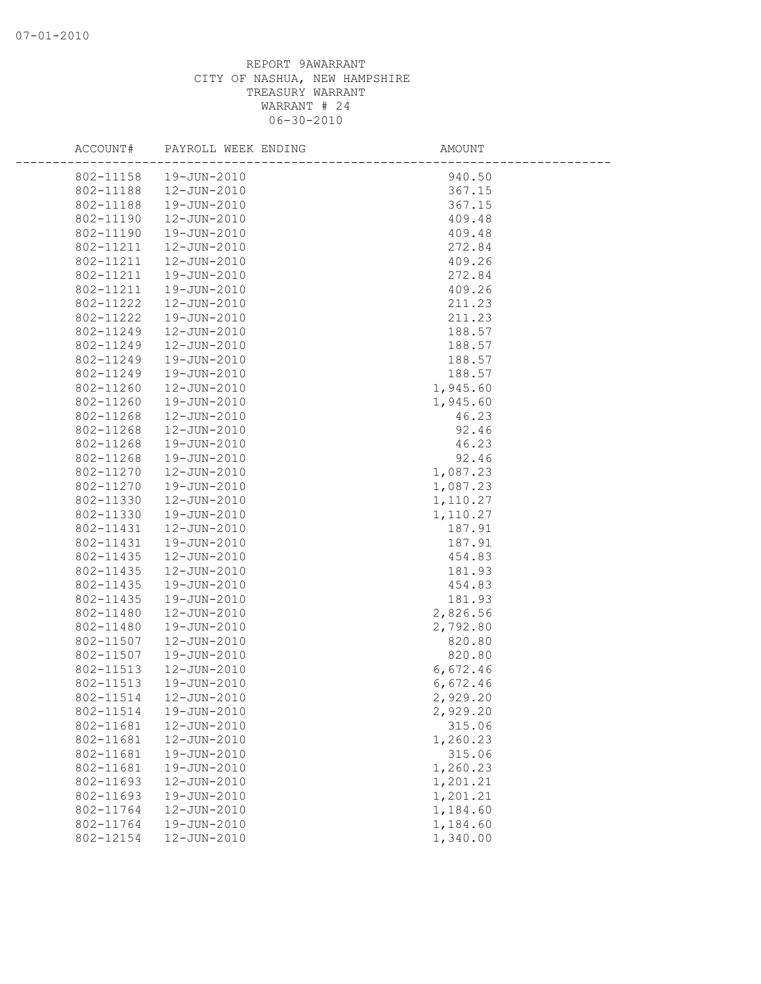| ACCOUNT#  | PAYROLL WEEK ENDING | AMOUNT   |  |
|-----------|---------------------|----------|--|
| 802-11158 | 19-JUN-2010         | 940.50   |  |
| 802-11188 | 12-JUN-2010         | 367.15   |  |
| 802-11188 | 19-JUN-2010         | 367.15   |  |
| 802-11190 | 12-JUN-2010         | 409.48   |  |
| 802-11190 | 19-JUN-2010         | 409.48   |  |
| 802-11211 | 12-JUN-2010         | 272.84   |  |
| 802-11211 | 12-JUN-2010         | 409.26   |  |
| 802-11211 | 19-JUN-2010         | 272.84   |  |
| 802-11211 | 19-JUN-2010         | 409.26   |  |
| 802-11222 | 12-JUN-2010         | 211.23   |  |
| 802-11222 | 19-JUN-2010         | 211.23   |  |
| 802-11249 | 12-JUN-2010         | 188.57   |  |
| 802-11249 | 12-JUN-2010         | 188.57   |  |
| 802-11249 | 19-JUN-2010         | 188.57   |  |
| 802-11249 | 19-JUN-2010         | 188.57   |  |
| 802-11260 | 12-JUN-2010         | 1,945.60 |  |
| 802-11260 | 19-JUN-2010         | 1,945.60 |  |
| 802-11268 | 12-JUN-2010         | 46.23    |  |
| 802-11268 | 12-JUN-2010         | 92.46    |  |
| 802-11268 | 19-JUN-2010         | 46.23    |  |
| 802-11268 | 19-JUN-2010         | 92.46    |  |
| 802-11270 | 12-JUN-2010         | 1,087.23 |  |
| 802-11270 | 19-JUN-2010         | 1,087.23 |  |
| 802-11330 | 12-JUN-2010         | 1,110.27 |  |
| 802-11330 | 19-JUN-2010         | 1,110.27 |  |
| 802-11431 | 12-JUN-2010         | 187.91   |  |
| 802-11431 | 19-JUN-2010         | 187.91   |  |
| 802-11435 | 12-JUN-2010         | 454.83   |  |
| 802-11435 | 12-JUN-2010         | 181.93   |  |
| 802-11435 | 19-JUN-2010         | 454.83   |  |
| 802-11435 | 19-JUN-2010         | 181.93   |  |
| 802-11480 | $12 - JUN - 2010$   | 2,826.56 |  |
| 802-11480 | 19-JUN-2010         | 2,792.80 |  |
| 802-11507 | 12-JUN-2010         | 820.80   |  |
| 802-11507 | 19-JUN-2010         | 820.80   |  |
| 802-11513 | 12-JUN-2010         | 6,672.46 |  |
| 802-11513 | 19-JUN-2010         | 6,672.46 |  |
| 802-11514 | 12-JUN-2010         | 2,929.20 |  |
| 802-11514 | 19-JUN-2010         | 2,929.20 |  |
| 802-11681 | 12-JUN-2010         | 315.06   |  |
| 802-11681 | 12-JUN-2010         | 1,260.23 |  |
| 802-11681 | 19-JUN-2010         | 315.06   |  |
| 802-11681 | 19-JUN-2010         | 1,260.23 |  |
| 802-11693 | 12-JUN-2010         | 1,201.21 |  |
| 802-11693 | 19-JUN-2010         | 1,201.21 |  |
| 802-11764 | 12-JUN-2010         | 1,184.60 |  |
| 802-11764 | 19-JUN-2010         | 1,184.60 |  |
| 802-12154 | 12-JUN-2010         | 1,340.00 |  |